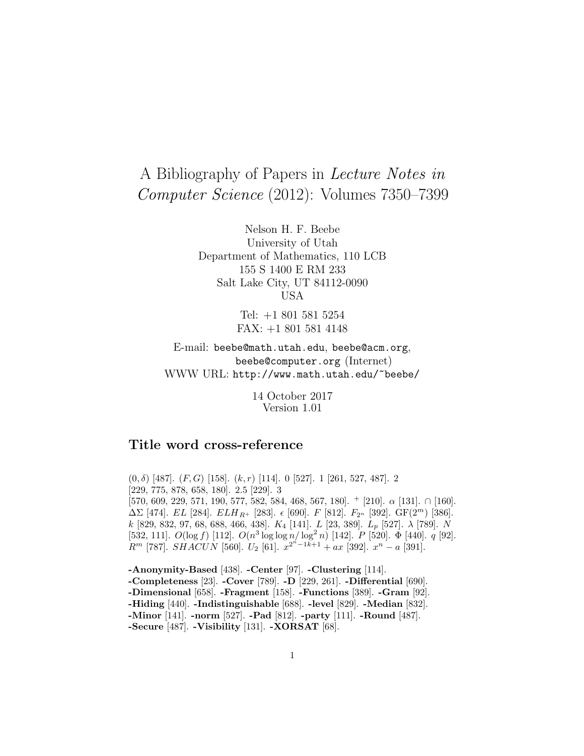# A Bibliography of Papers in Lecture Notes in Computer Science (2012): Volumes 7350–7399

Nelson H. F. Beebe University of Utah Department of Mathematics, 110 LCB 155 S 1400 E RM 233 Salt Lake City, UT 84112-0090 USA

> Tel: +1 801 581 5254 FAX: +1 801 581 4148

E-mail: beebe@math.utah.edu, beebe@acm.org, beebe@computer.org (Internet) WWW URL: http://www.math.utah.edu/~beebe/

> 14 October 2017 Version 1.01

# **Title word cross-reference**

 $(0, \delta)$  [487].  $(F, G)$  [158].  $(k, r)$  [114]. 0 [527]. 1 [261, 527, 487]. 2 [229, 775, 878, 658, 180]. 2.5 [229]. 3 [570, 609, 229, 571, 190, 577, 582, 584, 468, 567, 180].  $+$  [210].  $\alpha$  [131].  $\cap$  [160].  $\Delta\Sigma$  [474]. EL [284]. ELH<sub>R</sub>+ [283].  $\epsilon$  [690]. F [812]. F<sub>2n</sub> [392]. GF(2<sup>m</sup>) [386]. k [829, 832, 97, 68, 688, 466, 438].  $K_4$  [141].  $L$  [23, 389].  $L_p$  [527].  $\lambda$  [789].  $N$ [532, 111].  $O(\log f)$  [112].  $O(n^3 \log \log n / \log^2 n)$  [142].  $P$  [520].  $\Phi$  [440].  $q$  [92].  $R^m$  [787].  $SHACUN$  [560].  $U_2$  [61].  $x^{2^n-1k+1} + ax$  [392].  $x^n - a$  [391].

**-Anonymity-Based** [438]. **-Center** [97]. **-Clustering** [114]. **-Completeness** [23]. **-Cover** [789]. **-D** [229, 261]. **-Differential** [690]. **-Dimensional** [658]. **-Fragment** [158]. **-Functions** [389]. **-Gram** [92]. **-Hiding** [440]. **-Indistinguishable** [688]. **-level** [829]. **-Median** [832]. **-Minor** [141]. **-norm** [527]. **-Pad** [812]. **-party** [111]. **-Round** [487]. **-Secure** [487]. **-Visibility** [131]. **-XORSAT** [68].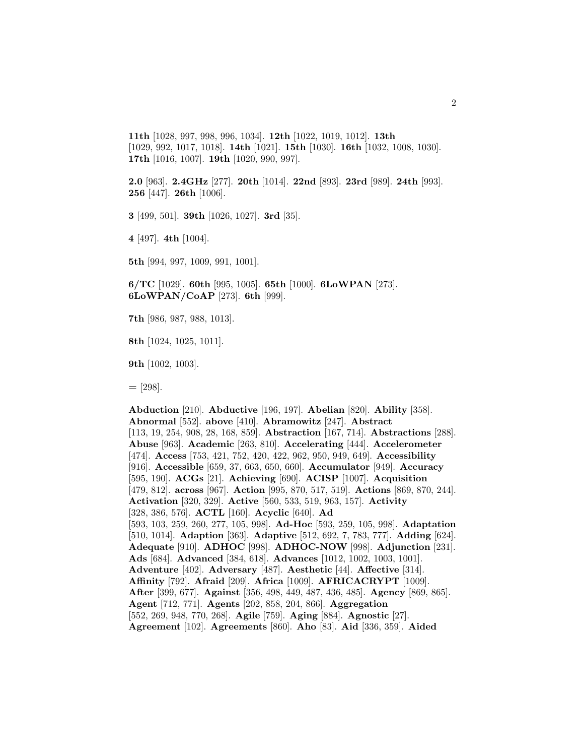**11th** [1028, 997, 998, 996, 1034]. **12th** [1022, 1019, 1012]. **13th** [1029, 992, 1017, 1018]. **14th** [1021]. **15th** [1030]. **16th** [1032, 1008, 1030]. **17th** [1016, 1007]. **19th** [1020, 990, 997].

**2.0** [963]. **2.4GHz** [277]. **20th** [1014]. **22nd** [893]. **23rd** [989]. **24th** [993]. **256** [447]. **26th** [1006].

**3** [499, 501]. **39th** [1026, 1027]. **3rd** [35].

**4** [497]. **4th** [1004].

**5th** [994, 997, 1009, 991, 1001].

**6/TC** [1029]. **60th** [995, 1005]. **65th** [1000]. **6LoWPAN** [273]. **6LoWPAN/CoAP** [273]. **6th** [999].

**7th** [986, 987, 988, 1013].

**8th** [1024, 1025, 1011].

**9th** [1002, 1003].

**=** [298].

**Abduction** [210]. **Abductive** [196, 197]. **Abelian** [820]. **Ability** [358]. **Abnormal** [552]. **above** [410]. **Abramowitz** [247]. **Abstract** [113, 19, 254, 908, 28, 168, 859]. **Abstraction** [167, 714]. **Abstractions** [288]. **Abuse** [963]. **Academic** [263, 810]. **Accelerating** [444]. **Accelerometer** [474]. **Access** [753, 421, 752, 420, 422, 962, 950, 949, 649]. **Accessibility** [916]. **Accessible** [659, 37, 663, 650, 660]. **Accumulator** [949]. **Accuracy** [595, 190]. **ACGs** [21]. **Achieving** [690]. **ACISP** [1007]. **Acquisition** [479, 812]. **across** [967]. **Action** [995, 870, 517, 519]. **Actions** [869, 870, 244]. **Activation** [320, 329]. **Active** [560, 533, 519, 963, 157]. **Activity** [328, 386, 576]. **ACTL** [160]. **Acyclic** [640]. **Ad** [593, 103, 259, 260, 277, 105, 998]. **Ad-Hoc** [593, 259, 105, 998]. **Adaptation** [510, 1014]. **Adaption** [363]. **Adaptive** [512, 692, 7, 783, 777]. **Adding** [624]. **Adequate** [910]. **ADHOC** [998]. **ADHOC-NOW** [998]. **Adjunction** [231]. **Ads** [684]. **Advanced** [384, 618]. **Advances** [1012, 1002, 1003, 1001]. **Adventure** [402]. **Adversary** [487]. **Aesthetic** [44]. **Affective** [314]. **Affinity** [792]. **Afraid** [209]. **Africa** [1009]. **AFRICACRYPT** [1009]. **After** [399, 677]. **Against** [356, 498, 449, 487, 436, 485]. **Agency** [869, 865]. **Agent** [712, 771]. **Agents** [202, 858, 204, 866]. **Aggregation** [552, 269, 948, 770, 268]. **Agile** [759]. **Aging** [884]. **Agnostic** [27]. **Agreement** [102]. **Agreements** [860]. **Aho** [83]. **Aid** [336, 359]. **Aided**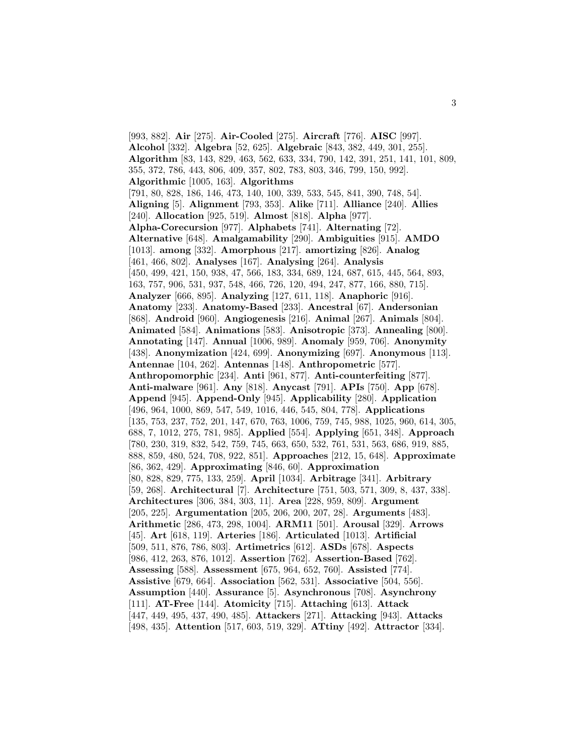[993, 882]. **Air** [275]. **Air-Cooled** [275]. **Aircraft** [776]. **AISC** [997]. **Alcohol** [332]. **Algebra** [52, 625]. **Algebraic** [843, 382, 449, 301, 255]. **Algorithm** [83, 143, 829, 463, 562, 633, 334, 790, 142, 391, 251, 141, 101, 809, 355, 372, 786, 443, 806, 409, 357, 802, 783, 803, 346, 799, 150, 992]. **Algorithmic** [1005, 163]. **Algorithms** [791, 80, 828, 186, 146, 473, 140, 100, 339, 533, 545, 841, 390, 748, 54]. **Aligning** [5]. **Alignment** [793, 353]. **Alike** [711]. **Alliance** [240]. **Allies** [240]. **Allocation** [925, 519]. **Almost** [818]. **Alpha** [977]. **Alpha-Corecursion** [977]. **Alphabets** [741]. **Alternating** [72]. **Alternative** [648]. **Amalgamability** [290]. **Ambiguities** [915]. **AMDO** [1013]. **among** [332]. **Amorphous** [217]. **amortizing** [826]. **Analog** [461, 466, 802]. **Analyses** [167]. **Analysing** [264]. **Analysis** [450, 499, 421, 150, 938, 47, 566, 183, 334, 689, 124, 687, 615, 445, 564, 893, 163, 757, 906, 531, 937, 548, 466, 726, 120, 494, 247, 877, 166, 880, 715]. **Analyzer** [666, 895]. **Analyzing** [127, 611, 118]. **Anaphoric** [916]. **Anatomy** [233]. **Anatomy-Based** [233]. **Ancestral** [67]. **Andersonian** [868]. **Android** [960]. **Angiogenesis** [216]. **Animal** [267]. **Animals** [804]. **Animated** [584]. **Animations** [583]. **Anisotropic** [373]. **Annealing** [800]. **Annotating** [147]. **Annual** [1006, 989]. **Anomaly** [959, 706]. **Anonymity** [438]. **Anonymization** [424, 699]. **Anonymizing** [697]. **Anonymous** [113]. **Antennae** [104, 262]. **Antennas** [148]. **Anthropometric** [577]. **Anthropomorphic** [234]. **Anti** [961, 877]. **Anti-counterfeiting** [877]. **Anti-malware** [961]. **Any** [818]. **Anycast** [791]. **APIs** [750]. **App** [678]. **Append** [945]. **Append-Only** [945]. **Applicability** [280]. **Application** [496, 964, 1000, 869, 547, 549, 1016, 446, 545, 804, 778]. **Applications** [135, 753, 237, 752, 201, 147, 670, 763, 1006, 759, 745, 988, 1025, 960, 614, 305, 688, 7, 1012, 275, 781, 985]. **Applied** [554]. **Applying** [651, 348]. **Approach** [780, 230, 319, 832, 542, 759, 745, 663, 650, 532, 761, 531, 563, 686, 919, 885, 888, 859, 480, 524, 708, 922, 851]. **Approaches** [212, 15, 648]. **Approximate** [86, 362, 429]. **Approximating** [846, 60]. **Approximation** [80, 828, 829, 775, 133, 259]. **April** [1034]. **Arbitrage** [341]. **Arbitrary** [59, 268]. **Architectural** [7]. **Architecture** [751, 503, 571, 309, 8, 437, 338]. **Architectures** [306, 384, 303, 11]. **Area** [228, 959, 809]. **Argument** [205, 225]. **Argumentation** [205, 206, 200, 207, 28]. **Arguments** [483]. **Arithmetic** [286, 473, 298, 1004]. **ARM11** [501]. **Arousal** [329]. **Arrows** [45]. **Art** [618, 119]. **Arteries** [186]. **Articulated** [1013]. **Artificial** [509, 511, 876, 786, 803]. **Artimetrics** [612]. **ASDs** [678]. **Aspects** [986, 412, 263, 876, 1012]. **Assertion** [762]. **Assertion-Based** [762]. **Assessing** [588]. **Assessment** [675, 964, 652, 760]. **Assisted** [774]. **Assistive** [679, 664]. **Association** [562, 531]. **Associative** [504, 556]. **Assumption** [440]. **Assurance** [5]. **Asynchronous** [708]. **Asynchrony** [111]. **AT-Free** [144]. **Atomicity** [715]. **Attaching** [613]. **Attack** [447, 449, 495, 437, 490, 485]. **Attackers** [271]. **Attacking** [943]. **Attacks** [498, 435]. **Attention** [517, 603, 519, 329]. **ATtiny** [492]. **Attractor** [334].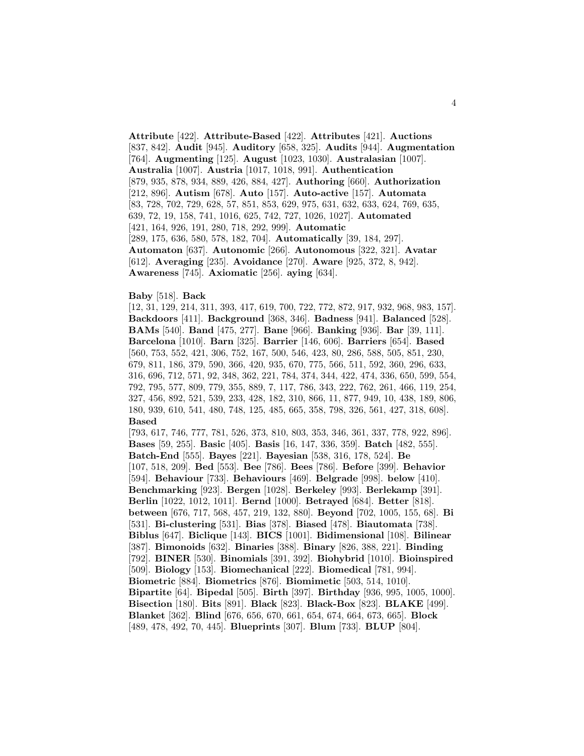**Attribute** [422]. **Attribute-Based** [422]. **Attributes** [421]. **Auctions** [837, 842]. **Audit** [945]. **Auditory** [658, 325]. **Audits** [944]. **Augmentation** [764]. **Augmenting** [125]. **August** [1023, 1030]. **Australasian** [1007]. **Australia** [1007]. **Austria** [1017, 1018, 991]. **Authentication** [879, 935, 878, 934, 889, 426, 884, 427]. **Authoring** [660]. **Authorization** [212, 896]. **Autism** [678]. **Auto** [157]. **Auto-active** [157]. **Automata** [83, 728, 702, 729, 628, 57, 851, 853, 629, 975, 631, 632, 633, 624, 769, 635, 639, 72, 19, 158, 741, 1016, 625, 742, 727, 1026, 1027]. **Automated** [421, 164, 926, 191, 280, 718, 292, 999]. **Automatic** [289, 175, 636, 580, 578, 182, 704]. **Automatically** [39, 184, 297]. **Automaton** [637]. **Autonomic** [266]. **Autonomous** [322, 321]. **Avatar** [612]. **Averaging** [235]. **Avoidance** [270]. **Aware** [925, 372, 8, 942]. **Awareness** [745]. **Axiomatic** [256]. **aying** [634].

#### **Baby** [518]. **Back**

[12, 31, 129, 214, 311, 393, 417, 619, 700, 722, 772, 872, 917, 932, 968, 983, 157]. **Backdoors** [411]. **Background** [368, 346]. **Badness** [941]. **Balanced** [528]. **BAMs** [540]. **Band** [475, 277]. **Bane** [966]. **Banking** [936]. **Bar** [39, 111]. **Barcelona** [1010]. **Barn** [325]. **Barrier** [146, 606]. **Barriers** [654]. **Based** [560, 753, 552, 421, 306, 752, 167, 500, 546, 423, 80, 286, 588, 505, 851, 230, 679, 811, 186, 379, 590, 366, 420, 935, 670, 775, 566, 511, 592, 360, 296, 633, 316, 696, 712, 571, 92, 348, 362, 221, 784, 374, 344, 422, 474, 336, 650, 599, 554, 792, 795, 577, 809, 779, 355, 889, 7, 117, 786, 343, 222, 762, 261, 466, 119, 254, 327, 456, 892, 521, 539, 233, 428, 182, 310, 866, 11, 877, 949, 10, 438, 189, 806, 180, 939, 610, 541, 480, 748, 125, 485, 665, 358, 798, 326, 561, 427, 318, 608]. **Based**

[793, 617, 746, 777, 781, 526, 373, 810, 803, 353, 346, 361, 337, 778, 922, 896]. **Bases** [59, 255]. **Basic** [405]. **Basis** [16, 147, 336, 359]. **Batch** [482, 555]. **Batch-End** [555]. **Bayes** [221]. **Bayesian** [538, 316, 178, 524]. **Be** [107, 518, 209]. **Bed** [553]. **Bee** [786]. **Bees** [786]. **Before** [399]. **Behavior** [594]. **Behaviour** [733]. **Behaviours** [469]. **Belgrade** [998]. **below** [410]. **Benchmarking** [923]. **Bergen** [1028]. **Berkeley** [993]. **Berlekamp** [391]. **Berlin** [1022, 1012, 1011]. **Bernd** [1000]. **Betrayed** [684]. **Better** [818]. **between** [676, 717, 568, 457, 219, 132, 880]. **Beyond** [702, 1005, 155, 68]. **Bi** [531]. **Bi-clustering** [531]. **Bias** [378]. **Biased** [478]. **Biautomata** [738]. **Biblus** [647]. **Biclique** [143]. **BICS** [1001]. **Bidimensional** [108]. **Bilinear** [387]. **Bimonoids** [632]. **Binaries** [388]. **Binary** [826, 388, 221]. **Binding** [792]. **BINER** [530]. **Binomials** [391, 392]. **Biohybrid** [1010]. **Bioinspired** [509]. **Biology** [153]. **Biomechanical** [222]. **Biomedical** [781, 994]. **Biometric** [884]. **Biometrics** [876]. **Biomimetic** [503, 514, 1010]. **Bipartite** [64]. **Bipedal** [505]. **Birth** [397]. **Birthday** [936, 995, 1005, 1000]. **Bisection** [180]. **Bits** [891]. **Black** [823]. **Black-Box** [823]. **BLAKE** [499]. **Blanket** [362]. **Blind** [676, 656, 670, 661, 654, 674, 664, 673, 665]. **Block** [489, 478, 492, 70, 445]. **Blueprints** [307]. **Blum** [733]. **BLUP** [804].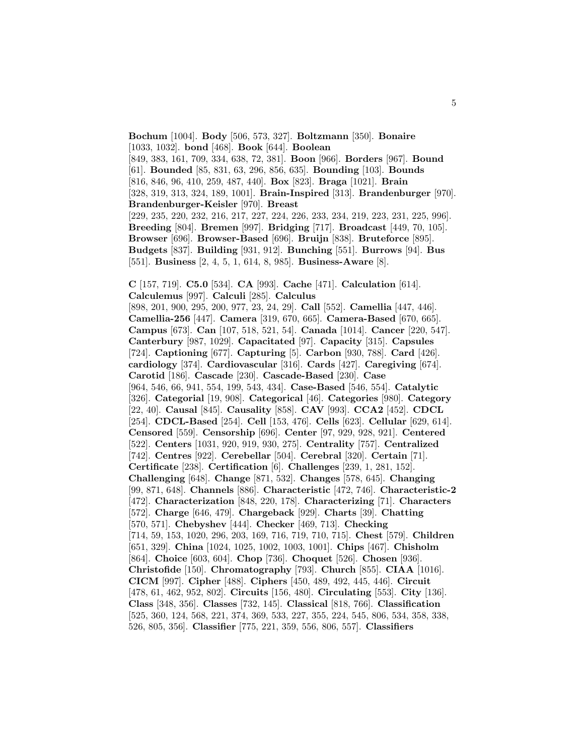**Bochum** [1004]. **Body** [506, 573, 327]. **Boltzmann** [350]. **Bonaire** [1033, 1032]. **bond** [468]. **Book** [644]. **Boolean** [849, 383, 161, 709, 334, 638, 72, 381]. **Boon** [966]. **Borders** [967]. **Bound** [61]. **Bounded** [85, 831, 63, 296, 856, 635]. **Bounding** [103]. **Bounds** [816, 846, 96, 410, 259, 487, 440]. **Box** [823]. **Braga** [1021]. **Brain** [328, 319, 313, 324, 189, 1001]. **Brain-Inspired** [313]. **Brandenburger** [970]. **Brandenburger-Keisler** [970]. **Breast** [229, 235, 220, 232, 216, 217, 227, 224, 226, 233, 234, 219, 223, 231, 225, 996]. **Breeding** [804]. **Bremen** [997]. **Bridging** [717]. **Broadcast** [449, 70, 105]. **Browser** [696]. **Browser-Based** [696]. **Bruijn** [838]. **Bruteforce** [895]. **Budgets** [837]. **Building** [931, 912]. **Bunching** [551]. **Burrows** [94]. **Bus** [551]. **Business** [2, 4, 5, 1, 614, 8, 985]. **Business-Aware** [8].

**C** [157, 719]. **C5.0** [534]. **CA** [993]. **Cache** [471]. **Calculation** [614]. **Calculemus** [997]. **Calculi** [285]. **Calculus** [898, 201, 900, 295, 200, 977, 23, 24, 29]. **Call** [552]. **Camellia** [447, 446]. **Camellia-256** [447]. **Camera** [319, 670, 665]. **Camera-Based** [670, 665]. **Campus** [673]. **Can** [107, 518, 521, 54]. **Canada** [1014]. **Cancer** [220, 547]. **Canterbury** [987, 1029]. **Capacitated** [97]. **Capacity** [315]. **Capsules** [724]. **Captioning** [677]. **Capturing** [5]. **Carbon** [930, 788]. **Card** [426]. **cardiology** [374]. **Cardiovascular** [316]. **Cards** [427]. **Caregiving** [674]. **Carotid** [186]. **Cascade** [230]. **Cascade-Based** [230]. **Case** [964, 546, 66, 941, 554, 199, 543, 434]. **Case-Based** [546, 554]. **Catalytic** [326]. **Categorial** [19, 908]. **Categorical** [46]. **Categories** [980]. **Category** [22, 40]. **Causal** [845]. **Causality** [858]. **CAV** [993]. **CCA2** [452]. **CDCL** [254]. **CDCL-Based** [254]. **Cell** [153, 476]. **Cells** [623]. **Cellular** [629, 614]. **Censored** [559]. **Censorship** [696]. **Center** [97, 929, 928, 921]. **Centered** [522]. **Centers** [1031, 920, 919, 930, 275]. **Centrality** [757]. **Centralized** [742]. **Centres** [922]. **Cerebellar** [504]. **Cerebral** [320]. **Certain** [71]. **Certificate** [238]. **Certification** [6]. **Challenges** [239, 1, 281, 152]. **Challenging** [648]. **Change** [871, 532]. **Changes** [578, 645]. **Changing** [99, 871, 648]. **Channels** [886]. **Characteristic** [472, 746]. **Characteristic-2** [472]. **Characterization** [848, 220, 178]. **Characterizing** [71]. **Characters** [572]. **Charge** [646, 479]. **Chargeback** [929]. **Charts** [39]. **Chatting** [570, 571]. **Chebyshev** [444]. **Checker** [469, 713]. **Checking** [714, 59, 153, 1020, 296, 203, 169, 716, 719, 710, 715]. **Chest** [579]. **Children** [651, 329]. **China** [1024, 1025, 1002, 1003, 1001]. **Chips** [467]. **Chisholm** [864]. **Choice** [603, 604]. **Chop** [736]. **Choquet** [526]. **Chosen** [936]. **Christofide** [150]. **Chromatography** [793]. **Church** [855]. **CIAA** [1016]. **CICM** [997]. **Cipher** [488]. **Ciphers** [450, 489, 492, 445, 446]. **Circuit** [478, 61, 462, 952, 802]. **Circuits** [156, 480]. **Circulating** [553]. **City** [136]. **Class** [348, 356]. **Classes** [732, 145]. **Classical** [818, 766]. **Classification** [525, 360, 124, 568, 221, 374, 369, 533, 227, 355, 224, 545, 806, 534, 358, 338, 526, 805, 356]. **Classifier** [775, 221, 359, 556, 806, 557]. **Classifiers**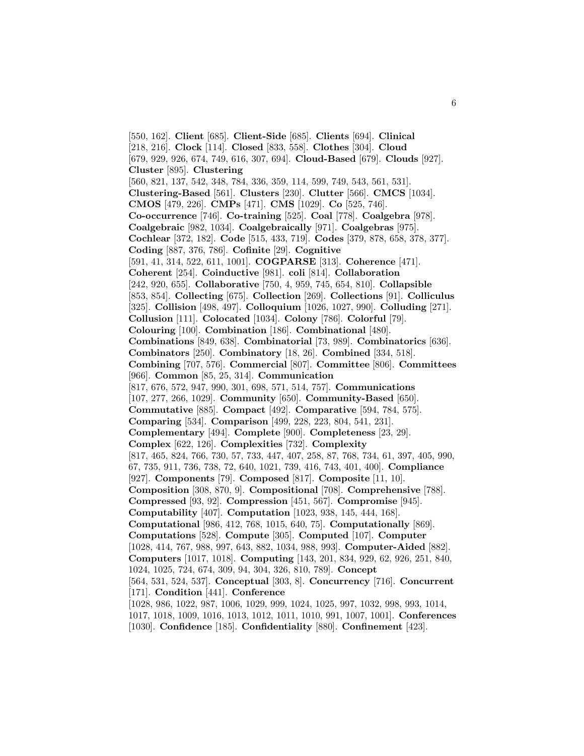[550, 162]. **Client** [685]. **Client-Side** [685]. **Clients** [694]. **Clinical** [218, 216]. **Clock** [114]. **Closed** [833, 558]. **Clothes** [304]. **Cloud** [679, 929, 926, 674, 749, 616, 307, 694]. **Cloud-Based** [679]. **Clouds** [927]. **Cluster** [895]. **Clustering** [560, 821, 137, 542, 348, 784, 336, 359, 114, 599, 749, 543, 561, 531]. **Clustering-Based** [561]. **Clusters** [230]. **Clutter** [566]. **CMCS** [1034]. **CMOS** [479, 226]. **CMPs** [471]. **CMS** [1029]. **Co** [525, 746]. **Co-occurrence** [746]. **Co-training** [525]. **Coal** [778]. **Coalgebra** [978]. **Coalgebraic** [982, 1034]. **Coalgebraically** [971]. **Coalgebras** [975]. **Cochlear** [372, 182]. **Code** [515, 433, 719]. **Codes** [379, 878, 658, 378, 377]. **Coding** [887, 376, 786]. **Cofinite** [29]. **Cognitive** [591, 41, 314, 522, 611, 1001]. **COGPARSE** [313]. **Coherence** [471]. **Coherent** [254]. **Coinductive** [981]. **coli** [814]. **Collaboration** [242, 920, 655]. **Collaborative** [750, 4, 959, 745, 654, 810]. **Collapsible** [853, 854]. **Collecting** [675]. **Collection** [269]. **Collections** [91]. **Colliculus** [325]. **Collision** [498, 497]. **Colloquium** [1026, 1027, 990]. **Colluding** [271]. **Collusion** [111]. **Colocated** [1034]. **Colony** [786]. **Colorful** [79]. **Colouring** [100]. **Combination** [186]. **Combinational** [480]. **Combinations** [849, 638]. **Combinatorial** [73, 989]. **Combinatorics** [636]. **Combinators** [250]. **Combinatory** [18, 26]. **Combined** [334, 518]. **Combining** [707, 576]. **Commercial** [807]. **Committee** [806]. **Committees** [966]. **Common** [85, 25, 314]. **Communication** [817, 676, 572, 947, 990, 301, 698, 571, 514, 757]. **Communications** [107, 277, 266, 1029]. **Community** [650]. **Community-Based** [650]. **Commutative** [885]. **Compact** [492]. **Comparative** [594, 784, 575]. **Comparing** [534]. **Comparison** [499, 228, 223, 804, 541, 231]. **Complementary** [494]. **Complete** [900]. **Completeness** [23, 29]. **Complex** [622, 126]. **Complexities** [732]. **Complexity** [817, 465, 824, 766, 730, 57, 733, 447, 407, 258, 87, 768, 734, 61, 397, 405, 990, 67, 735, 911, 736, 738, 72, 640, 1021, 739, 416, 743, 401, 400]. **Compliance** [927]. **Components** [79]. **Composed** [817]. **Composite** [11, 10]. **Composition** [308, 870, 9]. **Compositional** [708]. **Comprehensive** [788]. **Compressed** [93, 92]. **Compression** [451, 567]. **Compromise** [945]. **Computability** [407]. **Computation** [1023, 938, 145, 444, 168]. **Computational** [986, 412, 768, 1015, 640, 75]. **Computationally** [869]. **Computations** [528]. **Compute** [305]. **Computed** [107]. **Computer** [1028, 414, 767, 988, 997, 643, 882, 1034, 988, 993]. **Computer-Aided** [882]. **Computers** [1017, 1018]. **Computing** [143, 201, 834, 929, 62, 926, 251, 840, 1024, 1025, 724, 674, 309, 94, 304, 326, 810, 789]. **Concept** [564, 531, 524, 537]. **Conceptual** [303, 8]. **Concurrency** [716]. **Concurrent** [171]. **Condition** [441]. **Conference** [1028, 986, 1022, 987, 1006, 1029, 999, 1024, 1025, 997, 1032, 998, 993, 1014, 1017, 1018, 1009, 1016, 1013, 1012, 1011, 1010, 991, 1007, 1001]. **Conferences** [1030]. **Confidence** [185]. **Confidentiality** [880]. **Confinement** [423].

6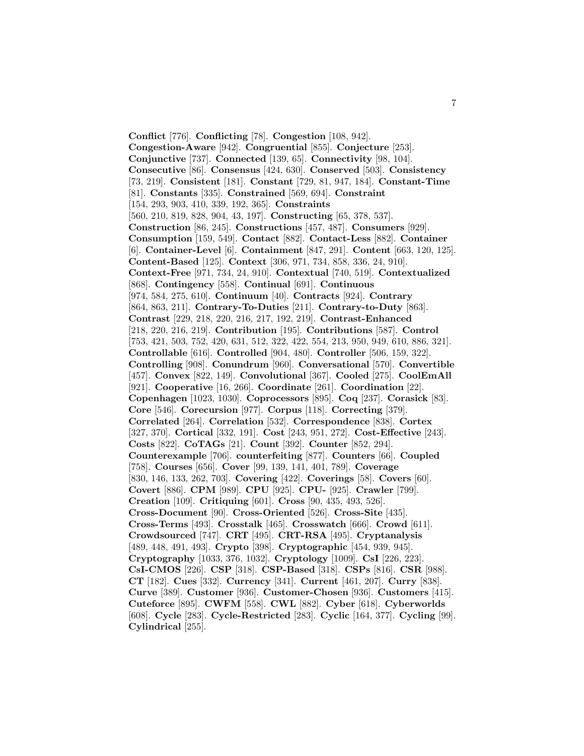**Conflict** [776]. **Conflicting** [78]. **Congestion** [108, 942]. **Congestion-Aware** [942]. **Congruential** [855]. **Conjecture** [253]. **Conjunctive** [737]. **Connected** [139, 65]. **Connectivity** [98, 104]. **Consecutive** [86]. **Consensus** [424, 630]. **Conserved** [503]. **Consistency** [73, 219]. **Consistent** [181]. **Constant** [729, 81, 947, 184]. **Constant-Time** [81]. **Constants** [335]. **Constrained** [569, 694]. **Constraint** [154, 293, 903, 410, 339, 192, 365]. **Constraints** [560, 210, 819, 828, 904, 43, 197]. **Constructing** [65, 378, 537]. **Construction** [86, 245]. **Constructions** [457, 487]. **Consumers** [929]. **Consumption** [159, 549]. **Contact** [882]. **Contact-Less** [882]. **Container** [6]. **Container-Level** [6]. **Containment** [847, 291]. **Content** [663, 120, 125]. **Content-Based** [125]. **Context** [306, 971, 734, 858, 336, 24, 910]. **Context-Free** [971, 734, 24, 910]. **Contextual** [740, 519]. **Contextualized** [868]. **Contingency** [558]. **Continual** [691]. **Continuous** [974, 584, 275, 610]. **Continuum** [40]. **Contracts** [924]. **Contrary** [864, 863, 211]. **Contrary-To-Duties** [211]. **Contrary-to-Duty** [863]. **Contrast** [229, 218, 220, 216, 217, 192, 219]. **Contrast-Enhanced** [218, 220, 216, 219]. **Contribution** [195]. **Contributions** [587]. **Control** [753, 421, 503, 752, 420, 631, 512, 322, 422, 554, 213, 950, 949, 610, 886, 321]. **Controllable** [616]. **Controlled** [904, 480]. **Controller** [506, 159, 322]. **Controlling** [908]. **Conundrum** [960]. **Conversational** [570]. **Convertible** [457]. **Convex** [822, 149]. **Convolutional** [367]. **Cooled** [275]. **CoolEmAll** [921]. **Cooperative** [16, 266]. **Coordinate** [261]. **Coordination** [22]. **Copenhagen** [1023, 1030]. **Coprocessors** [895]. **Coq** [237]. **Corasick** [83]. **Core** [546]. **Corecursion** [977]. **Corpus** [118]. **Correcting** [379]. **Correlated** [264]. **Correlation** [532]. **Correspondence** [838]. **Cortex** [327, 370]. **Cortical** [332, 191]. **Cost** [243, 951, 272]. **Cost-Effective** [243]. **Costs** [822]. **CoTAGs** [21]. **Count** [392]. **Counter** [852, 294]. **Counterexample** [706]. **counterfeiting** [877]. **Counters** [66]. **Coupled** [758]. **Courses** [656]. **Cover** [99, 139, 141, 401, 789]. **Coverage** [830, 146, 133, 262, 703]. **Covering** [422]. **Coverings** [58]. **Covers** [60]. **Covert** [886]. **CPM** [989]. **CPU** [925]. **CPU-** [925]. **Crawler** [799]. **Creation** [109]. **Critiquing** [601]. **Cross** [90, 435, 493, 526]. **Cross-Document** [90]. **Cross-Oriented** [526]. **Cross-Site** [435]. **Cross-Terms** [493]. **Crosstalk** [465]. **Crosswatch** [666]. **Crowd** [611]. **Crowdsourced** [747]. **CRT** [495]. **CRT-RSA** [495]. **Cryptanalysis** [489, 448, 491, 493]. **Crypto** [398]. **Cryptographic** [454, 939, 945]. **Cryptography** [1033, 376, 1032]. **Cryptology** [1009]. **CsI** [226, 223]. **CsI-CMOS** [226]. **CSP** [318]. **CSP-Based** [318]. **CSPs** [816]. **CSR** [988]. **CT** [182]. **Cues** [332]. **Currency** [341]. **Current** [461, 207]. **Curry** [838]. **Curve** [389]. **Customer** [936]. **Customer-Chosen** [936]. **Customers** [415]. **Cuteforce** [895]. **CWFM** [558]. **CWL** [882]. **Cyber** [618]. **Cyberworlds** [608]. **Cycle** [283]. **Cycle-Restricted** [283]. **Cyclic** [164, 377]. **Cycling** [99]. **Cylindrical** [255].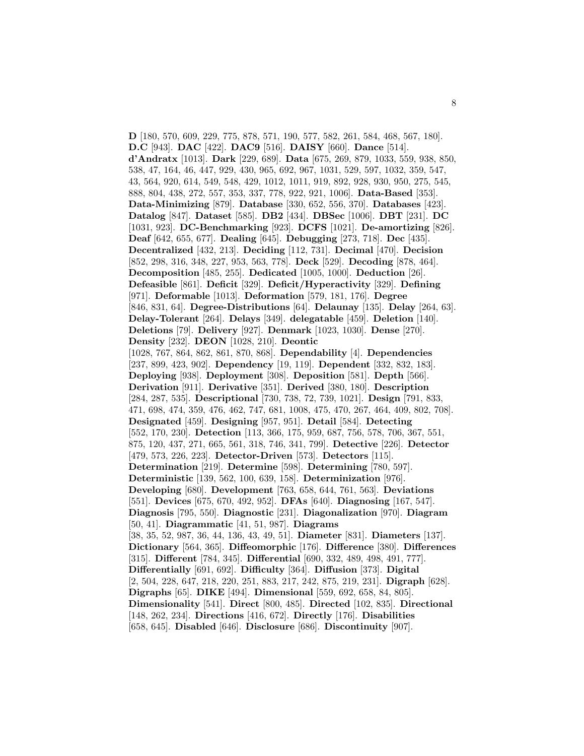**D** [180, 570, 609, 229, 775, 878, 571, 190, 577, 582, 261, 584, 468, 567, 180]. **D.C** [943]. **DAC** [422]. **DAC9** [516]. **DAISY** [660]. **Dance** [514]. **d'Andratx** [1013]. **Dark** [229, 689]. **Data** [675, 269, 879, 1033, 559, 938, 850, 538, 47, 164, 46, 447, 929, 430, 965, 692, 967, 1031, 529, 597, 1032, 359, 547, 43, 564, 920, 614, 549, 548, 429, 1012, 1011, 919, 892, 928, 930, 950, 275, 545, 888, 804, 438, 272, 557, 353, 337, 778, 922, 921, 1006]. **Data-Based** [353]. **Data-Minimizing** [879]. **Database** [330, 652, 556, 370]. **Databases** [423]. **Datalog** [847]. **Dataset** [585]. **DB2** [434]. **DBSec** [1006]. **DBT** [231]. **DC** [1031, 923]. **DC-Benchmarking** [923]. **DCFS** [1021]. **De-amortizing** [826]. **Deaf** [642, 655, 677]. **Dealing** [645]. **Debugging** [273, 718]. **Dec** [435]. **Decentralized** [432, 213]. **Deciding** [112, 731]. **Decimal** [470]. **Decision** [852, 298, 316, 348, 227, 953, 563, 778]. **Deck** [529]. **Decoding** [878, 464]. **Decomposition** [485, 255]. **Dedicated** [1005, 1000]. **Deduction** [26]. **Defeasible** [861]. **Deficit** [329]. **Deficit/Hyperactivity** [329]. **Defining** [971]. **Deformable** [1013]. **Deformation** [579, 181, 176]. **Degree** [846, 831, 64]. **Degree-Distributions** [64]. **Delaunay** [135]. **Delay** [264, 63]. **Delay-Tolerant** [264]. **Delays** [349]. **delegatable** [459]. **Deletion** [140]. **Deletions** [79]. **Delivery** [927]. **Denmark** [1023, 1030]. **Dense** [270]. **Density** [232]. **DEON** [1028, 210]. **Deontic** [1028, 767, 864, 862, 861, 870, 868]. **Dependability** [4]. **Dependencies** [237, 899, 423, 902]. **Dependency** [19, 119]. **Dependent** [332, 832, 183]. **Deploying** [938]. **Deployment** [308]. **Deposition** [581]. **Depth** [566]. **Derivation** [911]. **Derivative** [351]. **Derived** [380, 180]. **Description** [284, 287, 535]. **Descriptional** [730, 738, 72, 739, 1021]. **Design** [791, 833, 471, 698, 474, 359, 476, 462, 747, 681, 1008, 475, 470, 267, 464, 409, 802, 708]. **Designated** [459]. **Designing** [957, 951]. **Detail** [584]. **Detecting** [552, 170, 230]. **Detection** [113, 366, 175, 959, 687, 756, 578, 706, 367, 551, 875, 120, 437, 271, 665, 561, 318, 746, 341, 799]. **Detective** [226]. **Detector** [479, 573, 226, 223]. **Detector-Driven** [573]. **Detectors** [115]. **Determination** [219]. **Determine** [598]. **Determining** [780, 597]. **Deterministic** [139, 562, 100, 639, 158]. **Determinization** [976]. **Developing** [680]. **Development** [763, 658, 644, 761, 563]. **Deviations** [551]. **Devices** [675, 670, 492, 952]. **DFAs** [640]. **Diagnosing** [167, 547]. **Diagnosis** [795, 550]. **Diagnostic** [231]. **Diagonalization** [970]. **Diagram** [50, 41]. **Diagrammatic** [41, 51, 987]. **Diagrams** [38, 35, 52, 987, 36, 44, 136, 43, 49, 51]. **Diameter** [831]. **Diameters** [137]. **Dictionary** [564, 365]. **Diffeomorphic** [176]. **Difference** [380]. **Differences** [315]. **Different** [784, 345]. **Differential** [690, 332, 489, 498, 491, 777]. **Differentially** [691, 692]. **Difficulty** [364]. **Diffusion** [373]. **Digital** [2, 504, 228, 647, 218, 220, 251, 883, 217, 242, 875, 219, 231]. **Digraph** [628]. **Digraphs** [65]. **DIKE** [494]. **Dimensional** [559, 692, 658, 84, 805]. **Dimensionality** [541]. **Direct** [800, 485]. **Directed** [102, 835]. **Directional** [148, 262, 234]. **Directions** [416, 672]. **Directly** [176]. **Disabilities** [658, 645]. **Disabled** [646]. **Disclosure** [686]. **Discontinuity** [907].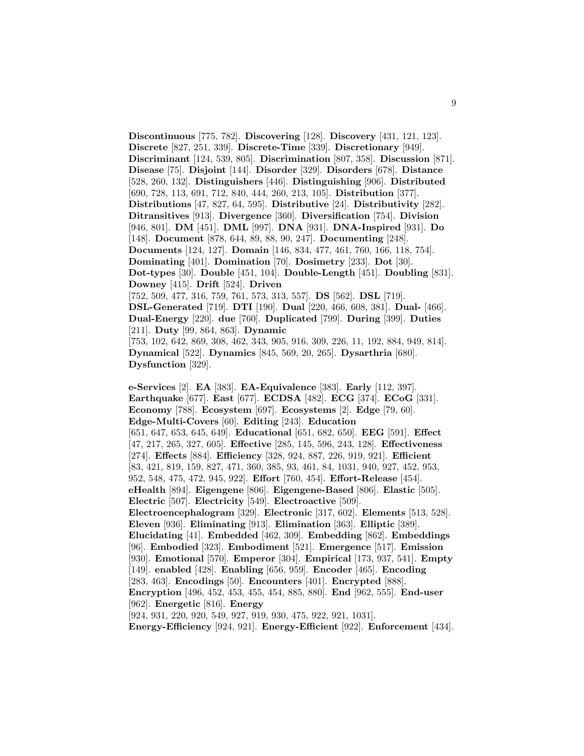**Discontinuous** [775, 782]. **Discovering** [128]. **Discovery** [431, 121, 123]. **Discrete** [827, 251, 339]. **Discrete-Time** [339]. **Discretionary** [949]. **Discriminant** [124, 539, 805]. **Discrimination** [807, 358]. **Discussion** [871]. **Disease** [75]. **Disjoint** [144]. **Disorder** [329]. **Disorders** [678]. **Distance** [528, 260, 132]. **Distinguishers** [446]. **Distinguishing** [906]. **Distributed** [690, 728, 113, 691, 712, 840, 444, 260, 213, 105]. **Distribution** [377]. **Distributions** [47, 827, 64, 595]. **Distributive** [24]. **Distributivity** [282]. **Ditransitives** [913]. **Divergence** [360]. **Diversification** [754]. **Division** [946, 801]. **DM** [451]. **DML** [997]. **DNA** [931]. **DNA-Inspired** [931]. **Do** [148]. **Document** [878, 644, 89, 88, 90, 247]. **Documenting** [248]. **Documents** [124, 127]. **Domain** [146, 834, 477, 461, 760, 166, 118, 754]. **Dominating** [401]. **Domination** [70]. **Dosimetry** [233]. **Dot** [30]. **Dot-types** [30]. **Double** [451, 104]. **Double-Length** [451]. **Doubling** [831]. **Downey** [415]. **Drift** [524]. **Driven** [752, 509, 477, 316, 759, 761, 573, 313, 557]. **DS** [562]. **DSL** [719]. **DSL-Generated** [719]. **DTI** [190]. **Dual** [220, 466, 608, 381]. **Dual-** [466]. **Dual-Energy** [220]. **due** [760]. **Duplicated** [799]. **During** [399]. **Duties** [211]. **Duty** [99, 864, 863]. **Dynamic** [753, 102, 642, 869, 308, 462, 343, 905, 916, 309, 226, 11, 192, 884, 949, 814]. **Dynamical** [522]. **Dynamics** [845, 569, 20, 265]. **Dysarthria** [680]. **Dysfunction** [329].

**e-Services** [2]. **EA** [383]. **EA-Equivalence** [383]. **Early** [112, 397]. **Earthquake** [677]. **East** [677]. **ECDSA** [482]. **ECG** [374]. **ECoG** [331]. **Economy** [788]. **Ecosystem** [697]. **Ecosystems** [2]. **Edge** [79, 60]. **Edge-Multi-Covers** [60]. **Editing** [243]. **Education** [651, 647, 653, 645, 649]. **Educational** [651, 682, 650]. **EEG** [591]. **Effect** [47, 217, 265, 327, 605]. **Effective** [285, 145, 596, 243, 128]. **Effectiveness** [274]. **Effects** [884]. **Efficiency** [328, 924, 887, 226, 919, 921]. **Efficient** [83, 421, 819, 159, 827, 471, 360, 385, 93, 461, 84, 1031, 940, 927, 452, 953, 952, 548, 475, 472, 945, 922]. **Effort** [760, 454]. **Effort-Release** [454]. **eHealth** [894]. **Eigengene** [806]. **Eigengene-Based** [806]. **Elastic** [505]. **Electric** [507]. **Electricity** [549]. **Electroactive** [509]. **Electroencephalogram** [329]. **Electronic** [317, 602]. **Elements** [513, 528]. **Eleven** [936]. **Eliminating** [913]. **Elimination** [363]. **Elliptic** [389]. **Elucidating** [41]. **Embedded** [462, 309]. **Embedding** [862]. **Embeddings** [96]. **Embodied** [323]. **Embodiment** [521]. **Emergence** [517]. **Emission** [930]. **Emotional** [570]. **Emperor** [304]. **Empirical** [173, 937, 541]. **Empty** [149]. **enabled** [428]. **Enabling** [656, 959]. **Encoder** [465]. **Encoding** [283, 463]. **Encodings** [50]. **Encounters** [401]. **Encrypted** [888]. **Encryption** [496, 452, 453, 455, 454, 885, 880]. **End** [962, 555]. **End-user** [962]. **Energetic** [816]. **Energy** [924, 931, 220, 920, 549, 927, 919, 930, 475, 922, 921, 1031].

**Energy-Efficiency** [924, 921]. **Energy-Efficient** [922]. **Enforcement** [434].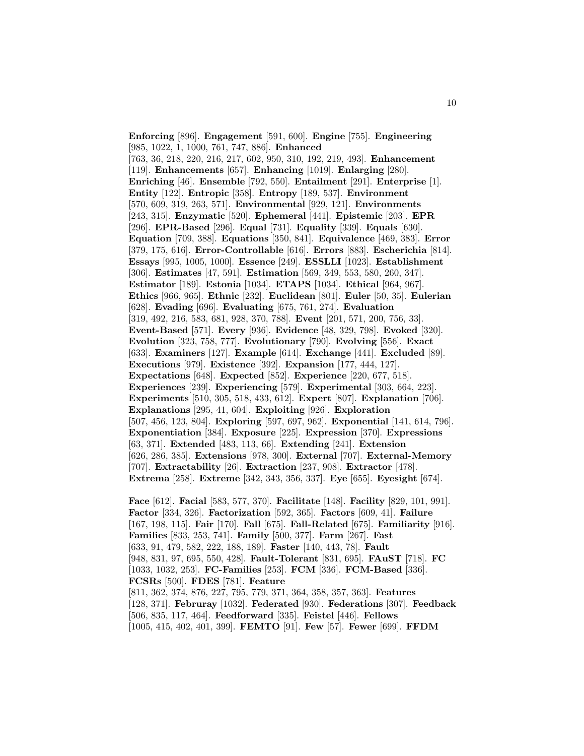**Enforcing** [896]. **Engagement** [591, 600]. **Engine** [755]. **Engineering** [985, 1022, 1, 1000, 761, 747, 886]. **Enhanced** [763, 36, 218, 220, 216, 217, 602, 950, 310, 192, 219, 493]. **Enhancement** [119]. **Enhancements** [657]. **Enhancing** [1019]. **Enlarging** [280]. **Enriching** [46]. **Ensemble** [792, 550]. **Entailment** [291]. **Enterprise** [1]. **Entity** [122]. **Entropic** [358]. **Entropy** [189, 537]. **Environment** [570, 609, 319, 263, 571]. **Environmental** [929, 121]. **Environments** [243, 315]. **Enzymatic** [520]. **Ephemeral** [441]. **Epistemic** [203]. **EPR** [296]. **EPR-Based** [296]. **Equal** [731]. **Equality** [339]. **Equals** [630]. **Equation** [709, 388]. **Equations** [350, 841]. **Equivalence** [469, 383]. **Error** [379, 175, 616]. **Error-Controllable** [616]. **Errors** [883]. **Escherichia** [814]. **Essays** [995, 1005, 1000]. **Essence** [249]. **ESSLLI** [1023]. **Establishment** [306]. **Estimates** [47, 591]. **Estimation** [569, 349, 553, 580, 260, 347]. **Estimator** [189]. **Estonia** [1034]. **ETAPS** [1034]. **Ethical** [964, 967]. **Ethics** [966, 965]. **Ethnic** [232]. **Euclidean** [801]. **Euler** [50, 35]. **Eulerian** [628]. **Evading** [696]. **Evaluating** [675, 761, 274]. **Evaluation** [319, 492, 216, 583, 681, 928, 370, 788]. **Event** [201, 571, 200, 756, 33]. **Event-Based** [571]. **Every** [936]. **Evidence** [48, 329, 798]. **Evoked** [320]. **Evolution** [323, 758, 777]. **Evolutionary** [790]. **Evolving** [556]. **Exact** [633]. **Examiners** [127]. **Example** [614]. **Exchange** [441]. **Excluded** [89]. **Executions** [979]. **Existence** [392]. **Expansion** [177, 444, 127]. **Expectations** [648]. **Expected** [852]. **Experience** [220, 677, 518]. **Experiences** [239]. **Experiencing** [579]. **Experimental** [303, 664, 223]. **Experiments** [510, 305, 518, 433, 612]. **Expert** [807]. **Explanation** [706]. **Explanations** [295, 41, 604]. **Exploiting** [926]. **Exploration** [507, 456, 123, 804]. **Exploring** [597, 697, 962]. **Exponential** [141, 614, 796]. **Exponentiation** [384]. **Exposure** [225]. **Expression** [370]. **Expressions** [63, 371]. **Extended** [483, 113, 66]. **Extending** [241]. **Extension** [626, 286, 385]. **Extensions** [978, 300]. **External** [707]. **External-Memory** [707]. **Extractability** [26]. **Extraction** [237, 908]. **Extractor** [478]. **Extrema** [258]. **Extreme** [342, 343, 356, 337]. **Eye** [655]. **Eyesight** [674].

**Face** [612]. **Facial** [583, 577, 370]. **Facilitate** [148]. **Facility** [829, 101, 991]. **Factor** [334, 326]. **Factorization** [592, 365]. **Factors** [609, 41]. **Failure** [167, 198, 115]. **Fair** [170]. **Fall** [675]. **Fall-Related** [675]. **Familiarity** [916]. **Families** [833, 253, 741]. **Family** [500, 377]. **Farm** [267]. **Fast** [633, 91, 479, 582, 222, 188, 189]. **Faster** [140, 443, 78]. **Fault** [948, 831, 97, 695, 550, 428]. **Fault-Tolerant** [831, 695]. **FAuST** [718]. **FC** [1033, 1032, 253]. **FC-Families** [253]. **FCM** [336]. **FCM-Based** [336]. **FCSRs** [500]. **FDES** [781]. **Feature** [811, 362, 374, 876, 227, 795, 779, 371, 364, 358, 357, 363]. **Features** [128, 371]. **Februray** [1032]. **Federated** [930]. **Federations** [307]. **Feedback** [506, 835, 117, 464]. **Feedforward** [335]. **Feistel** [446]. **Fellows** [1005, 415, 402, 401, 399]. **FEMTO** [91]. **Few** [57]. **Fewer** [699]. **FFDM**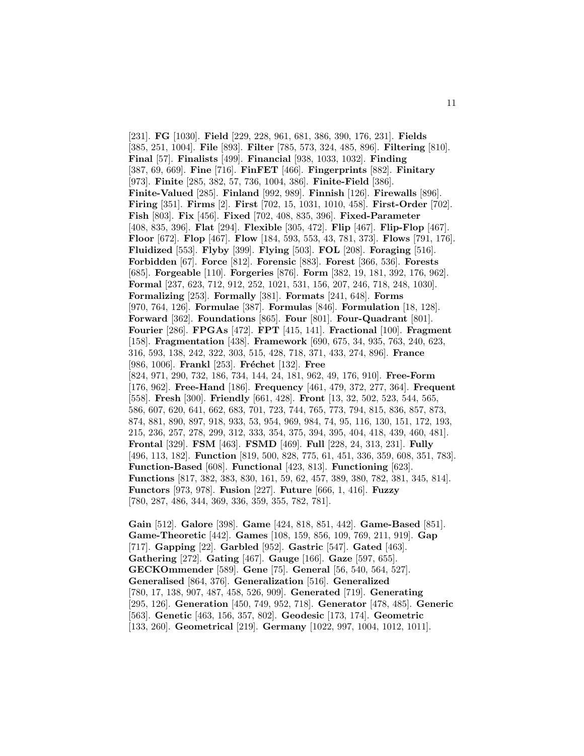[231]. **FG** [1030]. **Field** [229, 228, 961, 681, 386, 390, 176, 231]. **Fields** [385, 251, 1004]. **File** [893]. **Filter** [785, 573, 324, 485, 896]. **Filtering** [810]. **Final** [57]. **Finalists** [499]. **Financial** [938, 1033, 1032]. **Finding** [387, 69, 669]. **Fine** [716]. **FinFET** [466]. **Fingerprints** [882]. **Finitary** [973]. **Finite** [285, 382, 57, 736, 1004, 386]. **Finite-Field** [386]. **Finite-Valued** [285]. **Finland** [992, 989]. **Finnish** [126]. **Firewalls** [896]. **Firing** [351]. **Firms** [2]. **First** [702, 15, 1031, 1010, 458]. **First-Order** [702]. **Fish** [803]. **Fix** [456]. **Fixed** [702, 408, 835, 396]. **Fixed-Parameter** [408, 835, 396]. **Flat** [294]. **Flexible** [305, 472]. **Flip** [467]. **Flip-Flop** [467]. **Floor** [672]. **Flop** [467]. **Flow** [184, 593, 553, 43, 781, 373]. **Flows** [791, 176]. **Fluidized** [553]. **Flyby** [399]. **Flying** [503]. **FOL** [208]. **Foraging** [516]. **Forbidden** [67]. **Force** [812]. **Forensic** [883]. **Forest** [366, 536]. **Forests** [685]. **Forgeable** [110]. **Forgeries** [876]. **Form** [382, 19, 181, 392, 176, 962]. **Formal** [237, 623, 712, 912, 252, 1021, 531, 156, 207, 246, 718, 248, 1030]. **Formalizing** [253]. **Formally** [381]. **Formats** [241, 648]. **Forms** [970, 764, 126]. **Formulae** [387]. **Formulas** [846]. **Formulation** [18, 128]. **Forward** [362]. **Foundations** [865]. **Four** [801]. **Four-Quadrant** [801]. **Fourier** [286]. **FPGAs** [472]. **FPT** [415, 141]. **Fractional** [100]. **Fragment** [158]. **Fragmentation** [438]. **Framework** [690, 675, 34, 935, 763, 240, 623, 316, 593, 138, 242, 322, 303, 515, 428, 718, 371, 433, 274, 896]. **France** [986, 1006]. **Frankl** [253]. **Fréchet** [132]. **Free** [824, 971, 290, 732, 186, 734, 144, 24, 181, 962, 49, 176, 910]. **Free-Form** [176, 962]. **Free-Hand** [186]. **Frequency** [461, 479, 372, 277, 364]. **Frequent** [558]. **Fresh** [300]. **Friendly** [661, 428]. **Front** [13, 32, 502, 523, 544, 565, 586, 607, 620, 641, 662, 683, 701, 723, 744, 765, 773, 794, 815, 836, 857, 873, 874, 881, 890, 897, 918, 933, 53, 954, 969, 984, 74, 95, 116, 130, 151, 172, 193, 215, 236, 257, 278, 299, 312, 333, 354, 375, 394, 395, 404, 418, 439, 460, 481]. **Frontal** [329]. **FSM** [463]. **FSMD** [469]. **Full** [228, 24, 313, 231]. **Fully** [496, 113, 182]. **Function** [819, 500, 828, 775, 61, 451, 336, 359, 608, 351, 783]. **Function-Based** [608]. **Functional** [423, 813]. **Functioning** [623]. **Functions** [817, 382, 383, 830, 161, 59, 62, 457, 389, 380, 782, 381, 345, 814]. **Functors** [973, 978]. **Fusion** [227]. **Future** [666, 1, 416]. **Fuzzy** [780, 287, 486, 344, 369, 336, 359, 355, 782, 781].

**Gain** [512]. **Galore** [398]. **Game** [424, 818, 851, 442]. **Game-Based** [851]. **Game-Theoretic** [442]. **Games** [108, 159, 856, 109, 769, 211, 919]. **Gap** [717]. **Gapping** [22]. **Garbled** [952]. **Gastric** [547]. **Gated** [463]. **Gathering** [272]. **Gating** [467]. **Gauge** [166]. **Gaze** [597, 655]. **GECKOmmender** [589]. **Gene** [75]. **General** [56, 540, 564, 527]. **Generalised** [864, 376]. **Generalization** [516]. **Generalized** [780, 17, 138, 907, 487, 458, 526, 909]. **Generated** [719]. **Generating** [295, 126]. **Generation** [450, 749, 952, 718]. **Generator** [478, 485]. **Generic** [563]. **Genetic** [463, 156, 357, 802]. **Geodesic** [173, 174]. **Geometric** [133, 260]. **Geometrical** [219]. **Germany** [1022, 997, 1004, 1012, 1011].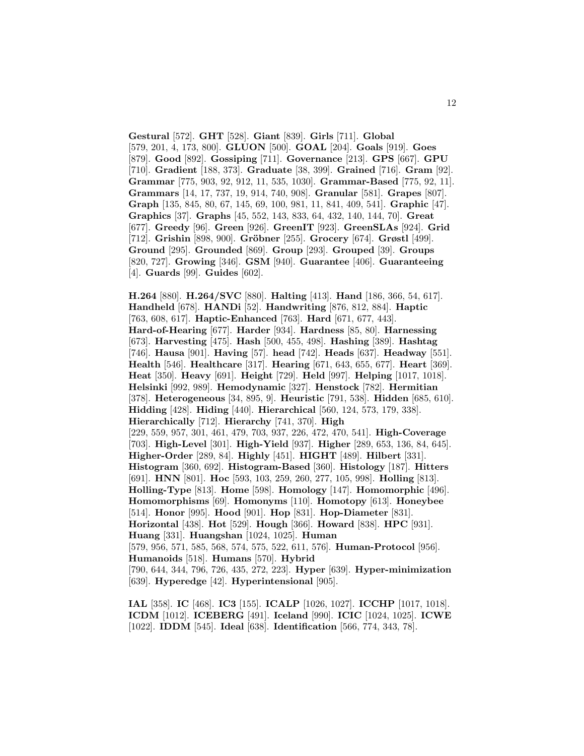**Gestural** [572]. **GHT** [528]. **Giant** [839]. **Girls** [711]. **Global** [579, 201, 4, 173, 800]. **GLUON** [500]. **GOAL** [204]. **Goals** [919]. **Goes** [879]. **Good** [892]. **Gossiping** [711]. **Governance** [213]. **GPS** [667]. **GPU** [710]. **Gradient** [188, 373]. **Graduate** [38, 399]. **Grained** [716]. **Gram** [92]. **Grammar** [775, 903, 92, 912, 11, 535, 1030]. **Grammar-Based** [775, 92, 11]. **Grammars** [14, 17, 737, 19, 914, 740, 908]. **Granular** [581]. **Grapes** [807]. **Graph** [135, 845, 80, 67, 145, 69, 100, 981, 11, 841, 409, 541]. **Graphic** [47]. **Graphics** [37]. **Graphs** [45, 552, 143, 833, 64, 432, 140, 144, 70]. **Great** [677]. **Greedy** [96]. **Green** [926]. **GreenIT** [923]. **GreenSLAs** [924]. **Grid** [712]. **Grishin** [898, 900]. **Gröbner** [255]. **Grocery** [674]. **Grøstl** [499]. **Ground** [295]. **Grounded** [869]. **Group** [293]. **Grouped** [39]. **Groups** [820, 727]. **Growing** [346]. **GSM** [940]. **Guarantee** [406]. **Guaranteeing** [4]. **Guards** [99]. **Guides** [602].

**H.264** [880]. **H.264/SVC** [880]. **Halting** [413]. **Hand** [186, 366, 54, 617]. **Handheld** [678]. **HANDi** [52]. **Handwriting** [876, 812, 884]. **Haptic** [763, 608, 617]. **Haptic-Enhanced** [763]. **Hard** [671, 677, 443]. **Hard-of-Hearing** [677]. **Harder** [934]. **Hardness** [85, 80]. **Harnessing** [673]. **Harvesting** [475]. **Hash** [500, 455, 498]. **Hashing** [389]. **Hashtag** [746]. **Hausa** [901]. **Having** [57]. **head** [742]. **Heads** [637]. **Headway** [551]. **Health** [546]. **Healthcare** [317]. **Hearing** [671, 643, 655, 677]. **Heart** [369]. **Heat** [350]. **Heavy** [691]. **Height** [729]. **Held** [997]. **Helping** [1017, 1018]. **Helsinki** [992, 989]. **Hemodynamic** [327]. **Henstock** [782]. **Hermitian** [378]. **Heterogeneous** [34, 895, 9]. **Heuristic** [791, 538]. **Hidden** [685, 610]. **Hidding** [428]. **Hiding** [440]. **Hierarchical** [560, 124, 573, 179, 338]. **Hierarchically** [712]. **Hierarchy** [741, 370]. **High** [229, 559, 957, 301, 461, 479, 703, 937, 226, 472, 470, 541]. **High-Coverage** [703]. **High-Level** [301]. **High-Yield** [937]. **Higher** [289, 653, 136, 84, 645]. **Higher-Order** [289, 84]. **Highly** [451]. **HIGHT** [489]. **Hilbert** [331]. **Histogram** [360, 692]. **Histogram-Based** [360]. **Histology** [187]. **Hitters** [691]. **HNN** [801]. **Hoc** [593, 103, 259, 260, 277, 105, 998]. **Holling** [813]. **Holling-Type** [813]. **Home** [598]. **Homology** [147]. **Homomorphic** [496]. **Homomorphisms** [69]. **Homonyms** [110]. **Homotopy** [613]. **Honeybee** [514]. **Honor** [995]. **Hood** [901]. **Hop** [831]. **Hop-Diameter** [831]. **Horizontal** [438]. **Hot** [529]. **Hough** [366]. **Howard** [838]. **HPC** [931]. **Huang** [331]. **Huangshan** [1024, 1025]. **Human** [579, 956, 571, 585, 568, 574, 575, 522, 611, 576]. **Human-Protocol** [956]. **Humanoids** [518]. **Humans** [570]. **Hybrid** [790, 644, 344, 796, 726, 435, 272, 223]. **Hyper** [639]. **Hyper-minimization** [639]. **Hyperedge** [42]. **Hyperintensional** [905].

**IAL** [358]. **IC** [468]. **IC3** [155]. **ICALP** [1026, 1027]. **ICCHP** [1017, 1018]. **ICDM** [1012]. **ICEBERG** [491]. **Iceland** [990]. **ICIC** [1024, 1025]. **ICWE** [1022]. **IDDM** [545]. **Ideal** [638]. **Identification** [566, 774, 343, 78].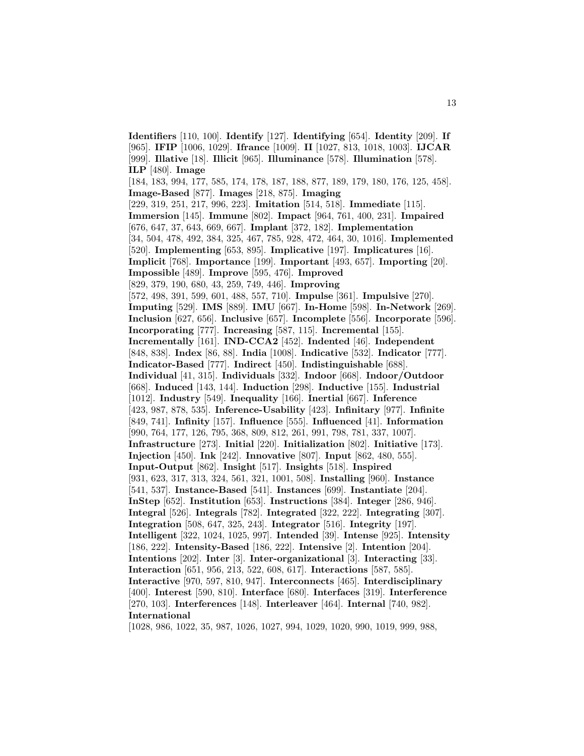**Identifiers** [110, 100]. **Identify** [127]. **Identifying** [654]. **Identity** [209]. **If** [965]. **IFIP** [1006, 1029]. **Ifrance** [1009]. **II** [1027, 813, 1018, 1003]. **IJCAR** [999]. **Illative** [18]. **Illicit** [965]. **Illuminance** [578]. **Illumination** [578]. **ILP** [480]. **Image** [184, 183, 994, 177, 585, 174, 178, 187, 188, 877, 189, 179, 180, 176, 125, 458]. **Image-Based** [877]. **Images** [218, 875]. **Imaging** [229, 319, 251, 217, 996, 223]. **Imitation** [514, 518]. **Immediate** [115]. **Immersion** [145]. **Immune** [802]. **Impact** [964, 761, 400, 231]. **Impaired** [676, 647, 37, 643, 669, 667]. **Implant** [372, 182]. **Implementation** [34, 504, 478, 492, 384, 325, 467, 785, 928, 472, 464, 30, 1016]. **Implemented** [520]. **Implementing** [653, 895]. **Implicative** [197]. **Implicatures** [16]. **Implicit** [768]. **Importance** [199]. **Important** [493, 657]. **Importing** [20]. **Impossible** [489]. **Improve** [595, 476]. **Improved** [829, 379, 190, 680, 43, 259, 749, 446]. **Improving** [572, 498, 391, 599, 601, 488, 557, 710]. **Impulse** [361]. **Impulsive** [270]. **Imputing** [529]. **IMS** [889]. **IMU** [667]. **In-Home** [598]. **In-Network** [269]. **Inclusion** [627, 656]. **Inclusive** [657]. **Incomplete** [556]. **Incorporate** [596]. **Incorporating** [777]. **Increasing** [587, 115]. **Incremental** [155]. **Incrementally** [161]. **IND-CCA2** [452]. **Indented** [46]. **Independent** [848, 838]. **Index** [86, 88]. **India** [1008]. **Indicative** [532]. **Indicator** [777]. **Indicator-Based** [777]. **Indirect** [450]. **Indistinguishable** [688]. **Individual** [41, 315]. **Individuals** [332]. **Indoor** [668]. **Indoor/Outdoor** [668]. **Induced** [143, 144]. **Induction** [298]. **Inductive** [155]. **Industrial** [1012]. **Industry** [549]. **Inequality** [166]. **Inertial** [667]. **Inference** [423, 987, 878, 535]. **Inference-Usability** [423]. **Infinitary** [977]. **Infinite** [849, 741]. **Infinity** [157]. **Influence** [555]. **Influenced** [41]. **Information** [990, 764, 177, 126, 795, 368, 809, 812, 261, 991, 798, 781, 337, 1007]. **Infrastructure** [273]. **Initial** [220]. **Initialization** [802]. **Initiative** [173]. **Injection** [450]. **Ink** [242]. **Innovative** [807]. **Input** [862, 480, 555]. **Input-Output** [862]. **Insight** [517]. **Insights** [518]. **Inspired** [931, 623, 317, 313, 324, 561, 321, 1001, 508]. **Installing** [960]. **Instance** [541, 537]. **Instance-Based** [541]. **Instances** [699]. **Instantiate** [204]. **InStep** [652]. **Institution** [653]. **Instructions** [384]. **Integer** [286, 946]. **Integral** [526]. **Integrals** [782]. **Integrated** [322, 222]. **Integrating** [307]. **Integration** [508, 647, 325, 243]. **Integrator** [516]. **Integrity** [197]. **Intelligent** [322, 1024, 1025, 997]. **Intended** [39]. **Intense** [925]. **Intensity** [186, 222]. **Intensity-Based** [186, 222]. **Intensive** [2]. **Intention** [204]. **Intentions** [202]. **Inter** [3]. **Inter-organizational** [3]. **Interacting** [33]. **Interaction** [651, 956, 213, 522, 608, 617]. **Interactions** [587, 585]. **Interactive** [970, 597, 810, 947]. **Interconnects** [465]. **Interdisciplinary** [400]. **Interest** [590, 810]. **Interface** [680]. **Interfaces** [319]. **Interference** [270, 103]. **Interferences** [148]. **Interleaver** [464]. **Internal** [740, 982]. **International** [1028, 986, 1022, 35, 987, 1026, 1027, 994, 1029, 1020, 990, 1019, 999, 988,

13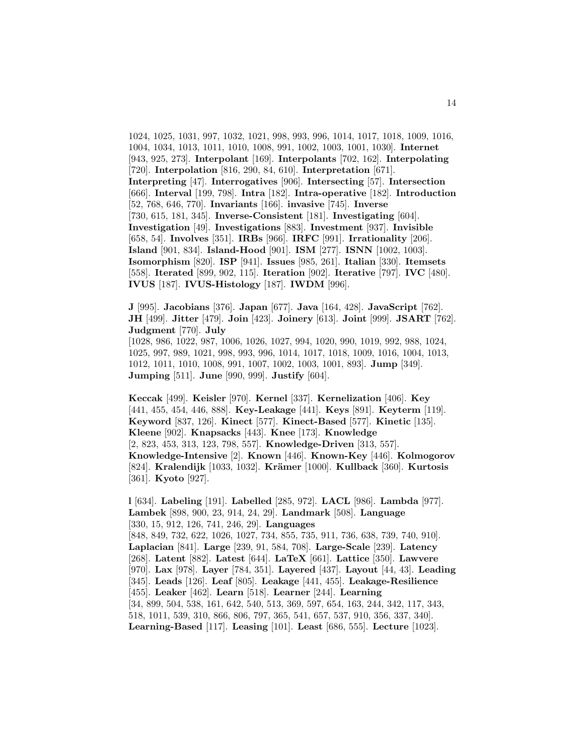1024, 1025, 1031, 997, 1032, 1021, 998, 993, 996, 1014, 1017, 1018, 1009, 1016, 1004, 1034, 1013, 1011, 1010, 1008, 991, 1002, 1003, 1001, 1030]. **Internet** [943, 925, 273]. **Interpolant** [169]. **Interpolants** [702, 162]. **Interpolating** [720]. **Interpolation** [816, 290, 84, 610]. **Interpretation** [671]. **Interpreting** [47]. **Interrogatives** [906]. **Intersecting** [57]. **Intersection** [666]. **Interval** [199, 798]. **Intra** [182]. **Intra-operative** [182]. **Introduction** [52, 768, 646, 770]. **Invariants** [166]. **invasive** [745]. **Inverse** [730, 615, 181, 345]. **Inverse-Consistent** [181]. **Investigating** [604]. **Investigation** [49]. **Investigations** [883]. **Investment** [937]. **Invisible** [658, 54]. **Involves** [351]. **IRBs** [966]. **IRFC** [991]. **Irrationality** [206]. **Island** [901, 834]. **Island-Hood** [901]. **ISM** [277]. **ISNN** [1002, 1003]. **Isomorphism** [820]. **ISP** [941]. **Issues** [985, 261]. **Italian** [330]. **Itemsets** [558]. **Iterated** [899, 902, 115]. **Iteration** [902]. **Iterative** [797]. **IVC** [480]. **IVUS** [187]. **IVUS-Histology** [187]. **IWDM** [996].

**J** [995]. **Jacobians** [376]. **Japan** [677]. **Java** [164, 428]. **JavaScript** [762]. **JH** [499]. **Jitter** [479]. **Join** [423]. **Joinery** [613]. **Joint** [999]. **JSART** [762]. **Judgment** [770]. **July** [1028, 986, 1022, 987, 1006, 1026, 1027, 994, 1020, 990, 1019, 992, 988, 1024, 1025, 997, 989, 1021, 998, 993, 996, 1014, 1017, 1018, 1009, 1016, 1004, 1013, 1012, 1011, 1010, 1008, 991, 1007, 1002, 1003, 1001, 893]. **Jump** [349]. **Jumping** [511]. **June** [990, 999]. **Justify** [604].

**Keccak** [499]. **Keisler** [970]. **Kernel** [337]. **Kernelization** [406]. **Key** [441, 455, 454, 446, 888]. **Key-Leakage** [441]. **Keys** [891]. **Keyterm** [119]. **Keyword** [837, 126]. **Kinect** [577]. **Kinect-Based** [577]. **Kinetic** [135]. **Kleene** [902]. **Knapsacks** [443]. **Knee** [173]. **Knowledge** [2, 823, 453, 313, 123, 798, 557]. **Knowledge-Driven** [313, 557]. **Knowledge-Intensive** [2]. **Known** [446]. **Known-Key** [446]. **Kolmogorov** [824]. **Kralendijk** [1033, 1032]. **Kr¨amer** [1000]. **Kullback** [360]. **Kurtosis** [361]. **Kyoto** [927].

**l** [634]. **Labeling** [191]. **Labelled** [285, 972]. **LACL** [986]. **Lambda** [977]. **Lambek** [898, 900, 23, 914, 24, 29]. **Landmark** [508]. **Language** [330, 15, 912, 126, 741, 246, 29]. **Languages** [848, 849, 732, 622, 1026, 1027, 734, 855, 735, 911, 736, 638, 739, 740, 910]. **Laplacian** [841]. **Large** [239, 91, 584, 708]. **Large-Scale** [239]. **Latency** [268]. **Latent** [882]. **Latest** [644]. **LaTeX** [661]. **Lattice** [350]. **Lawvere** [970]. **Lax** [978]. **Layer** [784, 351]. **Layered** [437]. **Layout** [44, 43]. **Leading** [345]. **Leads** [126]. **Leaf** [805]. **Leakage** [441, 455]. **Leakage-Resilience** [455]. **Leaker** [462]. **Learn** [518]. **Learner** [244]. **Learning** [34, 899, 504, 538, 161, 642, 540, 513, 369, 597, 654, 163, 244, 342, 117, 343, 518, 1011, 539, 310, 866, 806, 797, 365, 541, 657, 537, 910, 356, 337, 340]. **Learning-Based** [117]. **Leasing** [101]. **Least** [686, 555]. **Lecture** [1023].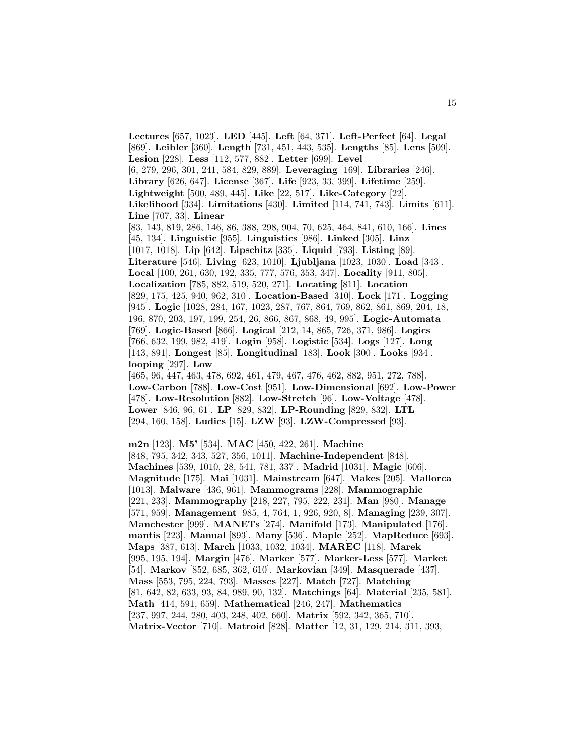**Lectures** [657, 1023]. **LED** [445]. **Left** [64, 371]. **Left-Perfect** [64]. **Legal** [869]. **Leibler** [360]. **Length** [731, 451, 443, 535]. **Lengths** [85]. **Lens** [509]. **Lesion** [228]. **Less** [112, 577, 882]. **Letter** [699]. **Level** [6, 279, 296, 301, 241, 584, 829, 889]. **Leveraging** [169]. **Libraries** [246]. **Library** [626, 647]. **License** [367]. **Life** [923, 33, 399]. **Lifetime** [259]. **Lightweight** [500, 489, 445]. **Like** [22, 517]. **Like-Category** [22]. **Likelihood** [334]. **Limitations** [430]. **Limited** [114, 741, 743]. **Limits** [611]. **Line** [707, 33]. **Linear** [83, 143, 819, 286, 146, 86, 388, 298, 904, 70, 625, 464, 841, 610, 166]. **Lines** [45, 134]. **Linguistic** [955]. **Linguistics** [986]. **Linked** [305]. **Linz** [1017, 1018]. **Lip** [642]. **Lipschitz** [335]. **Liquid** [793]. **Listing** [89]. **Literature** [546]. **Living** [623, 1010]. **Ljubljana** [1023, 1030]. **Load** [343]. **Local** [100, 261, 630, 192, 335, 777, 576, 353, 347]. **Locality** [911, 805]. **Localization** [785, 882, 519, 520, 271]. **Locating** [811]. **Location** [829, 175, 425, 940, 962, 310]. **Location-Based** [310]. **Lock** [171]. **Logging** [945]. **Logic** [1028, 284, 167, 1023, 287, 767, 864, 769, 862, 861, 869, 204, 18, 196, 870, 203, 197, 199, 254, 26, 866, 867, 868, 49, 995]. **Logic-Automata** [769]. **Logic-Based** [866]. **Logical** [212, 14, 865, 726, 371, 986]. **Logics** [766, 632, 199, 982, 419]. **Login** [958]. **Logistic** [534]. **Logs** [127]. **Long** [143, 891]. **Longest** [85]. **Longitudinal** [183]. **Look** [300]. **Looks** [934]. **looping** [297]. **Low** [465, 96, 447, 463, 478, 692, 461, 479, 467, 476, 462, 882, 951, 272, 788]. **Low-Carbon** [788]. **Low-Cost** [951]. **Low-Dimensional** [692]. **Low-Power** [478]. **Low-Resolution** [882]. **Low-Stretch** [96]. **Low-Voltage** [478]. **Lower** [846, 96, 61]. **LP** [829, 832]. **LP-Rounding** [829, 832]. **LTL** [294, 160, 158]. **Ludics** [15]. **LZW** [93]. **LZW-Compressed** [93].

**m2n** [123]. **M5'** [534]. **MAC** [450, 422, 261]. **Machine** [848, 795, 342, 343, 527, 356, 1011]. **Machine-Independent** [848]. **Machines** [539, 1010, 28, 541, 781, 337]. **Madrid** [1031]. **Magic** [606]. **Magnitude** [175]. **Mai** [1031]. **Mainstream** [647]. **Makes** [205]. **Mallorca** [1013]. **Malware** [436, 961]. **Mammograms** [228]. **Mammographic** [221, 233]. **Mammography** [218, 227, 795, 222, 231]. **Man** [980]. **Manage** [571, 959]. **Management** [985, 4, 764, 1, 926, 920, 8]. **Managing** [239, 307]. **Manchester** [999]. **MANETs** [274]. **Manifold** [173]. **Manipulated** [176]. **mantis** [223]. **Manual** [893]. **Many** [536]. **Maple** [252]. **MapReduce** [693]. **Maps** [387, 613]. **March** [1033, 1032, 1034]. **MAREC** [118]. **Marek** [995, 195, 194]. **Margin** [476]. **Marker** [577]. **Marker-Less** [577]. **Market** [54]. **Markov** [852, 685, 362, 610]. **Markovian** [349]. **Masquerade** [437]. **Mass** [553, 795, 224, 793]. **Masses** [227]. **Match** [727]. **Matching** [81, 642, 82, 633, 93, 84, 989, 90, 132]. **Matchings** [64]. **Material** [235, 581]. **Math** [414, 591, 659]. **Mathematical** [246, 247]. **Mathematics** [237, 997, 244, 280, 403, 248, 402, 660]. **Matrix** [592, 342, 365, 710]. **Matrix-Vector** [710]. **Matroid** [828]. **Matter** [12, 31, 129, 214, 311, 393,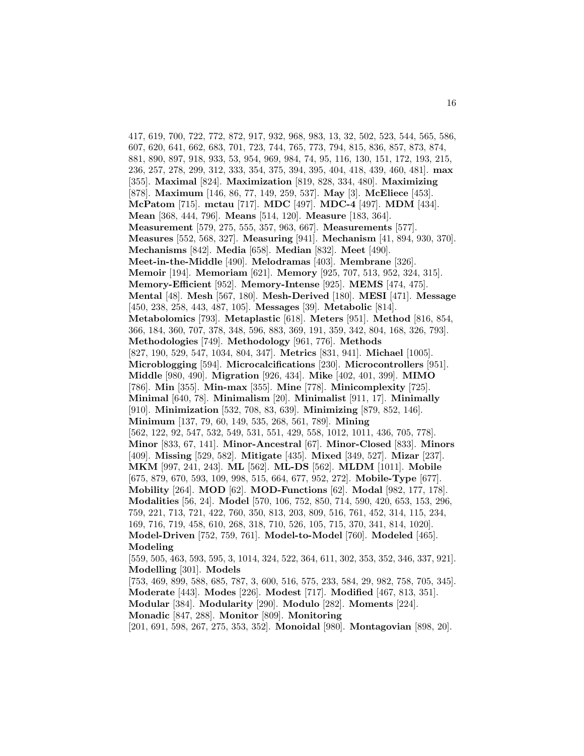417, 619, 700, 722, 772, 872, 917, 932, 968, 983, 13, 32, 502, 523, 544, 565, 586, 607, 620, 641, 662, 683, 701, 723, 744, 765, 773, 794, 815, 836, 857, 873, 874, 881, 890, 897, 918, 933, 53, 954, 969, 984, 74, 95, 116, 130, 151, 172, 193, 215, 236, 257, 278, 299, 312, 333, 354, 375, 394, 395, 404, 418, 439, 460, 481]. **max** [355]. **Maximal** [824]. **Maximization** [819, 828, 334, 480]. **Maximizing** [878]. **Maximum** [146, 86, 77, 149, 259, 537]. **May** [3]. **McEliece** [453]. **McPatom** [715]. **mctau** [717]. **MDC** [497]. **MDC-4** [497]. **MDM** [434]. **Mean** [368, 444, 796]. **Means** [514, 120]. **Measure** [183, 364]. **Measurement** [579, 275, 555, 357, 963, 667]. **Measurements** [577]. **Measures** [552, 568, 327]. **Measuring** [941]. **Mechanism** [41, 894, 930, 370]. **Mechanisms** [842]. **Media** [658]. **Median** [832]. **Meet** [490]. **Meet-in-the-Middle** [490]. **Melodramas** [403]. **Membrane** [326]. **Memoir** [194]. **Memoriam** [621]. **Memory** [925, 707, 513, 952, 324, 315]. **Memory-Efficient** [952]. **Memory-Intense** [925]. **MEMS** [474, 475]. **Mental** [48]. **Mesh** [567, 180]. **Mesh-Derived** [180]. **MESI** [471]. **Message** [450, 238, 258, 443, 487, 105]. **Messages** [39]. **Metabolic** [814]. **Metabolomics** [793]. **Metaplastic** [618]. **Meters** [951]. **Method** [816, 854, 366, 184, 360, 707, 378, 348, 596, 883, 369, 191, 359, 342, 804, 168, 326, 793]. **Methodologies** [749]. **Methodology** [961, 776]. **Methods** [827, 190, 529, 547, 1034, 804, 347]. **Metrics** [831, 941]. **Michael** [1005]. **Microblogging** [594]. **Microcalcifications** [230]. **Microcontrollers** [951]. **Middle** [980, 490]. **Migration** [926, 434]. **Mike** [402, 401, 399]. **MIMO** [786]. **Min** [355]. **Min-max** [355]. **Mine** [778]. **Minicomplexity** [725]. **Minimal** [640, 78]. **Minimalism** [20]. **Minimalist** [911, 17]. **Minimally** [910]. **Minimization** [532, 708, 83, 639]. **Minimizing** [879, 852, 146]. **Minimum** [137, 79, 60, 149, 535, 268, 561, 789]. **Mining** [562, 122, 92, 547, 532, 549, 531, 551, 429, 558, 1012, 1011, 436, 705, 778]. **Minor** [833, 67, 141]. **Minor-Ancestral** [67]. **Minor-Closed** [833]. **Minors** [409]. **Missing** [529, 582]. **Mitigate** [435]. **Mixed** [349, 527]. **Mizar** [237]. **MKM** [997, 241, 243]. **ML** [562]. **ML-DS** [562]. **MLDM** [1011]. **Mobile** [675, 879, 670, 593, 109, 998, 515, 664, 677, 952, 272]. **Mobile-Type** [677]. **Mobility** [264]. **MOD** [62]. **MOD-Functions** [62]. **Modal** [982, 177, 178]. **Modalities** [56, 24]. **Model** [570, 106, 752, 850, 714, 590, 420, 653, 153, 296, 759, 221, 713, 721, 422, 760, 350, 813, 203, 809, 516, 761, 452, 314, 115, 234, 169, 716, 719, 458, 610, 268, 318, 710, 526, 105, 715, 370, 341, 814, 1020]. **Model-Driven** [752, 759, 761]. **Model-to-Model** [760]. **Modeled** [465]. **Modeling** [559, 505, 463, 593, 595, 3, 1014, 324, 522, 364, 611, 302, 353, 352, 346, 337, 921]. **Modelling** [301]. **Models** [753, 469, 899, 588, 685, 787, 3, 600, 516, 575, 233, 584, 29, 982, 758, 705, 345]. **Moderate** [443]. **Modes** [226]. **Modest** [717]. **Modified** [467, 813, 351]. **Modular** [384]. **Modularity** [290]. **Modulo** [282]. **Moments** [224].

**Monadic** [847, 288]. **Monitor** [809]. **Monitoring**

[201, 691, 598, 267, 275, 353, 352]. **Monoidal** [980]. **Montagovian** [898, 20].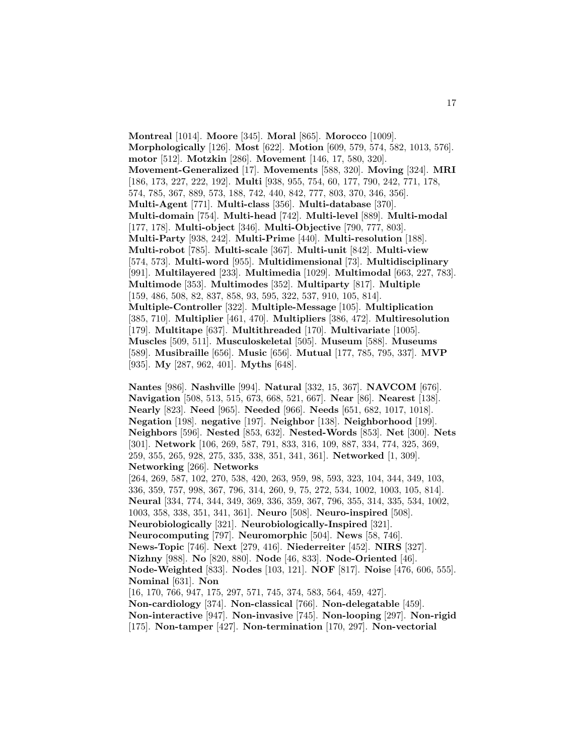**Montreal** [1014]. **Moore** [345]. **Moral** [865]. **Morocco** [1009]. **Morphologically** [126]. **Most** [622]. **Motion** [609, 579, 574, 582, 1013, 576]. **motor** [512]. **Motzkin** [286]. **Movement** [146, 17, 580, 320]. **Movement-Generalized** [17]. **Movements** [588, 320]. **Moving** [324]. **MRI** [186, 173, 227, 222, 192]. **Multi** [938, 955, 754, 60, 177, 790, 242, 771, 178, 574, 785, 367, 889, 573, 188, 742, 440, 842, 777, 803, 370, 346, 356]. **Multi-Agent** [771]. **Multi-class** [356]. **Multi-database** [370]. **Multi-domain** [754]. **Multi-head** [742]. **Multi-level** [889]. **Multi-modal** [177, 178]. **Multi-object** [346]. **Multi-Objective** [790, 777, 803]. **Multi-Party** [938, 242]. **Multi-Prime** [440]. **Multi-resolution** [188]. **Multi-robot** [785]. **Multi-scale** [367]. **Multi-unit** [842]. **Multi-view** [574, 573]. **Multi-word** [955]. **Multidimensional** [73]. **Multidisciplinary** [991]. **Multilayered** [233]. **Multimedia** [1029]. **Multimodal** [663, 227, 783]. **Multimode** [353]. **Multimodes** [352]. **Multiparty** [817]. **Multiple** [159, 486, 508, 82, 837, 858, 93, 595, 322, 537, 910, 105, 814]. **Multiple-Controller** [322]. **Multiple-Message** [105]. **Multiplication** [385, 710]. **Multiplier** [461, 470]. **Multipliers** [386, 472]. **Multiresolution** [179]. **Multitape** [637]. **Multithreaded** [170]. **Multivariate** [1005]. **Muscles** [509, 511]. **Musculoskeletal** [505]. **Museum** [588]. **Museums** [589]. **Musibraille** [656]. **Music** [656]. **Mutual** [177, 785, 795, 337]. **MVP** [935]. **My** [287, 962, 401]. **Myths** [648].

**Nantes** [986]. **Nashville** [994]. **Natural** [332, 15, 367]. **NAVCOM** [676]. **Navigation** [508, 513, 515, 673, 668, 521, 667]. **Near** [86]. **Nearest** [138]. **Nearly** [823]. **Need** [965]. **Needed** [966]. **Needs** [651, 682, 1017, 1018]. **Negation** [198]. **negative** [197]. **Neighbor** [138]. **Neighborhood** [199]. **Neighbors** [596]. **Nested** [853, 632]. **Nested-Words** [853]. **Net** [300]. **Nets** [301]. **Network** [106, 269, 587, 791, 833, 316, 109, 887, 334, 774, 325, 369, 259, 355, 265, 928, 275, 335, 338, 351, 341, 361]. **Networked** [1, 309]. **Networking** [266]. **Networks**

[264, 269, 587, 102, 270, 538, 420, 263, 959, 98, 593, 323, 104, 344, 349, 103, 336, 359, 757, 998, 367, 796, 314, 260, 9, 75, 272, 534, 1002, 1003, 105, 814]. **Neural** [334, 774, 344, 349, 369, 336, 359, 367, 796, 355, 314, 335, 534, 1002, 1003, 358, 338, 351, 341, 361]. **Neuro** [508]. **Neuro-inspired** [508]. **Neurobiologically** [321]. **Neurobiologically-Inspired** [321]. **Neurocomputing** [797]. **Neuromorphic** [504]. **News** [58, 746]. **News-Topic** [746]. **Next** [279, 416]. **Niederreiter** [452]. **NIRS** [327]. **Nizhny** [988]. **No** [820, 880]. **Node** [46, 833]. **Node-Oriented** [46]. **Node-Weighted** [833]. **Nodes** [103, 121]. **NOF** [817]. **Noise** [476, 606, 555]. **Nominal** [631]. **Non** [16, 170, 766, 947, 175, 297, 571, 745, 374, 583, 564, 459, 427].

**Non-cardiology** [374]. **Non-classical** [766]. **Non-delegatable** [459]. **Non-interactive** [947]. **Non-invasive** [745]. **Non-looping** [297]. **Non-rigid** [175]. **Non-tamper** [427]. **Non-termination** [170, 297]. **Non-vectorial**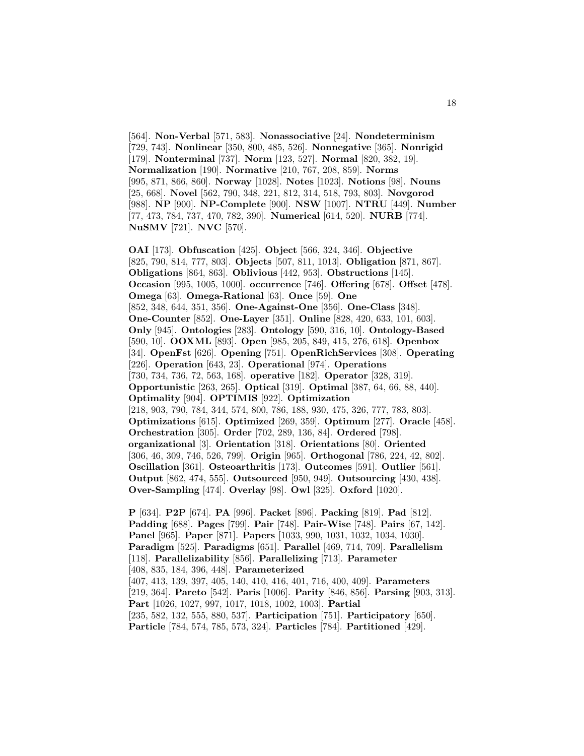[564]. **Non-Verbal** [571, 583]. **Nonassociative** [24]. **Nondeterminism** [729, 743]. **Nonlinear** [350, 800, 485, 526]. **Nonnegative** [365]. **Nonrigid** [179]. **Nonterminal** [737]. **Norm** [123, 527]. **Normal** [820, 382, 19]. **Normalization** [190]. **Normative** [210, 767, 208, 859]. **Norms** [995, 871, 866, 860]. **Norway** [1028]. **Notes** [1023]. **Notions** [98]. **Nouns** [25, 668]. **Novel** [562, 790, 348, 221, 812, 314, 518, 793, 803]. **Novgorod** [988]. **NP** [900]. **NP-Complete** [900]. **NSW** [1007]. **NTRU** [449]. **Number** [77, 473, 784, 737, 470, 782, 390]. **Numerical** [614, 520]. **NURB** [774]. **NuSMV** [721]. **NVC** [570].

**OAI** [173]. **Obfuscation** [425]. **Object** [566, 324, 346]. **Objective** [825, 790, 814, 777, 803]. **Objects** [507, 811, 1013]. **Obligation** [871, 867]. **Obligations** [864, 863]. **Oblivious** [442, 953]. **Obstructions** [145]. **Occasion** [995, 1005, 1000]. **occurrence** [746]. **Offering** [678]. **Offset** [478]. **Omega** [63]. **Omega-Rational** [63]. **Once** [59]. **One** [852, 348, 644, 351, 356]. **One-Against-One** [356]. **One-Class** [348]. **One-Counter** [852]. **One-Layer** [351]. **Online** [828, 420, 633, 101, 603]. **Only** [945]. **Ontologies** [283]. **Ontology** [590, 316, 10]. **Ontology-Based** [590, 10]. **OOXML** [893]. **Open** [985, 205, 849, 415, 276, 618]. **Openbox** [34]. **OpenFst** [626]. **Opening** [751]. **OpenRichServices** [308]. **Operating** [226]. **Operation** [643, 23]. **Operational** [974]. **Operations** [730, 734, 736, 72, 563, 168]. **operative** [182]. **Operator** [328, 319]. **Opportunistic** [263, 265]. **Optical** [319]. **Optimal** [387, 64, 66, 88, 440]. **Optimality** [904]. **OPTIMIS** [922]. **Optimization** [218, 903, 790, 784, 344, 574, 800, 786, 188, 930, 475, 326, 777, 783, 803]. **Optimizations** [615]. **Optimized** [269, 359]. **Optimum** [277]. **Oracle** [458]. **Orchestration** [305]. **Order** [702, 289, 136, 84]. **Ordered** [798]. **organizational** [3]. **Orientation** [318]. **Orientations** [80]. **Oriented** [306, 46, 309, 746, 526, 799]. **Origin** [965]. **Orthogonal** [786, 224, 42, 802]. **Oscillation** [361]. **Osteoarthritis** [173]. **Outcomes** [591]. **Outlier** [561]. **Output** [862, 474, 555]. **Outsourced** [950, 949]. **Outsourcing** [430, 438]. **Over-Sampling** [474]. **Overlay** [98]. **Owl** [325]. **Oxford** [1020].

**P** [634]. **P2P** [674]. **PA** [996]. **Packet** [896]. **Packing** [819]. **Pad** [812]. **Padding** [688]. **Pages** [799]. **Pair** [748]. **Pair-Wise** [748]. **Pairs** [67, 142]. **Panel** [965]. **Paper** [871]. **Papers** [1033, 990, 1031, 1032, 1034, 1030]. **Paradigm** [525]. **Paradigms** [651]. **Parallel** [469, 714, 709]. **Parallelism** [118]. **Parallelizability** [856]. **Parallelizing** [713]. **Parameter** [408, 835, 184, 396, 448]. **Parameterized** [407, 413, 139, 397, 405, 140, 410, 416, 401, 716, 400, 409]. **Parameters** [219, 364]. **Pareto** [542]. **Paris** [1006]. **Parity** [846, 856]. **Parsing** [903, 313]. **Part** [1026, 1027, 997, 1017, 1018, 1002, 1003]. **Partial** [235, 582, 132, 555, 880, 537]. **Participation** [751]. **Participatory** [650]. **Particle** [784, 574, 785, 573, 324]. **Particles** [784]. **Partitioned** [429].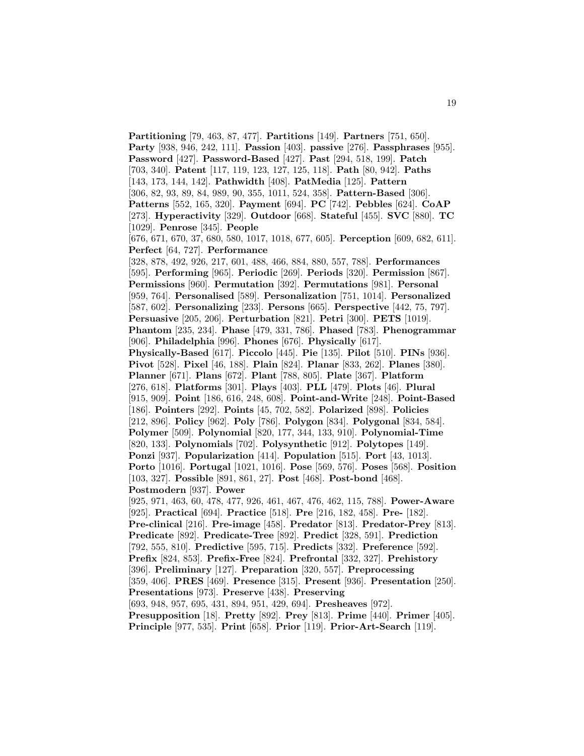**Partitioning** [79, 463, 87, 477]. **Partitions** [149]. **Partners** [751, 650]. **Party** [938, 946, 242, 111]. **Passion** [403]. **passive** [276]. **Passphrases** [955]. **Password** [427]. **Password-Based** [427]. **Past** [294, 518, 199]. **Patch** [703, 340]. **Patent** [117, 119, 123, 127, 125, 118]. **Path** [80, 942]. **Paths** [143, 173, 144, 142]. **Pathwidth** [408]. **PatMedia** [125]. **Pattern** [306, 82, 93, 89, 84, 989, 90, 355, 1011, 524, 358]. **Pattern-Based** [306]. **Patterns** [552, 165, 320]. **Payment** [694]. **PC** [742]. **Pebbles** [624]. **CoAP** [273]. **Hyperactivity** [329]. **Outdoor** [668]. **Stateful** [455]. **SVC** [880]. **TC** [1029]. **Penrose** [345]. **People** [676, 671, 670, 37, 680, 580, 1017, 1018, 677, 605]. **Perception** [609, 682, 611]. **Perfect** [64, 727]. **Performance** [328, 878, 492, 926, 217, 601, 488, 466, 884, 880, 557, 788]. **Performances** [595]. **Performing** [965]. **Periodic** [269]. **Periods** [320]. **Permission** [867]. **Permissions** [960]. **Permutation** [392]. **Permutations** [981]. **Personal** [959, 764]. **Personalised** [589]. **Personalization** [751, 1014]. **Personalized** [587, 602]. **Personalizing** [233]. **Persons** [665]. **Perspective** [442, 75, 797]. **Persuasive** [205, 206]. **Perturbation** [821]. **Petri** [300]. **PETS** [1019]. **Phantom** [235, 234]. **Phase** [479, 331, 786]. **Phased** [783]. **Phenogrammar** [906]. **Philadelphia** [996]. **Phones** [676]. **Physically** [617]. **Physically-Based** [617]. **Piccolo** [445]. **Pie** [135]. **Pilot** [510]. **PINs** [936]. **Pivot** [528]. **Pixel** [46, 188]. **Plain** [824]. **Planar** [833, 262]. **Planes** [380]. **Planner** [671]. **Plans** [672]. **Plant** [788, 805]. **Plate** [367]. **Platform** [276, 618]. **Platforms** [301]. **Plays** [403]. **PLL** [479]. **Plots** [46]. **Plural** [915, 909]. **Point** [186, 616, 248, 608]. **Point-and-Write** [248]. **Point-Based** [186]. **Pointers** [292]. **Points** [45, 702, 582]. **Polarized** [898]. **Policies** [212, 896]. **Policy** [962]. **Poly** [786]. **Polygon** [834]. **Polygonal** [834, 584]. **Polymer** [509]. **Polynomial** [820, 177, 344, 133, 910]. **Polynomial-Time** [820, 133]. **Polynomials** [702]. **Polysynthetic** [912]. **Polytopes** [149]. **Ponzi** [937]. **Popularization** [414]. **Population** [515]. **Port** [43, 1013]. **Porto** [1016]. **Portugal** [1021, 1016]. **Pose** [569, 576]. **Poses** [568]. **Position** [103, 327]. **Possible** [891, 861, 27]. **Post** [468]. **Post-bond** [468]. **Postmodern** [937]. **Power** [925, 971, 463, 60, 478, 477, 926, 461, 467, 476, 462, 115, 788]. **Power-Aware** [925]. **Practical** [694]. **Practice** [518]. **Pre** [216, 182, 458]. **Pre-** [182]. **Pre-clinical** [216]. **Pre-image** [458]. **Predator** [813]. **Predator-Prey** [813]. **Predicate** [892]. **Predicate-Tree** [892]. **Predict** [328, 591]. **Prediction** [792, 555, 810]. **Predictive** [595, 715]. **Predicts** [332]. **Preference** [592]. **Prefix** [824, 853]. **Prefix-Free** [824]. **Prefrontal** [332, 327]. **Prehistory** [396]. **Preliminary** [127]. **Preparation** [320, 557]. **Preprocessing** [359, 406]. **PRES** [469]. **Presence** [315]. **Present** [936]. **Presentation** [250]. **Presentations** [973]. **Preserve** [438]. **Preserving** [693, 948, 957, 695, 431, 894, 951, 429, 694]. **Presheaves** [972]. **Presupposition** [18]. **Pretty** [892]. **Prey** [813]. **Prime** [440]. **Primer** [405]. **Principle** [977, 535]. **Print** [658]. **Prior** [119]. **Prior-Art-Search** [119].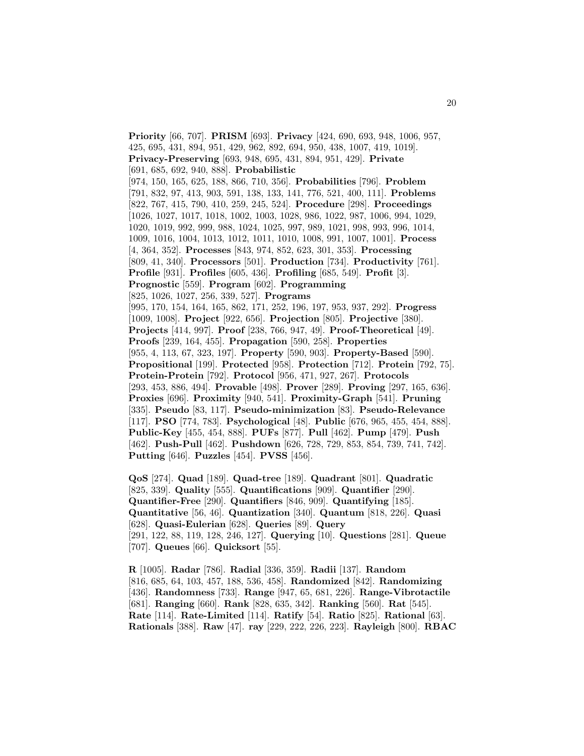**Priority** [66, 707]. **PRISM** [693]. **Privacy** [424, 690, 693, 948, 1006, 957, 425, 695, 431, 894, 951, 429, 962, 892, 694, 950, 438, 1007, 419, 1019]. **Privacy-Preserving** [693, 948, 695, 431, 894, 951, 429]. **Private** [691, 685, 692, 940, 888]. **Probabilistic** [974, 150, 165, 625, 188, 866, 710, 356]. **Probabilities** [796]. **Problem** [791, 832, 97, 413, 903, 591, 138, 133, 141, 776, 521, 400, 111]. **Problems** [822, 767, 415, 790, 410, 259, 245, 524]. **Procedure** [298]. **Proceedings** [1026, 1027, 1017, 1018, 1002, 1003, 1028, 986, 1022, 987, 1006, 994, 1029, 1020, 1019, 992, 999, 988, 1024, 1025, 997, 989, 1021, 998, 993, 996, 1014, 1009, 1016, 1004, 1013, 1012, 1011, 1010, 1008, 991, 1007, 1001]. **Process** [4, 364, 352]. **Processes** [843, 974, 852, 623, 301, 353]. **Processing** [809, 41, 340]. **Processors** [501]. **Production** [734]. **Productivity** [761]. **Profile** [931]. **Profiles** [605, 436]. **Profiling** [685, 549]. **Profit** [3]. **Prognostic** [559]. **Program** [602]. **Programming** [825, 1026, 1027, 256, 339, 527]. **Programs** [995, 170, 154, 164, 165, 862, 171, 252, 196, 197, 953, 937, 292]. **Progress** [1009, 1008]. **Project** [922, 656]. **Projection** [805]. **Projective** [380]. **Projects** [414, 997]. **Proof** [238, 766, 947, 49]. **Proof-Theoretical** [49]. **Proofs** [239, 164, 455]. **Propagation** [590, 258]. **Properties** [955, 4, 113, 67, 323, 197]. **Property** [590, 903]. **Property-Based** [590]. **Propositional** [199]. **Protected** [958]. **Protection** [712]. **Protein** [792, 75]. **Protein-Protein** [792]. **Protocol** [956, 471, 927, 267]. **Protocols** [293, 453, 886, 494]. **Provable** [498]. **Prover** [289]. **Proving** [297, 165, 636]. **Proxies** [696]. **Proximity** [940, 541]. **Proximity-Graph** [541]. **Pruning** [335]. **Pseudo** [83, 117]. **Pseudo-minimization** [83]. **Pseudo-Relevance** [117]. **PSO** [774, 783]. **Psychological** [48]. **Public** [676, 965, 455, 454, 888]. **Public-Key** [455, 454, 888]. **PUFs** [877]. **Pull** [462]. **Pump** [479]. **Push** [462]. **Push-Pull** [462]. **Pushdown** [626, 728, 729, 853, 854, 739, 741, 742]. **Putting** [646]. **Puzzles** [454]. **PVSS** [456].

**QoS** [274]. **Quad** [189]. **Quad-tree** [189]. **Quadrant** [801]. **Quadratic** [825, 339]. **Quality** [555]. **Quantifications** [909]. **Quantifier** [290]. **Quantifier-Free** [290]. **Quantifiers** [846, 909]. **Quantifying** [185]. **Quantitative** [56, 46]. **Quantization** [340]. **Quantum** [818, 226]. **Quasi** [628]. **Quasi-Eulerian** [628]. **Queries** [89]. **Query** [291, 122, 88, 119, 128, 246, 127]. **Querying** [10]. **Questions** [281]. **Queue** [707]. **Queues** [66]. **Quicksort** [55].

**R** [1005]. **Radar** [786]. **Radial** [336, 359]. **Radii** [137]. **Random** [816, 685, 64, 103, 457, 188, 536, 458]. **Randomized** [842]. **Randomizing** [436]. **Randomness** [733]. **Range** [947, 65, 681, 226]. **Range-Vibrotactile** [681]. **Ranging** [660]. **Rank** [828, 635, 342]. **Ranking** [560]. **Rat** [545]. **Rate** [114]. **Rate-Limited** [114]. **Ratify** [54]. **Ratio** [825]. **Rational** [63]. **Rationals** [388]. **Raw** [47]. **ray** [229, 222, 226, 223]. **Rayleigh** [800]. **RBAC**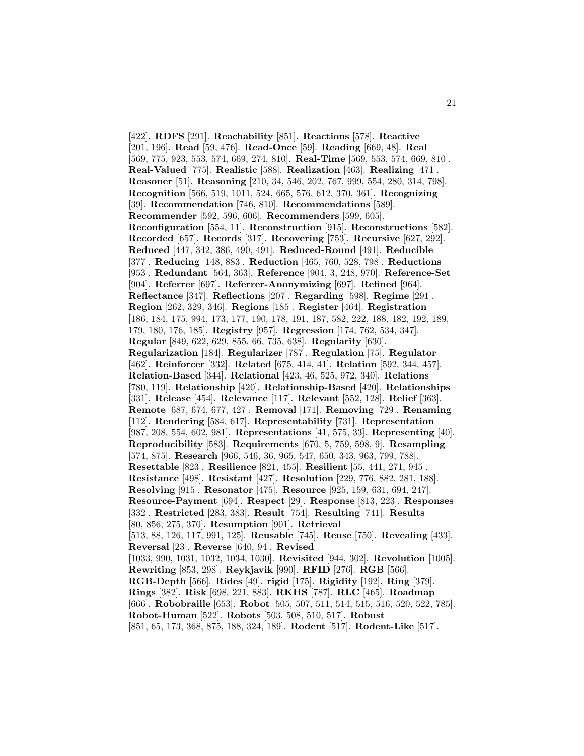[422]. **RDFS** [291]. **Reachability** [851]. **Reactions** [578]. **Reactive** [201, 196]. **Read** [59, 476]. **Read-Once** [59]. **Reading** [669, 48]. **Real** [569, 775, 923, 553, 574, 669, 274, 810]. **Real-Time** [569, 553, 574, 669, 810]. **Real-Valued** [775]. **Realistic** [588]. **Realization** [463]. **Realizing** [471]. **Reasoner** [51]. **Reasoning** [210, 34, 546, 202, 767, 999, 554, 280, 314, 798]. **Recognition** [566, 519, 1011, 524, 665, 576, 612, 370, 361]. **Recognizing** [39]. **Recommendation** [746, 810]. **Recommendations** [589]. **Recommender** [592, 596, 606]. **Recommenders** [599, 605]. **Reconfiguration** [554, 11]. **Reconstruction** [915]. **Reconstructions** [582]. **Recorded** [657]. **Records** [317]. **Recovering** [753]. **Recursive** [627, 292]. **Reduced** [447, 342, 386, 490, 491]. **Reduced-Round** [491]. **Reducible** [377]. **Reducing** [148, 883]. **Reduction** [465, 760, 528, 798]. **Reductions** [953]. **Redundant** [564, 363]. **Reference** [904, 3, 248, 970]. **Reference-Set** [904]. **Referrer** [697]. **Referrer-Anonymizing** [697]. **Refined** [964]. **Reflectance** [347]. **Reflections** [207]. **Regarding** [598]. **Regime** [291]. **Region** [262, 329, 346]. **Regions** [185]. **Register** [464]. **Registration** [186, 184, 175, 994, 173, 177, 190, 178, 191, 187, 582, 222, 188, 182, 192, 189, 179, 180, 176, 185]. **Registry** [957]. **Regression** [174, 762, 534, 347]. **Regular** [849, 622, 629, 855, 66, 735, 638]. **Regularity** [630]. **Regularization** [184]. **Regularizer** [787]. **Regulation** [75]. **Regulator** [462]. **Reinforcer** [332]. **Related** [675, 414, 41]. **Relation** [592, 344, 457]. **Relation-Based** [344]. **Relational** [423, 46, 525, 972, 340]. **Relations** [780, 119]. **Relationship** [420]. **Relationship-Based** [420]. **Relationships** [331]. **Release** [454]. **Relevance** [117]. **Relevant** [552, 128]. **Relief** [363]. **Remote** [687, 674, 677, 427]. **Removal** [171]. **Removing** [729]. **Renaming** [112]. **Rendering** [584, 617]. **Representability** [731]. **Representation** [987, 208, 554, 602, 981]. **Representations** [41, 575, 33]. **Representing** [40]. **Reproducibility** [583]. **Requirements** [670, 5, 759, 598, 9]. **Resampling** [574, 875]. **Research** [966, 546, 36, 965, 547, 650, 343, 963, 799, 788]. **Resettable** [823]. **Resilience** [821, 455]. **Resilient** [55, 441, 271, 945]. **Resistance** [498]. **Resistant** [427]. **Resolution** [229, 776, 882, 281, 188]. **Resolving** [915]. **Resonator** [475]. **Resource** [925, 159, 631, 694, 247]. **Resource-Payment** [694]. **Respect** [29]. **Response** [813, 223]. **Responses** [332]. **Restricted** [283, 383]. **Result** [754]. **Resulting** [741]. **Results** [80, 856, 275, 370]. **Resumption** [901]. **Retrieval** [513, 88, 126, 117, 991, 125]. **Reusable** [745]. **Reuse** [750]. **Revealing** [433]. **Reversal** [23]. **Reverse** [640, 94]. **Revised** [1033, 990, 1031, 1032, 1034, 1030]. **Revisited** [944, 302]. **Revolution** [1005]. **Rewriting** [853, 298]. **Reykjavik** [990]. **RFID** [276]. **RGB** [566]. **RGB-Depth** [566]. **Rides** [49]. **rigid** [175]. **Rigidity** [192]. **Ring** [379]. **Rings** [382]. **Risk** [698, 221, 883]. **RKHS** [787]. **RLC** [465]. **Roadmap** [666]. **Robobraille** [653]. **Robot** [505, 507, 511, 514, 515, 516, 520, 522, 785]. **Robot-Human** [522]. **Robots** [503, 508, 510, 517]. **Robust** [851, 65, 173, 368, 875, 188, 324, 189]. **Rodent** [517]. **Rodent-Like** [517].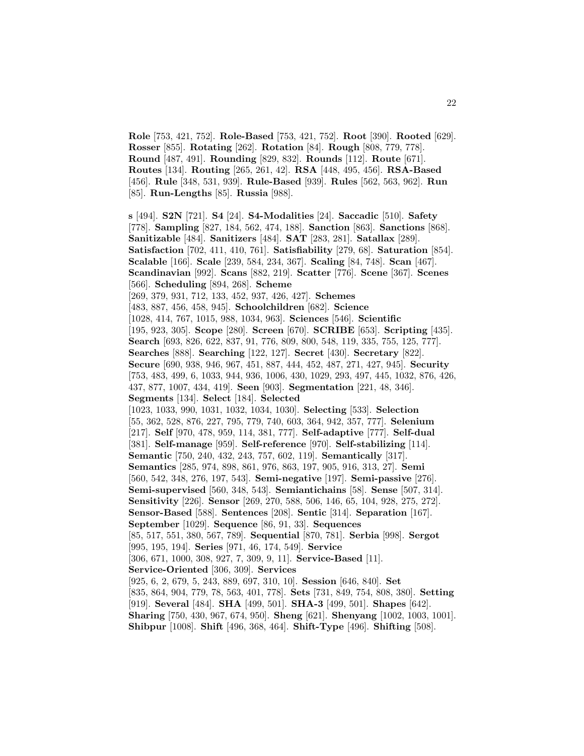**Role** [753, 421, 752]. **Role-Based** [753, 421, 752]. **Root** [390]. **Rooted** [629]. **Rosser** [855]. **Rotating** [262]. **Rotation** [84]. **Rough** [808, 779, 778]. **Round** [487, 491]. **Rounding** [829, 832]. **Rounds** [112]. **Route** [671]. **Routes** [134]. **Routing** [265, 261, 42]. **RSA** [448, 495, 456]. **RSA-Based** [456]. **Rule** [348, 531, 939]. **Rule-Based** [939]. **Rules** [562, 563, 962]. **Run** [85]. **Run-Lengths** [85]. **Russia** [988].

**s** [494]. **S2N** [721]. **S4** [24]. **S4-Modalities** [24]. **Saccadic** [510]. **Safety** [778]. **Sampling** [827, 184, 562, 474, 188]. **Sanction** [863]. **Sanctions** [868]. **Sanitizable** [484]. **Sanitizers** [484]. **SAT** [283, 281]. **Satallax** [289]. **Satisfaction** [702, 411, 410, 761]. **Satisfiability** [279, 68]. **Saturation** [854]. **Scalable** [166]. **Scale** [239, 584, 234, 367]. **Scaling** [84, 748]. **Scan** [467]. **Scandinavian** [992]. **Scans** [882, 219]. **Scatter** [776]. **Scene** [367]. **Scenes** [566]. **Scheduling** [894, 268]. **Scheme** [269, 379, 931, 712, 133, 452, 937, 426, 427]. **Schemes** [483, 887, 456, 458, 945]. **Schoolchildren** [682]. **Science** [1028, 414, 767, 1015, 988, 1034, 963]. **Sciences** [546]. **Scientific** [195, 923, 305]. **Scope** [280]. **Screen** [670]. **SCRIBE** [653]. **Scripting** [435]. **Search** [693, 826, 622, 837, 91, 776, 809, 800, 548, 119, 335, 755, 125, 777]. **Searches** [888]. **Searching** [122, 127]. **Secret** [430]. **Secretary** [822]. **Secure** [690, 938, 946, 967, 451, 887, 444, 452, 487, 271, 427, 945]. **Security** [753, 483, 499, 6, 1033, 944, 936, 1006, 430, 1029, 293, 497, 445, 1032, 876, 426, 437, 877, 1007, 434, 419]. **Seen** [903]. **Segmentation** [221, 48, 346]. **Segments** [134]. **Select** [184]. **Selected** [1023, 1033, 990, 1031, 1032, 1034, 1030]. **Selecting** [533]. **Selection** [55, 362, 528, 876, 227, 795, 779, 740, 603, 364, 942, 357, 777]. **Selenium** [217]. **Self** [970, 478, 959, 114, 381, 777]. **Self-adaptive** [777]. **Self-dual** [381]. **Self-manage** [959]. **Self-reference** [970]. **Self-stabilizing** [114]. **Semantic** [750, 240, 432, 243, 757, 602, 119]. **Semantically** [317]. **Semantics** [285, 974, 898, 861, 976, 863, 197, 905, 916, 313, 27]. **Semi** [560, 542, 348, 276, 197, 543]. **Semi-negative** [197]. **Semi-passive** [276]. **Semi-supervised** [560, 348, 543]. **Semiantichains** [58]. **Sense** [507, 314]. **Sensitivity** [226]. **Sensor** [269, 270, 588, 506, 146, 65, 104, 928, 275, 272]. **Sensor-Based** [588]. **Sentences** [208]. **Sentic** [314]. **Separation** [167]. **September** [1029]. **Sequence** [86, 91, 33]. **Sequences** [85, 517, 551, 380, 567, 789]. **Sequential** [870, 781]. **Serbia** [998]. **Sergot** [995, 195, 194]. **Series** [971, 46, 174, 549]. **Service** [306, 671, 1000, 308, 927, 7, 309, 9, 11]. **Service-Based** [11]. **Service-Oriented** [306, 309]. **Services** [925, 6, 2, 679, 5, 243, 889, 697, 310, 10]. **Session** [646, 840]. **Set** [835, 864, 904, 779, 78, 563, 401, 778]. **Sets** [731, 849, 754, 808, 380]. **Setting** [919]. **Several** [484]. **SHA** [499, 501]. **SHA-3** [499, 501]. **Shapes** [642]. **Sharing** [750, 430, 967, 674, 950]. **Sheng** [621]. **Shenyang** [1002, 1003, 1001]. **Shibpur** [1008]. **Shift** [496, 368, 464]. **Shift-Type** [496]. **Shifting** [508].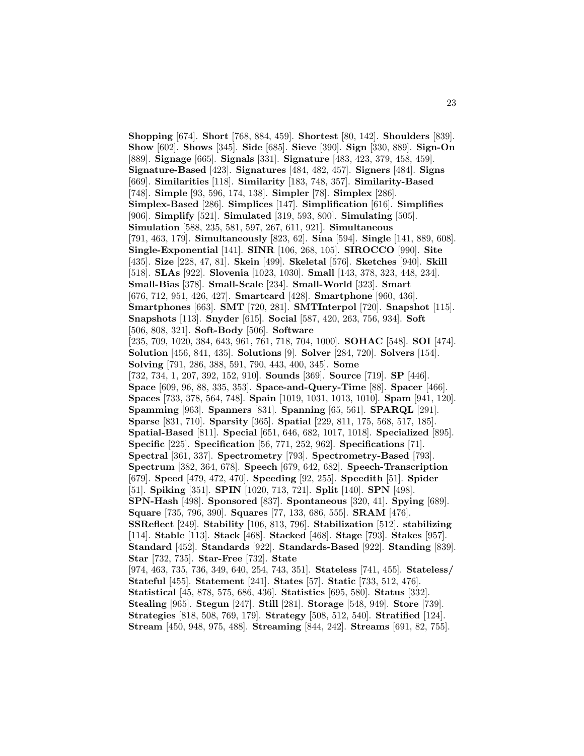**Shopping** [674]. **Short** [768, 884, 459]. **Shortest** [80, 142]. **Shoulders** [839]. **Show** [602]. **Shows** [345]. **Side** [685]. **Sieve** [390]. **Sign** [330, 889]. **Sign-On** [889]. **Signage** [665]. **Signals** [331]. **Signature** [483, 423, 379, 458, 459]. **Signature-Based** [423]. **Signatures** [484, 482, 457]. **Signers** [484]. **Signs** [669]. **Similarities** [118]. **Similarity** [183, 748, 357]. **Similarity-Based** [748]. **Simple** [93, 596, 174, 138]. **Simpler** [78]. **Simplex** [286]. **Simplex-Based** [286]. **Simplices** [147]. **Simplification** [616]. **Simplifies** [906]. **Simplify** [521]. **Simulated** [319, 593, 800]. **Simulating** [505]. **Simulation** [588, 235, 581, 597, 267, 611, 921]. **Simultaneous** [791, 463, 179]. **Simultaneously** [823, 62]. **Sina** [594]. **Single** [141, 889, 608]. **Single-Exponential** [141]. **SINR** [106, 268, 105]. **SIROCCO** [990]. **Site** [435]. **Size** [228, 47, 81]. **Skein** [499]. **Skeletal** [576]. **Sketches** [940]. **Skill** [518]. **SLAs** [922]. **Slovenia** [1023, 1030]. **Small** [143, 378, 323, 448, 234]. **Small-Bias** [378]. **Small-Scale** [234]. **Small-World** [323]. **Smart** [676, 712, 951, 426, 427]. **Smartcard** [428]. **Smartphone** [960, 436]. **Smartphones** [663]. **SMT** [720, 281]. **SMTInterpol** [720]. **Snapshot** [115]. **Snapshots** [113]. **Snyder** [615]. **Social** [587, 420, 263, 756, 934]. **Soft** [506, 808, 321]. **Soft-Body** [506]. **Software** [235, 709, 1020, 384, 643, 961, 761, 718, 704, 1000]. **SOHAC** [548]. **SOI** [474]. **Solution** [456, 841, 435]. **Solutions** [9]. **Solver** [284, 720]. **Solvers** [154]. **Solving** [791, 286, 388, 591, 790, 443, 400, 345]. **Some** [732, 734, 1, 207, 392, 152, 910]. **Sounds** [369]. **Source** [719]. **SP** [446]. **Space** [609, 96, 88, 335, 353]. **Space-and-Query-Time** [88]. **Spacer** [466]. **Spaces** [733, 378, 564, 748]. **Spain** [1019, 1031, 1013, 1010]. **Spam** [941, 120]. **Spamming** [963]. **Spanners** [831]. **Spanning** [65, 561]. **SPARQL** [291]. **Sparse** [831, 710]. **Sparsity** [365]. **Spatial** [229, 811, 175, 568, 517, 185]. **Spatial-Based** [811]. **Special** [651, 646, 682, 1017, 1018]. **Specialized** [895]. **Specific** [225]. **Specification** [56, 771, 252, 962]. **Specifications** [71]. **Spectral** [361, 337]. **Spectrometry** [793]. **Spectrometry-Based** [793]. **Spectrum** [382, 364, 678]. **Speech** [679, 642, 682]. **Speech-Transcription** [679]. **Speed** [479, 472, 470]. **Speeding** [92, 255]. **Speedith** [51]. **Spider** [51]. **Spiking** [351]. **SPIN** [1020, 713, 721]. **Split** [140]. **SPN** [498]. **SPN-Hash** [498]. **Sponsored** [837]. **Spontaneous** [320, 41]. **Spying** [689]. **Square** [735, 796, 390]. **Squares** [77, 133, 686, 555]. **SRAM** [476]. **SSReflect** [249]. **Stability** [106, 813, 796]. **Stabilization** [512]. **stabilizing** [114]. **Stable** [113]. **Stack** [468]. **Stacked** [468]. **Stage** [793]. **Stakes** [957]. **Standard** [452]. **Standards** [922]. **Standards-Based** [922]. **Standing** [839]. **Star** [732, 735]. **Star-Free** [732]. **State** [974, 463, 735, 736, 349, 640, 254, 743, 351]. **Stateless** [741, 455]. **Stateless/ Stateful** [455]. **Statement** [241]. **States** [57]. **Static** [733, 512, 476]. **Statistical** [45, 878, 575, 686, 436]. **Statistics** [695, 580]. **Status** [332]. **Stealing** [965]. **Stegun** [247]. **Still** [281]. **Storage** [548, 949]. **Store** [739]. **Strategies** [818, 508, 769, 179]. **Strategy** [508, 512, 540]. **Stratified** [124]. **Stream** [450, 948, 975, 488]. **Streaming** [844, 242]. **Streams** [691, 82, 755].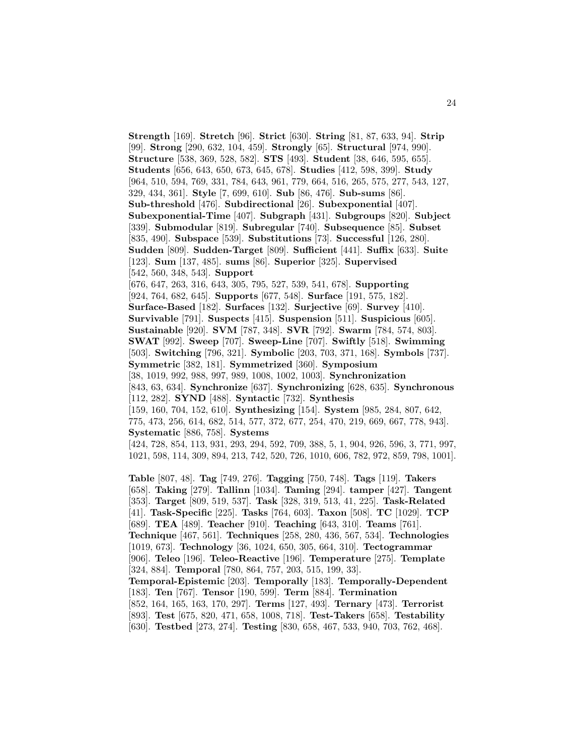**Strength** [169]. **Stretch** [96]. **Strict** [630]. **String** [81, 87, 633, 94]. **Strip** [99]. **Strong** [290, 632, 104, 459]. **Strongly** [65]. **Structural** [974, 990]. **Structure** [538, 369, 528, 582]. **STS** [493]. **Student** [38, 646, 595, 655]. **Students** [656, 643, 650, 673, 645, 678]. **Studies** [412, 598, 399]. **Study** [964, 510, 594, 769, 331, 784, 643, 961, 779, 664, 516, 265, 575, 277, 543, 127, 329, 434, 361]. **Style** [7, 699, 610]. **Sub** [86, 476]. **Sub-sums** [86]. **Sub-threshold** [476]. **Subdirectional** [26]. **Subexponential** [407]. **Subexponential-Time** [407]. **Subgraph** [431]. **Subgroups** [820]. **Subject** [339]. **Submodular** [819]. **Subregular** [740]. **Subsequence** [85]. **Subset** [835, 490]. **Subspace** [539]. **Substitutions** [73]. **Successful** [126, 280]. **Sudden** [809]. **Sudden-Target** [809]. **Sufficient** [441]. **Suffix** [633]. **Suite** [123]. **Sum** [137, 485]. **sums** [86]. **Superior** [325]. **Supervised** [542, 560, 348, 543]. **Support** [676, 647, 263, 316, 643, 305, 795, 527, 539, 541, 678]. **Supporting** [924, 764, 682, 645]. **Supports** [677, 548]. **Surface** [191, 575, 182]. **Surface-Based** [182]. **Surfaces** [132]. **Surjective** [69]. **Survey** [410]. **Survivable** [791]. **Suspects** [415]. **Suspension** [511]. **Suspicious** [605]. **Sustainable** [920]. **SVM** [787, 348]. **SVR** [792]. **Swarm** [784, 574, 803]. **SWAT** [992]. **Sweep** [707]. **Sweep-Line** [707]. **Swiftly** [518]. **Swimming** [503]. **Switching** [796, 321]. **Symbolic** [203, 703, 371, 168]. **Symbols** [737]. **Symmetric** [382, 181]. **Symmetrized** [360]. **Symposium** [38, 1019, 992, 988, 997, 989, 1008, 1002, 1003]. **Synchronization** [843, 63, 634]. **Synchronize** [637]. **Synchronizing** [628, 635]. **Synchronous** [112, 282]. **SYND** [488]. **Syntactic** [732]. **Synthesis** [159, 160, 704, 152, 610]. **Synthesizing** [154]. **System** [985, 284, 807, 642, 775, 473, 256, 614, 682, 514, 577, 372, 677, 254, 470, 219, 669, 667, 778, 943]. **Systematic** [886, 758]. **Systems** [424, 728, 854, 113, 931, 293, 294, 592, 709, 388, 5, 1, 904, 926, 596, 3, 771, 997, 1021, 598, 114, 309, 894, 213, 742, 520, 726, 1010, 606, 782, 972, 859, 798, 1001].

**Table** [807, 48]. **Tag** [749, 276]. **Tagging** [750, 748]. **Tags** [119]. **Takers** [658]. **Taking** [279]. **Tallinn** [1034]. **Taming** [294]. **tamper** [427]. **Tangent** [353]. **Target** [809, 519, 537]. **Task** [328, 319, 513, 41, 225]. **Task-Related** [41]. **Task-Specific** [225]. **Tasks** [764, 603]. **Taxon** [508]. **TC** [1029]. **TCP** [689]. **TEA** [489]. **Teacher** [910]. **Teaching** [643, 310]. **Teams** [761]. **Technique** [467, 561]. **Techniques** [258, 280, 436, 567, 534]. **Technologies** [1019, 673]. **Technology** [36, 1024, 650, 305, 664, 310]. **Tectogrammar** [906]. **Teleo** [196]. **Teleo-Reactive** [196]. **Temperature** [275]. **Template** [324, 884]. **Temporal** [780, 864, 757, 203, 515, 199, 33]. **Temporal-Epistemic** [203]. **Temporally** [183]. **Temporally-Dependent** [183]. **Ten** [767]. **Tensor** [190, 599]. **Term** [884]. **Termination** [852, 164, 165, 163, 170, 297]. **Terms** [127, 493]. **Ternary** [473]. **Terrorist** [893]. **Test** [675, 820, 471, 658, 1008, 718]. **Test-Takers** [658]. **Testability** [630]. **Testbed** [273, 274]. **Testing** [830, 658, 467, 533, 940, 703, 762, 468].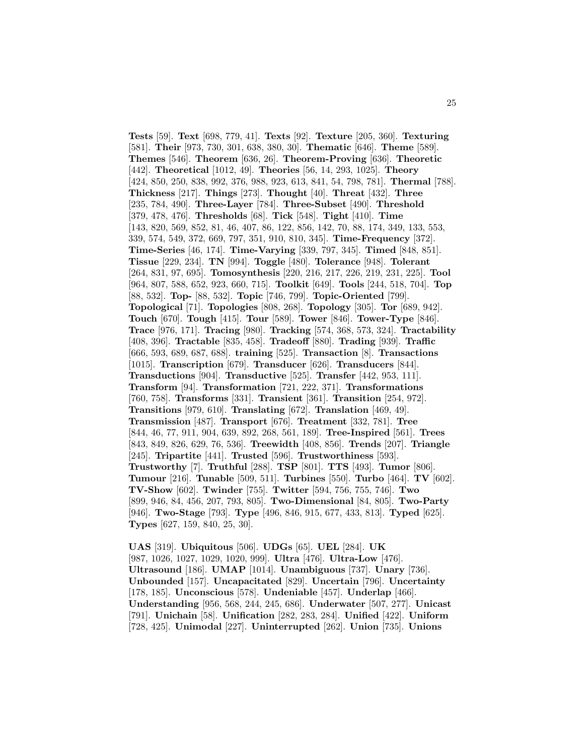**Tests** [59]. **Text** [698, 779, 41]. **Texts** [92]. **Texture** [205, 360]. **Texturing** [581]. **Their** [973, 730, 301, 638, 380, 30]. **Thematic** [646]. **Theme** [589]. **Themes** [546]. **Theorem** [636, 26]. **Theorem-Proving** [636]. **Theoretic** [442]. **Theoretical** [1012, 49]. **Theories** [56, 14, 293, 1025]. **Theory** [424, 850, 250, 838, 992, 376, 988, 923, 613, 841, 54, 798, 781]. **Thermal** [788]. **Thickness** [217]. **Things** [273]. **Thought** [40]. **Threat** [432]. **Three** [235, 784, 490]. **Three-Layer** [784]. **Three-Subset** [490]. **Threshold** [379, 478, 476]. **Thresholds** [68]. **Tick** [548]. **Tight** [410]. **Time** [143, 820, 569, 852, 81, 46, 407, 86, 122, 856, 142, 70, 88, 174, 349, 133, 553, 339, 574, 549, 372, 669, 797, 351, 910, 810, 345]. **Time-Frequency** [372]. **Time-Series** [46, 174]. **Time-Varying** [339, 797, 345]. **Timed** [848, 851]. **Tissue** [229, 234]. **TN** [994]. **Toggle** [480]. **Tolerance** [948]. **Tolerant** [264, 831, 97, 695]. **Tomosynthesis** [220, 216, 217, 226, 219, 231, 225]. **Tool** [964, 807, 588, 652, 923, 660, 715]. **Toolkit** [649]. **Tools** [244, 518, 704]. **Top** [88, 532]. **Top-** [88, 532]. **Topic** [746, 799]. **Topic-Oriented** [799]. **Topological** [71]. **Topologies** [808, 268]. **Topology** [305]. **Tor** [689, 942]. **Touch** [670]. **Tough** [415]. **Tour** [589]. **Tower** [846]. **Tower-Type** [846]. **Trace** [976, 171]. **Tracing** [980]. **Tracking** [574, 368, 573, 324]. **Tractability** [408, 396]. **Tractable** [835, 458]. **Tradeoff** [880]. **Trading** [939]. **Traffic** [666, 593, 689, 687, 688]. **training** [525]. **Transaction** [8]. **Transactions** [1015]. **Transcription** [679]. **Transducer** [626]. **Transducers** [844]. **Transductions** [904]. **Transductive** [525]. **Transfer** [442, 953, 111]. **Transform** [94]. **Transformation** [721, 222, 371]. **Transformations** [760, 758]. **Transforms** [331]. **Transient** [361]. **Transition** [254, 972]. **Transitions** [979, 610]. **Translating** [672]. **Translation** [469, 49]. **Transmission** [487]. **Transport** [676]. **Treatment** [332, 781]. **Tree** [844, 46, 77, 911, 904, 639, 892, 268, 561, 189]. **Tree-Inspired** [561]. **Trees** [843, 849, 826, 629, 76, 536]. **Treewidth** [408, 856]. **Trends** [207]. **Triangle** [245]. **Tripartite** [441]. **Trusted** [596]. **Trustworthiness** [593]. **Trustworthy** [7]. **Truthful** [288]. **TSP** [801]. **TTS** [493]. **Tumor** [806]. **Tumour** [216]. **Tunable** [509, 511]. **Turbines** [550]. **Turbo** [464]. **TV** [602]. **TV-Show** [602]. **Twinder** [755]. **Twitter** [594, 756, 755, 746]. **Two** [899, 946, 84, 456, 207, 793, 805]. **Two-Dimensional** [84, 805]. **Two-Party** [946]. **Two-Stage** [793]. **Type** [496, 846, 915, 677, 433, 813]. **Typed** [625]. **Types** [627, 159, 840, 25, 30].

**UAS** [319]. **Ubiquitous** [506]. **UDGs** [65]. **UEL** [284]. **UK** [987, 1026, 1027, 1029, 1020, 999]. **Ultra** [476]. **Ultra-Low** [476]. **Ultrasound** [186]. **UMAP** [1014]. **Unambiguous** [737]. **Unary** [736]. **Unbounded** [157]. **Uncapacitated** [829]. **Uncertain** [796]. **Uncertainty** [178, 185]. **Unconscious** [578]. **Undeniable** [457]. **Underlap** [466]. **Understanding** [956, 568, 244, 245, 686]. **Underwater** [507, 277]. **Unicast** [791]. **Unichain** [58]. **Unification** [282, 283, 284]. **Unified** [422]. **Uniform** [728, 425]. **Unimodal** [227]. **Uninterrupted** [262]. **Union** [735]. **Unions**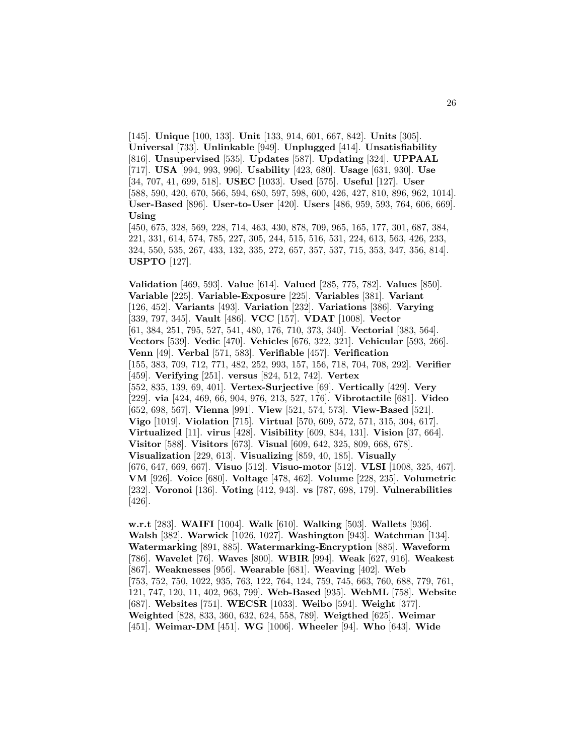[145]. **Unique** [100, 133]. **Unit** [133, 914, 601, 667, 842]. **Units** [305]. **Universal** [733]. **Unlinkable** [949]. **Unplugged** [414]. **Unsatisfiability** [816]. **Unsupervised** [535]. **Updates** [587]. **Updating** [324]. **UPPAAL** [717]. **USA** [994, 993, 996]. **Usability** [423, 680]. **Usage** [631, 930]. **Use** [34, 707, 41, 699, 518]. **USEC** [1033]. **Used** [575]. **Useful** [127]. **User** [588, 590, 420, 670, 566, 594, 680, 597, 598, 600, 426, 427, 810, 896, 962, 1014]. **User-Based** [896]. **User-to-User** [420]. **Users** [486, 959, 593, 764, 606, 669]. **Using**

[450, 675, 328, 569, 228, 714, 463, 430, 878, 709, 965, 165, 177, 301, 687, 384, 221, 331, 614, 574, 785, 227, 305, 244, 515, 516, 531, 224, 613, 563, 426, 233, 324, 550, 535, 267, 433, 132, 335, 272, 657, 357, 537, 715, 353, 347, 356, 814]. **USPTO** [127].

**Validation** [469, 593]. **Value** [614]. **Valued** [285, 775, 782]. **Values** [850]. **Variable** [225]. **Variable-Exposure** [225]. **Variables** [381]. **Variant** [126, 452]. **Variants** [493]. **Variation** [232]. **Variations** [386]. **Varying** [339, 797, 345]. **Vault** [486]. **VCC** [157]. **VDAT** [1008]. **Vector** [61, 384, 251, 795, 527, 541, 480, 176, 710, 373, 340]. **Vectorial** [383, 564]. **Vectors** [539]. **Vedic** [470]. **Vehicles** [676, 322, 321]. **Vehicular** [593, 266]. **Venn** [49]. **Verbal** [571, 583]. **Verifiable** [457]. **Verification** [155, 383, 709, 712, 771, 482, 252, 993, 157, 156, 718, 704, 708, 292]. **Verifier** [459]. **Verifying** [251]. **versus** [824, 512, 742]. **Vertex** [552, 835, 139, 69, 401]. **Vertex-Surjective** [69]. **Vertically** [429]. **Very** [229]. **via** [424, 469, 66, 904, 976, 213, 527, 176]. **Vibrotactile** [681]. **Video** [652, 698, 567]. **Vienna** [991]. **View** [521, 574, 573]. **View-Based** [521]. **Vigo** [1019]. **Violation** [715]. **Virtual** [570, 609, 572, 571, 315, 304, 617]. **Virtualized** [11]. **virus** [428]. **Visibility** [609, 834, 131]. **Vision** [37, 664]. **Visitor** [588]. **Visitors** [673]. **Visual** [609, 642, 325, 809, 668, 678]. **Visualization** [229, 613]. **Visualizing** [859, 40, 185]. **Visually** [676, 647, 669, 667]. **Visuo** [512]. **Visuo-motor** [512]. **VLSI** [1008, 325, 467]. **VM** [926]. **Voice** [680]. **Voltage** [478, 462]. **Volume** [228, 235]. **Volumetric** [232]. **Voronoi** [136]. **Voting** [412, 943]. **vs** [787, 698, 179]. **Vulnerabilities** [426].

**w.r.t** [283]. **WAIFI** [1004]. **Walk** [610]. **Walking** [503]. **Wallets** [936]. **Walsh** [382]. **Warwick** [1026, 1027]. **Washington** [943]. **Watchman** [134]. **Watermarking** [891, 885]. **Watermarking-Encryption** [885]. **Waveform** [786]. **Wavelet** [76]. **Waves** [800]. **WBIR** [994]. **Weak** [627, 916]. **Weakest** [867]. **Weaknesses** [956]. **Wearable** [681]. **Weaving** [402]. **Web** [753, 752, 750, 1022, 935, 763, 122, 764, 124, 759, 745, 663, 760, 688, 779, 761, 121, 747, 120, 11, 402, 963, 799]. **Web-Based** [935]. **WebML** [758]. **Website** [687]. **Websites** [751]. **WECSR** [1033]. **Weibo** [594]. **Weight** [377]. **Weighted** [828, 833, 360, 632, 624, 558, 789]. **Weigthed** [625]. **Weimar** [451]. **Weimar-DM** [451]. **WG** [1006]. **Wheeler** [94]. **Who** [643]. **Wide**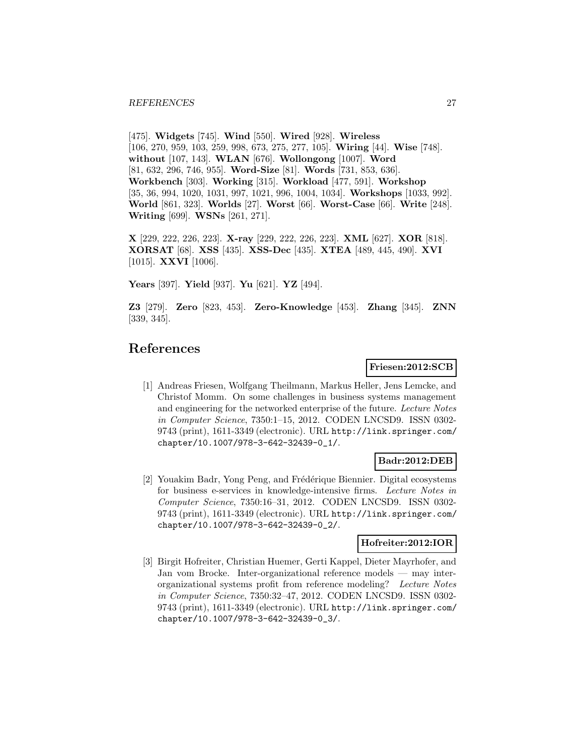[475]. **Widgets** [745]. **Wind** [550]. **Wired** [928]. **Wireless** [106, 270, 959, 103, 259, 998, 673, 275, 277, 105]. **Wiring** [44]. **Wise** [748]. **without** [107, 143]. **WLAN** [676]. **Wollongong** [1007]. **Word** [81, 632, 296, 746, 955]. **Word-Size** [81]. **Words** [731, 853, 636]. **Workbench** [303]. **Working** [315]. **Workload** [477, 591]. **Workshop** [35, 36, 994, 1020, 1031, 997, 1021, 996, 1004, 1034]. **Workshops** [1033, 992]. **World** [861, 323]. **Worlds** [27]. **Worst** [66]. **Worst-Case** [66]. **Write** [248]. **Writing** [699]. **WSNs** [261, 271].

**X** [229, 222, 226, 223]. **X-ray** [229, 222, 226, 223]. **XML** [627]. **XOR** [818]. **XORSAT** [68]. **XSS** [435]. **XSS-Dec** [435]. **XTEA** [489, 445, 490]. **XVI** [1015]. **XXVI** [1006].

**Years** [397]. **Yield** [937]. **Yu** [621]. **YZ** [494].

**Z3** [279]. **Zero** [823, 453]. **Zero-Knowledge** [453]. **Zhang** [345]. **ZNN** [339, 345].

# **References**

#### **Friesen:2012:SCB**

[1] Andreas Friesen, Wolfgang Theilmann, Markus Heller, Jens Lemcke, and Christof Momm. On some challenges in business systems management and engineering for the networked enterprise of the future. Lecture Notes in Computer Science, 7350:1–15, 2012. CODEN LNCSD9. ISSN 0302- 9743 (print), 1611-3349 (electronic). URL http://link.springer.com/ chapter/10.1007/978-3-642-32439-0\_1/.

# **Badr:2012:DEB**

[2] Youakim Badr, Yong Peng, and Frédérique Biennier. Digital ecosystems for business e-services in knowledge-intensive firms. Lecture Notes in Computer Science, 7350:16–31, 2012. CODEN LNCSD9. ISSN 0302- 9743 (print), 1611-3349 (electronic). URL http://link.springer.com/ chapter/10.1007/978-3-642-32439-0\_2/.

### **Hofreiter:2012:IOR**

[3] Birgit Hofreiter, Christian Huemer, Gerti Kappel, Dieter Mayrhofer, and Jan vom Brocke. Inter-organizational reference models — may interorganizational systems profit from reference modeling? Lecture Notes in Computer Science, 7350:32–47, 2012. CODEN LNCSD9. ISSN 0302- 9743 (print), 1611-3349 (electronic). URL http://link.springer.com/ chapter/10.1007/978-3-642-32439-0\_3/.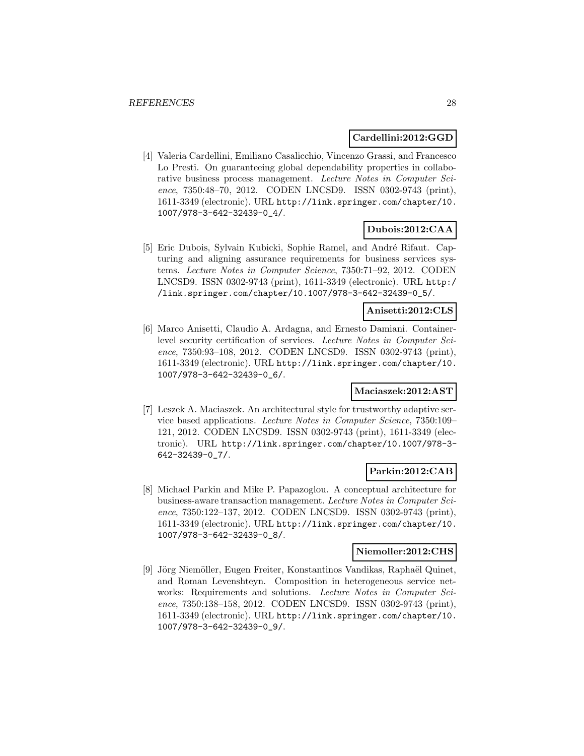### **Cardellini:2012:GGD**

[4] Valeria Cardellini, Emiliano Casalicchio, Vincenzo Grassi, and Francesco Lo Presti. On guaranteeing global dependability properties in collaborative business process management. Lecture Notes in Computer Science, 7350:48–70, 2012. CODEN LNCSD9. ISSN 0302-9743 (print), 1611-3349 (electronic). URL http://link.springer.com/chapter/10. 1007/978-3-642-32439-0\_4/.

# **Dubois:2012:CAA**

[5] Eric Dubois, Sylvain Kubicki, Sophie Ramel, and André Rifaut. Capturing and aligning assurance requirements for business services systems. Lecture Notes in Computer Science, 7350:71–92, 2012. CODEN LNCSD9. ISSN 0302-9743 (print), 1611-3349 (electronic). URL http:/ /link.springer.com/chapter/10.1007/978-3-642-32439-0\_5/.

### **Anisetti:2012:CLS**

[6] Marco Anisetti, Claudio A. Ardagna, and Ernesto Damiani. Containerlevel security certification of services. Lecture Notes in Computer Science, 7350:93–108, 2012. CODEN LNCSD9. ISSN 0302-9743 (print), 1611-3349 (electronic). URL http://link.springer.com/chapter/10. 1007/978-3-642-32439-0\_6/.

### **Maciaszek:2012:AST**

[7] Leszek A. Maciaszek. An architectural style for trustworthy adaptive service based applications. Lecture Notes in Computer Science, 7350:109– 121, 2012. CODEN LNCSD9. ISSN 0302-9743 (print), 1611-3349 (electronic). URL http://link.springer.com/chapter/10.1007/978-3- 642-32439-0\_7/.

# **Parkin:2012:CAB**

[8] Michael Parkin and Mike P. Papazoglou. A conceptual architecture for business-aware transaction management. Lecture Notes in Computer Science, 7350:122–137, 2012. CODEN LNCSD9. ISSN 0302-9743 (print), 1611-3349 (electronic). URL http://link.springer.com/chapter/10. 1007/978-3-642-32439-0\_8/.

# **Niemoller:2012:CHS**

[9] Jörg Niemöller, Eugen Freiter, Konstantinos Vandikas, Raphaël Quinet, and Roman Levenshteyn. Composition in heterogeneous service networks: Requirements and solutions. Lecture Notes in Computer Science, 7350:138–158, 2012. CODEN LNCSD9. ISSN 0302-9743 (print), 1611-3349 (electronic). URL http://link.springer.com/chapter/10. 1007/978-3-642-32439-0\_9/.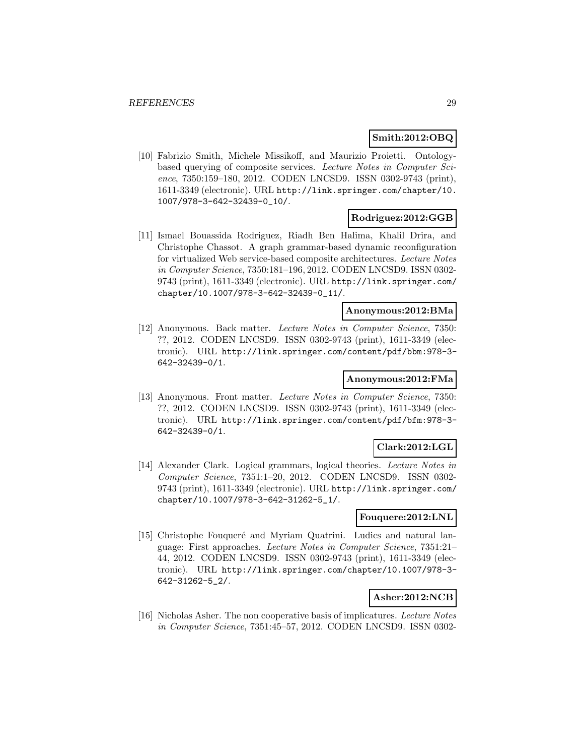### **Smith:2012:OBQ**

[10] Fabrizio Smith, Michele Missikoff, and Maurizio Proietti. Ontologybased querying of composite services. Lecture Notes in Computer Science, 7350:159–180, 2012. CODEN LNCSD9. ISSN 0302-9743 (print), 1611-3349 (electronic). URL http://link.springer.com/chapter/10. 1007/978-3-642-32439-0\_10/.

### **Rodriguez:2012:GGB**

[11] Ismael Bouassida Rodriguez, Riadh Ben Halima, Khalil Drira, and Christophe Chassot. A graph grammar-based dynamic reconfiguration for virtualized Web service-based composite architectures. Lecture Notes in Computer Science, 7350:181–196, 2012. CODEN LNCSD9. ISSN 0302- 9743 (print), 1611-3349 (electronic). URL http://link.springer.com/ chapter/10.1007/978-3-642-32439-0\_11/.

### **Anonymous:2012:BMa**

[12] Anonymous. Back matter. Lecture Notes in Computer Science, 7350: ??, 2012. CODEN LNCSD9. ISSN 0302-9743 (print), 1611-3349 (electronic). URL http://link.springer.com/content/pdf/bbm:978-3- 642-32439-0/1.

### **Anonymous:2012:FMa**

[13] Anonymous. Front matter. Lecture Notes in Computer Science, 7350: ??, 2012. CODEN LNCSD9. ISSN 0302-9743 (print), 1611-3349 (electronic). URL http://link.springer.com/content/pdf/bfm:978-3- 642-32439-0/1.

# **Clark:2012:LGL**

[14] Alexander Clark. Logical grammars, logical theories. Lecture Notes in Computer Science, 7351:1–20, 2012. CODEN LNCSD9. ISSN 0302- 9743 (print), 1611-3349 (electronic). URL http://link.springer.com/ chapter/10.1007/978-3-642-31262-5\_1/.

### **Fouquere:2012:LNL**

[15] Christophe Fouqueré and Myriam Quatrini. Ludics and natural language: First approaches. Lecture Notes in Computer Science, 7351:21– 44, 2012. CODEN LNCSD9. ISSN 0302-9743 (print), 1611-3349 (electronic). URL http://link.springer.com/chapter/10.1007/978-3- 642-31262-5\_2/.

# **Asher:2012:NCB**

[16] Nicholas Asher. The non cooperative basis of implicatures. Lecture Notes in Computer Science, 7351:45–57, 2012. CODEN LNCSD9. ISSN 0302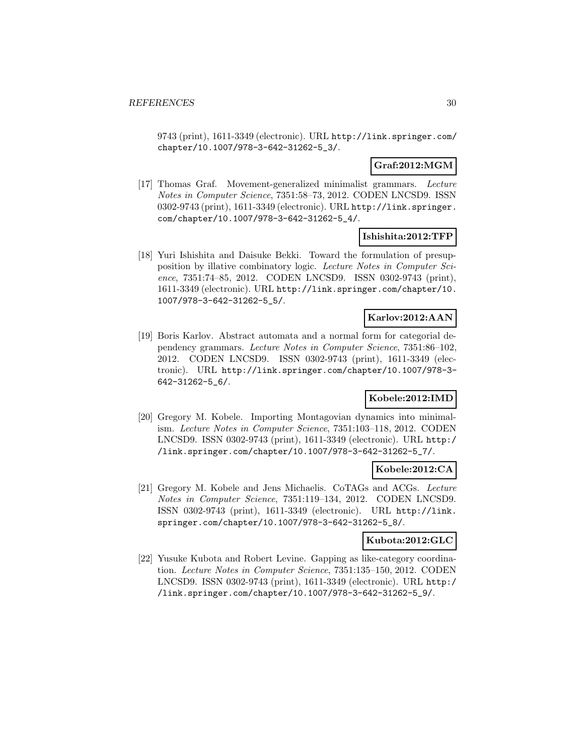9743 (print), 1611-3349 (electronic). URL http://link.springer.com/ chapter/10.1007/978-3-642-31262-5\_3/.

# **Graf:2012:MGM**

[17] Thomas Graf. Movement-generalized minimalist grammars. Lecture Notes in Computer Science, 7351:58–73, 2012. CODEN LNCSD9. ISSN 0302-9743 (print), 1611-3349 (electronic). URL http://link.springer. com/chapter/10.1007/978-3-642-31262-5\_4/.

# **Ishishita:2012:TFP**

[18] Yuri Ishishita and Daisuke Bekki. Toward the formulation of presupposition by illative combinatory logic. Lecture Notes in Computer Science, 7351:74–85, 2012. CODEN LNCSD9. ISSN 0302-9743 (print), 1611-3349 (electronic). URL http://link.springer.com/chapter/10. 1007/978-3-642-31262-5\_5/.

# **Karlov:2012:AAN**

[19] Boris Karlov. Abstract automata and a normal form for categorial dependency grammars. Lecture Notes in Computer Science, 7351:86–102, 2012. CODEN LNCSD9. ISSN 0302-9743 (print), 1611-3349 (electronic). URL http://link.springer.com/chapter/10.1007/978-3- 642-31262-5\_6/.

# **Kobele:2012:IMD**

[20] Gregory M. Kobele. Importing Montagovian dynamics into minimalism. Lecture Notes in Computer Science, 7351:103–118, 2012. CODEN LNCSD9. ISSN 0302-9743 (print), 1611-3349 (electronic). URL http:/ /link.springer.com/chapter/10.1007/978-3-642-31262-5\_7/.

# **Kobele:2012:CA**

[21] Gregory M. Kobele and Jens Michaelis. CoTAGs and ACGs. Lecture Notes in Computer Science, 7351:119–134, 2012. CODEN LNCSD9. ISSN 0302-9743 (print), 1611-3349 (electronic). URL http://link. springer.com/chapter/10.1007/978-3-642-31262-5\_8/.

### **Kubota:2012:GLC**

[22] Yusuke Kubota and Robert Levine. Gapping as like-category coordination. Lecture Notes in Computer Science, 7351:135–150, 2012. CODEN LNCSD9. ISSN 0302-9743 (print), 1611-3349 (electronic). URL http:/ /link.springer.com/chapter/10.1007/978-3-642-31262-5\_9/.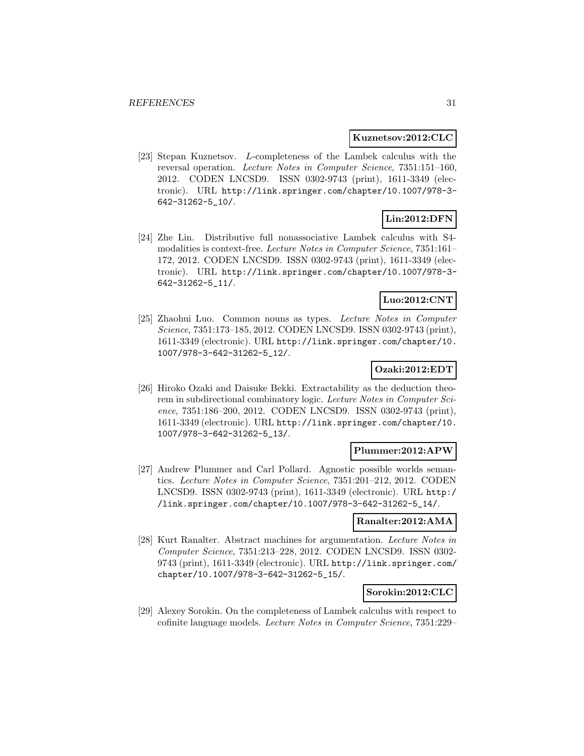#### **Kuznetsov:2012:CLC**

[23] Stepan Kuznetsov. L-completeness of the Lambek calculus with the reversal operation. Lecture Notes in Computer Science, 7351:151–160, 2012. CODEN LNCSD9. ISSN 0302-9743 (print), 1611-3349 (electronic). URL http://link.springer.com/chapter/10.1007/978-3- 642-31262-5\_10/.

# **Lin:2012:DFN**

[24] Zhe Lin. Distributive full nonassociative Lambek calculus with S4 modalities is context-free. Lecture Notes in Computer Science, 7351:161– 172, 2012. CODEN LNCSD9. ISSN 0302-9743 (print), 1611-3349 (electronic). URL http://link.springer.com/chapter/10.1007/978-3- 642-31262-5\_11/.

# **Luo:2012:CNT**

[25] Zhaohui Luo. Common nouns as types. Lecture Notes in Computer Science, 7351:173–185, 2012. CODEN LNCSD9. ISSN 0302-9743 (print), 1611-3349 (electronic). URL http://link.springer.com/chapter/10. 1007/978-3-642-31262-5\_12/.

# **Ozaki:2012:EDT**

[26] Hiroko Ozaki and Daisuke Bekki. Extractability as the deduction theorem in subdirectional combinatory logic. Lecture Notes in Computer Science, 7351:186-200, 2012. CODEN LNCSD9. ISSN 0302-9743 (print), 1611-3349 (electronic). URL http://link.springer.com/chapter/10. 1007/978-3-642-31262-5\_13/.

### **Plummer:2012:APW**

[27] Andrew Plummer and Carl Pollard. Agnostic possible worlds semantics. Lecture Notes in Computer Science, 7351:201–212, 2012. CODEN LNCSD9. ISSN 0302-9743 (print), 1611-3349 (electronic). URL http:/ /link.springer.com/chapter/10.1007/978-3-642-31262-5\_14/.

### **Ranalter:2012:AMA**

[28] Kurt Ranalter. Abstract machines for argumentation. Lecture Notes in Computer Science, 7351:213–228, 2012. CODEN LNCSD9. ISSN 0302- 9743 (print), 1611-3349 (electronic). URL http://link.springer.com/ chapter/10.1007/978-3-642-31262-5\_15/.

### **Sorokin:2012:CLC**

[29] Alexey Sorokin. On the completeness of Lambek calculus with respect to cofinite language models. Lecture Notes in Computer Science, 7351:229–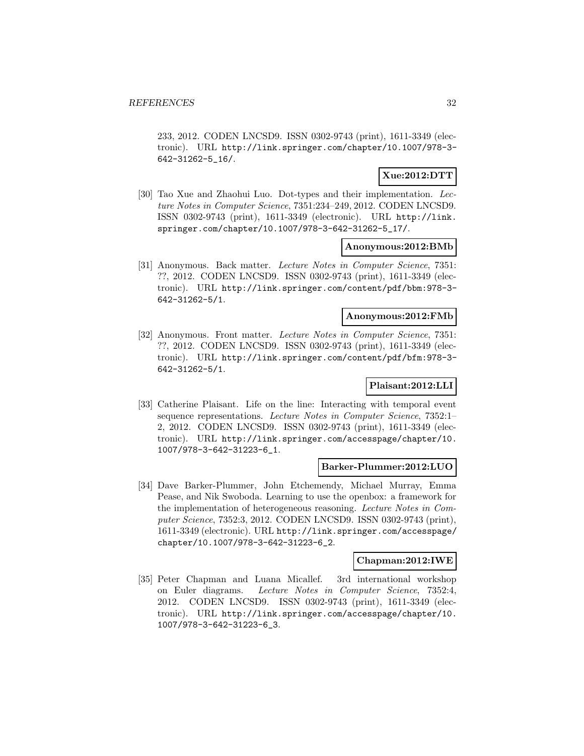233, 2012. CODEN LNCSD9. ISSN 0302-9743 (print), 1611-3349 (electronic). URL http://link.springer.com/chapter/10.1007/978-3- 642-31262-5\_16/.

# **Xue:2012:DTT**

[30] Tao Xue and Zhaohui Luo. Dot-types and their implementation. Lecture Notes in Computer Science, 7351:234–249, 2012. CODEN LNCSD9. ISSN 0302-9743 (print), 1611-3349 (electronic). URL http://link. springer.com/chapter/10.1007/978-3-642-31262-5\_17/.

### **Anonymous:2012:BMb**

[31] Anonymous. Back matter. Lecture Notes in Computer Science, 7351: ??, 2012. CODEN LNCSD9. ISSN 0302-9743 (print), 1611-3349 (electronic). URL http://link.springer.com/content/pdf/bbm:978-3- 642-31262-5/1.

# **Anonymous:2012:FMb**

[32] Anonymous. Front matter. Lecture Notes in Computer Science, 7351: ??, 2012. CODEN LNCSD9. ISSN 0302-9743 (print), 1611-3349 (electronic). URL http://link.springer.com/content/pdf/bfm:978-3- 642-31262-5/1.

# **Plaisant:2012:LLI**

[33] Catherine Plaisant. Life on the line: Interacting with temporal event sequence representations. Lecture Notes in Computer Science, 7352:1– 2, 2012. CODEN LNCSD9. ISSN 0302-9743 (print), 1611-3349 (electronic). URL http://link.springer.com/accesspage/chapter/10. 1007/978-3-642-31223-6\_1.

### **Barker-Plummer:2012:LUO**

[34] Dave Barker-Plummer, John Etchemendy, Michael Murray, Emma Pease, and Nik Swoboda. Learning to use the openbox: a framework for the implementation of heterogeneous reasoning. Lecture Notes in Computer Science, 7352:3, 2012. CODEN LNCSD9. ISSN 0302-9743 (print), 1611-3349 (electronic). URL http://link.springer.com/accesspage/ chapter/10.1007/978-3-642-31223-6\_2.

### **Chapman:2012:IWE**

[35] Peter Chapman and Luana Micallef. 3rd international workshop on Euler diagrams. Lecture Notes in Computer Science, 7352:4, 2012. CODEN LNCSD9. ISSN 0302-9743 (print), 1611-3349 (electronic). URL http://link.springer.com/accesspage/chapter/10. 1007/978-3-642-31223-6\_3.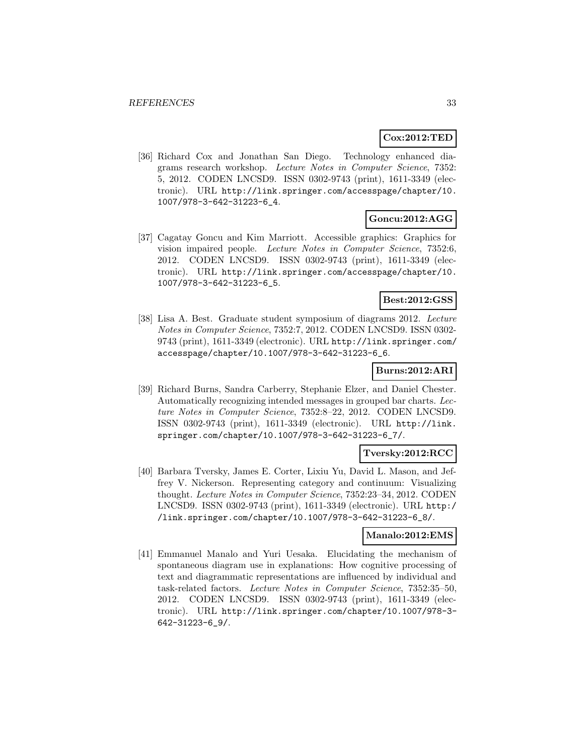# **Cox:2012:TED**

[36] Richard Cox and Jonathan San Diego. Technology enhanced diagrams research workshop. Lecture Notes in Computer Science, 7352: 5, 2012. CODEN LNCSD9. ISSN 0302-9743 (print), 1611-3349 (electronic). URL http://link.springer.com/accesspage/chapter/10. 1007/978-3-642-31223-6\_4.

### **Goncu:2012:AGG**

[37] Cagatay Goncu and Kim Marriott. Accessible graphics: Graphics for vision impaired people. Lecture Notes in Computer Science, 7352:6, 2012. CODEN LNCSD9. ISSN 0302-9743 (print), 1611-3349 (electronic). URL http://link.springer.com/accesspage/chapter/10. 1007/978-3-642-31223-6\_5.

### **Best:2012:GSS**

[38] Lisa A. Best. Graduate student symposium of diagrams 2012. Lecture Notes in Computer Science, 7352:7, 2012. CODEN LNCSD9. ISSN 0302- 9743 (print), 1611-3349 (electronic). URL http://link.springer.com/ accesspage/chapter/10.1007/978-3-642-31223-6\_6.

### **Burns:2012:ARI**

[39] Richard Burns, Sandra Carberry, Stephanie Elzer, and Daniel Chester. Automatically recognizing intended messages in grouped bar charts. Lecture Notes in Computer Science, 7352:8–22, 2012. CODEN LNCSD9. ISSN 0302-9743 (print), 1611-3349 (electronic). URL http://link. springer.com/chapter/10.1007/978-3-642-31223-6\_7/.

# **Tversky:2012:RCC**

[40] Barbara Tversky, James E. Corter, Lixiu Yu, David L. Mason, and Jeffrey V. Nickerson. Representing category and continuum: Visualizing thought. Lecture Notes in Computer Science, 7352:23–34, 2012. CODEN LNCSD9. ISSN 0302-9743 (print), 1611-3349 (electronic). URL http:/ /link.springer.com/chapter/10.1007/978-3-642-31223-6\_8/.

# **Manalo:2012:EMS**

[41] Emmanuel Manalo and Yuri Uesaka. Elucidating the mechanism of spontaneous diagram use in explanations: How cognitive processing of text and diagrammatic representations are influenced by individual and task-related factors. Lecture Notes in Computer Science, 7352:35–50, 2012. CODEN LNCSD9. ISSN 0302-9743 (print), 1611-3349 (electronic). URL http://link.springer.com/chapter/10.1007/978-3- 642-31223-6\_9/.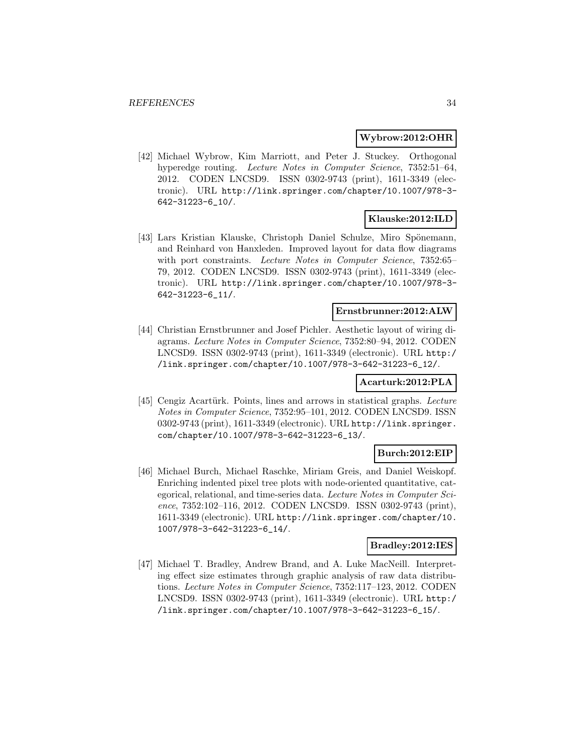#### **Wybrow:2012:OHR**

[42] Michael Wybrow, Kim Marriott, and Peter J. Stuckey. Orthogonal hyperedge routing. Lecture Notes in Computer Science, 7352:51-64, 2012. CODEN LNCSD9. ISSN 0302-9743 (print), 1611-3349 (electronic). URL http://link.springer.com/chapter/10.1007/978-3- 642-31223-6\_10/.

# **Klauske:2012:ILD**

[43] Lars Kristian Klauske, Christoph Daniel Schulze, Miro Spönemann, and Reinhard von Hanxleden. Improved layout for data flow diagrams with port constraints. Lecture Notes in Computer Science, 7352:65– 79, 2012. CODEN LNCSD9. ISSN 0302-9743 (print), 1611-3349 (electronic). URL http://link.springer.com/chapter/10.1007/978-3- 642-31223-6\_11/.

#### **Ernstbrunner:2012:ALW**

[44] Christian Ernstbrunner and Josef Pichler. Aesthetic layout of wiring diagrams. Lecture Notes in Computer Science, 7352:80–94, 2012. CODEN LNCSD9. ISSN 0302-9743 (print), 1611-3349 (electronic). URL http:/ /link.springer.com/chapter/10.1007/978-3-642-31223-6\_12/.

# **Acarturk:2012:PLA**

[45] Cengiz Acartürk. Points, lines and arrows in statistical graphs. Lecture Notes in Computer Science, 7352:95–101, 2012. CODEN LNCSD9. ISSN 0302-9743 (print), 1611-3349 (electronic). URL http://link.springer. com/chapter/10.1007/978-3-642-31223-6\_13/.

### **Burch:2012:EIP**

[46] Michael Burch, Michael Raschke, Miriam Greis, and Daniel Weiskopf. Enriching indented pixel tree plots with node-oriented quantitative, categorical, relational, and time-series data. Lecture Notes in Computer Science, 7352:102–116, 2012. CODEN LNCSD9. ISSN 0302-9743 (print), 1611-3349 (electronic). URL http://link.springer.com/chapter/10. 1007/978-3-642-31223-6\_14/.

### **Bradley:2012:IES**

[47] Michael T. Bradley, Andrew Brand, and A. Luke MacNeill. Interpreting effect size estimates through graphic analysis of raw data distributions. Lecture Notes in Computer Science, 7352:117–123, 2012. CODEN LNCSD9. ISSN 0302-9743 (print), 1611-3349 (electronic). URL http:/ /link.springer.com/chapter/10.1007/978-3-642-31223-6\_15/.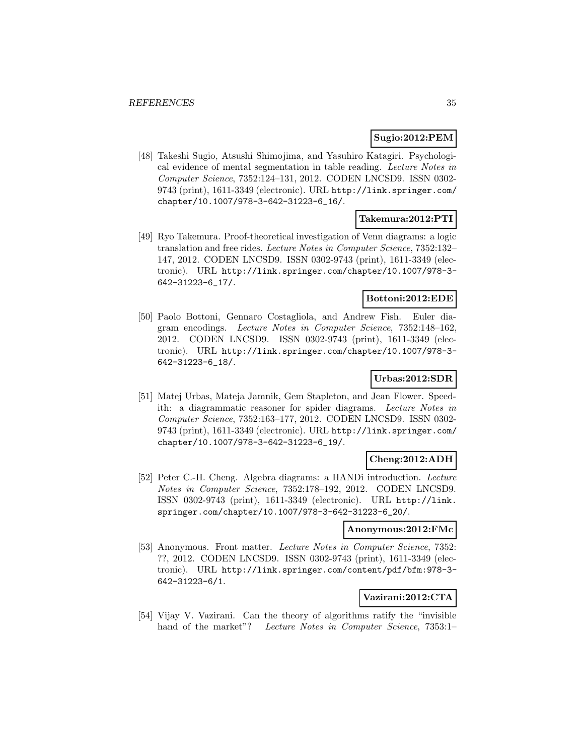# **Sugio:2012:PEM**

[48] Takeshi Sugio, Atsushi Shimojima, and Yasuhiro Katagiri. Psychological evidence of mental segmentation in table reading. Lecture Notes in Computer Science, 7352:124–131, 2012. CODEN LNCSD9. ISSN 0302- 9743 (print), 1611-3349 (electronic). URL http://link.springer.com/ chapter/10.1007/978-3-642-31223-6\_16/.

# **Takemura:2012:PTI**

[49] Ryo Takemura. Proof-theoretical investigation of Venn diagrams: a logic translation and free rides. Lecture Notes in Computer Science, 7352:132– 147, 2012. CODEN LNCSD9. ISSN 0302-9743 (print), 1611-3349 (electronic). URL http://link.springer.com/chapter/10.1007/978-3- 642-31223-6\_17/.

# **Bottoni:2012:EDE**

[50] Paolo Bottoni, Gennaro Costagliola, and Andrew Fish. Euler diagram encodings. Lecture Notes in Computer Science, 7352:148–162, 2012. CODEN LNCSD9. ISSN 0302-9743 (print), 1611-3349 (electronic). URL http://link.springer.com/chapter/10.1007/978-3- 642-31223-6\_18/.

# **Urbas:2012:SDR**

[51] Matej Urbas, Mateja Jamnik, Gem Stapleton, and Jean Flower. Speedith: a diagrammatic reasoner for spider diagrams. Lecture Notes in Computer Science, 7352:163–177, 2012. CODEN LNCSD9. ISSN 0302- 9743 (print), 1611-3349 (electronic). URL http://link.springer.com/ chapter/10.1007/978-3-642-31223-6\_19/.

# **Cheng:2012:ADH**

[52] Peter C.-H. Cheng. Algebra diagrams: a HANDi introduction. Lecture Notes in Computer Science, 7352:178–192, 2012. CODEN LNCSD9. ISSN 0302-9743 (print), 1611-3349 (electronic). URL http://link. springer.com/chapter/10.1007/978-3-642-31223-6\_20/.

### **Anonymous:2012:FMc**

[53] Anonymous. Front matter. Lecture Notes in Computer Science, 7352: ??, 2012. CODEN LNCSD9. ISSN 0302-9743 (print), 1611-3349 (electronic). URL http://link.springer.com/content/pdf/bfm:978-3- 642-31223-6/1.

# **Vazirani:2012:CTA**

[54] Vijay V. Vazirani. Can the theory of algorithms ratify the "invisible hand of the market"? Lecture Notes in Computer Science, 7353:1–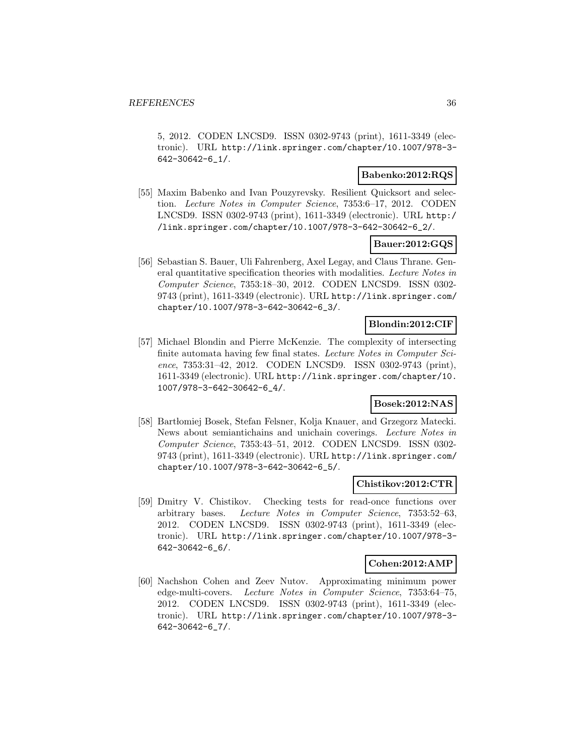5, 2012. CODEN LNCSD9. ISSN 0302-9743 (print), 1611-3349 (electronic). URL http://link.springer.com/chapter/10.1007/978-3- 642-30642-6\_1/.

# **Babenko:2012:RQS**

[55] Maxim Babenko and Ivan Pouzyrevsky. Resilient Quicksort and selection. Lecture Notes in Computer Science, 7353:6–17, 2012. CODEN LNCSD9. ISSN 0302-9743 (print), 1611-3349 (electronic). URL http:/ /link.springer.com/chapter/10.1007/978-3-642-30642-6\_2/.

### **Bauer:2012:GQS**

[56] Sebastian S. Bauer, Uli Fahrenberg, Axel Legay, and Claus Thrane. General quantitative specification theories with modalities. Lecture Notes in Computer Science, 7353:18–30, 2012. CODEN LNCSD9. ISSN 0302- 9743 (print), 1611-3349 (electronic). URL http://link.springer.com/ chapter/10.1007/978-3-642-30642-6\_3/.

### **Blondin:2012:CIF**

[57] Michael Blondin and Pierre McKenzie. The complexity of intersecting finite automata having few final states. Lecture Notes in Computer Science, 7353:31–42, 2012. CODEN LNCSD9. ISSN 0302-9743 (print), 1611-3349 (electronic). URL http://link.springer.com/chapter/10. 1007/978-3-642-30642-6\_4/.

# **Bosek:2012:NAS**

[58] Bart lomiej Bosek, Stefan Felsner, Kolja Knauer, and Grzegorz Matecki. News about semiantichains and unichain coverings. Lecture Notes in Computer Science, 7353:43–51, 2012. CODEN LNCSD9. ISSN 0302- 9743 (print), 1611-3349 (electronic). URL http://link.springer.com/ chapter/10.1007/978-3-642-30642-6\_5/.

### **Chistikov:2012:CTR**

[59] Dmitry V. Chistikov. Checking tests for read-once functions over arbitrary bases. Lecture Notes in Computer Science, 7353:52–63, 2012. CODEN LNCSD9. ISSN 0302-9743 (print), 1611-3349 (electronic). URL http://link.springer.com/chapter/10.1007/978-3- 642-30642-6\_6/.

### **Cohen:2012:AMP**

[60] Nachshon Cohen and Zeev Nutov. Approximating minimum power edge-multi-covers. Lecture Notes in Computer Science, 7353:64–75, 2012. CODEN LNCSD9. ISSN 0302-9743 (print), 1611-3349 (electronic). URL http://link.springer.com/chapter/10.1007/978-3- 642-30642-6\_7/.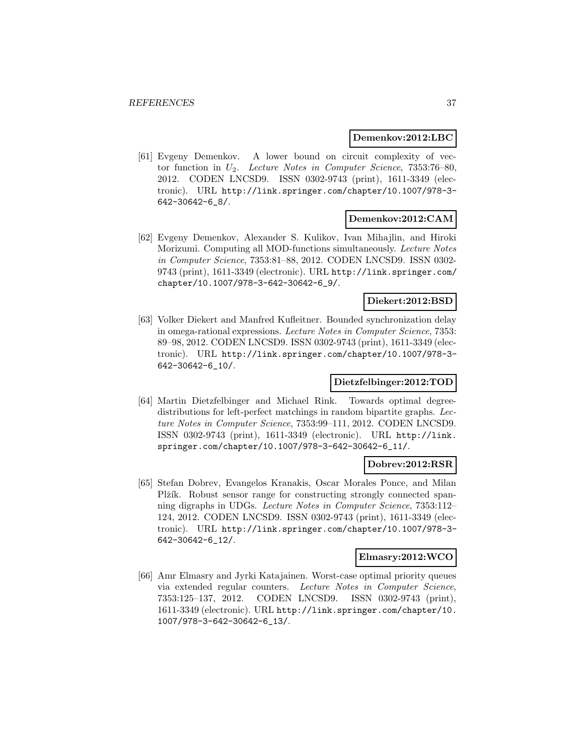#### **Demenkov:2012:LBC**

[61] Evgeny Demenkov. A lower bound on circuit complexity of vector function in  $U_2$ . Lecture Notes in Computer Science, 7353:76-80, 2012. CODEN LNCSD9. ISSN 0302-9743 (print), 1611-3349 (electronic). URL http://link.springer.com/chapter/10.1007/978-3- 642-30642-6\_8/.

### **Demenkov:2012:CAM**

[62] Evgeny Demenkov, Alexander S. Kulikov, Ivan Mihajlin, and Hiroki Morizumi. Computing all MOD-functions simultaneously. Lecture Notes in Computer Science, 7353:81–88, 2012. CODEN LNCSD9. ISSN 0302- 9743 (print), 1611-3349 (electronic). URL http://link.springer.com/ chapter/10.1007/978-3-642-30642-6\_9/.

### **Diekert:2012:BSD**

[63] Volker Diekert and Manfred Kufleitner. Bounded synchronization delay in omega-rational expressions. Lecture Notes in Computer Science, 7353: 89–98, 2012. CODEN LNCSD9. ISSN 0302-9743 (print), 1611-3349 (electronic). URL http://link.springer.com/chapter/10.1007/978-3- 642-30642-6\_10/.

### **Dietzfelbinger:2012:TOD**

[64] Martin Dietzfelbinger and Michael Rink. Towards optimal degreedistributions for left-perfect matchings in random bipartite graphs. Lecture Notes in Computer Science, 7353:99–111, 2012. CODEN LNCSD9. ISSN 0302-9743 (print), 1611-3349 (electronic). URL http://link. springer.com/chapter/10.1007/978-3-642-30642-6\_11/.

### **Dobrev:2012:RSR**

[65] Stefan Dobrev, Evangelos Kranakis, Oscar Morales Ponce, and Milan Plžík. Robust sensor range for constructing strongly connected spanning digraphs in UDGs. Lecture Notes in Computer Science, 7353:112– 124, 2012. CODEN LNCSD9. ISSN 0302-9743 (print), 1611-3349 (electronic). URL http://link.springer.com/chapter/10.1007/978-3- 642-30642-6\_12/.

#### **Elmasry:2012:WCO**

[66] Amr Elmasry and Jyrki Katajainen. Worst-case optimal priority queues via extended regular counters. Lecture Notes in Computer Science, 7353:125–137, 2012. CODEN LNCSD9. ISSN 0302-9743 (print), 1611-3349 (electronic). URL http://link.springer.com/chapter/10. 1007/978-3-642-30642-6\_13/.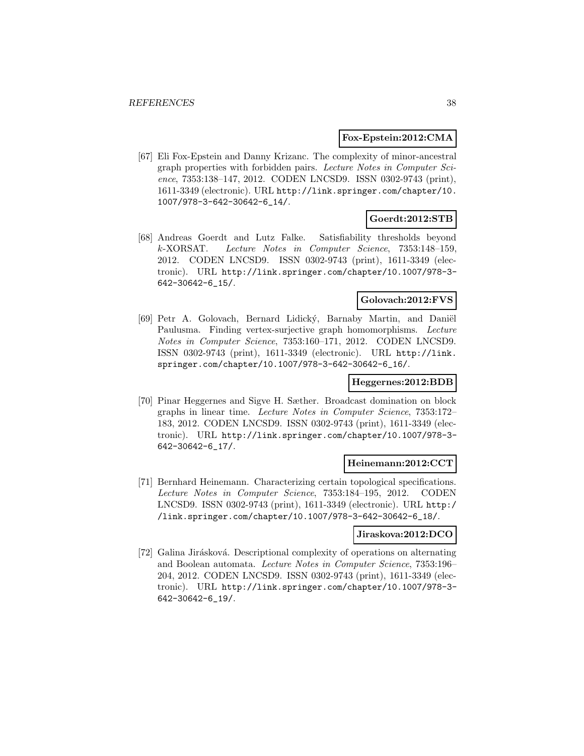### **Fox-Epstein:2012:CMA**

[67] Eli Fox-Epstein and Danny Krizanc. The complexity of minor-ancestral graph properties with forbidden pairs. Lecture Notes in Computer Science, 7353:138–147, 2012. CODEN LNCSD9. ISSN 0302-9743 (print), 1611-3349 (electronic). URL http://link.springer.com/chapter/10. 1007/978-3-642-30642-6\_14/.

### **Goerdt:2012:STB**

[68] Andreas Goerdt and Lutz Falke. Satisfiability thresholds beyond k-XORSAT. Lecture Notes in Computer Science, 7353:148–159, 2012. CODEN LNCSD9. ISSN 0302-9743 (print), 1611-3349 (electronic). URL http://link.springer.com/chapter/10.1007/978-3- 642-30642-6\_15/.

### **Golovach:2012:FVS**

[69] Petr A. Golovach, Bernard Lidický, Barnaby Martin, and Daniël Paulusma. Finding vertex-surjective graph homomorphisms. Lecture Notes in Computer Science, 7353:160–171, 2012. CODEN LNCSD9. ISSN 0302-9743 (print), 1611-3349 (electronic). URL http://link. springer.com/chapter/10.1007/978-3-642-30642-6\_16/.

### **Heggernes:2012:BDB**

[70] Pinar Heggernes and Sigve H. Sæther. Broadcast domination on block graphs in linear time. Lecture Notes in Computer Science, 7353:172– 183, 2012. CODEN LNCSD9. ISSN 0302-9743 (print), 1611-3349 (electronic). URL http://link.springer.com/chapter/10.1007/978-3- 642-30642-6\_17/.

### **Heinemann:2012:CCT**

[71] Bernhard Heinemann. Characterizing certain topological specifications. Lecture Notes in Computer Science, 7353:184–195, 2012. CODEN LNCSD9. ISSN 0302-9743 (print), 1611-3349 (electronic). URL http:/ /link.springer.com/chapter/10.1007/978-3-642-30642-6\_18/.

### **Jiraskova:2012:DCO**

[72] Galina Jirásková. Descriptional complexity of operations on alternating and Boolean automata. Lecture Notes in Computer Science, 7353:196– 204, 2012. CODEN LNCSD9. ISSN 0302-9743 (print), 1611-3349 (electronic). URL http://link.springer.com/chapter/10.1007/978-3- 642-30642-6\_19/.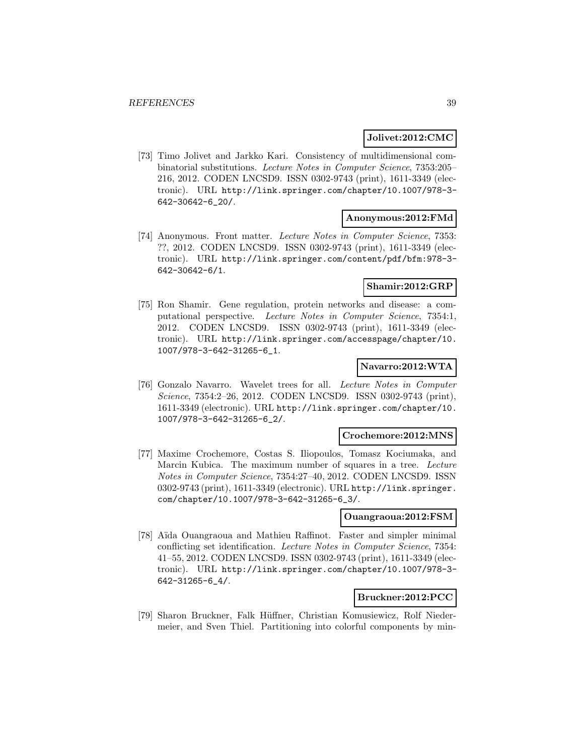### **Jolivet:2012:CMC**

[73] Timo Jolivet and Jarkko Kari. Consistency of multidimensional combinatorial substitutions. Lecture Notes in Computer Science, 7353:205– 216, 2012. CODEN LNCSD9. ISSN 0302-9743 (print), 1611-3349 (electronic). URL http://link.springer.com/chapter/10.1007/978-3- 642-30642-6\_20/.

### **Anonymous:2012:FMd**

[74] Anonymous. Front matter. Lecture Notes in Computer Science, 7353: ??, 2012. CODEN LNCSD9. ISSN 0302-9743 (print), 1611-3349 (electronic). URL http://link.springer.com/content/pdf/bfm:978-3- 642-30642-6/1.

### **Shamir:2012:GRP**

[75] Ron Shamir. Gene regulation, protein networks and disease: a computational perspective. Lecture Notes in Computer Science, 7354:1, 2012. CODEN LNCSD9. ISSN 0302-9743 (print), 1611-3349 (electronic). URL http://link.springer.com/accesspage/chapter/10. 1007/978-3-642-31265-6\_1.

### **Navarro:2012:WTA**

[76] Gonzalo Navarro. Wavelet trees for all. Lecture Notes in Computer Science, 7354:2-26, 2012. CODEN LNCSD9. ISSN 0302-9743 (print), 1611-3349 (electronic). URL http://link.springer.com/chapter/10. 1007/978-3-642-31265-6\_2/.

#### **Crochemore:2012:MNS**

[77] Maxime Crochemore, Costas S. Iliopoulos, Tomasz Kociumaka, and Marcin Kubica. The maximum number of squares in a tree. Lecture Notes in Computer Science, 7354:27–40, 2012. CODEN LNCSD9. ISSN 0302-9743 (print), 1611-3349 (electronic). URL http://link.springer. com/chapter/10.1007/978-3-642-31265-6\_3/.

#### **Ouangraoua:2012:FSM**

[78] Aïda Ouangraoua and Mathieu Raffinot. Faster and simpler minimal conflicting set identification. Lecture Notes in Computer Science, 7354: 41–55, 2012. CODEN LNCSD9. ISSN 0302-9743 (print), 1611-3349 (electronic). URL http://link.springer.com/chapter/10.1007/978-3- 642-31265-6\_4/.

### **Bruckner:2012:PCC**

[79] Sharon Bruckner, Falk Hüffner, Christian Komusiewicz, Rolf Niedermeier, and Sven Thiel. Partitioning into colorful components by min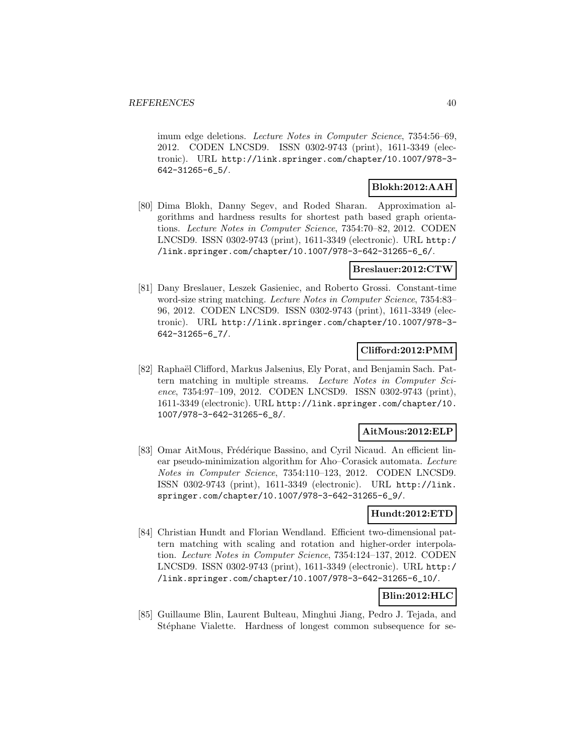imum edge deletions. Lecture Notes in Computer Science, 7354:56-69, 2012. CODEN LNCSD9. ISSN 0302-9743 (print), 1611-3349 (electronic). URL http://link.springer.com/chapter/10.1007/978-3- 642-31265-6\_5/.

### **Blokh:2012:AAH**

[80] Dima Blokh, Danny Segev, and Roded Sharan. Approximation algorithms and hardness results for shortest path based graph orientations. Lecture Notes in Computer Science, 7354:70–82, 2012. CODEN LNCSD9. ISSN 0302-9743 (print), 1611-3349 (electronic). URL http:/ /link.springer.com/chapter/10.1007/978-3-642-31265-6\_6/.

### **Breslauer:2012:CTW**

[81] Dany Breslauer, Leszek Gasieniec, and Roberto Grossi. Constant-time word-size string matching. Lecture Notes in Computer Science, 7354:83– 96, 2012. CODEN LNCSD9. ISSN 0302-9743 (print), 1611-3349 (electronic). URL http://link.springer.com/chapter/10.1007/978-3- 642-31265-6\_7/.

### **Clifford:2012:PMM**

[82] Raphaël Clifford, Markus Jalsenius, Ely Porat, and Benjamin Sach. Pattern matching in multiple streams. Lecture Notes in Computer Science, 7354:97–109, 2012. CODEN LNCSD9. ISSN 0302-9743 (print), 1611-3349 (electronic). URL http://link.springer.com/chapter/10. 1007/978-3-642-31265-6\_8/.

### **AitMous:2012:ELP**

[83] Omar AitMous, Frédérique Bassino, and Cyril Nicaud. An efficient linear pseudo-minimization algorithm for Aho–Corasick automata. Lecture Notes in Computer Science, 7354:110–123, 2012. CODEN LNCSD9. ISSN 0302-9743 (print), 1611-3349 (electronic). URL http://link. springer.com/chapter/10.1007/978-3-642-31265-6\_9/.

### **Hundt:2012:ETD**

[84] Christian Hundt and Florian Wendland. Efficient two-dimensional pattern matching with scaling and rotation and higher-order interpolation. Lecture Notes in Computer Science, 7354:124–137, 2012. CODEN LNCSD9. ISSN 0302-9743 (print), 1611-3349 (electronic). URL http:/ /link.springer.com/chapter/10.1007/978-3-642-31265-6\_10/.

# **Blin:2012:HLC**

[85] Guillaume Blin, Laurent Bulteau, Minghui Jiang, Pedro J. Tejada, and Stéphane Vialette. Hardness of longest common subsequence for se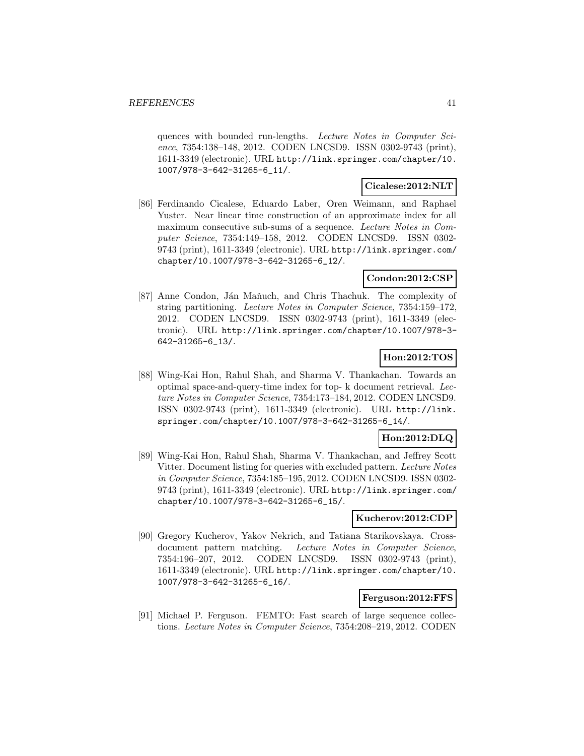quences with bounded run-lengths. Lecture Notes in Computer Science, 7354:138–148, 2012. CODEN LNCSD9. ISSN 0302-9743 (print), 1611-3349 (electronic). URL http://link.springer.com/chapter/10. 1007/978-3-642-31265-6\_11/.

### **Cicalese:2012:NLT**

[86] Ferdinando Cicalese, Eduardo Laber, Oren Weimann, and Raphael Yuster. Near linear time construction of an approximate index for all maximum consecutive sub-sums of a sequence. Lecture Notes in Computer Science, 7354:149–158, 2012. CODEN LNCSD9. ISSN 0302- 9743 (print), 1611-3349 (electronic). URL http://link.springer.com/ chapter/10.1007/978-3-642-31265-6\_12/.

### **Condon:2012:CSP**

[87] Anne Condon, Ján Maňuch, and Chris Thachuk. The complexity of string partitioning. Lecture Notes in Computer Science, 7354:159–172, 2012. CODEN LNCSD9. ISSN 0302-9743 (print), 1611-3349 (electronic). URL http://link.springer.com/chapter/10.1007/978-3- 642-31265-6\_13/.

### **Hon:2012:TOS**

[88] Wing-Kai Hon, Rahul Shah, and Sharma V. Thankachan. Towards an optimal space-and-query-time index for top- k document retrieval. Lecture Notes in Computer Science, 7354:173–184, 2012. CODEN LNCSD9. ISSN 0302-9743 (print), 1611-3349 (electronic). URL http://link. springer.com/chapter/10.1007/978-3-642-31265-6\_14/.

### **Hon:2012:DLQ**

[89] Wing-Kai Hon, Rahul Shah, Sharma V. Thankachan, and Jeffrey Scott Vitter. Document listing for queries with excluded pattern. Lecture Notes in Computer Science, 7354:185–195, 2012. CODEN LNCSD9. ISSN 0302- 9743 (print), 1611-3349 (electronic). URL http://link.springer.com/ chapter/10.1007/978-3-642-31265-6\_15/.

### **Kucherov:2012:CDP**

[90] Gregory Kucherov, Yakov Nekrich, and Tatiana Starikovskaya. Crossdocument pattern matching. Lecture Notes in Computer Science, 7354:196–207, 2012. CODEN LNCSD9. ISSN 0302-9743 (print), 1611-3349 (electronic). URL http://link.springer.com/chapter/10. 1007/978-3-642-31265-6\_16/.

### **Ferguson:2012:FFS**

[91] Michael P. Ferguson. FEMTO: Fast search of large sequence collections. Lecture Notes in Computer Science, 7354:208–219, 2012. CODEN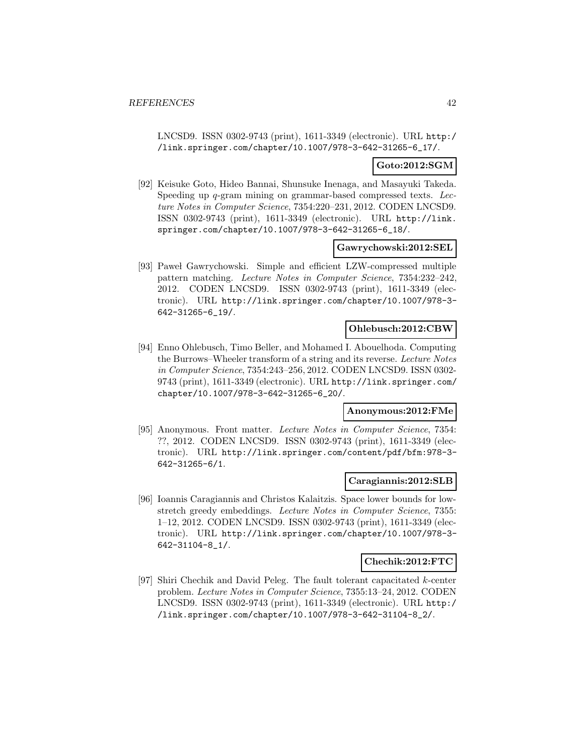LNCSD9. ISSN 0302-9743 (print), 1611-3349 (electronic). URL http:/ /link.springer.com/chapter/10.1007/978-3-642-31265-6\_17/.

### **Goto:2012:SGM**

[92] Keisuke Goto, Hideo Bannai, Shunsuke Inenaga, and Masayuki Takeda. Speeding up q-gram mining on grammar-based compressed texts. Lecture Notes in Computer Science, 7354:220–231, 2012. CODEN LNCSD9. ISSN 0302-9743 (print), 1611-3349 (electronic). URL http://link. springer.com/chapter/10.1007/978-3-642-31265-6\_18/.

### **Gawrychowski:2012:SEL**

[93] Pawel Gawrychowski. Simple and efficient LZW-compressed multiple pattern matching. Lecture Notes in Computer Science, 7354:232–242, 2012. CODEN LNCSD9. ISSN 0302-9743 (print), 1611-3349 (electronic). URL http://link.springer.com/chapter/10.1007/978-3- 642-31265-6\_19/.

### **Ohlebusch:2012:CBW**

[94] Enno Ohlebusch, Timo Beller, and Mohamed I. Abouelhoda. Computing the Burrows–Wheeler transform of a string and its reverse. Lecture Notes in Computer Science, 7354:243–256, 2012. CODEN LNCSD9. ISSN 0302- 9743 (print), 1611-3349 (electronic). URL http://link.springer.com/ chapter/10.1007/978-3-642-31265-6\_20/.

#### **Anonymous:2012:FMe**

[95] Anonymous. Front matter. Lecture Notes in Computer Science, 7354: ??, 2012. CODEN LNCSD9. ISSN 0302-9743 (print), 1611-3349 (electronic). URL http://link.springer.com/content/pdf/bfm:978-3- 642-31265-6/1.

### **Caragiannis:2012:SLB**

[96] Ioannis Caragiannis and Christos Kalaitzis. Space lower bounds for lowstretch greedy embeddings. Lecture Notes in Computer Science, 7355: 1–12, 2012. CODEN LNCSD9. ISSN 0302-9743 (print), 1611-3349 (electronic). URL http://link.springer.com/chapter/10.1007/978-3- 642-31104-8\_1/.

#### **Chechik:2012:FTC**

[97] Shiri Chechik and David Peleg. The fault tolerant capacitated k-center problem. Lecture Notes in Computer Science, 7355:13–24, 2012. CODEN LNCSD9. ISSN 0302-9743 (print), 1611-3349 (electronic). URL http:/ /link.springer.com/chapter/10.1007/978-3-642-31104-8\_2/.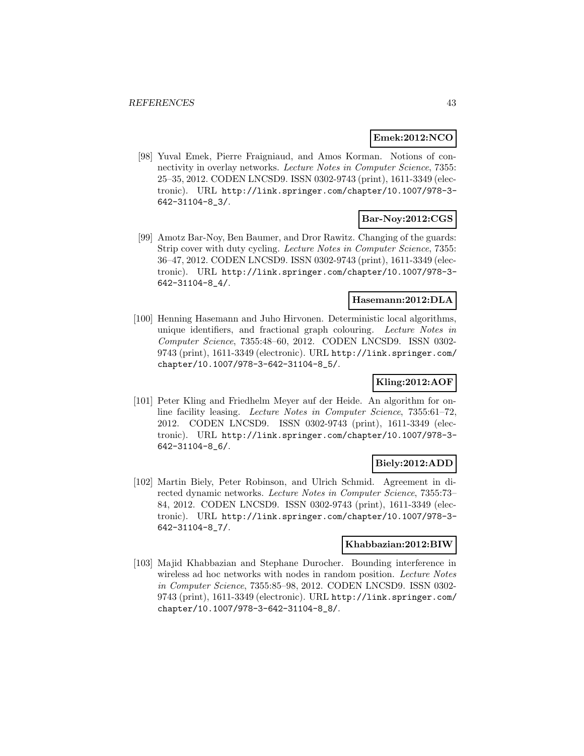### **Emek:2012:NCO**

[98] Yuval Emek, Pierre Fraigniaud, and Amos Korman. Notions of connectivity in overlay networks. Lecture Notes in Computer Science, 7355: 25–35, 2012. CODEN LNCSD9. ISSN 0302-9743 (print), 1611-3349 (electronic). URL http://link.springer.com/chapter/10.1007/978-3- 642-31104-8\_3/.

### **Bar-Noy:2012:CGS**

[99] Amotz Bar-Noy, Ben Baumer, and Dror Rawitz. Changing of the guards: Strip cover with duty cycling. Lecture Notes in Computer Science, 7355: 36–47, 2012. CODEN LNCSD9. ISSN 0302-9743 (print), 1611-3349 (electronic). URL http://link.springer.com/chapter/10.1007/978-3- 642-31104-8\_4/.

### **Hasemann:2012:DLA**

[100] Henning Hasemann and Juho Hirvonen. Deterministic local algorithms, unique identifiers, and fractional graph colouring. Lecture Notes in Computer Science, 7355:48–60, 2012. CODEN LNCSD9. ISSN 0302- 9743 (print), 1611-3349 (electronic). URL http://link.springer.com/ chapter/10.1007/978-3-642-31104-8\_5/.

### **Kling:2012:AOF**

[101] Peter Kling and Friedhelm Meyer auf der Heide. An algorithm for online facility leasing. Lecture Notes in Computer Science, 7355:61–72, 2012. CODEN LNCSD9. ISSN 0302-9743 (print), 1611-3349 (electronic). URL http://link.springer.com/chapter/10.1007/978-3- 642-31104-8\_6/.

### **Biely:2012:ADD**

[102] Martin Biely, Peter Robinson, and Ulrich Schmid. Agreement in directed dynamic networks. Lecture Notes in Computer Science, 7355:73– 84, 2012. CODEN LNCSD9. ISSN 0302-9743 (print), 1611-3349 (electronic). URL http://link.springer.com/chapter/10.1007/978-3- 642-31104-8\_7/.

### **Khabbazian:2012:BIW**

[103] Majid Khabbazian and Stephane Durocher. Bounding interference in wireless ad hoc networks with nodes in random position. Lecture Notes in Computer Science, 7355:85–98, 2012. CODEN LNCSD9. ISSN 0302- 9743 (print), 1611-3349 (electronic). URL http://link.springer.com/ chapter/10.1007/978-3-642-31104-8\_8/.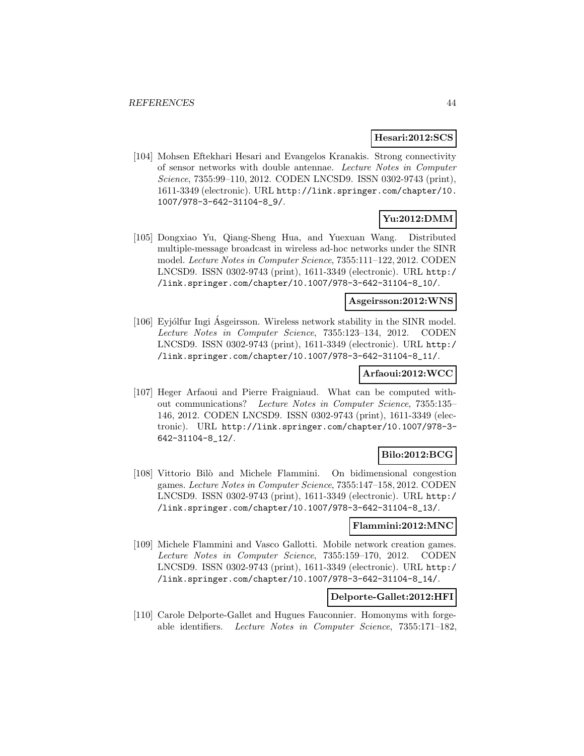### **Hesari:2012:SCS**

[104] Mohsen Eftekhari Hesari and Evangelos Kranakis. Strong connectivity of sensor networks with double antennae. Lecture Notes in Computer Science, 7355:99–110, 2012. CODEN LNCSD9. ISSN 0302-9743 (print), 1611-3349 (electronic). URL http://link.springer.com/chapter/10. 1007/978-3-642-31104-8\_9/.

# **Yu:2012:DMM**

[105] Dongxiao Yu, Qiang-Sheng Hua, and Yuexuan Wang. Distributed multiple-message broadcast in wireless ad-hoc networks under the SINR model. Lecture Notes in Computer Science, 7355:111–122, 2012. CODEN LNCSD9. ISSN 0302-9743 (print), 1611-3349 (electronic). URL http:/ /link.springer.com/chapter/10.1007/978-3-642-31104-8\_10/.

### **Asgeirsson:2012:WNS**

[106] Eyjólfur Ingi Asgeirsson. Wireless network stability in the SINR model. Lecture Notes in Computer Science, 7355:123–134, 2012. CODEN LNCSD9. ISSN 0302-9743 (print), 1611-3349 (electronic). URL http:/ /link.springer.com/chapter/10.1007/978-3-642-31104-8\_11/.

### **Arfaoui:2012:WCC**

[107] Heger Arfaoui and Pierre Fraigniaud. What can be computed without communications? Lecture Notes in Computer Science, 7355:135– 146, 2012. CODEN LNCSD9. ISSN 0302-9743 (print), 1611-3349 (electronic). URL http://link.springer.com/chapter/10.1007/978-3- 642-31104-8\_12/.

# **Bilo:2012:BCG**

[108] Vittorio Bil`o and Michele Flammini. On bidimensional congestion games. Lecture Notes in Computer Science, 7355:147–158, 2012. CODEN LNCSD9. ISSN 0302-9743 (print), 1611-3349 (electronic). URL http:/ /link.springer.com/chapter/10.1007/978-3-642-31104-8\_13/.

### **Flammini:2012:MNC**

[109] Michele Flammini and Vasco Gallotti. Mobile network creation games. Lecture Notes in Computer Science, 7355:159–170, 2012. CODEN LNCSD9. ISSN 0302-9743 (print), 1611-3349 (electronic). URL http:/ /link.springer.com/chapter/10.1007/978-3-642-31104-8\_14/.

### **Delporte-Gallet:2012:HFI**

[110] Carole Delporte-Gallet and Hugues Fauconnier. Homonyms with forgeable identifiers. Lecture Notes in Computer Science, 7355:171–182,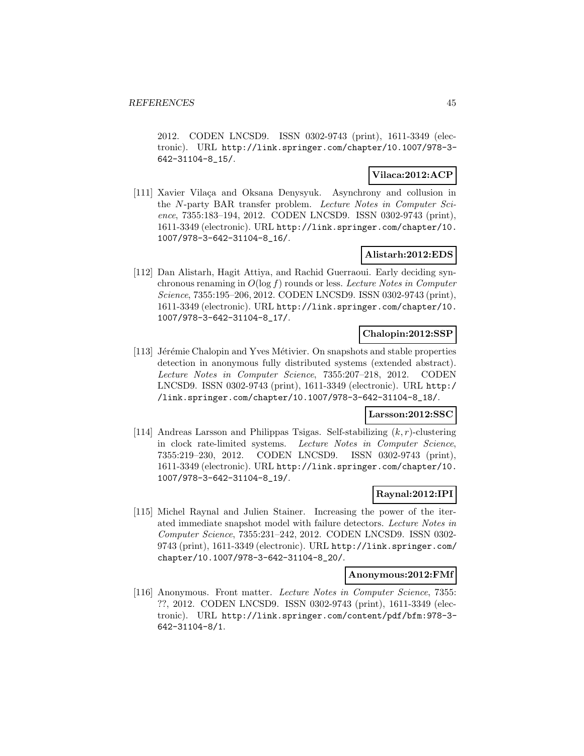2012. CODEN LNCSD9. ISSN 0302-9743 (print), 1611-3349 (electronic). URL http://link.springer.com/chapter/10.1007/978-3- 642-31104-8\_15/.

# **Vilaca:2012:ACP**

[111] Xavier Vilaça and Oksana Denysyuk. Asynchrony and collusion in the N-party BAR transfer problem. Lecture Notes in Computer Science, 7355:183–194, 2012. CODEN LNCSD9. ISSN 0302-9743 (print), 1611-3349 (electronic). URL http://link.springer.com/chapter/10. 1007/978-3-642-31104-8\_16/.

### **Alistarh:2012:EDS**

[112] Dan Alistarh, Hagit Attiya, and Rachid Guerraoui. Early deciding synchronous renaming in  $O(\log f)$  rounds or less. Lecture Notes in Computer Science, 7355:195–206, 2012. CODEN LNCSD9. ISSN 0302-9743 (print), 1611-3349 (electronic). URL http://link.springer.com/chapter/10. 1007/978-3-642-31104-8\_17/.

### **Chalopin:2012:SSP**

[113] Jérémie Chalopin and Yves Métivier. On snapshots and stable properties detection in anonymous fully distributed systems (extended abstract). Lecture Notes in Computer Science, 7355:207–218, 2012. CODEN LNCSD9. ISSN 0302-9743 (print), 1611-3349 (electronic). URL http:/ /link.springer.com/chapter/10.1007/978-3-642-31104-8\_18/.

### **Larsson:2012:SSC**

[114] Andreas Larsson and Philippas Tsigas. Self-stabilizing  $(k, r)$ -clustering in clock rate-limited systems. Lecture Notes in Computer Science, 7355:219–230, 2012. CODEN LNCSD9. ISSN 0302-9743 (print), 1611-3349 (electronic). URL http://link.springer.com/chapter/10. 1007/978-3-642-31104-8\_19/.

### **Raynal:2012:IPI**

[115] Michel Raynal and Julien Stainer. Increasing the power of the iterated immediate snapshot model with failure detectors. Lecture Notes in Computer Science, 7355:231–242, 2012. CODEN LNCSD9. ISSN 0302- 9743 (print), 1611-3349 (electronic). URL http://link.springer.com/ chapter/10.1007/978-3-642-31104-8\_20/.

#### **Anonymous:2012:FMf**

[116] Anonymous. Front matter. Lecture Notes in Computer Science, 7355: ??, 2012. CODEN LNCSD9. ISSN 0302-9743 (print), 1611-3349 (electronic). URL http://link.springer.com/content/pdf/bfm:978-3- 642-31104-8/1.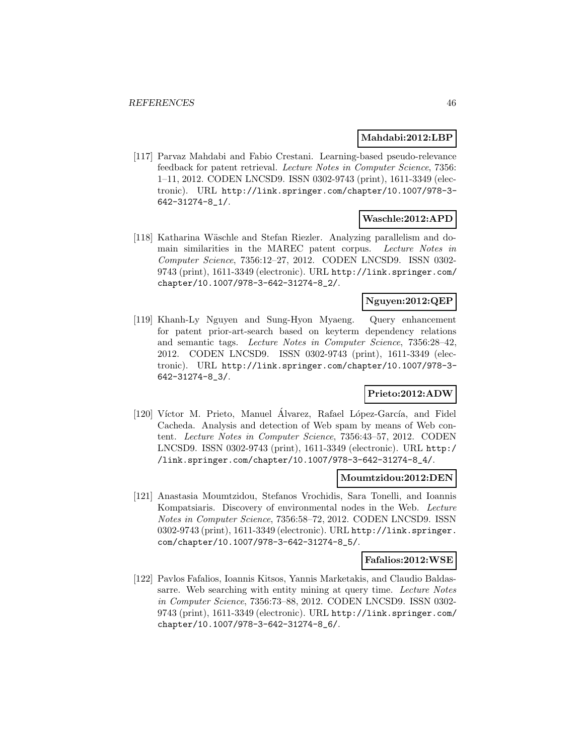### **Mahdabi:2012:LBP**

[117] Parvaz Mahdabi and Fabio Crestani. Learning-based pseudo-relevance feedback for patent retrieval. Lecture Notes in Computer Science, 7356: 1–11, 2012. CODEN LNCSD9. ISSN 0302-9743 (print), 1611-3349 (electronic). URL http://link.springer.com/chapter/10.1007/978-3- 642-31274-8\_1/.

### **Waschle:2012:APD**

[118] Katharina Wäschle and Stefan Riezler. Analyzing parallelism and domain similarities in the MAREC patent corpus. Lecture Notes in Computer Science, 7356:12–27, 2012. CODEN LNCSD9. ISSN 0302- 9743 (print), 1611-3349 (electronic). URL http://link.springer.com/ chapter/10.1007/978-3-642-31274-8\_2/.

### **Nguyen:2012:QEP**

[119] Khanh-Ly Nguyen and Sung-Hyon Myaeng. Query enhancement for patent prior-art-search based on keyterm dependency relations and semantic tags. Lecture Notes in Computer Science, 7356:28–42, 2012. CODEN LNCSD9. ISSN 0302-9743 (print), 1611-3349 (electronic). URL http://link.springer.com/chapter/10.1007/978-3- 642-31274-8\_3/.

# **Prieto:2012:ADW**

[120] Víctor M. Prieto, Manuel Álvarez, Rafael López-García, and Fidel Cacheda. Analysis and detection of Web spam by means of Web content. Lecture Notes in Computer Science, 7356:43–57, 2012. CODEN LNCSD9. ISSN 0302-9743 (print), 1611-3349 (electronic). URL http:/ /link.springer.com/chapter/10.1007/978-3-642-31274-8\_4/.

### **Moumtzidou:2012:DEN**

[121] Anastasia Moumtzidou, Stefanos Vrochidis, Sara Tonelli, and Ioannis Kompatsiaris. Discovery of environmental nodes in the Web. Lecture Notes in Computer Science, 7356:58–72, 2012. CODEN LNCSD9. ISSN 0302-9743 (print), 1611-3349 (electronic). URL http://link.springer. com/chapter/10.1007/978-3-642-31274-8\_5/.

#### **Fafalios:2012:WSE**

[122] Pavlos Fafalios, Ioannis Kitsos, Yannis Marketakis, and Claudio Baldassarre. Web searching with entity mining at query time. Lecture Notes in Computer Science, 7356:73–88, 2012. CODEN LNCSD9. ISSN 0302- 9743 (print), 1611-3349 (electronic). URL http://link.springer.com/ chapter/10.1007/978-3-642-31274-8\_6/.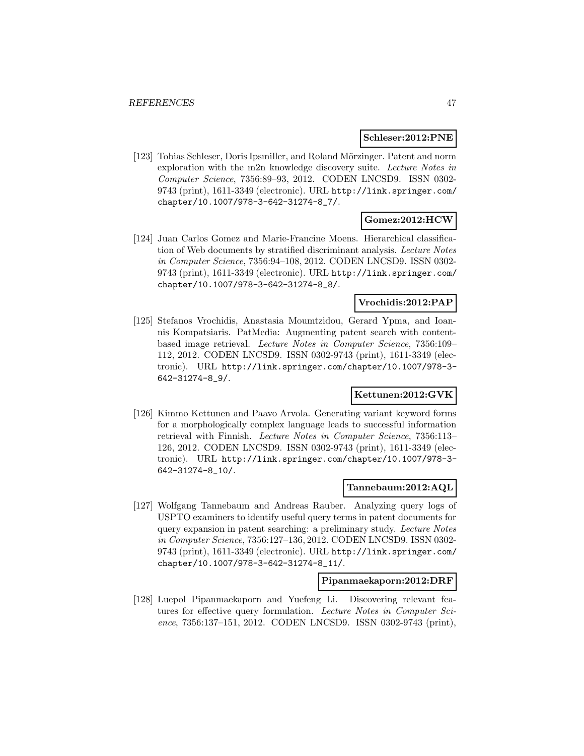#### **Schleser:2012:PNE**

[123] Tobias Schleser, Doris Ipsmiller, and Roland Mörzinger. Patent and norm exploration with the m2n knowledge discovery suite. Lecture Notes in Computer Science, 7356:89–93, 2012. CODEN LNCSD9. ISSN 0302- 9743 (print), 1611-3349 (electronic). URL http://link.springer.com/ chapter/10.1007/978-3-642-31274-8\_7/.

# **Gomez:2012:HCW**

[124] Juan Carlos Gomez and Marie-Francine Moens. Hierarchical classification of Web documents by stratified discriminant analysis. Lecture Notes in Computer Science, 7356:94–108, 2012. CODEN LNCSD9. ISSN 0302- 9743 (print), 1611-3349 (electronic). URL http://link.springer.com/ chapter/10.1007/978-3-642-31274-8\_8/.

### **Vrochidis:2012:PAP**

[125] Stefanos Vrochidis, Anastasia Moumtzidou, Gerard Ypma, and Ioannis Kompatsiaris. PatMedia: Augmenting patent search with contentbased image retrieval. Lecture Notes in Computer Science, 7356:109– 112, 2012. CODEN LNCSD9. ISSN 0302-9743 (print), 1611-3349 (electronic). URL http://link.springer.com/chapter/10.1007/978-3- 642-31274-8\_9/.

### **Kettunen:2012:GVK**

[126] Kimmo Kettunen and Paavo Arvola. Generating variant keyword forms for a morphologically complex language leads to successful information retrieval with Finnish. Lecture Notes in Computer Science, 7356:113– 126, 2012. CODEN LNCSD9. ISSN 0302-9743 (print), 1611-3349 (electronic). URL http://link.springer.com/chapter/10.1007/978-3- 642-31274-8\_10/.

### **Tannebaum:2012:AQL**

[127] Wolfgang Tannebaum and Andreas Rauber. Analyzing query logs of USPTO examiners to identify useful query terms in patent documents for query expansion in patent searching: a preliminary study. Lecture Notes in Computer Science, 7356:127–136, 2012. CODEN LNCSD9. ISSN 0302- 9743 (print), 1611-3349 (electronic). URL http://link.springer.com/ chapter/10.1007/978-3-642-31274-8\_11/.

#### **Pipanmaekaporn:2012:DRF**

[128] Luepol Pipanmaekaporn and Yuefeng Li. Discovering relevant features for effective query formulation. Lecture Notes in Computer Science, 7356:137–151, 2012. CODEN LNCSD9. ISSN 0302-9743 (print),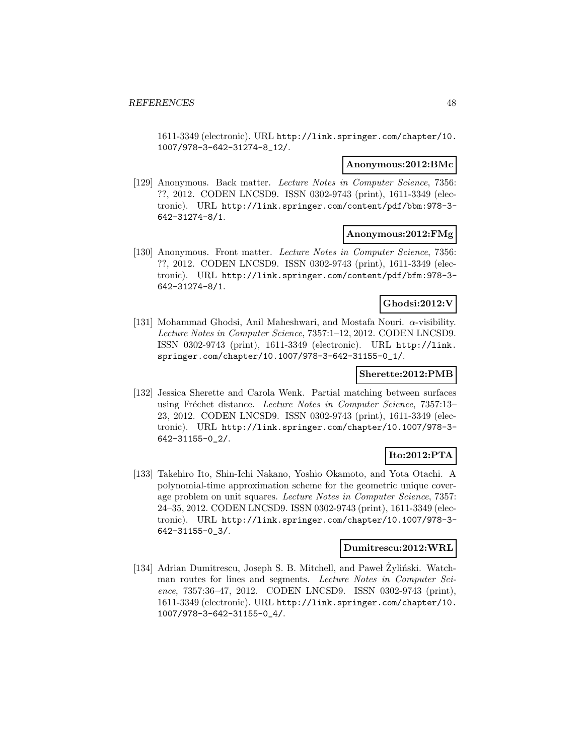1611-3349 (electronic). URL http://link.springer.com/chapter/10. 1007/978-3-642-31274-8\_12/.

#### **Anonymous:2012:BMc**

[129] Anonymous. Back matter. Lecture Notes in Computer Science, 7356: ??, 2012. CODEN LNCSD9. ISSN 0302-9743 (print), 1611-3349 (electronic). URL http://link.springer.com/content/pdf/bbm:978-3- 642-31274-8/1.

#### **Anonymous:2012:FMg**

[130] Anonymous. Front matter. Lecture Notes in Computer Science, 7356: ??, 2012. CODEN LNCSD9. ISSN 0302-9743 (print), 1611-3349 (electronic). URL http://link.springer.com/content/pdf/bfm:978-3- 642-31274-8/1.

### **Ghodsi:2012:V**

[131] Mohammad Ghodsi, Anil Maheshwari, and Mostafa Nouri.  $\alpha$ -visibility. Lecture Notes in Computer Science, 7357:1–12, 2012. CODEN LNCSD9. ISSN 0302-9743 (print), 1611-3349 (electronic). URL http://link. springer.com/chapter/10.1007/978-3-642-31155-0\_1/.

### **Sherette:2012:PMB**

[132] Jessica Sherette and Carola Wenk. Partial matching between surfaces using Fréchet distance. Lecture Notes in Computer Science, 7357:13-23, 2012. CODEN LNCSD9. ISSN 0302-9743 (print), 1611-3349 (electronic). URL http://link.springer.com/chapter/10.1007/978-3- 642-31155-0\_2/.

### **Ito:2012:PTA**

[133] Takehiro Ito, Shin-Ichi Nakano, Yoshio Okamoto, and Yota Otachi. A polynomial-time approximation scheme for the geometric unique coverage problem on unit squares. Lecture Notes in Computer Science, 7357: 24–35, 2012. CODEN LNCSD9. ISSN 0302-9743 (print), 1611-3349 (electronic). URL http://link.springer.com/chapter/10.1007/978-3- 642-31155-0\_3/.

#### **Dumitrescu:2012:WRL**

[134] Adrian Dumitrescu, Joseph S. B. Mitchell, and Paweł Żyliński. Watchman routes for lines and segments. Lecture Notes in Computer Science, 7357:36–47, 2012. CODEN LNCSD9. ISSN 0302-9743 (print), 1611-3349 (electronic). URL http://link.springer.com/chapter/10. 1007/978-3-642-31155-0\_4/.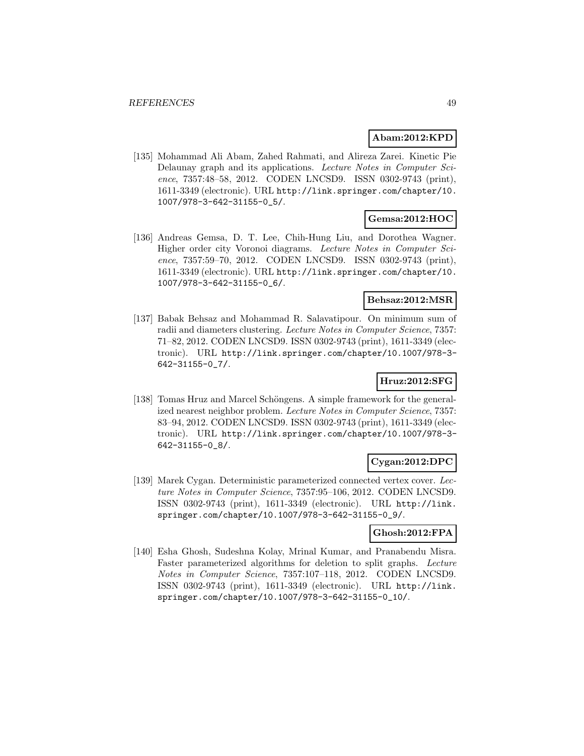### **Abam:2012:KPD**

[135] Mohammad Ali Abam, Zahed Rahmati, and Alireza Zarei. Kinetic Pie Delaunay graph and its applications. Lecture Notes in Computer Science, 7357:48–58, 2012. CODEN LNCSD9. ISSN 0302-9743 (print), 1611-3349 (electronic). URL http://link.springer.com/chapter/10. 1007/978-3-642-31155-0\_5/.

### **Gemsa:2012:HOC**

[136] Andreas Gemsa, D. T. Lee, Chih-Hung Liu, and Dorothea Wagner. Higher order city Voronoi diagrams. Lecture Notes in Computer Science, 7357:59–70, 2012. CODEN LNCSD9. ISSN 0302-9743 (print), 1611-3349 (electronic). URL http://link.springer.com/chapter/10. 1007/978-3-642-31155-0\_6/.

### **Behsaz:2012:MSR**

[137] Babak Behsaz and Mohammad R. Salavatipour. On minimum sum of radii and diameters clustering. Lecture Notes in Computer Science, 7357: 71–82, 2012. CODEN LNCSD9. ISSN 0302-9743 (print), 1611-3349 (electronic). URL http://link.springer.com/chapter/10.1007/978-3- 642-31155-0\_7/.

### **Hruz:2012:SFG**

[138] Tomas Hruz and Marcel Schöngens. A simple framework for the generalized nearest neighbor problem. Lecture Notes in Computer Science, 7357: 83–94, 2012. CODEN LNCSD9. ISSN 0302-9743 (print), 1611-3349 (electronic). URL http://link.springer.com/chapter/10.1007/978-3- 642-31155-0\_8/.

### **Cygan:2012:DPC**

[139] Marek Cygan. Deterministic parameterized connected vertex cover. Lecture Notes in Computer Science, 7357:95–106, 2012. CODEN LNCSD9. ISSN 0302-9743 (print), 1611-3349 (electronic). URL http://link. springer.com/chapter/10.1007/978-3-642-31155-0\_9/.

### **Ghosh:2012:FPA**

[140] Esha Ghosh, Sudeshna Kolay, Mrinal Kumar, and Pranabendu Misra. Faster parameterized algorithms for deletion to split graphs. Lecture Notes in Computer Science, 7357:107–118, 2012. CODEN LNCSD9. ISSN 0302-9743 (print), 1611-3349 (electronic). URL http://link. springer.com/chapter/10.1007/978-3-642-31155-0\_10/.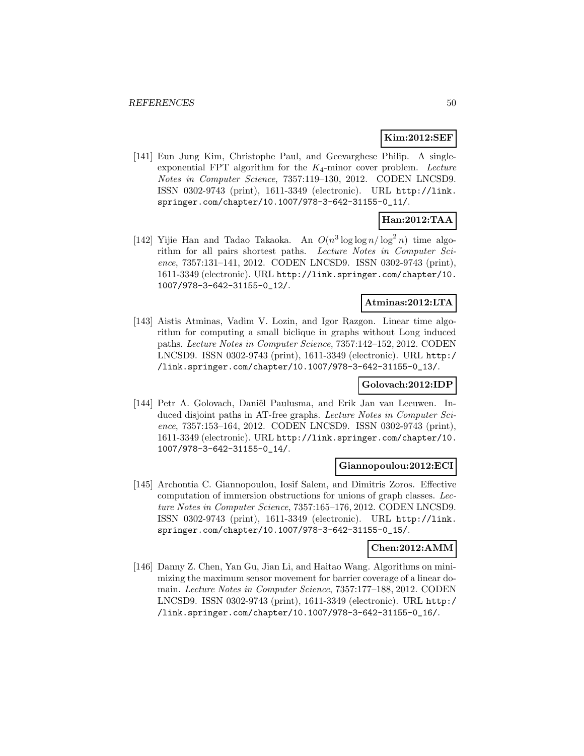# **Kim:2012:SEF**

[141] Eun Jung Kim, Christophe Paul, and Geevarghese Philip. A singleexponential FPT algorithm for the  $K_4$ -minor cover problem. Lecture Notes in Computer Science, 7357:119–130, 2012. CODEN LNCSD9. ISSN 0302-9743 (print), 1611-3349 (electronic). URL http://link. springer.com/chapter/10.1007/978-3-642-31155-0\_11/.

# **Han:2012:TAA**

[142] Yijie Han and Tadao Takaoka. An  $O(n^3 \log \log n / \log^2 n)$  time algorithm for all pairs shortest paths. Lecture Notes in Computer Science, 7357:131–141, 2012. CODEN LNCSD9. ISSN 0302-9743 (print), 1611-3349 (electronic). URL http://link.springer.com/chapter/10. 1007/978-3-642-31155-0\_12/.

### **Atminas:2012:LTA**

[143] Aistis Atminas, Vadim V. Lozin, and Igor Razgon. Linear time algorithm for computing a small biclique in graphs without Long induced paths. Lecture Notes in Computer Science, 7357:142–152, 2012. CODEN LNCSD9. ISSN 0302-9743 (print), 1611-3349 (electronic). URL http:/ /link.springer.com/chapter/10.1007/978-3-642-31155-0\_13/.

### **Golovach:2012:IDP**

[144] Petr A. Golovach, Daniël Paulusma, and Erik Jan van Leeuwen. Induced disjoint paths in AT-free graphs. Lecture Notes in Computer Science, 7357:153–164, 2012. CODEN LNCSD9. ISSN 0302-9743 (print), 1611-3349 (electronic). URL http://link.springer.com/chapter/10. 1007/978-3-642-31155-0\_14/.

### **Giannopoulou:2012:ECI**

[145] Archontia C. Giannopoulou, Iosif Salem, and Dimitris Zoros. Effective computation of immersion obstructions for unions of graph classes. Lecture Notes in Computer Science, 7357:165–176, 2012. CODEN LNCSD9. ISSN 0302-9743 (print), 1611-3349 (electronic). URL http://link. springer.com/chapter/10.1007/978-3-642-31155-0\_15/.

### **Chen:2012:AMM**

[146] Danny Z. Chen, Yan Gu, Jian Li, and Haitao Wang. Algorithms on minimizing the maximum sensor movement for barrier coverage of a linear domain. Lecture Notes in Computer Science, 7357:177–188, 2012. CODEN LNCSD9. ISSN 0302-9743 (print), 1611-3349 (electronic). URL http:/ /link.springer.com/chapter/10.1007/978-3-642-31155-0\_16/.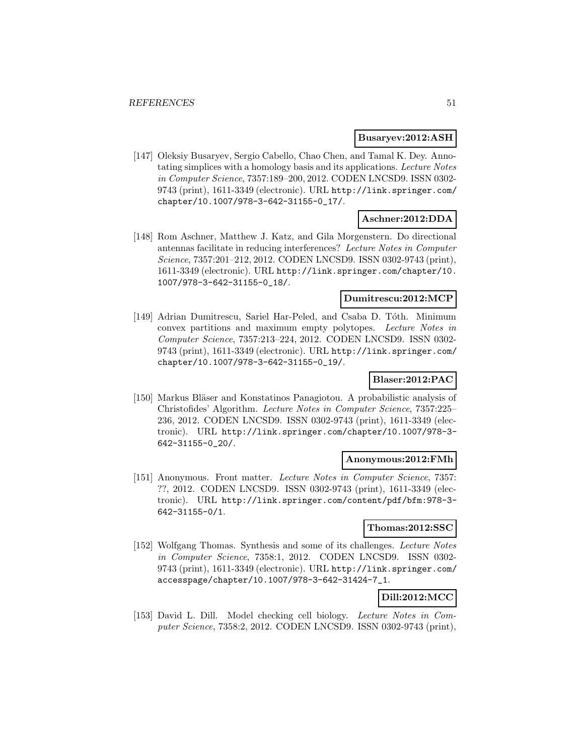#### **Busaryev:2012:ASH**

[147] Oleksiy Busaryev, Sergio Cabello, Chao Chen, and Tamal K. Dey. Annotating simplices with a homology basis and its applications. Lecture Notes in Computer Science, 7357:189–200, 2012. CODEN LNCSD9. ISSN 0302- 9743 (print), 1611-3349 (electronic). URL http://link.springer.com/ chapter/10.1007/978-3-642-31155-0\_17/.

### **Aschner:2012:DDA**

[148] Rom Aschner, Matthew J. Katz, and Gila Morgenstern. Do directional antennas facilitate in reducing interferences? Lecture Notes in Computer Science, 7357:201–212, 2012. CODEN LNCSD9. ISSN 0302-9743 (print), 1611-3349 (electronic). URL http://link.springer.com/chapter/10. 1007/978-3-642-31155-0\_18/.

### **Dumitrescu:2012:MCP**

[149] Adrian Dumitrescu, Sariel Har-Peled, and Csaba D. Tóth. Minimum convex partitions and maximum empty polytopes. Lecture Notes in Computer Science, 7357:213–224, 2012. CODEN LNCSD9. ISSN 0302- 9743 (print), 1611-3349 (electronic). URL http://link.springer.com/ chapter/10.1007/978-3-642-31155-0\_19/.

### **Blaser:2012:PAC**

[150] Markus Bläser and Konstatinos Panagiotou. A probabilistic analysis of Christofides' Algorithm. Lecture Notes in Computer Science, 7357:225– 236, 2012. CODEN LNCSD9. ISSN 0302-9743 (print), 1611-3349 (electronic). URL http://link.springer.com/chapter/10.1007/978-3- 642-31155-0\_20/.

### **Anonymous:2012:FMh**

[151] Anonymous. Front matter. Lecture Notes in Computer Science, 7357: ??, 2012. CODEN LNCSD9. ISSN 0302-9743 (print), 1611-3349 (electronic). URL http://link.springer.com/content/pdf/bfm:978-3- 642-31155-0/1.

#### **Thomas:2012:SSC**

[152] Wolfgang Thomas. Synthesis and some of its challenges. Lecture Notes in Computer Science, 7358:1, 2012. CODEN LNCSD9. ISSN 0302- 9743 (print), 1611-3349 (electronic). URL http://link.springer.com/ accesspage/chapter/10.1007/978-3-642-31424-7\_1.

# **Dill:2012:MCC**

[153] David L. Dill. Model checking cell biology. Lecture Notes in Computer Science, 7358:2, 2012. CODEN LNCSD9. ISSN 0302-9743 (print),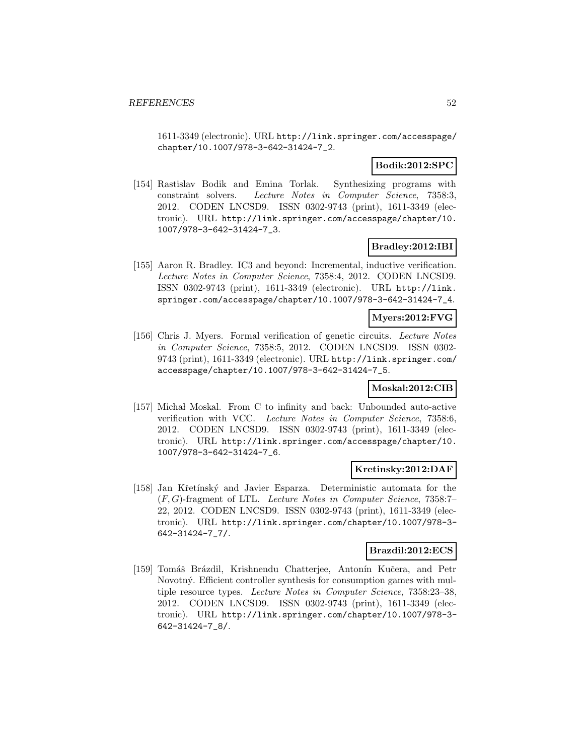1611-3349 (electronic). URL http://link.springer.com/accesspage/ chapter/10.1007/978-3-642-31424-7\_2.

### **Bodik:2012:SPC**

[154] Rastislav Bodik and Emina Torlak. Synthesizing programs with constraint solvers. Lecture Notes in Computer Science, 7358:3, 2012. CODEN LNCSD9. ISSN 0302-9743 (print), 1611-3349 (electronic). URL http://link.springer.com/accesspage/chapter/10. 1007/978-3-642-31424-7\_3.

### **Bradley:2012:IBI**

[155] Aaron R. Bradley. IC3 and beyond: Incremental, inductive verification. Lecture Notes in Computer Science, 7358:4, 2012. CODEN LNCSD9. ISSN 0302-9743 (print), 1611-3349 (electronic). URL http://link. springer.com/accesspage/chapter/10.1007/978-3-642-31424-7\_4.

### **Myers:2012:FVG**

[156] Chris J. Myers. Formal verification of genetic circuits. Lecture Notes in Computer Science, 7358:5, 2012. CODEN LNCSD9. ISSN 0302- 9743 (print), 1611-3349 (electronic). URL http://link.springer.com/ accesspage/chapter/10.1007/978-3-642-31424-7\_5.

### **Moskal:2012:CIB**

[157] Michał Moskal. From C to infinity and back: Unbounded auto-active verification with VCC. Lecture Notes in Computer Science, 7358:6, 2012. CODEN LNCSD9. ISSN 0302-9743 (print), 1611-3349 (electronic). URL http://link.springer.com/accesspage/chapter/10. 1007/978-3-642-31424-7\_6.

### **Kretinsky:2012:DAF**

[158] Jan Křetínský and Javier Esparza. Deterministic automata for the (F, G)-fragment of LTL. Lecture Notes in Computer Science, 7358:7– 22, 2012. CODEN LNCSD9. ISSN 0302-9743 (print), 1611-3349 (electronic). URL http://link.springer.com/chapter/10.1007/978-3- 642-31424-7\_7/.

### **Brazdil:2012:ECS**

[159] Tomáš Brázdil, Krishnendu Chatterjee, Antonín Kučera, and Petr Novotný. Efficient controller synthesis for consumption games with multiple resource types. Lecture Notes in Computer Science, 7358:23–38, 2012. CODEN LNCSD9. ISSN 0302-9743 (print), 1611-3349 (electronic). URL http://link.springer.com/chapter/10.1007/978-3- 642-31424-7\_8/.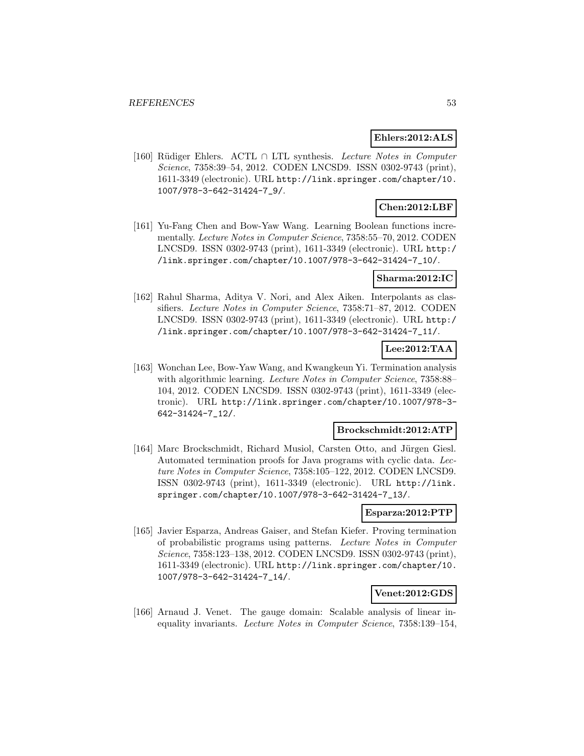### **Ehlers:2012:ALS**

[160] Rüdiger Ehlers. ACTL ∩ LTL synthesis. Lecture Notes in Computer Science, 7358:39–54, 2012. CODEN LNCSD9. ISSN 0302-9743 (print), 1611-3349 (electronic). URL http://link.springer.com/chapter/10. 1007/978-3-642-31424-7\_9/.

### **Chen:2012:LBF**

[161] Yu-Fang Chen and Bow-Yaw Wang. Learning Boolean functions incrementally. Lecture Notes in Computer Science, 7358:55–70, 2012. CODEN LNCSD9. ISSN 0302-9743 (print), 1611-3349 (electronic). URL http:/ /link.springer.com/chapter/10.1007/978-3-642-31424-7\_10/.

### **Sharma:2012:IC**

[162] Rahul Sharma, Aditya V. Nori, and Alex Aiken. Interpolants as classifiers. Lecture Notes in Computer Science, 7358:71–87, 2012. CODEN LNCSD9. ISSN 0302-9743 (print), 1611-3349 (electronic). URL http:/ /link.springer.com/chapter/10.1007/978-3-642-31424-7\_11/.

### **Lee:2012:TAA**

[163] Wonchan Lee, Bow-Yaw Wang, and Kwangkeun Yi. Termination analysis with algorithmic learning. *Lecture Notes in Computer Science*, 7358:88– 104, 2012. CODEN LNCSD9. ISSN 0302-9743 (print), 1611-3349 (electronic). URL http://link.springer.com/chapter/10.1007/978-3- 642-31424-7\_12/.

### **Brockschmidt:2012:ATP**

[164] Marc Brockschmidt, Richard Musiol, Carsten Otto, and Jürgen Giesl. Automated termination proofs for Java programs with cyclic data. Lecture Notes in Computer Science, 7358:105–122, 2012. CODEN LNCSD9. ISSN 0302-9743 (print), 1611-3349 (electronic). URL http://link. springer.com/chapter/10.1007/978-3-642-31424-7\_13/.

### **Esparza:2012:PTP**

[165] Javier Esparza, Andreas Gaiser, and Stefan Kiefer. Proving termination of probabilistic programs using patterns. Lecture Notes in Computer Science, 7358:123–138, 2012. CODEN LNCSD9. ISSN 0302-9743 (print), 1611-3349 (electronic). URL http://link.springer.com/chapter/10. 1007/978-3-642-31424-7\_14/.

### **Venet:2012:GDS**

[166] Arnaud J. Venet. The gauge domain: Scalable analysis of linear inequality invariants. Lecture Notes in Computer Science, 7358:139–154,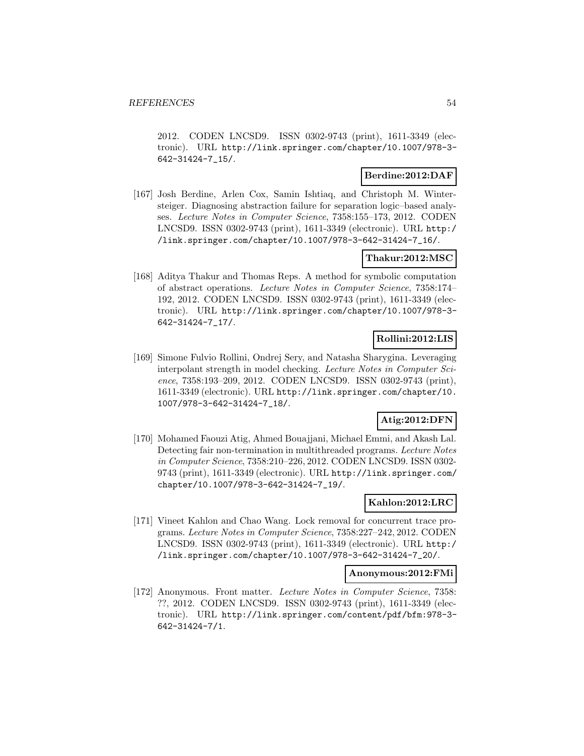2012. CODEN LNCSD9. ISSN 0302-9743 (print), 1611-3349 (electronic). URL http://link.springer.com/chapter/10.1007/978-3- 642-31424-7\_15/.

### **Berdine:2012:DAF**

[167] Josh Berdine, Arlen Cox, Samin Ishtiaq, and Christoph M. Wintersteiger. Diagnosing abstraction failure for separation logic–based analyses. Lecture Notes in Computer Science, 7358:155–173, 2012. CODEN LNCSD9. ISSN 0302-9743 (print), 1611-3349 (electronic). URL http:/ /link.springer.com/chapter/10.1007/978-3-642-31424-7\_16/.

### **Thakur:2012:MSC**

[168] Aditya Thakur and Thomas Reps. A method for symbolic computation of abstract operations. Lecture Notes in Computer Science, 7358:174– 192, 2012. CODEN LNCSD9. ISSN 0302-9743 (print), 1611-3349 (electronic). URL http://link.springer.com/chapter/10.1007/978-3- 642-31424-7\_17/.

# **Rollini:2012:LIS**

[169] Simone Fulvio Rollini, Ondrej Sery, and Natasha Sharygina. Leveraging interpolant strength in model checking. Lecture Notes in Computer Science, 7358:193–209, 2012. CODEN LNCSD9. ISSN 0302-9743 (print), 1611-3349 (electronic). URL http://link.springer.com/chapter/10. 1007/978-3-642-31424-7\_18/.

# **Atig:2012:DFN**

[170] Mohamed Faouzi Atig, Ahmed Bouajjani, Michael Emmi, and Akash Lal. Detecting fair non-termination in multithreaded programs. Lecture Notes in Computer Science, 7358:210–226, 2012. CODEN LNCSD9. ISSN 0302- 9743 (print), 1611-3349 (electronic). URL http://link.springer.com/ chapter/10.1007/978-3-642-31424-7\_19/.

### **Kahlon:2012:LRC**

[171] Vineet Kahlon and Chao Wang. Lock removal for concurrent trace programs. Lecture Notes in Computer Science, 7358:227–242, 2012. CODEN LNCSD9. ISSN 0302-9743 (print), 1611-3349 (electronic). URL http:/ /link.springer.com/chapter/10.1007/978-3-642-31424-7\_20/.

### **Anonymous:2012:FMi**

[172] Anonymous. Front matter. Lecture Notes in Computer Science, 7358: ??, 2012. CODEN LNCSD9. ISSN 0302-9743 (print), 1611-3349 (electronic). URL http://link.springer.com/content/pdf/bfm:978-3- 642-31424-7/1.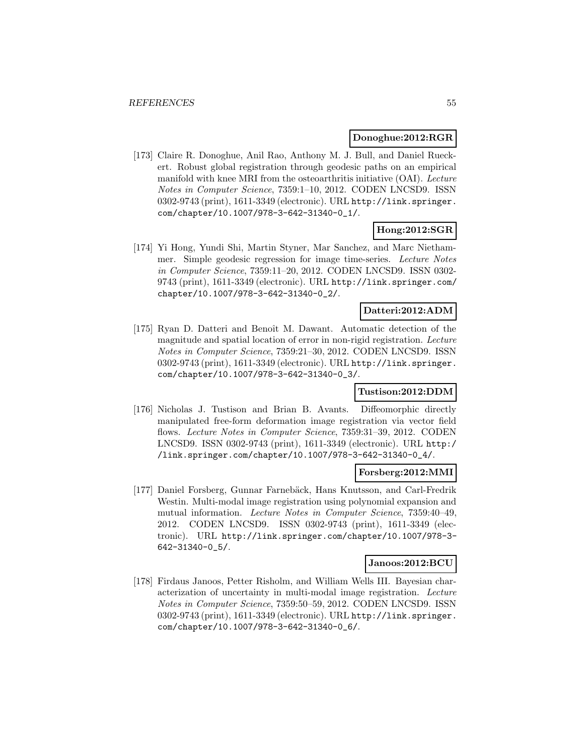#### **Donoghue:2012:RGR**

[173] Claire R. Donoghue, Anil Rao, Anthony M. J. Bull, and Daniel Rueckert. Robust global registration through geodesic paths on an empirical manifold with knee MRI from the osteoarthritis initiative (OAI). Lecture Notes in Computer Science, 7359:1–10, 2012. CODEN LNCSD9. ISSN 0302-9743 (print), 1611-3349 (electronic). URL http://link.springer. com/chapter/10.1007/978-3-642-31340-0\_1/.

### **Hong:2012:SGR**

[174] Yi Hong, Yundi Shi, Martin Styner, Mar Sanchez, and Marc Niethammer. Simple geodesic regression for image time-series. Lecture Notes in Computer Science, 7359:11–20, 2012. CODEN LNCSD9. ISSN 0302- 9743 (print), 1611-3349 (electronic). URL http://link.springer.com/ chapter/10.1007/978-3-642-31340-0\_2/.

### **Datteri:2012:ADM**

[175] Ryan D. Datteri and Benoît M. Dawant. Automatic detection of the magnitude and spatial location of error in non-rigid registration. Lecture Notes in Computer Science, 7359:21–30, 2012. CODEN LNCSD9. ISSN 0302-9743 (print), 1611-3349 (electronic). URL http://link.springer. com/chapter/10.1007/978-3-642-31340-0\_3/.

### **Tustison:2012:DDM**

[176] Nicholas J. Tustison and Brian B. Avants. Diffeomorphic directly manipulated free-form deformation image registration via vector field flows. Lecture Notes in Computer Science, 7359:31–39, 2012. CODEN LNCSD9. ISSN 0302-9743 (print), 1611-3349 (electronic). URL http:/ /link.springer.com/chapter/10.1007/978-3-642-31340-0\_4/.

### **Forsberg:2012:MMI**

[177] Daniel Forsberg, Gunnar Farnebäck, Hans Knutsson, and Carl-Fredrik Westin. Multi-modal image registration using polynomial expansion and mutual information. Lecture Notes in Computer Science, 7359:40–49, 2012. CODEN LNCSD9. ISSN 0302-9743 (print), 1611-3349 (electronic). URL http://link.springer.com/chapter/10.1007/978-3- 642-31340-0\_5/.

### **Janoos:2012:BCU**

[178] Firdaus Janoos, Petter Risholm, and William Wells III. Bayesian characterization of uncertainty in multi-modal image registration. Lecture Notes in Computer Science, 7359:50–59, 2012. CODEN LNCSD9. ISSN 0302-9743 (print), 1611-3349 (electronic). URL http://link.springer. com/chapter/10.1007/978-3-642-31340-0\_6/.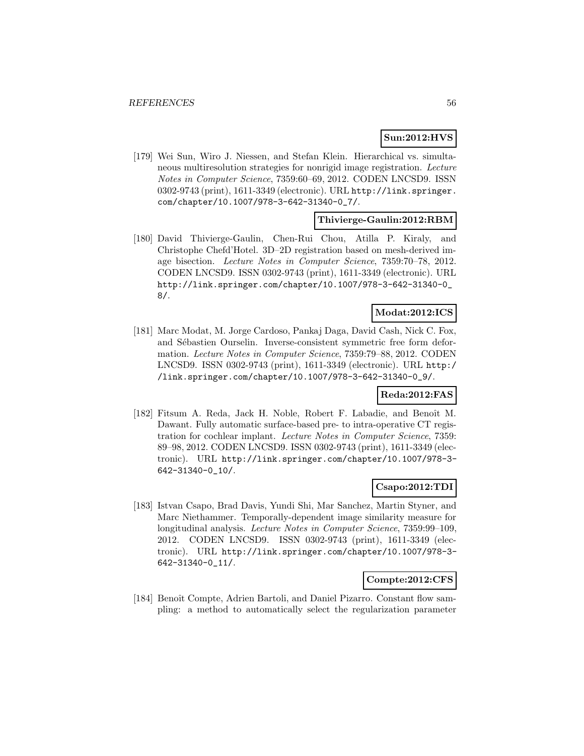# **Sun:2012:HVS**

[179] Wei Sun, Wiro J. Niessen, and Stefan Klein. Hierarchical vs. simultaneous multiresolution strategies for nonrigid image registration. Lecture Notes in Computer Science, 7359:60–69, 2012. CODEN LNCSD9. ISSN 0302-9743 (print), 1611-3349 (electronic). URL http://link.springer. com/chapter/10.1007/978-3-642-31340-0\_7/.

### **Thivierge-Gaulin:2012:RBM**

[180] David Thivierge-Gaulin, Chen-Rui Chou, Atilla P. Kiraly, and Christophe Chefd'Hotel. 3D–2D registration based on mesh-derived image bisection. Lecture Notes in Computer Science, 7359:70–78, 2012. CODEN LNCSD9. ISSN 0302-9743 (print), 1611-3349 (electronic). URL http://link.springer.com/chapter/10.1007/978-3-642-31340-0\_ 8/.

### **Modat:2012:ICS**

[181] Marc Modat, M. Jorge Cardoso, Pankaj Daga, David Cash, Nick C. Fox, and Sébastien Ourselin. Inverse-consistent symmetric free form deformation. Lecture Notes in Computer Science, 7359:79–88, 2012. CODEN LNCSD9. ISSN 0302-9743 (print), 1611-3349 (electronic). URL http:/ /link.springer.com/chapter/10.1007/978-3-642-31340-0\_9/.

### **Reda:2012:FAS**

[182] Fitsum A. Reda, Jack H. Noble, Robert F. Labadie, and Benoît M. Dawant. Fully automatic surface-based pre- to intra-operative CT registration for cochlear implant. Lecture Notes in Computer Science, 7359: 89–98, 2012. CODEN LNCSD9. ISSN 0302-9743 (print), 1611-3349 (electronic). URL http://link.springer.com/chapter/10.1007/978-3- 642-31340-0\_10/.

# **Csapo:2012:TDI**

[183] Istvan Csapo, Brad Davis, Yundi Shi, Mar Sanchez, Martin Styner, and Marc Niethammer. Temporally-dependent image similarity measure for longitudinal analysis. Lecture Notes in Computer Science, 7359:99–109, 2012. CODEN LNCSD9. ISSN 0302-9743 (print), 1611-3349 (electronic). URL http://link.springer.com/chapter/10.1007/978-3- 642-31340-0\_11/.

#### **Compte:2012:CFS**

[184] Benoît Compte, Adrien Bartoli, and Daniel Pizarro. Constant flow sampling: a method to automatically select the regularization parameter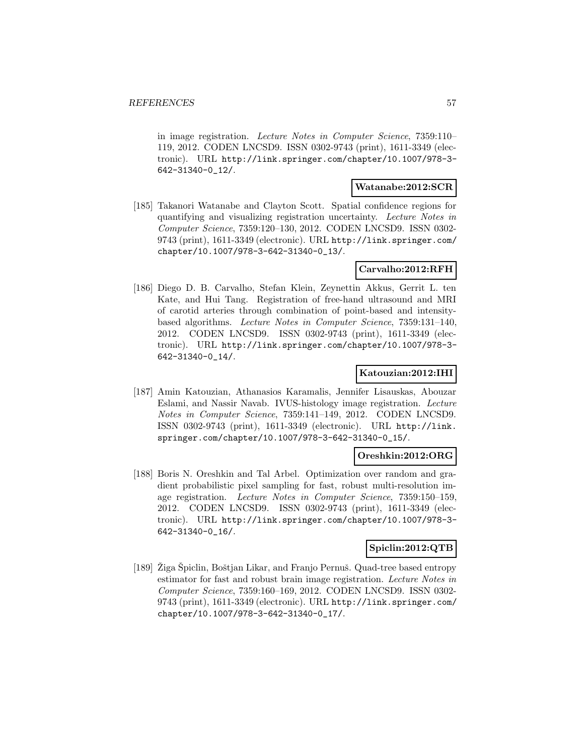in image registration. Lecture Notes in Computer Science, 7359:110– 119, 2012. CODEN LNCSD9. ISSN 0302-9743 (print), 1611-3349 (electronic). URL http://link.springer.com/chapter/10.1007/978-3- 642-31340-0\_12/.

#### **Watanabe:2012:SCR**

[185] Takanori Watanabe and Clayton Scott. Spatial confidence regions for quantifying and visualizing registration uncertainty. Lecture Notes in Computer Science, 7359:120–130, 2012. CODEN LNCSD9. ISSN 0302- 9743 (print), 1611-3349 (electronic). URL http://link.springer.com/ chapter/10.1007/978-3-642-31340-0\_13/.

### **Carvalho:2012:RFH**

[186] Diego D. B. Carvalho, Stefan Klein, Zeynettin Akkus, Gerrit L. ten Kate, and Hui Tang. Registration of free-hand ultrasound and MRI of carotid arteries through combination of point-based and intensitybased algorithms. Lecture Notes in Computer Science, 7359:131–140, 2012. CODEN LNCSD9. ISSN 0302-9743 (print), 1611-3349 (electronic). URL http://link.springer.com/chapter/10.1007/978-3- 642-31340-0\_14/.

### **Katouzian:2012:IHI**

[187] Amin Katouzian, Athanasios Karamalis, Jennifer Lisauskas, Abouzar Eslami, and Nassir Navab. IVUS-histology image registration. Lecture Notes in Computer Science, 7359:141–149, 2012. CODEN LNCSD9. ISSN 0302-9743 (print), 1611-3349 (electronic). URL http://link. springer.com/chapter/10.1007/978-3-642-31340-0\_15/.

### **Oreshkin:2012:ORG**

[188] Boris N. Oreshkin and Tal Arbel. Optimization over random and gradient probabilistic pixel sampling for fast, robust multi-resolution image registration. Lecture Notes in Computer Science, 7359:150–159, 2012. CODEN LNCSD9. ISSN 0302-9743 (print), 1611-3349 (electronic). URL http://link.springer.com/chapter/10.1007/978-3- 642-31340-0\_16/.

### **Spiclin:2012:QTB**

[189] Ziga Spiclin, Boštjan Likar, and Franjo Pernuš. Quad-tree based entropy estimator for fast and robust brain image registration. Lecture Notes in Computer Science, 7359:160–169, 2012. CODEN LNCSD9. ISSN 0302- 9743 (print), 1611-3349 (electronic). URL http://link.springer.com/ chapter/10.1007/978-3-642-31340-0\_17/.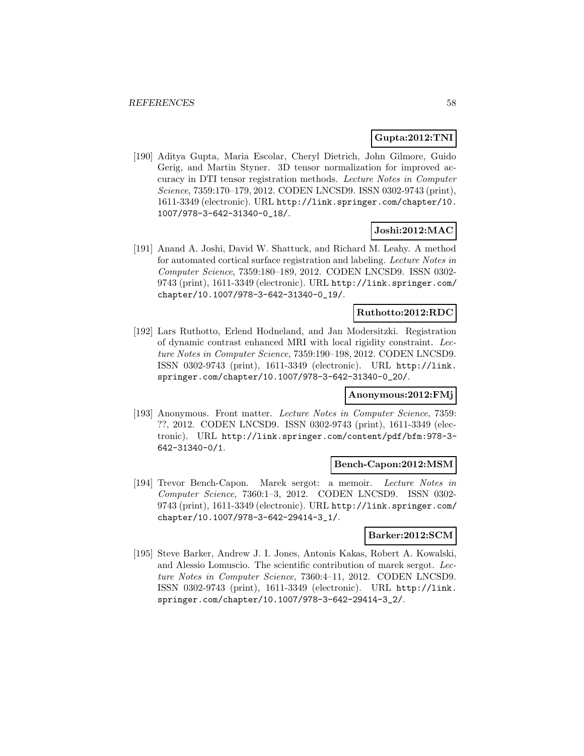### **Gupta:2012:TNI**

[190] Aditya Gupta, Maria Escolar, Cheryl Dietrich, John Gilmore, Guido Gerig, and Martin Styner. 3D tensor normalization for improved accuracy in DTI tensor registration methods. Lecture Notes in Computer Science, 7359:170–179, 2012. CODEN LNCSD9. ISSN 0302-9743 (print), 1611-3349 (electronic). URL http://link.springer.com/chapter/10. 1007/978-3-642-31340-0\_18/.

### **Joshi:2012:MAC**

[191] Anand A. Joshi, David W. Shattuck, and Richard M. Leahy. A method for automated cortical surface registration and labeling. Lecture Notes in Computer Science, 7359:180–189, 2012. CODEN LNCSD9. ISSN 0302- 9743 (print), 1611-3349 (electronic). URL http://link.springer.com/ chapter/10.1007/978-3-642-31340-0\_19/.

### **Ruthotto:2012:RDC**

[192] Lars Ruthotto, Erlend Hodneland, and Jan Modersitzki. Registration of dynamic contrast enhanced MRI with local rigidity constraint. Lecture Notes in Computer Science, 7359:190–198, 2012. CODEN LNCSD9. ISSN 0302-9743 (print), 1611-3349 (electronic). URL http://link. springer.com/chapter/10.1007/978-3-642-31340-0\_20/.

### **Anonymous:2012:FMj**

[193] Anonymous. Front matter. Lecture Notes in Computer Science, 7359: ??, 2012. CODEN LNCSD9. ISSN 0302-9743 (print), 1611-3349 (electronic). URL http://link.springer.com/content/pdf/bfm:978-3- 642-31340-0/1.

### **Bench-Capon:2012:MSM**

[194] Trevor Bench-Capon. Marek sergot: a memoir. Lecture Notes in Computer Science, 7360:1–3, 2012. CODEN LNCSD9. ISSN 0302- 9743 (print), 1611-3349 (electronic). URL http://link.springer.com/ chapter/10.1007/978-3-642-29414-3\_1/.

### **Barker:2012:SCM**

[195] Steve Barker, Andrew J. I. Jones, Antonis Kakas, Robert A. Kowalski, and Alessio Lomuscio. The scientific contribution of marek sergot. Lecture Notes in Computer Science, 7360:4–11, 2012. CODEN LNCSD9. ISSN 0302-9743 (print), 1611-3349 (electronic). URL http://link. springer.com/chapter/10.1007/978-3-642-29414-3\_2/.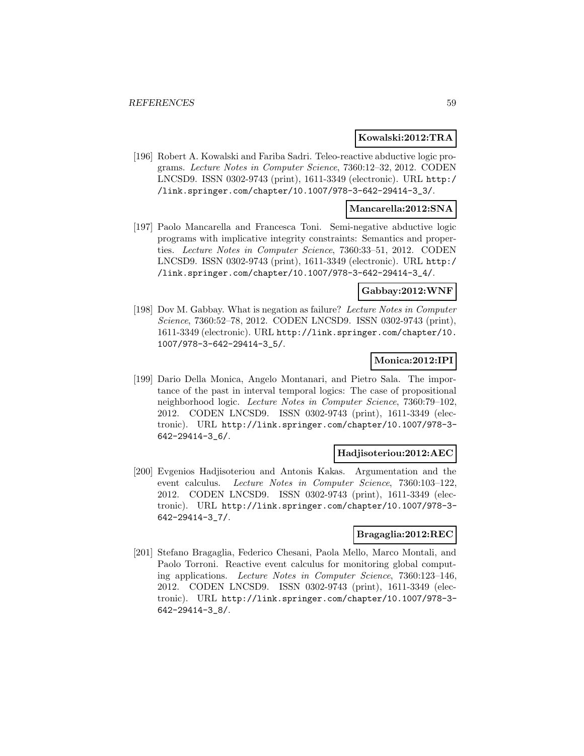#### **Kowalski:2012:TRA**

[196] Robert A. Kowalski and Fariba Sadri. Teleo-reactive abductive logic programs. Lecture Notes in Computer Science, 7360:12–32, 2012. CODEN LNCSD9. ISSN 0302-9743 (print), 1611-3349 (electronic). URL http:/ /link.springer.com/chapter/10.1007/978-3-642-29414-3\_3/.

### **Mancarella:2012:SNA**

[197] Paolo Mancarella and Francesca Toni. Semi-negative abductive logic programs with implicative integrity constraints: Semantics and properties. Lecture Notes in Computer Science, 7360:33–51, 2012. CODEN LNCSD9. ISSN 0302-9743 (print), 1611-3349 (electronic). URL http:/ /link.springer.com/chapter/10.1007/978-3-642-29414-3\_4/.

#### **Gabbay:2012:WNF**

[198] Dov M. Gabbay. What is negation as failure? Lecture Notes in Computer Science, 7360:52–78, 2012. CODEN LNCSD9. ISSN 0302-9743 (print), 1611-3349 (electronic). URL http://link.springer.com/chapter/10. 1007/978-3-642-29414-3\_5/.

### **Monica:2012:IPI**

[199] Dario Della Monica, Angelo Montanari, and Pietro Sala. The importance of the past in interval temporal logics: The case of propositional neighborhood logic. Lecture Notes in Computer Science, 7360:79–102, 2012. CODEN LNCSD9. ISSN 0302-9743 (print), 1611-3349 (electronic). URL http://link.springer.com/chapter/10.1007/978-3- 642-29414-3\_6/.

### **Hadjisoteriou:2012:AEC**

[200] Evgenios Hadjisoteriou and Antonis Kakas. Argumentation and the event calculus. Lecture Notes in Computer Science, 7360:103–122, 2012. CODEN LNCSD9. ISSN 0302-9743 (print), 1611-3349 (electronic). URL http://link.springer.com/chapter/10.1007/978-3- 642-29414-3\_7/.

### **Bragaglia:2012:REC**

[201] Stefano Bragaglia, Federico Chesani, Paola Mello, Marco Montali, and Paolo Torroni. Reactive event calculus for monitoring global computing applications. Lecture Notes in Computer Science, 7360:123–146, 2012. CODEN LNCSD9. ISSN 0302-9743 (print), 1611-3349 (electronic). URL http://link.springer.com/chapter/10.1007/978-3- 642-29414-3\_8/.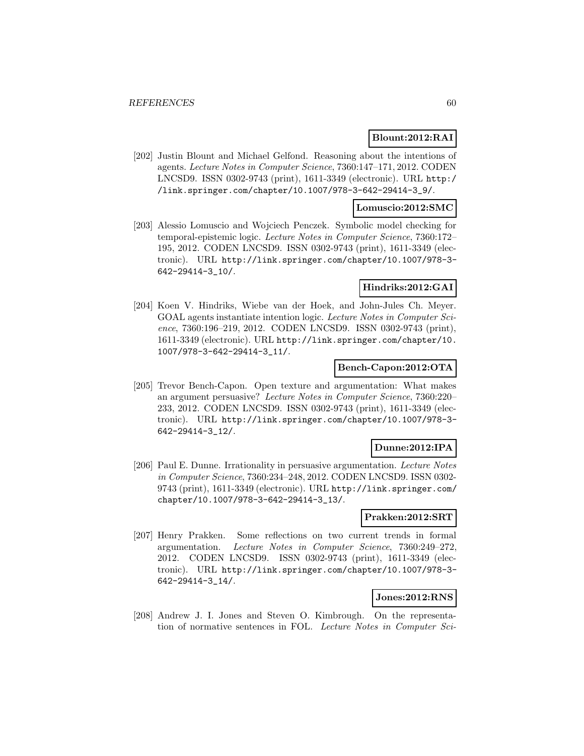### **Blount:2012:RAI**

[202] Justin Blount and Michael Gelfond. Reasoning about the intentions of agents. Lecture Notes in Computer Science, 7360:147–171, 2012. CODEN LNCSD9. ISSN 0302-9743 (print), 1611-3349 (electronic). URL http:/ /link.springer.com/chapter/10.1007/978-3-642-29414-3\_9/.

### **Lomuscio:2012:SMC**

[203] Alessio Lomuscio and Wojciech Penczek. Symbolic model checking for temporal-epistemic logic. Lecture Notes in Computer Science, 7360:172– 195, 2012. CODEN LNCSD9. ISSN 0302-9743 (print), 1611-3349 (electronic). URL http://link.springer.com/chapter/10.1007/978-3- 642-29414-3\_10/.

# **Hindriks:2012:GAI**

[204] Koen V. Hindriks, Wiebe van der Hoek, and John-Jules Ch. Meyer. GOAL agents instantiate intention logic. Lecture Notes in Computer Science, 7360:196–219, 2012. CODEN LNCSD9. ISSN 0302-9743 (print), 1611-3349 (electronic). URL http://link.springer.com/chapter/10. 1007/978-3-642-29414-3\_11/.

### **Bench-Capon:2012:OTA**

[205] Trevor Bench-Capon. Open texture and argumentation: What makes an argument persuasive? Lecture Notes in Computer Science, 7360:220– 233, 2012. CODEN LNCSD9. ISSN 0302-9743 (print), 1611-3349 (electronic). URL http://link.springer.com/chapter/10.1007/978-3- 642-29414-3\_12/.

### **Dunne:2012:IPA**

[206] Paul E. Dunne. Irrationality in persuasive argumentation. Lecture Notes in Computer Science, 7360:234–248, 2012. CODEN LNCSD9. ISSN 0302- 9743 (print), 1611-3349 (electronic). URL http://link.springer.com/ chapter/10.1007/978-3-642-29414-3\_13/.

### **Prakken:2012:SRT**

[207] Henry Prakken. Some reflections on two current trends in formal argumentation. Lecture Notes in Computer Science, 7360:249–272, 2012. CODEN LNCSD9. ISSN 0302-9743 (print), 1611-3349 (electronic). URL http://link.springer.com/chapter/10.1007/978-3- 642-29414-3\_14/.

### **Jones:2012:RNS**

[208] Andrew J. I. Jones and Steven O. Kimbrough. On the representation of normative sentences in FOL. Lecture Notes in Computer Sci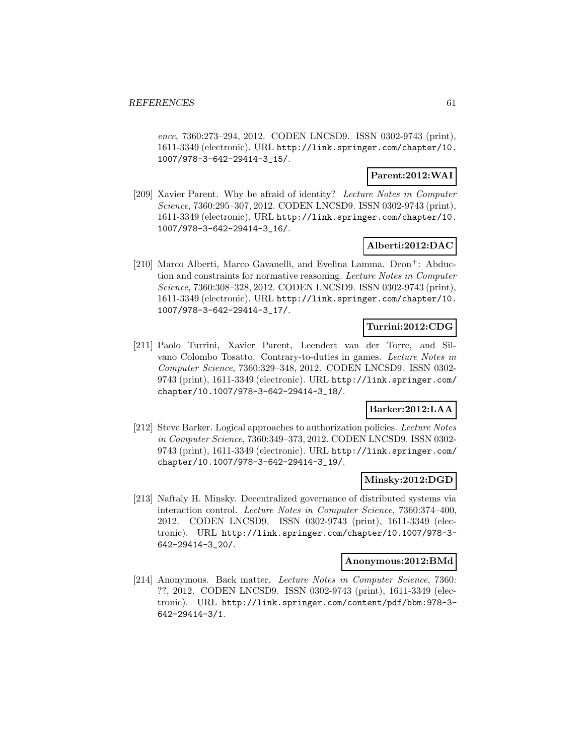ence, 7360:273–294, 2012. CODEN LNCSD9. ISSN 0302-9743 (print), 1611-3349 (electronic). URL http://link.springer.com/chapter/10. 1007/978-3-642-29414-3\_15/.

### **Parent:2012:WAI**

[209] Xavier Parent. Why be afraid of identity? Lecture Notes in Computer Science, 7360:295–307, 2012. CODEN LNCSD9. ISSN 0302-9743 (print), 1611-3349 (electronic). URL http://link.springer.com/chapter/10. 1007/978-3-642-29414-3\_16/.

### **Alberti:2012:DAC**

[210] Marco Alberti, Marco Gavanelli, and Evelina Lamma. Deon<sup>+</sup>: Abduction and constraints for normative reasoning. Lecture Notes in Computer Science, 7360:308–328, 2012. CODEN LNCSD9. ISSN 0302-9743 (print), 1611-3349 (electronic). URL http://link.springer.com/chapter/10. 1007/978-3-642-29414-3\_17/.

### **Turrini:2012:CDG**

[211] Paolo Turrini, Xavier Parent, Leendert van der Torre, and Silvano Colombo Tosatto. Contrary-to-duties in games. Lecture Notes in Computer Science, 7360:329–348, 2012. CODEN LNCSD9. ISSN 0302- 9743 (print), 1611-3349 (electronic). URL http://link.springer.com/ chapter/10.1007/978-3-642-29414-3\_18/.

### **Barker:2012:LAA**

[212] Steve Barker. Logical approaches to authorization policies. Lecture Notes in Computer Science, 7360:349–373, 2012. CODEN LNCSD9. ISSN 0302- 9743 (print), 1611-3349 (electronic). URL http://link.springer.com/ chapter/10.1007/978-3-642-29414-3\_19/.

### **Minsky:2012:DGD**

[213] Naftaly H. Minsky. Decentralized governance of distributed systems via interaction control. Lecture Notes in Computer Science, 7360:374–400, 2012. CODEN LNCSD9. ISSN 0302-9743 (print), 1611-3349 (electronic). URL http://link.springer.com/chapter/10.1007/978-3- 642-29414-3\_20/.

#### **Anonymous:2012:BMd**

[214] Anonymous. Back matter. Lecture Notes in Computer Science, 7360: ??, 2012. CODEN LNCSD9. ISSN 0302-9743 (print), 1611-3349 (electronic). URL http://link.springer.com/content/pdf/bbm:978-3- 642-29414-3/1.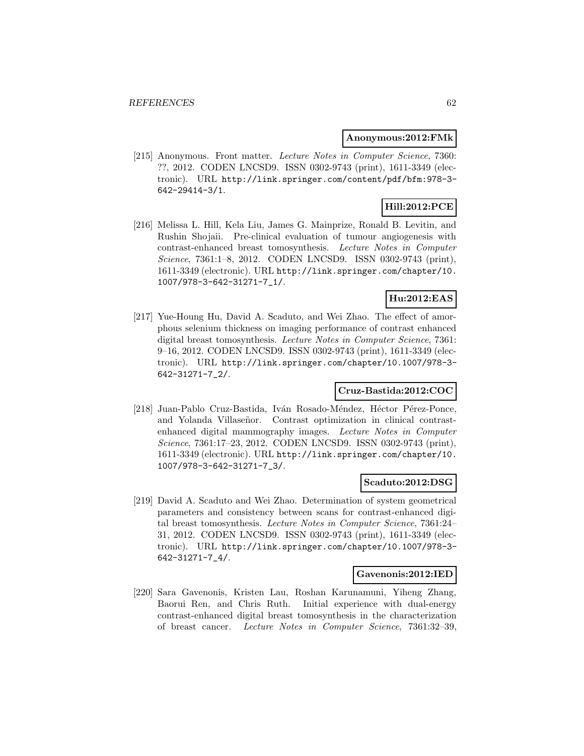#### **Anonymous:2012:FMk**

[215] Anonymous. Front matter. Lecture Notes in Computer Science, 7360: ??, 2012. CODEN LNCSD9. ISSN 0302-9743 (print), 1611-3349 (electronic). URL http://link.springer.com/content/pdf/bfm:978-3- 642-29414-3/1.

# **Hill:2012:PCE**

[216] Melissa L. Hill, Kela Liu, James G. Mainprize, Ronald B. Levitin, and Rushin Shojaii. Pre-clinical evaluation of tumour angiogenesis with contrast-enhanced breast tomosynthesis. Lecture Notes in Computer Science, 7361:1–8, 2012. CODEN LNCSD9. ISSN 0302-9743 (print), 1611-3349 (electronic). URL http://link.springer.com/chapter/10. 1007/978-3-642-31271-7\_1/.

# **Hu:2012:EAS**

[217] Yue-Houng Hu, David A. Scaduto, and Wei Zhao. The effect of amorphous selenium thickness on imaging performance of contrast enhanced digital breast tomosynthesis. Lecture Notes in Computer Science, 7361: 9–16, 2012. CODEN LNCSD9. ISSN 0302-9743 (print), 1611-3349 (electronic). URL http://link.springer.com/chapter/10.1007/978-3- 642-31271-7\_2/.

### **Cruz-Bastida:2012:COC**

[218] Juan-Pablo Cruz-Bastida, Iván Rosado-Méndez, Héctor Pérez-Ponce, and Yolanda Villaseñor. Contrast optimization in clinical contrastenhanced digital mammography images. Lecture Notes in Computer Science, 7361:17–23, 2012. CODEN LNCSD9. ISSN 0302-9743 (print), 1611-3349 (electronic). URL http://link.springer.com/chapter/10. 1007/978-3-642-31271-7\_3/.

#### **Scaduto:2012:DSG**

[219] David A. Scaduto and Wei Zhao. Determination of system geometrical parameters and consistency between scans for contrast-enhanced digital breast tomosynthesis. Lecture Notes in Computer Science, 7361:24– 31, 2012. CODEN LNCSD9. ISSN 0302-9743 (print), 1611-3349 (electronic). URL http://link.springer.com/chapter/10.1007/978-3- 642-31271-7\_4/.

#### **Gavenonis:2012:IED**

[220] Sara Gavenonis, Kristen Lau, Roshan Karunamuni, Yiheng Zhang, Baorui Ren, and Chris Ruth. Initial experience with dual-energy contrast-enhanced digital breast tomosynthesis in the characterization of breast cancer. Lecture Notes in Computer Science, 7361:32–39,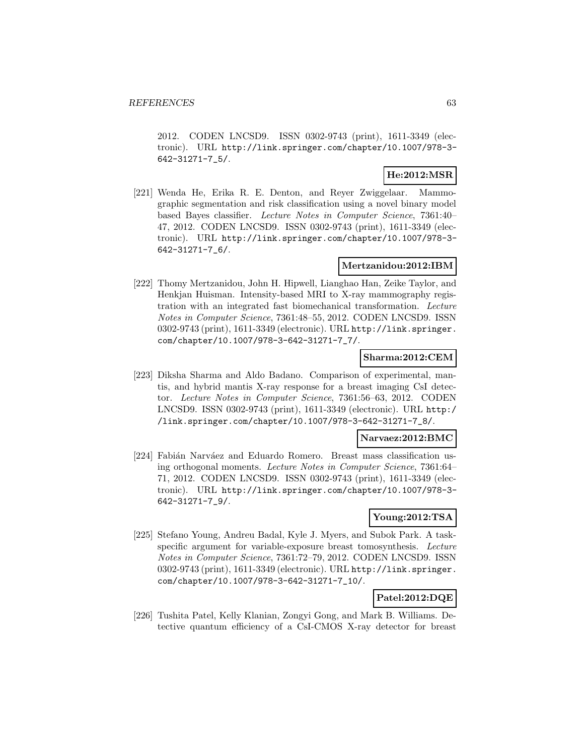2012. CODEN LNCSD9. ISSN 0302-9743 (print), 1611-3349 (electronic). URL http://link.springer.com/chapter/10.1007/978-3- 642-31271-7\_5/.

# **He:2012:MSR**

[221] Wenda He, Erika R. E. Denton, and Reyer Zwiggelaar. Mammographic segmentation and risk classification using a novel binary model based Bayes classifier. Lecture Notes in Computer Science, 7361:40– 47, 2012. CODEN LNCSD9. ISSN 0302-9743 (print), 1611-3349 (electronic). URL http://link.springer.com/chapter/10.1007/978-3- 642-31271-7\_6/.

### **Mertzanidou:2012:IBM**

[222] Thomy Mertzanidou, John H. Hipwell, Lianghao Han, Zeike Taylor, and Henkjan Huisman. Intensity-based MRI to X-ray mammography registration with an integrated fast biomechanical transformation. Lecture Notes in Computer Science, 7361:48–55, 2012. CODEN LNCSD9. ISSN 0302-9743 (print), 1611-3349 (electronic). URL http://link.springer. com/chapter/10.1007/978-3-642-31271-7\_7/.

### **Sharma:2012:CEM**

[223] Diksha Sharma and Aldo Badano. Comparison of experimental, mantis, and hybrid mantis X-ray response for a breast imaging CsI detector. Lecture Notes in Computer Science, 7361:56–63, 2012. CODEN LNCSD9. ISSN 0302-9743 (print), 1611-3349 (electronic). URL http:/ /link.springer.com/chapter/10.1007/978-3-642-31271-7\_8/.

### **Narvaez:2012:BMC**

[224] Fabián Narváez and Eduardo Romero. Breast mass classification using orthogonal moments. Lecture Notes in Computer Science, 7361:64– 71, 2012. CODEN LNCSD9. ISSN 0302-9743 (print), 1611-3349 (electronic). URL http://link.springer.com/chapter/10.1007/978-3- 642-31271-7\_9/.

### **Young:2012:TSA**

[225] Stefano Young, Andreu Badal, Kyle J. Myers, and Subok Park. A taskspecific argument for variable-exposure breast tomosynthesis. Lecture Notes in Computer Science, 7361:72–79, 2012. CODEN LNCSD9. ISSN 0302-9743 (print), 1611-3349 (electronic). URL http://link.springer. com/chapter/10.1007/978-3-642-31271-7\_10/.

# **Patel:2012:DQE**

[226] Tushita Patel, Kelly Klanian, Zongyi Gong, and Mark B. Williams. Detective quantum efficiency of a CsI-CMOS X-ray detector for breast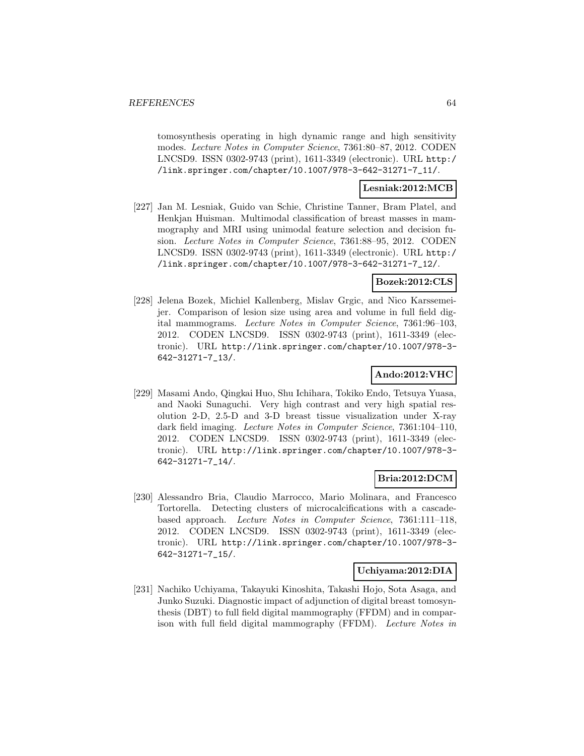tomosynthesis operating in high dynamic range and high sensitivity modes. Lecture Notes in Computer Science, 7361:80–87, 2012. CODEN LNCSD9. ISSN 0302-9743 (print), 1611-3349 (electronic). URL http:/ /link.springer.com/chapter/10.1007/978-3-642-31271-7\_11/.

# **Lesniak:2012:MCB**

[227] Jan M. Lesniak, Guido van Schie, Christine Tanner, Bram Platel, and Henkjan Huisman. Multimodal classification of breast masses in mammography and MRI using unimodal feature selection and decision fusion. Lecture Notes in Computer Science, 7361:88–95, 2012. CODEN LNCSD9. ISSN 0302-9743 (print), 1611-3349 (electronic). URL http:/ /link.springer.com/chapter/10.1007/978-3-642-31271-7\_12/.

# **Bozek:2012:CLS**

[228] Jelena Bozek, Michiel Kallenberg, Mislav Grgic, and Nico Karssemeijer. Comparison of lesion size using area and volume in full field digital mammograms. Lecture Notes in Computer Science, 7361:96–103, 2012. CODEN LNCSD9. ISSN 0302-9743 (print), 1611-3349 (electronic). URL http://link.springer.com/chapter/10.1007/978-3- 642-31271-7\_13/.

### **Ando:2012:VHC**

[229] Masami Ando, Qingkai Huo, Shu Ichihara, Tokiko Endo, Tetsuya Yuasa, and Naoki Sunaguchi. Very high contrast and very high spatial resolution 2-D, 2.5-D and 3-D breast tissue visualization under X-ray dark field imaging. Lecture Notes in Computer Science, 7361:104–110, 2012. CODEN LNCSD9. ISSN 0302-9743 (print), 1611-3349 (electronic). URL http://link.springer.com/chapter/10.1007/978-3- 642-31271-7\_14/.

### **Bria:2012:DCM**

[230] Alessandro Bria, Claudio Marrocco, Mario Molinara, and Francesco Tortorella. Detecting clusters of microcalcifications with a cascadebased approach. Lecture Notes in Computer Science, 7361:111–118, 2012. CODEN LNCSD9. ISSN 0302-9743 (print), 1611-3349 (electronic). URL http://link.springer.com/chapter/10.1007/978-3- 642-31271-7\_15/.

### **Uchiyama:2012:DIA**

[231] Nachiko Uchiyama, Takayuki Kinoshita, Takashi Hojo, Sota Asaga, and Junko Suzuki. Diagnostic impact of adjunction of digital breast tomosynthesis (DBT) to full field digital mammography (FFDM) and in comparison with full field digital mammography (FFDM). Lecture Notes in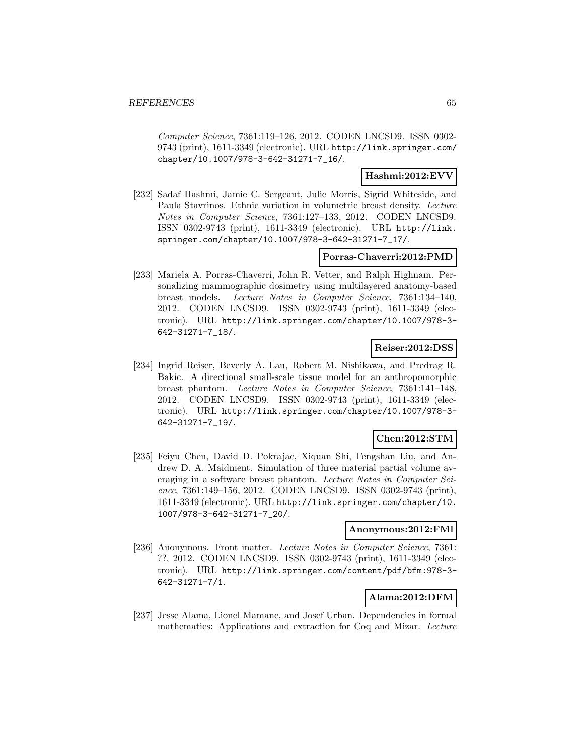Computer Science, 7361:119–126, 2012. CODEN LNCSD9. ISSN 0302- 9743 (print), 1611-3349 (electronic). URL http://link.springer.com/ chapter/10.1007/978-3-642-31271-7\_16/.

### **Hashmi:2012:EVV**

[232] Sadaf Hashmi, Jamie C. Sergeant, Julie Morris, Sigrid Whiteside, and Paula Stavrinos. Ethnic variation in volumetric breast density. Lecture Notes in Computer Science, 7361:127–133, 2012. CODEN LNCSD9. ISSN 0302-9743 (print), 1611-3349 (electronic). URL http://link. springer.com/chapter/10.1007/978-3-642-31271-7\_17/.

### **Porras-Chaverri:2012:PMD**

[233] Mariela A. Porras-Chaverri, John R. Vetter, and Ralph Highnam. Personalizing mammographic dosimetry using multilayered anatomy-based breast models. Lecture Notes in Computer Science, 7361:134–140, 2012. CODEN LNCSD9. ISSN 0302-9743 (print), 1611-3349 (electronic). URL http://link.springer.com/chapter/10.1007/978-3- 642-31271-7\_18/.

# **Reiser:2012:DSS**

[234] Ingrid Reiser, Beverly A. Lau, Robert M. Nishikawa, and Predrag R. Bakic. A directional small-scale tissue model for an anthropomorphic breast phantom. Lecture Notes in Computer Science, 7361:141–148, 2012. CODEN LNCSD9. ISSN 0302-9743 (print), 1611-3349 (electronic). URL http://link.springer.com/chapter/10.1007/978-3- 642-31271-7\_19/.

### **Chen:2012:STM**

[235] Feiyu Chen, David D. Pokrajac, Xiquan Shi, Fengshan Liu, and Andrew D. A. Maidment. Simulation of three material partial volume averaging in a software breast phantom. Lecture Notes in Computer Science, 7361:149–156, 2012. CODEN LNCSD9. ISSN 0302-9743 (print), 1611-3349 (electronic). URL http://link.springer.com/chapter/10. 1007/978-3-642-31271-7\_20/.

### **Anonymous:2012:FMl**

[236] Anonymous. Front matter. Lecture Notes in Computer Science, 7361: ??, 2012. CODEN LNCSD9. ISSN 0302-9743 (print), 1611-3349 (electronic). URL http://link.springer.com/content/pdf/bfm:978-3- 642-31271-7/1.

# **Alama:2012:DFM**

[237] Jesse Alama, Lionel Mamane, and Josef Urban. Dependencies in formal mathematics: Applications and extraction for Coq and Mizar. Lecture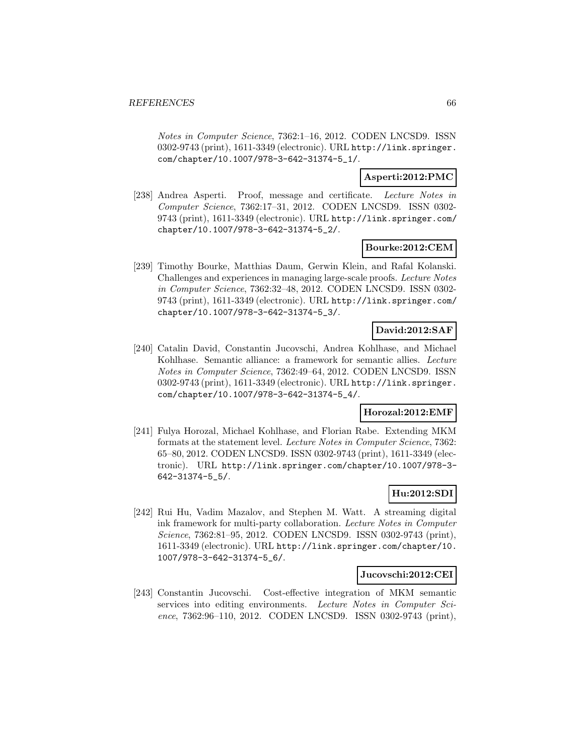Notes in Computer Science, 7362:1–16, 2012. CODEN LNCSD9. ISSN 0302-9743 (print), 1611-3349 (electronic). URL http://link.springer. com/chapter/10.1007/978-3-642-31374-5\_1/.

### **Asperti:2012:PMC**

[238] Andrea Asperti. Proof, message and certificate. Lecture Notes in Computer Science, 7362:17–31, 2012. CODEN LNCSD9. ISSN 0302- 9743 (print), 1611-3349 (electronic). URL http://link.springer.com/ chapter/10.1007/978-3-642-31374-5\_2/.

### **Bourke:2012:CEM**

[239] Timothy Bourke, Matthias Daum, Gerwin Klein, and Rafal Kolanski. Challenges and experiences in managing large-scale proofs. Lecture Notes in Computer Science, 7362:32–48, 2012. CODEN LNCSD9. ISSN 0302- 9743 (print), 1611-3349 (electronic). URL http://link.springer.com/ chapter/10.1007/978-3-642-31374-5\_3/.

# **David:2012:SAF**

[240] Catalin David, Constantin Jucovschi, Andrea Kohlhase, and Michael Kohlhase. Semantic alliance: a framework for semantic allies. Lecture Notes in Computer Science, 7362:49–64, 2012. CODEN LNCSD9. ISSN 0302-9743 (print), 1611-3349 (electronic). URL http://link.springer. com/chapter/10.1007/978-3-642-31374-5\_4/.

### **Horozal:2012:EMF**

[241] Fulya Horozal, Michael Kohlhase, and Florian Rabe. Extending MKM formats at the statement level. Lecture Notes in Computer Science, 7362: 65–80, 2012. CODEN LNCSD9. ISSN 0302-9743 (print), 1611-3349 (electronic). URL http://link.springer.com/chapter/10.1007/978-3- 642-31374-5\_5/.

### **Hu:2012:SDI**

[242] Rui Hu, Vadim Mazalov, and Stephen M. Watt. A streaming digital ink framework for multi-party collaboration. Lecture Notes in Computer Science, 7362:81–95, 2012. CODEN LNCSD9. ISSN 0302-9743 (print), 1611-3349 (electronic). URL http://link.springer.com/chapter/10. 1007/978-3-642-31374-5\_6/.

### **Jucovschi:2012:CEI**

[243] Constantin Jucovschi. Cost-effective integration of MKM semantic services into editing environments. Lecture Notes in Computer Science, 7362:96–110, 2012. CODEN LNCSD9. ISSN 0302-9743 (print),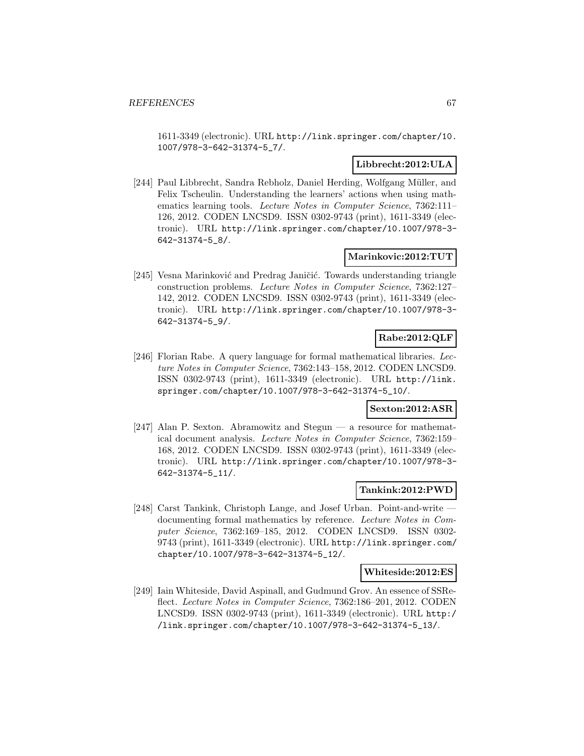1611-3349 (electronic). URL http://link.springer.com/chapter/10. 1007/978-3-642-31374-5\_7/.

### **Libbrecht:2012:ULA**

[244] Paul Libbrecht, Sandra Rebholz, Daniel Herding, Wolfgang Müller, and Felix Tscheulin. Understanding the learners' actions when using mathematics learning tools. Lecture Notes in Computer Science, 7362:111– 126, 2012. CODEN LNCSD9. ISSN 0302-9743 (print), 1611-3349 (electronic). URL http://link.springer.com/chapter/10.1007/978-3- 642-31374-5\_8/.

### **Marinkovic:2012:TUT**

[245] Vesna Marinković and Predrag Janičić. Towards understanding triangle construction problems. Lecture Notes in Computer Science, 7362:127– 142, 2012. CODEN LNCSD9. ISSN 0302-9743 (print), 1611-3349 (electronic). URL http://link.springer.com/chapter/10.1007/978-3- 642-31374-5\_9/.

### **Rabe:2012:QLF**

[246] Florian Rabe. A query language for formal mathematical libraries. Lecture Notes in Computer Science, 7362:143–158, 2012. CODEN LNCSD9. ISSN 0302-9743 (print), 1611-3349 (electronic). URL http://link. springer.com/chapter/10.1007/978-3-642-31374-5\_10/.

# **Sexton:2012:ASR**

[247] Alan P. Sexton. Abramowitz and Stegun — a resource for mathematical document analysis. Lecture Notes in Computer Science, 7362:159– 168, 2012. CODEN LNCSD9. ISSN 0302-9743 (print), 1611-3349 (electronic). URL http://link.springer.com/chapter/10.1007/978-3- 642-31374-5\_11/.

### **Tankink:2012:PWD**

[248] Carst Tankink, Christoph Lange, and Josef Urban. Point-and-write documenting formal mathematics by reference. Lecture Notes in Computer Science, 7362:169–185, 2012. CODEN LNCSD9. ISSN 0302- 9743 (print), 1611-3349 (electronic). URL http://link.springer.com/ chapter/10.1007/978-3-642-31374-5\_12/.

#### **Whiteside:2012:ES**

[249] Iain Whiteside, David Aspinall, and Gudmund Grov. An essence of SSReflect. Lecture Notes in Computer Science, 7362:186–201, 2012. CODEN LNCSD9. ISSN 0302-9743 (print), 1611-3349 (electronic). URL http:/ /link.springer.com/chapter/10.1007/978-3-642-31374-5\_13/.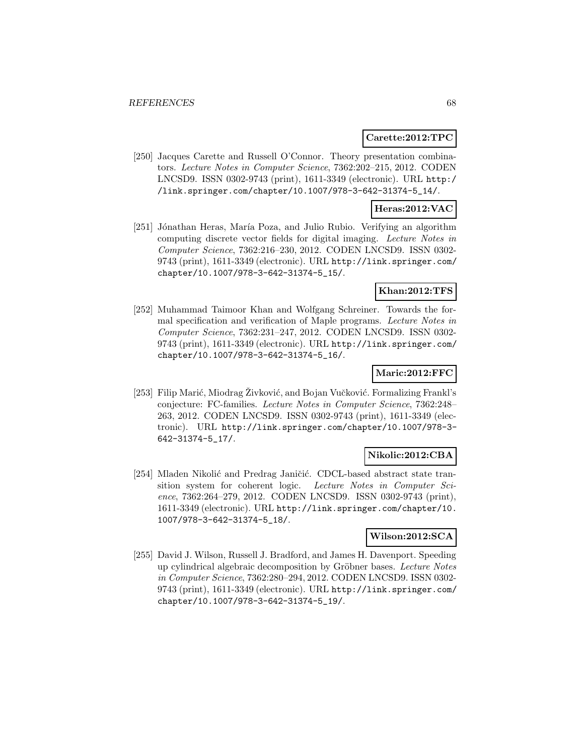#### **Carette:2012:TPC**

[250] Jacques Carette and Russell O'Connor. Theory presentation combinators. Lecture Notes in Computer Science, 7362:202–215, 2012. CODEN LNCSD9. ISSN 0302-9743 (print), 1611-3349 (electronic). URL http:/ /link.springer.com/chapter/10.1007/978-3-642-31374-5\_14/.

### **Heras:2012:VAC**

[251] Jónathan Heras, María Poza, and Julio Rubio. Verifying an algorithm computing discrete vector fields for digital imaging. Lecture Notes in Computer Science, 7362:216–230, 2012. CODEN LNCSD9. ISSN 0302- 9743 (print), 1611-3349 (electronic). URL http://link.springer.com/ chapter/10.1007/978-3-642-31374-5\_15/.

### **Khan:2012:TFS**

[252] Muhammad Taimoor Khan and Wolfgang Schreiner. Towards the formal specification and verification of Maple programs. Lecture Notes in Computer Science, 7362:231–247, 2012. CODEN LNCSD9. ISSN 0302- 9743 (print), 1611-3349 (electronic). URL http://link.springer.com/ chapter/10.1007/978-3-642-31374-5\_16/.

### **Maric:2012:FFC**

[253] Filip Marić, Miodrag Živković, and Bojan Vučković. Formalizing Frankl's conjecture: FC-families. Lecture Notes in Computer Science, 7362:248– 263, 2012. CODEN LNCSD9. ISSN 0302-9743 (print), 1611-3349 (electronic). URL http://link.springer.com/chapter/10.1007/978-3- 642-31374-5\_17/.

### **Nikolic:2012:CBA**

[254] Mladen Nikolić and Predrag Janičić. CDCL-based abstract state transition system for coherent logic. Lecture Notes in Computer Science, 7362:264–279, 2012. CODEN LNCSD9. ISSN 0302-9743 (print), 1611-3349 (electronic). URL http://link.springer.com/chapter/10. 1007/978-3-642-31374-5\_18/.

### **Wilson:2012:SCA**

[255] David J. Wilson, Russell J. Bradford, and James H. Davenport. Speeding up cylindrical algebraic decomposition by Gröbner bases. Lecture Notes in Computer Science, 7362:280–294, 2012. CODEN LNCSD9. ISSN 0302- 9743 (print), 1611-3349 (electronic). URL http://link.springer.com/ chapter/10.1007/978-3-642-31374-5\_19/.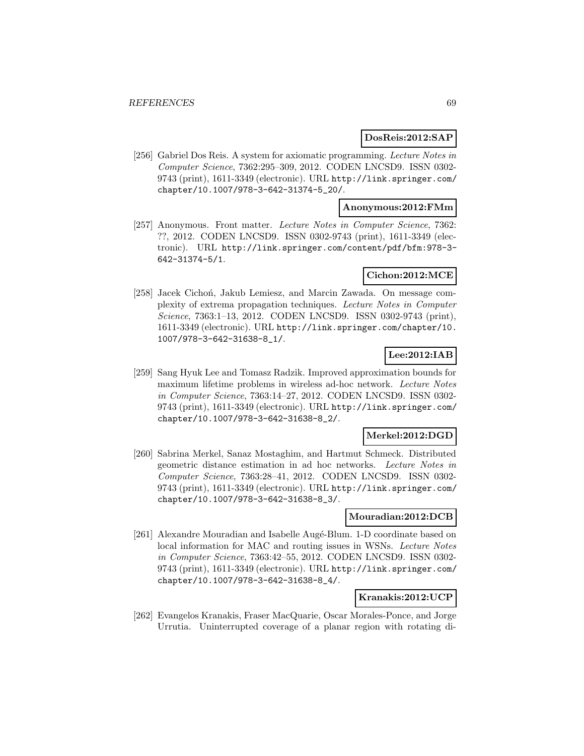#### **DosReis:2012:SAP**

[256] Gabriel Dos Reis. A system for axiomatic programming. Lecture Notes in Computer Science, 7362:295–309, 2012. CODEN LNCSD9. ISSN 0302- 9743 (print), 1611-3349 (electronic). URL http://link.springer.com/ chapter/10.1007/978-3-642-31374-5\_20/.

### **Anonymous:2012:FMm**

[257] Anonymous. Front matter. Lecture Notes in Computer Science, 7362: ??, 2012. CODEN LNCSD9. ISSN 0302-9743 (print), 1611-3349 (electronic). URL http://link.springer.com/content/pdf/bfm:978-3- 642-31374-5/1.

### **Cichon:2012:MCE**

[258] Jacek Cichoń, Jakub Lemiesz, and Marcin Zawada. On message complexity of extrema propagation techniques. Lecture Notes in Computer Science, 7363:1–13, 2012. CODEN LNCSD9. ISSN 0302-9743 (print), 1611-3349 (electronic). URL http://link.springer.com/chapter/10. 1007/978-3-642-31638-8\_1/.

# **Lee:2012:IAB**

[259] Sang Hyuk Lee and Tomasz Radzik. Improved approximation bounds for maximum lifetime problems in wireless ad-hoc network. Lecture Notes in Computer Science, 7363:14–27, 2012. CODEN LNCSD9. ISSN 0302- 9743 (print), 1611-3349 (electronic). URL http://link.springer.com/ chapter/10.1007/978-3-642-31638-8\_2/.

### **Merkel:2012:DGD**

[260] Sabrina Merkel, Sanaz Mostaghim, and Hartmut Schmeck. Distributed geometric distance estimation in ad hoc networks. Lecture Notes in Computer Science, 7363:28–41, 2012. CODEN LNCSD9. ISSN 0302- 9743 (print), 1611-3349 (electronic). URL http://link.springer.com/ chapter/10.1007/978-3-642-31638-8\_3/.

#### **Mouradian:2012:DCB**

[261] Alexandre Mouradian and Isabelle Augé-Blum. 1-D coordinate based on local information for MAC and routing issues in WSNs. Lecture Notes in Computer Science, 7363:42–55, 2012. CODEN LNCSD9. ISSN 0302- 9743 (print), 1611-3349 (electronic). URL http://link.springer.com/ chapter/10.1007/978-3-642-31638-8\_4/.

### **Kranakis:2012:UCP**

[262] Evangelos Kranakis, Fraser MacQuarie, Oscar Morales-Ponce, and Jorge Urrutia. Uninterrupted coverage of a planar region with rotating di-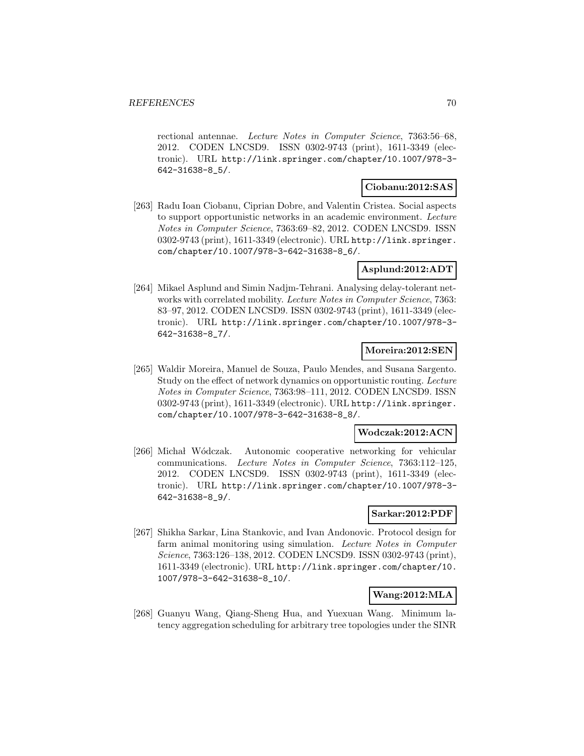rectional antennae. Lecture Notes in Computer Science, 7363:56–68, 2012. CODEN LNCSD9. ISSN 0302-9743 (print), 1611-3349 (electronic). URL http://link.springer.com/chapter/10.1007/978-3- 642-31638-8\_5/.

### **Ciobanu:2012:SAS**

[263] Radu Ioan Ciobanu, Ciprian Dobre, and Valentin Cristea. Social aspects to support opportunistic networks in an academic environment. Lecture Notes in Computer Science, 7363:69–82, 2012. CODEN LNCSD9. ISSN 0302-9743 (print), 1611-3349 (electronic). URL http://link.springer. com/chapter/10.1007/978-3-642-31638-8\_6/.

### **Asplund:2012:ADT**

[264] Mikael Asplund and Simin Nadjm-Tehrani. Analysing delay-tolerant networks with correlated mobility. Lecture Notes in Computer Science, 7363: 83–97, 2012. CODEN LNCSD9. ISSN 0302-9743 (print), 1611-3349 (electronic). URL http://link.springer.com/chapter/10.1007/978-3- 642-31638-8\_7/.

### **Moreira:2012:SEN**

[265] Waldir Moreira, Manuel de Souza, Paulo Mendes, and Susana Sargento. Study on the effect of network dynamics on opportunistic routing. Lecture Notes in Computer Science, 7363:98–111, 2012. CODEN LNCSD9. ISSN 0302-9743 (print), 1611-3349 (electronic). URL http://link.springer. com/chapter/10.1007/978-3-642-31638-8\_8/.

### **Wodczak:2012:ACN**

[266] Michał Wódczak. Autonomic cooperative networking for vehicular communications. Lecture Notes in Computer Science, 7363:112–125, 2012. CODEN LNCSD9. ISSN 0302-9743 (print), 1611-3349 (electronic). URL http://link.springer.com/chapter/10.1007/978-3- 642-31638-8\_9/.

### **Sarkar:2012:PDF**

[267] Shikha Sarkar, Lina Stankovic, and Ivan Andonovic. Protocol design for farm animal monitoring using simulation. Lecture Notes in Computer Science, 7363:126–138, 2012. CODEN LNCSD9. ISSN 0302-9743 (print), 1611-3349 (electronic). URL http://link.springer.com/chapter/10. 1007/978-3-642-31638-8\_10/.

### **Wang:2012:MLA**

[268] Guanyu Wang, Qiang-Sheng Hua, and Yuexuan Wang. Minimum latency aggregation scheduling for arbitrary tree topologies under the SINR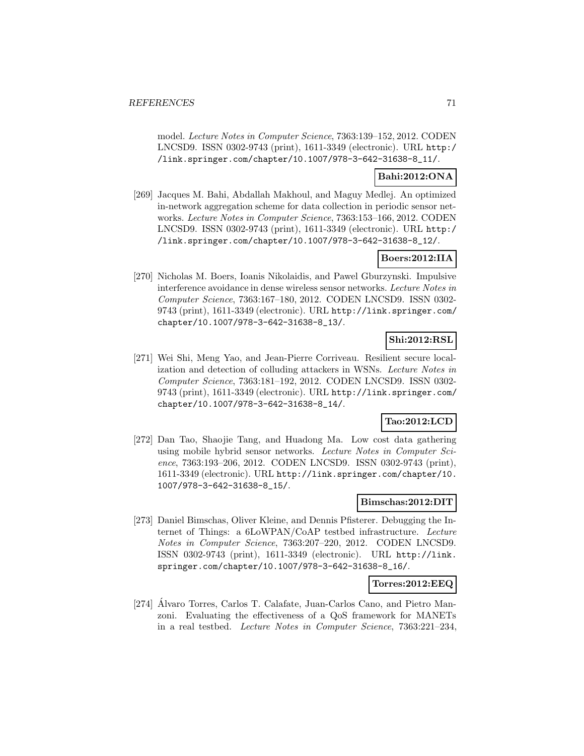model. Lecture Notes in Computer Science, 7363:139–152, 2012. CODEN LNCSD9. ISSN 0302-9743 (print), 1611-3349 (electronic). URL http:/ /link.springer.com/chapter/10.1007/978-3-642-31638-8\_11/.

### **Bahi:2012:ONA**

[269] Jacques M. Bahi, Abdallah Makhoul, and Maguy Medlej. An optimized in-network aggregation scheme for data collection in periodic sensor networks. Lecture Notes in Computer Science, 7363:153–166, 2012. CODEN LNCSD9. ISSN 0302-9743 (print), 1611-3349 (electronic). URL http:/ /link.springer.com/chapter/10.1007/978-3-642-31638-8\_12/.

### **Boers:2012:IIA**

[270] Nicholas M. Boers, Ioanis Nikolaidis, and Pawel Gburzynski. Impulsive interference avoidance in dense wireless sensor networks. Lecture Notes in Computer Science, 7363:167–180, 2012. CODEN LNCSD9. ISSN 0302- 9743 (print), 1611-3349 (electronic). URL http://link.springer.com/ chapter/10.1007/978-3-642-31638-8\_13/.

# **Shi:2012:RSL**

[271] Wei Shi, Meng Yao, and Jean-Pierre Corriveau. Resilient secure localization and detection of colluding attackers in WSNs. Lecture Notes in Computer Science, 7363:181–192, 2012. CODEN LNCSD9. ISSN 0302- 9743 (print), 1611-3349 (electronic). URL http://link.springer.com/ chapter/10.1007/978-3-642-31638-8\_14/.

# **Tao:2012:LCD**

[272] Dan Tao, Shaojie Tang, and Huadong Ma. Low cost data gathering using mobile hybrid sensor networks. Lecture Notes in Computer Science, 7363:193–206, 2012. CODEN LNCSD9. ISSN 0302-9743 (print), 1611-3349 (electronic). URL http://link.springer.com/chapter/10. 1007/978-3-642-31638-8\_15/.

### **Bimschas:2012:DIT**

[273] Daniel Bimschas, Oliver Kleine, and Dennis Pfisterer. Debugging the Internet of Things: a 6LoWPAN/CoAP testbed infrastructure. Lecture Notes in Computer Science, 7363:207–220, 2012. CODEN LNCSD9. ISSN 0302-9743 (print), 1611-3349 (electronic). URL http://link. springer.com/chapter/10.1007/978-3-642-31638-8\_16/.

### **Torres:2012:EEQ**

[274] Alvaro Torres, Carlos T. Calafate, Juan-Carlos Cano, and Pietro Manzoni. Evaluating the effectiveness of a QoS framework for MANETs in a real testbed. Lecture Notes in Computer Science, 7363:221–234,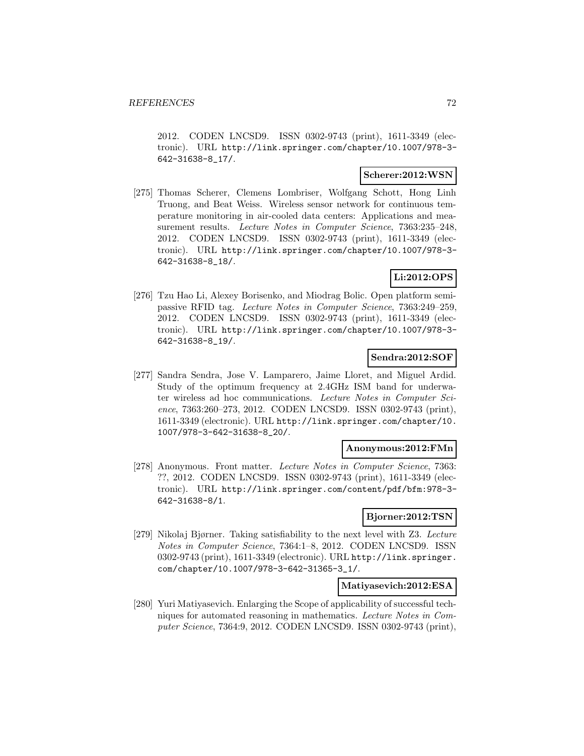2012. CODEN LNCSD9. ISSN 0302-9743 (print), 1611-3349 (electronic). URL http://link.springer.com/chapter/10.1007/978-3- 642-31638-8\_17/.

### **Scherer:2012:WSN**

[275] Thomas Scherer, Clemens Lombriser, Wolfgang Schott, Hong Linh Truong, and Beat Weiss. Wireless sensor network for continuous temperature monitoring in air-cooled data centers: Applications and measurement results. Lecture Notes in Computer Science, 7363:235–248, 2012. CODEN LNCSD9. ISSN 0302-9743 (print), 1611-3349 (electronic). URL http://link.springer.com/chapter/10.1007/978-3- 642-31638-8\_18/.

# **Li:2012:OPS**

[276] Tzu Hao Li, Alexey Borisenko, and Miodrag Bolic. Open platform semipassive RFID tag. Lecture Notes in Computer Science, 7363:249–259, 2012. CODEN LNCSD9. ISSN 0302-9743 (print), 1611-3349 (electronic). URL http://link.springer.com/chapter/10.1007/978-3- 642-31638-8\_19/.

### **Sendra:2012:SOF**

[277] Sandra Sendra, Jose V. Lamparero, Jaime Lloret, and Miguel Ardid. Study of the optimum frequency at 2.4GHz ISM band for underwater wireless ad hoc communications. Lecture Notes in Computer Science, 7363:260–273, 2012. CODEN LNCSD9. ISSN 0302-9743 (print), 1611-3349 (electronic). URL http://link.springer.com/chapter/10. 1007/978-3-642-31638-8\_20/.

#### **Anonymous:2012:FMn**

[278] Anonymous. Front matter. Lecture Notes in Computer Science, 7363: ??, 2012. CODEN LNCSD9. ISSN 0302-9743 (print), 1611-3349 (electronic). URL http://link.springer.com/content/pdf/bfm:978-3- 642-31638-8/1.

#### **Bjorner:2012:TSN**

[279] Nikolaj Bjørner. Taking satisfiability to the next level with Z3. Lecture Notes in Computer Science, 7364:1–8, 2012. CODEN LNCSD9. ISSN 0302-9743 (print), 1611-3349 (electronic). URL http://link.springer. com/chapter/10.1007/978-3-642-31365-3\_1/.

### **Matiyasevich:2012:ESA**

[280] Yuri Matiyasevich. Enlarging the Scope of applicability of successful techniques for automated reasoning in mathematics. Lecture Notes in Computer Science, 7364:9, 2012. CODEN LNCSD9. ISSN 0302-9743 (print),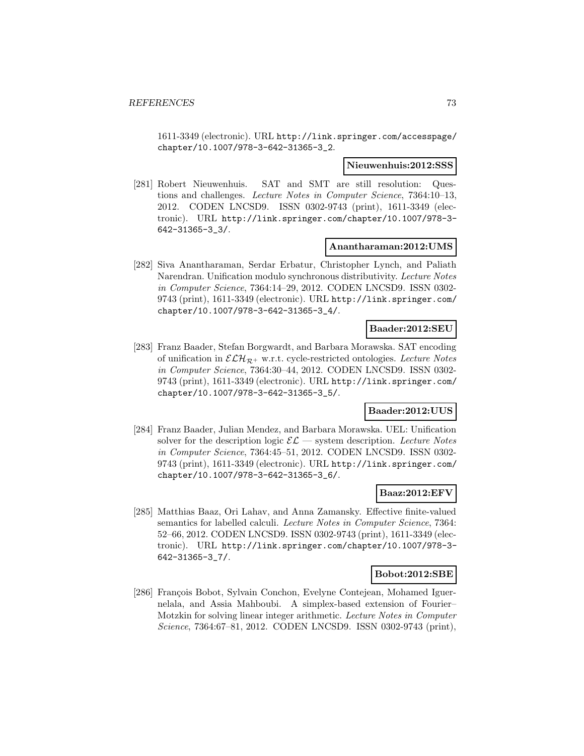1611-3349 (electronic). URL http://link.springer.com/accesspage/ chapter/10.1007/978-3-642-31365-3\_2.

#### **Nieuwenhuis:2012:SSS**

[281] Robert Nieuwenhuis. SAT and SMT are still resolution: Questions and challenges. Lecture Notes in Computer Science, 7364:10–13, 2012. CODEN LNCSD9. ISSN 0302-9743 (print), 1611-3349 (electronic). URL http://link.springer.com/chapter/10.1007/978-3- 642-31365-3\_3/.

#### **Anantharaman:2012:UMS**

[282] Siva Anantharaman, Serdar Erbatur, Christopher Lynch, and Paliath Narendran. Unification modulo synchronous distributivity. Lecture Notes in Computer Science, 7364:14–29, 2012. CODEN LNCSD9. ISSN 0302- 9743 (print), 1611-3349 (electronic). URL http://link.springer.com/ chapter/10.1007/978-3-642-31365-3\_4/.

### **Baader:2012:SEU**

[283] Franz Baader, Stefan Borgwardt, and Barbara Morawska. SAT encoding of unification in  $\mathcal{ELH}_{\mathcal{R}^+}$  w.r.t. cycle-restricted ontologies. Lecture Notes in Computer Science, 7364:30–44, 2012. CODEN LNCSD9. ISSN 0302- 9743 (print), 1611-3349 (electronic). URL http://link.springer.com/ chapter/10.1007/978-3-642-31365-3\_5/.

### **Baader:2012:UUS**

[284] Franz Baader, Julian Mendez, and Barbara Morawska. UEL: Unification solver for the description logic  $\mathcal{EL}$  — system description. Lecture Notes in Computer Science, 7364:45–51, 2012. CODEN LNCSD9. ISSN 0302- 9743 (print), 1611-3349 (electronic). URL http://link.springer.com/ chapter/10.1007/978-3-642-31365-3\_6/.

#### **Baaz:2012:EFV**

[285] Matthias Baaz, Ori Lahav, and Anna Zamansky. Effective finite-valued semantics for labelled calculi. Lecture Notes in Computer Science, 7364: 52–66, 2012. CODEN LNCSD9. ISSN 0302-9743 (print), 1611-3349 (electronic). URL http://link.springer.com/chapter/10.1007/978-3- 642-31365-3\_7/.

#### **Bobot:2012:SBE**

[286] François Bobot, Sylvain Conchon, Evelyne Contejean, Mohamed Iguernelala, and Assia Mahboubi. A simplex-based extension of Fourier– Motzkin for solving linear integer arithmetic. Lecture Notes in Computer Science, 7364:67–81, 2012. CODEN LNCSD9. ISSN 0302-9743 (print),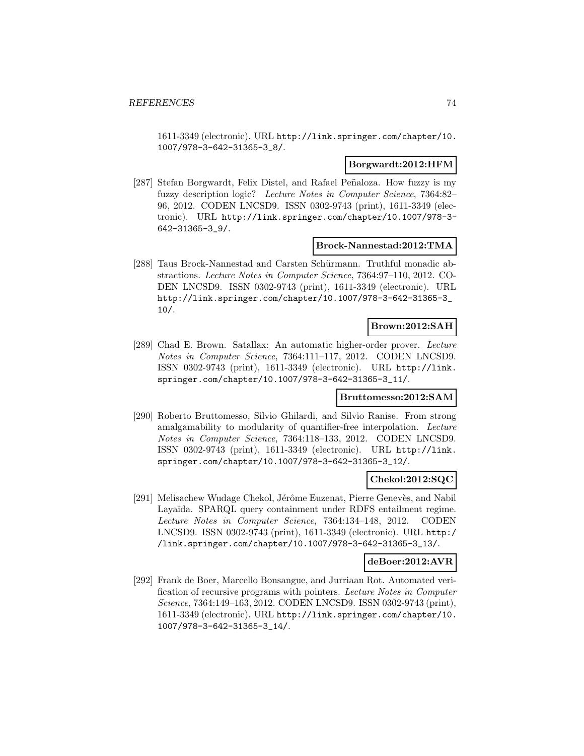1611-3349 (electronic). URL http://link.springer.com/chapter/10. 1007/978-3-642-31365-3\_8/.

#### **Borgwardt:2012:HFM**

[287] Stefan Borgwardt, Felix Distel, and Rafael Peñaloza. How fuzzy is my fuzzy description logic? Lecture Notes in Computer Science, 7364:82– 96, 2012. CODEN LNCSD9. ISSN 0302-9743 (print), 1611-3349 (electronic). URL http://link.springer.com/chapter/10.1007/978-3- 642-31365-3\_9/.

#### **Brock-Nannestad:2012:TMA**

[288] Taus Brock-Nannestad and Carsten Schürmann. Truthful monadic abstractions. Lecture Notes in Computer Science, 7364:97–110, 2012. CO-DEN LNCSD9. ISSN 0302-9743 (print), 1611-3349 (electronic). URL http://link.springer.com/chapter/10.1007/978-3-642-31365-3\_ 10/.

#### **Brown:2012:SAH**

[289] Chad E. Brown. Satallax: An automatic higher-order prover. Lecture Notes in Computer Science, 7364:111–117, 2012. CODEN LNCSD9. ISSN 0302-9743 (print), 1611-3349 (electronic). URL http://link. springer.com/chapter/10.1007/978-3-642-31365-3\_11/.

#### **Bruttomesso:2012:SAM**

[290] Roberto Bruttomesso, Silvio Ghilardi, and Silvio Ranise. From strong amalgamability to modularity of quantifier-free interpolation. Lecture Notes in Computer Science, 7364:118–133, 2012. CODEN LNCSD9. ISSN 0302-9743 (print), 1611-3349 (electronic). URL http://link. springer.com/chapter/10.1007/978-3-642-31365-3\_12/.

### **Chekol:2012:SQC**

[291] Melisachew Wudage Chekol, Jérôme Euzenat, Pierre Genevès, and Nabil Layaïda. SPARQL query containment under RDFS entailment regime. Lecture Notes in Computer Science, 7364:134–148, 2012. CODEN LNCSD9. ISSN 0302-9743 (print), 1611-3349 (electronic). URL http:/ /link.springer.com/chapter/10.1007/978-3-642-31365-3\_13/.

### **deBoer:2012:AVR**

[292] Frank de Boer, Marcello Bonsangue, and Jurriaan Rot. Automated verification of recursive programs with pointers. Lecture Notes in Computer Science, 7364:149–163, 2012. CODEN LNCSD9. ISSN 0302-9743 (print), 1611-3349 (electronic). URL http://link.springer.com/chapter/10. 1007/978-3-642-31365-3\_14/.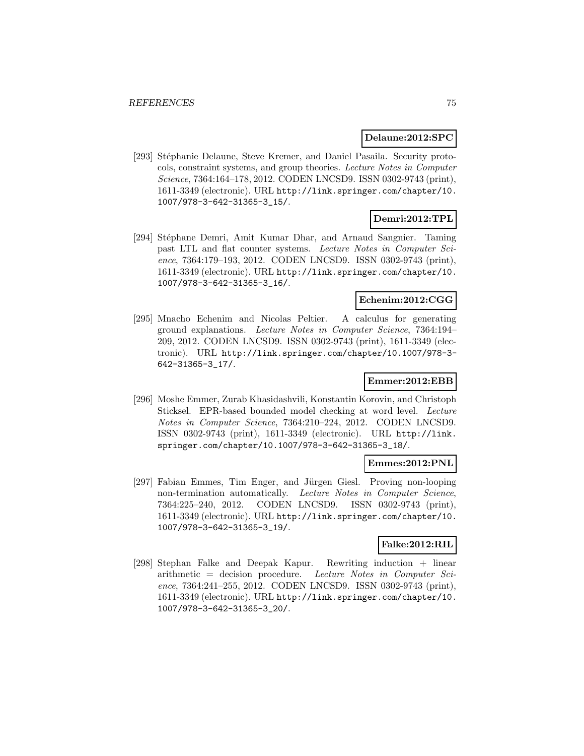#### **Delaune:2012:SPC**

[293] Stéphanie Delaune, Steve Kremer, and Daniel Pasaila. Security protocols, constraint systems, and group theories. Lecture Notes in Computer Science, 7364:164–178, 2012. CODEN LNCSD9. ISSN 0302-9743 (print), 1611-3349 (electronic). URL http://link.springer.com/chapter/10. 1007/978-3-642-31365-3\_15/.

# **Demri:2012:TPL**

[294] Stéphane Demri, Amit Kumar Dhar, and Arnaud Sangnier. Taming past LTL and flat counter systems. Lecture Notes in Computer Science, 7364:179–193, 2012. CODEN LNCSD9. ISSN 0302-9743 (print), 1611-3349 (electronic). URL http://link.springer.com/chapter/10. 1007/978-3-642-31365-3\_16/.

### **Echenim:2012:CGG**

[295] Mnacho Echenim and Nicolas Peltier. A calculus for generating ground explanations. Lecture Notes in Computer Science, 7364:194– 209, 2012. CODEN LNCSD9. ISSN 0302-9743 (print), 1611-3349 (electronic). URL http://link.springer.com/chapter/10.1007/978-3- 642-31365-3\_17/.

#### **Emmer:2012:EBB**

[296] Moshe Emmer, Zurab Khasidashvili, Konstantin Korovin, and Christoph Sticksel. EPR-based bounded model checking at word level. Lecture Notes in Computer Science, 7364:210–224, 2012. CODEN LNCSD9. ISSN 0302-9743 (print), 1611-3349 (electronic). URL http://link. springer.com/chapter/10.1007/978-3-642-31365-3\_18/.

#### **Emmes:2012:PNL**

[297] Fabian Emmes, Tim Enger, and Jürgen Giesl. Proving non-looping non-termination automatically. Lecture Notes in Computer Science, 7364:225–240, 2012. CODEN LNCSD9. ISSN 0302-9743 (print), 1611-3349 (electronic). URL http://link.springer.com/chapter/10. 1007/978-3-642-31365-3\_19/.

#### **Falke:2012:RIL**

[298] Stephan Falke and Deepak Kapur. Rewriting induction + linear arithmetic = decision procedure. Lecture Notes in Computer Science, 7364:241–255, 2012. CODEN LNCSD9. ISSN 0302-9743 (print), 1611-3349 (electronic). URL http://link.springer.com/chapter/10. 1007/978-3-642-31365-3\_20/.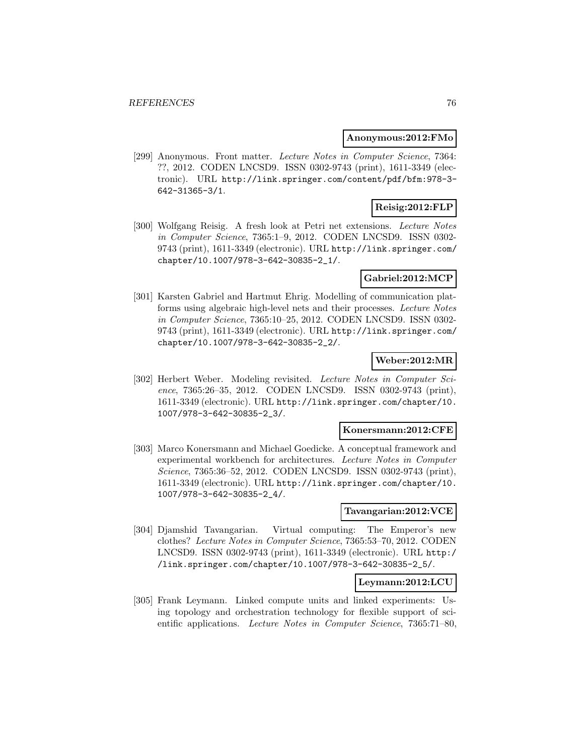#### **Anonymous:2012:FMo**

[299] Anonymous. Front matter. Lecture Notes in Computer Science, 7364: ??, 2012. CODEN LNCSD9. ISSN 0302-9743 (print), 1611-3349 (electronic). URL http://link.springer.com/content/pdf/bfm:978-3- 642-31365-3/1.

# **Reisig:2012:FLP**

[300] Wolfgang Reisig. A fresh look at Petri net extensions. Lecture Notes in Computer Science, 7365:1–9, 2012. CODEN LNCSD9. ISSN 0302- 9743 (print), 1611-3349 (electronic). URL http://link.springer.com/ chapter/10.1007/978-3-642-30835-2\_1/.

#### **Gabriel:2012:MCP**

[301] Karsten Gabriel and Hartmut Ehrig. Modelling of communication platforms using algebraic high-level nets and their processes. Lecture Notes in Computer Science, 7365:10–25, 2012. CODEN LNCSD9. ISSN 0302- 9743 (print), 1611-3349 (electronic). URL http://link.springer.com/ chapter/10.1007/978-3-642-30835-2\_2/.

### **Weber:2012:MR**

[302] Herbert Weber. Modeling revisited. Lecture Notes in Computer Science, 7365:26–35, 2012. CODEN LNCSD9. ISSN 0302-9743 (print), 1611-3349 (electronic). URL http://link.springer.com/chapter/10. 1007/978-3-642-30835-2\_3/.

#### **Konersmann:2012:CFE**

[303] Marco Konersmann and Michael Goedicke. A conceptual framework and experimental workbench for architectures. Lecture Notes in Computer Science, 7365:36–52, 2012. CODEN LNCSD9. ISSN 0302-9743 (print), 1611-3349 (electronic). URL http://link.springer.com/chapter/10. 1007/978-3-642-30835-2\_4/.

#### **Tavangarian:2012:VCE**

[304] Djamshid Tavangarian. Virtual computing: The Emperor's new clothes? Lecture Notes in Computer Science, 7365:53–70, 2012. CODEN LNCSD9. ISSN 0302-9743 (print), 1611-3349 (electronic). URL http:/ /link.springer.com/chapter/10.1007/978-3-642-30835-2\_5/.

#### **Leymann:2012:LCU**

[305] Frank Leymann. Linked compute units and linked experiments: Using topology and orchestration technology for flexible support of scientific applications. Lecture Notes in Computer Science, 7365:71–80,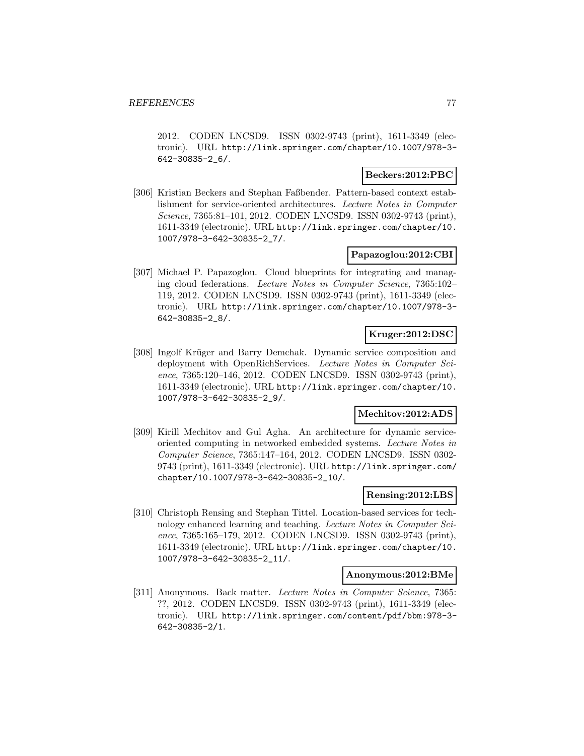2012. CODEN LNCSD9. ISSN 0302-9743 (print), 1611-3349 (electronic). URL http://link.springer.com/chapter/10.1007/978-3- 642-30835-2\_6/.

### **Beckers:2012:PBC**

[306] Kristian Beckers and Stephan Faßbender. Pattern-based context establishment for service-oriented architectures. Lecture Notes in Computer Science, 7365:81–101, 2012. CODEN LNCSD9. ISSN 0302-9743 (print), 1611-3349 (electronic). URL http://link.springer.com/chapter/10. 1007/978-3-642-30835-2\_7/.

### **Papazoglou:2012:CBI**

[307] Michael P. Papazoglou. Cloud blueprints for integrating and managing cloud federations. Lecture Notes in Computer Science, 7365:102– 119, 2012. CODEN LNCSD9. ISSN 0302-9743 (print), 1611-3349 (electronic). URL http://link.springer.com/chapter/10.1007/978-3- 642-30835-2\_8/.

### **Kruger:2012:DSC**

[308] Ingolf Krüger and Barry Demchak. Dynamic service composition and deployment with OpenRichServices. Lecture Notes in Computer Science, 7365:120–146, 2012. CODEN LNCSD9. ISSN 0302-9743 (print), 1611-3349 (electronic). URL http://link.springer.com/chapter/10. 1007/978-3-642-30835-2\_9/.

# **Mechitov:2012:ADS**

[309] Kirill Mechitov and Gul Agha. An architecture for dynamic serviceoriented computing in networked embedded systems. Lecture Notes in Computer Science, 7365:147–164, 2012. CODEN LNCSD9. ISSN 0302- 9743 (print), 1611-3349 (electronic). URL http://link.springer.com/ chapter/10.1007/978-3-642-30835-2\_10/.

#### **Rensing:2012:LBS**

[310] Christoph Rensing and Stephan Tittel. Location-based services for technology enhanced learning and teaching. Lecture Notes in Computer Science, 7365:165–179, 2012. CODEN LNCSD9. ISSN 0302-9743 (print), 1611-3349 (electronic). URL http://link.springer.com/chapter/10. 1007/978-3-642-30835-2\_11/.

#### **Anonymous:2012:BMe**

[311] Anonymous. Back matter. Lecture Notes in Computer Science, 7365: ??, 2012. CODEN LNCSD9. ISSN 0302-9743 (print), 1611-3349 (electronic). URL http://link.springer.com/content/pdf/bbm:978-3- 642-30835-2/1.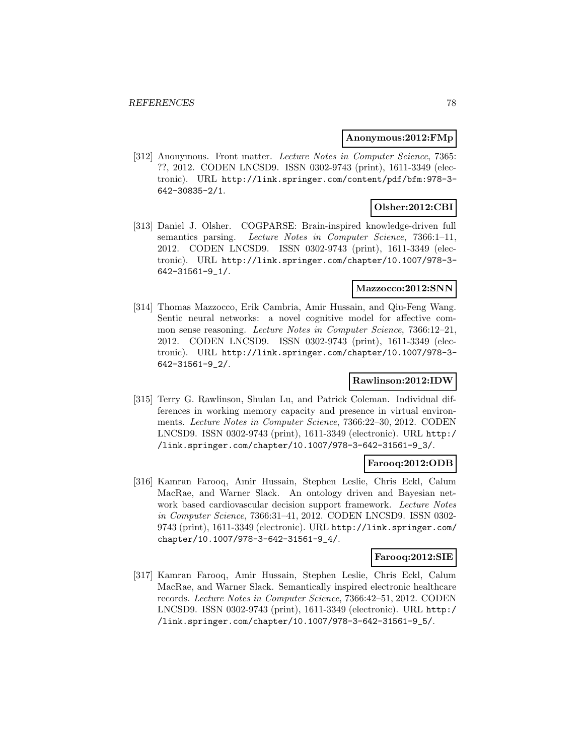#### **Anonymous:2012:FMp**

[312] Anonymous. Front matter. Lecture Notes in Computer Science, 7365: ??, 2012. CODEN LNCSD9. ISSN 0302-9743 (print), 1611-3349 (electronic). URL http://link.springer.com/content/pdf/bfm:978-3- 642-30835-2/1.

# **Olsher:2012:CBI**

[313] Daniel J. Olsher. COGPARSE: Brain-inspired knowledge-driven full semantics parsing. Lecture Notes in Computer Science, 7366:1-11, 2012. CODEN LNCSD9. ISSN 0302-9743 (print), 1611-3349 (electronic). URL http://link.springer.com/chapter/10.1007/978-3- 642-31561-9\_1/.

### **Mazzocco:2012:SNN**

[314] Thomas Mazzocco, Erik Cambria, Amir Hussain, and Qiu-Feng Wang. Sentic neural networks: a novel cognitive model for affective common sense reasoning. Lecture Notes in Computer Science, 7366:12–21, 2012. CODEN LNCSD9. ISSN 0302-9743 (print), 1611-3349 (electronic). URL http://link.springer.com/chapter/10.1007/978-3- 642-31561-9\_2/.

### **Rawlinson:2012:IDW**

[315] Terry G. Rawlinson, Shulan Lu, and Patrick Coleman. Individual differences in working memory capacity and presence in virtual environments. Lecture Notes in Computer Science, 7366:22–30, 2012. CODEN LNCSD9. ISSN 0302-9743 (print), 1611-3349 (electronic). URL http:/ /link.springer.com/chapter/10.1007/978-3-642-31561-9\_3/.

#### **Farooq:2012:ODB**

[316] Kamran Farooq, Amir Hussain, Stephen Leslie, Chris Eckl, Calum MacRae, and Warner Slack. An ontology driven and Bayesian network based cardiovascular decision support framework. Lecture Notes in Computer Science, 7366:31–41, 2012. CODEN LNCSD9. ISSN 0302- 9743 (print), 1611-3349 (electronic). URL http://link.springer.com/ chapter/10.1007/978-3-642-31561-9\_4/.

#### **Farooq:2012:SIE**

[317] Kamran Farooq, Amir Hussain, Stephen Leslie, Chris Eckl, Calum MacRae, and Warner Slack. Semantically inspired electronic healthcare records. Lecture Notes in Computer Science, 7366:42–51, 2012. CODEN LNCSD9. ISSN 0302-9743 (print), 1611-3349 (electronic). URL http:/ /link.springer.com/chapter/10.1007/978-3-642-31561-9\_5/.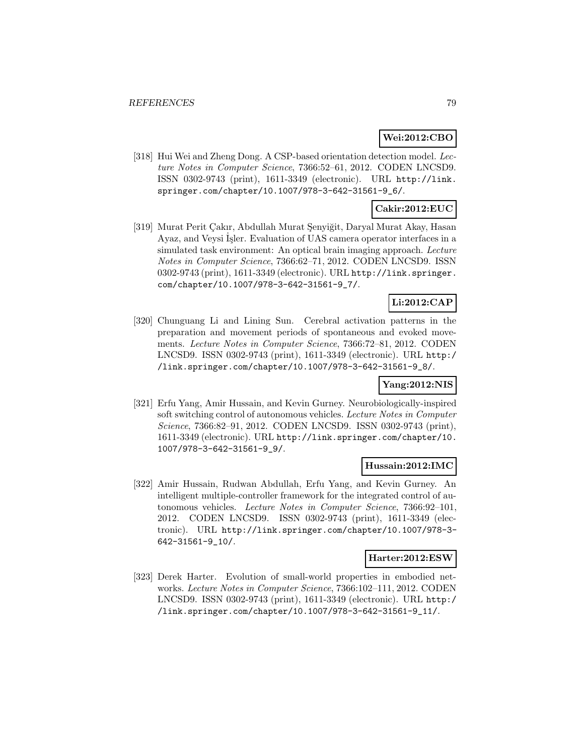### **Wei:2012:CBO**

[318] Hui Wei and Zheng Dong. A CSP-based orientation detection model. Lecture Notes in Computer Science, 7366:52–61, 2012. CODEN LNCSD9. ISSN 0302-9743 (print), 1611-3349 (electronic). URL http://link. springer.com/chapter/10.1007/978-3-642-31561-9\_6/.

### **Cakir:2012:EUC**

[319] Murat Perit Çakır, Abdullah Murat Şenyiğit, Daryal Murat Akay, Hasan Ayaz, and Veysi İşler. Evaluation of UAS camera operator interfaces in a simulated task environment: An optical brain imaging approach. Lecture Notes in Computer Science, 7366:62–71, 2012. CODEN LNCSD9. ISSN 0302-9743 (print), 1611-3349 (electronic). URL http://link.springer. com/chapter/10.1007/978-3-642-31561-9\_7/.

### **Li:2012:CAP**

[320] Chunguang Li and Lining Sun. Cerebral activation patterns in the preparation and movement periods of spontaneous and evoked movements. Lecture Notes in Computer Science, 7366:72–81, 2012. CODEN LNCSD9. ISSN 0302-9743 (print), 1611-3349 (electronic). URL http:/ /link.springer.com/chapter/10.1007/978-3-642-31561-9\_8/.

### **Yang:2012:NIS**

[321] Erfu Yang, Amir Hussain, and Kevin Gurney. Neurobiologically-inspired soft switching control of autonomous vehicles. Lecture Notes in Computer Science, 7366:82–91, 2012. CODEN LNCSD9. ISSN 0302-9743 (print), 1611-3349 (electronic). URL http://link.springer.com/chapter/10. 1007/978-3-642-31561-9\_9/.

#### **Hussain:2012:IMC**

[322] Amir Hussain, Rudwan Abdullah, Erfu Yang, and Kevin Gurney. An intelligent multiple-controller framework for the integrated control of autonomous vehicles. Lecture Notes in Computer Science, 7366:92–101, 2012. CODEN LNCSD9. ISSN 0302-9743 (print), 1611-3349 (electronic). URL http://link.springer.com/chapter/10.1007/978-3- 642-31561-9\_10/.

### **Harter:2012:ESW**

[323] Derek Harter. Evolution of small-world properties in embodied networks. Lecture Notes in Computer Science, 7366:102–111, 2012. CODEN LNCSD9. ISSN 0302-9743 (print), 1611-3349 (electronic). URL http:/ /link.springer.com/chapter/10.1007/978-3-642-31561-9\_11/.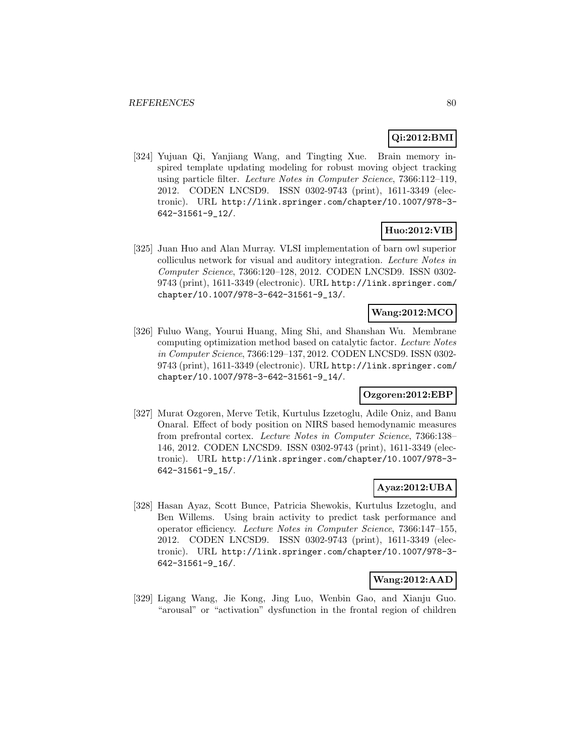### **Qi:2012:BMI**

[324] Yujuan Qi, Yanjiang Wang, and Tingting Xue. Brain memory inspired template updating modeling for robust moving object tracking using particle filter. Lecture Notes in Computer Science, 7366:112–119, 2012. CODEN LNCSD9. ISSN 0302-9743 (print), 1611-3349 (electronic). URL http://link.springer.com/chapter/10.1007/978-3- 642-31561-9\_12/.

### **Huo:2012:VIB**

[325] Juan Huo and Alan Murray. VLSI implementation of barn owl superior colliculus network for visual and auditory integration. Lecture Notes in Computer Science, 7366:120–128, 2012. CODEN LNCSD9. ISSN 0302- 9743 (print), 1611-3349 (electronic). URL http://link.springer.com/ chapter/10.1007/978-3-642-31561-9\_13/.

### **Wang:2012:MCO**

[326] Fuluo Wang, Yourui Huang, Ming Shi, and Shanshan Wu. Membrane computing optimization method based on catalytic factor. Lecture Notes in Computer Science, 7366:129–137, 2012. CODEN LNCSD9. ISSN 0302- 9743 (print), 1611-3349 (electronic). URL http://link.springer.com/ chapter/10.1007/978-3-642-31561-9\_14/.

#### **Ozgoren:2012:EBP**

[327] Murat Ozgoren, Merve Tetik, Kurtulus Izzetoglu, Adile Oniz, and Banu Onaral. Effect of body position on NIRS based hemodynamic measures from prefrontal cortex. Lecture Notes in Computer Science, 7366:138– 146, 2012. CODEN LNCSD9. ISSN 0302-9743 (print), 1611-3349 (electronic). URL http://link.springer.com/chapter/10.1007/978-3- 642-31561-9\_15/.

### **Ayaz:2012:UBA**

[328] Hasan Ayaz, Scott Bunce, Patricia Shewokis, Kurtulus Izzetoglu, and Ben Willems. Using brain activity to predict task performance and operator efficiency. Lecture Notes in Computer Science, 7366:147–155, 2012. CODEN LNCSD9. ISSN 0302-9743 (print), 1611-3349 (electronic). URL http://link.springer.com/chapter/10.1007/978-3- 642-31561-9\_16/.

#### **Wang:2012:AAD**

[329] Ligang Wang, Jie Kong, Jing Luo, Wenbin Gao, and Xianju Guo. "arousal" or "activation" dysfunction in the frontal region of children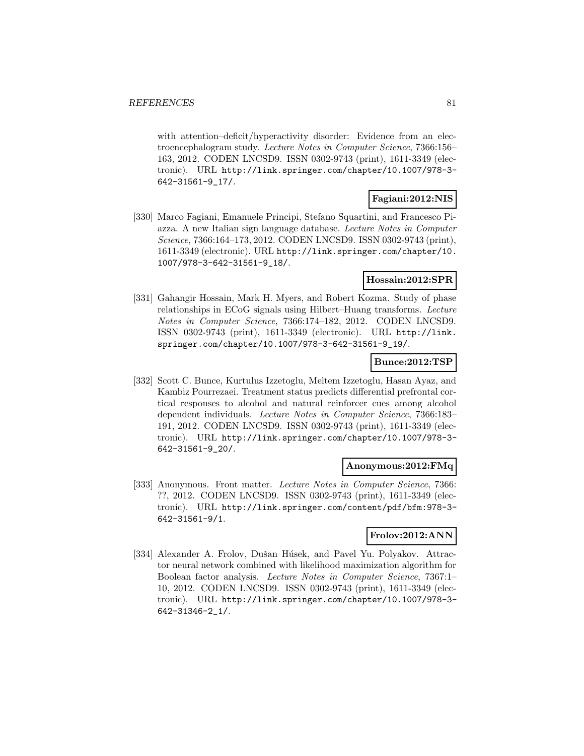with attention–deficit/hyperactivity disorder: Evidence from an electroencephalogram study. Lecture Notes in Computer Science, 7366:156– 163, 2012. CODEN LNCSD9. ISSN 0302-9743 (print), 1611-3349 (electronic). URL http://link.springer.com/chapter/10.1007/978-3- 642-31561-9\_17/.

### **Fagiani:2012:NIS**

[330] Marco Fagiani, Emanuele Principi, Stefano Squartini, and Francesco Piazza. A new Italian sign language database. Lecture Notes in Computer Science, 7366:164–173, 2012. CODEN LNCSD9. ISSN 0302-9743 (print), 1611-3349 (electronic). URL http://link.springer.com/chapter/10. 1007/978-3-642-31561-9\_18/.

#### **Hossain:2012:SPR**

[331] Gahangir Hossain, Mark H. Myers, and Robert Kozma. Study of phase relationships in ECoG signals using Hilbert–Huang transforms. Lecture Notes in Computer Science, 7366:174–182, 2012. CODEN LNCSD9. ISSN 0302-9743 (print), 1611-3349 (electronic). URL http://link. springer.com/chapter/10.1007/978-3-642-31561-9\_19/.

### **Bunce:2012:TSP**

[332] Scott C. Bunce, Kurtulus Izzetoglu, Meltem Izzetoglu, Hasan Ayaz, and Kambiz Pourrezaei. Treatment status predicts differential prefrontal cortical responses to alcohol and natural reinforcer cues among alcohol dependent individuals. Lecture Notes in Computer Science, 7366:183– 191, 2012. CODEN LNCSD9. ISSN 0302-9743 (print), 1611-3349 (electronic). URL http://link.springer.com/chapter/10.1007/978-3- 642-31561-9\_20/.

#### **Anonymous:2012:FMq**

[333] Anonymous. Front matter. Lecture Notes in Computer Science, 7366: ??, 2012. CODEN LNCSD9. ISSN 0302-9743 (print), 1611-3349 (electronic). URL http://link.springer.com/content/pdf/bfm:978-3- 642-31561-9/1.

# **Frolov:2012:ANN**

[334] Alexander A. Frolov, Dušan Húsek, and Pavel Yu. Polyakov. Attractor neural network combined with likelihood maximization algorithm for Boolean factor analysis. Lecture Notes in Computer Science, 7367:1– 10, 2012. CODEN LNCSD9. ISSN 0302-9743 (print), 1611-3349 (electronic). URL http://link.springer.com/chapter/10.1007/978-3- 642-31346-2\_1/.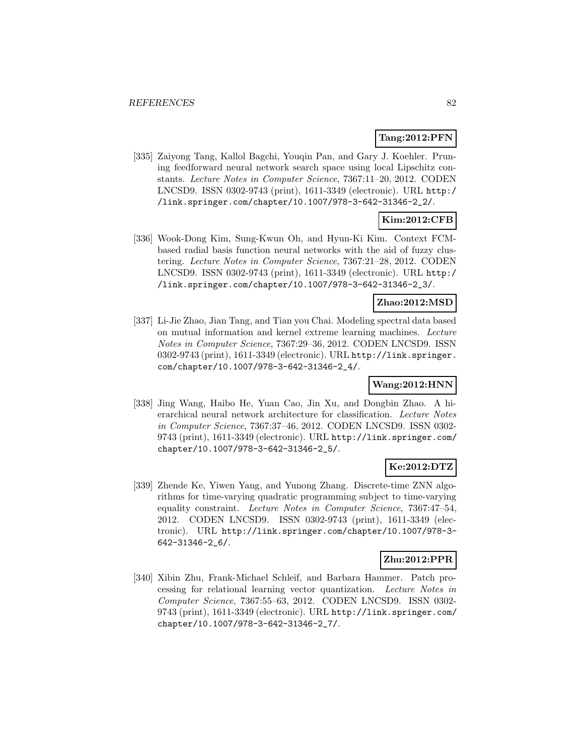### **Tang:2012:PFN**

[335] Zaiyong Tang, Kallol Bagchi, Youqin Pan, and Gary J. Koehler. Pruning feedforward neural network search space using local Lipschitz constants. Lecture Notes in Computer Science, 7367:11–20, 2012. CODEN LNCSD9. ISSN 0302-9743 (print), 1611-3349 (electronic). URL http:/ /link.springer.com/chapter/10.1007/978-3-642-31346-2\_2/.

# **Kim:2012:CFB**

[336] Wook-Dong Kim, Sung-Kwun Oh, and Hyun-Ki Kim. Context FCMbased radial basis function neural networks with the aid of fuzzy clustering. Lecture Notes in Computer Science, 7367:21–28, 2012. CODEN LNCSD9. ISSN 0302-9743 (print), 1611-3349 (electronic). URL http:/ /link.springer.com/chapter/10.1007/978-3-642-31346-2\_3/.

### **Zhao:2012:MSD**

[337] Li-Jie Zhao, Jian Tang, and Tian you Chai. Modeling spectral data based on mutual information and kernel extreme learning machines. Lecture Notes in Computer Science, 7367:29–36, 2012. CODEN LNCSD9. ISSN 0302-9743 (print), 1611-3349 (electronic). URL http://link.springer. com/chapter/10.1007/978-3-642-31346-2\_4/.

### **Wang:2012:HNN**

[338] Jing Wang, Haibo He, Yuan Cao, Jin Xu, and Dongbin Zhao. A hierarchical neural network architecture for classification. Lecture Notes in Computer Science, 7367:37–46, 2012. CODEN LNCSD9. ISSN 0302- 9743 (print), 1611-3349 (electronic). URL http://link.springer.com/ chapter/10.1007/978-3-642-31346-2\_5/.

### **Ke:2012:DTZ**

[339] Zhende Ke, Yiwen Yang, and Yunong Zhang. Discrete-time ZNN algorithms for time-varying quadratic programming subject to time-varying equality constraint. Lecture Notes in Computer Science, 7367:47–54, 2012. CODEN LNCSD9. ISSN 0302-9743 (print), 1611-3349 (electronic). URL http://link.springer.com/chapter/10.1007/978-3- 642-31346-2\_6/.

### **Zhu:2012:PPR**

[340] Xibin Zhu, Frank-Michael Schleif, and Barbara Hammer. Patch processing for relational learning vector quantization. Lecture Notes in Computer Science, 7367:55–63, 2012. CODEN LNCSD9. ISSN 0302- 9743 (print), 1611-3349 (electronic). URL http://link.springer.com/ chapter/10.1007/978-3-642-31346-2\_7/.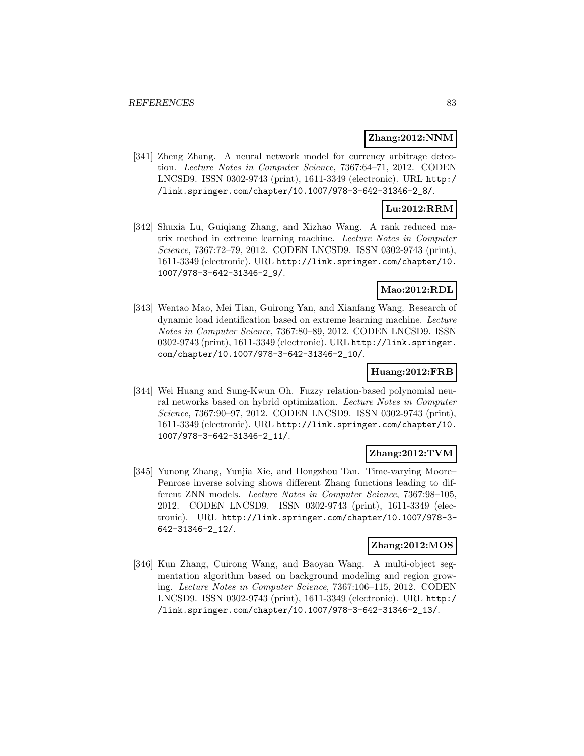#### **Zhang:2012:NNM**

[341] Zheng Zhang. A neural network model for currency arbitrage detection. Lecture Notes in Computer Science, 7367:64–71, 2012. CODEN LNCSD9. ISSN 0302-9743 (print), 1611-3349 (electronic). URL http:/ /link.springer.com/chapter/10.1007/978-3-642-31346-2\_8/.

### **Lu:2012:RRM**

[342] Shuxia Lu, Guiqiang Zhang, and Xizhao Wang. A rank reduced matrix method in extreme learning machine. Lecture Notes in Computer Science, 7367:72–79, 2012. CODEN LNCSD9. ISSN 0302-9743 (print), 1611-3349 (electronic). URL http://link.springer.com/chapter/10. 1007/978-3-642-31346-2\_9/.

### **Mao:2012:RDL**

[343] Wentao Mao, Mei Tian, Guirong Yan, and Xianfang Wang. Research of dynamic load identification based on extreme learning machine. Lecture Notes in Computer Science, 7367:80–89, 2012. CODEN LNCSD9. ISSN 0302-9743 (print), 1611-3349 (electronic). URL http://link.springer. com/chapter/10.1007/978-3-642-31346-2\_10/.

#### **Huang:2012:FRB**

[344] Wei Huang and Sung-Kwun Oh. Fuzzy relation-based polynomial neural networks based on hybrid optimization. Lecture Notes in Computer Science, 7367:90–97, 2012. CODEN LNCSD9. ISSN 0302-9743 (print), 1611-3349 (electronic). URL http://link.springer.com/chapter/10. 1007/978-3-642-31346-2\_11/.

### **Zhang:2012:TVM**

[345] Yunong Zhang, Yunjia Xie, and Hongzhou Tan. Time-varying Moore– Penrose inverse solving shows different Zhang functions leading to different ZNN models. Lecture Notes in Computer Science, 7367:98–105, 2012. CODEN LNCSD9. ISSN 0302-9743 (print), 1611-3349 (electronic). URL http://link.springer.com/chapter/10.1007/978-3- 642-31346-2\_12/.

#### **Zhang:2012:MOS**

[346] Kun Zhang, Cuirong Wang, and Baoyan Wang. A multi-object segmentation algorithm based on background modeling and region growing. Lecture Notes in Computer Science, 7367:106–115, 2012. CODEN LNCSD9. ISSN 0302-9743 (print), 1611-3349 (electronic). URL http:/ /link.springer.com/chapter/10.1007/978-3-642-31346-2\_13/.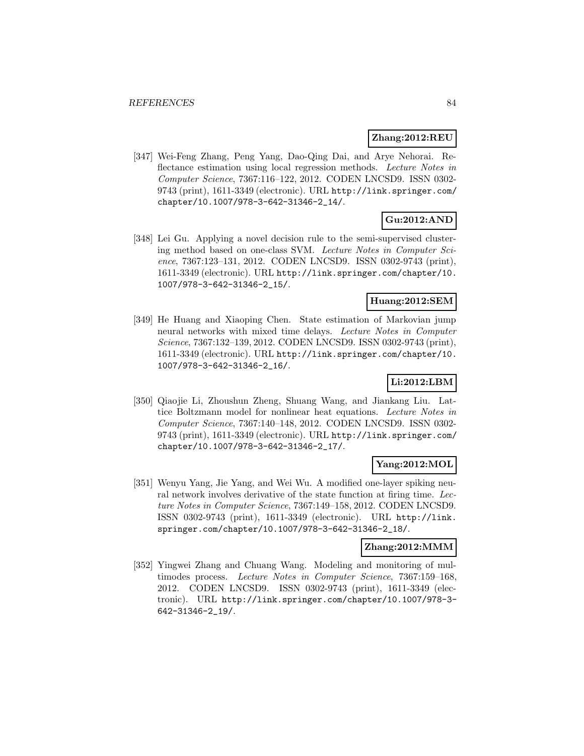#### **Zhang:2012:REU**

[347] Wei-Feng Zhang, Peng Yang, Dao-Qing Dai, and Arye Nehorai. Reflectance estimation using local regression methods. Lecture Notes in Computer Science, 7367:116–122, 2012. CODEN LNCSD9. ISSN 0302- 9743 (print), 1611-3349 (electronic). URL http://link.springer.com/ chapter/10.1007/978-3-642-31346-2\_14/.

# **Gu:2012:AND**

[348] Lei Gu. Applying a novel decision rule to the semi-supervised clustering method based on one-class SVM. Lecture Notes in Computer Science, 7367:123–131, 2012. CODEN LNCSD9. ISSN 0302-9743 (print), 1611-3349 (electronic). URL http://link.springer.com/chapter/10. 1007/978-3-642-31346-2\_15/.

#### **Huang:2012:SEM**

[349] He Huang and Xiaoping Chen. State estimation of Markovian jump neural networks with mixed time delays. Lecture Notes in Computer Science, 7367:132–139, 2012. CODEN LNCSD9. ISSN 0302-9743 (print), 1611-3349 (electronic). URL http://link.springer.com/chapter/10. 1007/978-3-642-31346-2\_16/.

### **Li:2012:LBM**

[350] Qiaojie Li, Zhoushun Zheng, Shuang Wang, and Jiankang Liu. Lattice Boltzmann model for nonlinear heat equations. Lecture Notes in Computer Science, 7367:140–148, 2012. CODEN LNCSD9. ISSN 0302- 9743 (print), 1611-3349 (electronic). URL http://link.springer.com/ chapter/10.1007/978-3-642-31346-2\_17/.

### **Yang:2012:MOL**

[351] Wenyu Yang, Jie Yang, and Wei Wu. A modified one-layer spiking neural network involves derivative of the state function at firing time. Lecture Notes in Computer Science, 7367:149–158, 2012. CODEN LNCSD9. ISSN 0302-9743 (print), 1611-3349 (electronic). URL http://link. springer.com/chapter/10.1007/978-3-642-31346-2\_18/.

### **Zhang:2012:MMM**

[352] Yingwei Zhang and Chuang Wang. Modeling and monitoring of multimodes process. Lecture Notes in Computer Science, 7367:159–168, 2012. CODEN LNCSD9. ISSN 0302-9743 (print), 1611-3349 (electronic). URL http://link.springer.com/chapter/10.1007/978-3- 642-31346-2\_19/.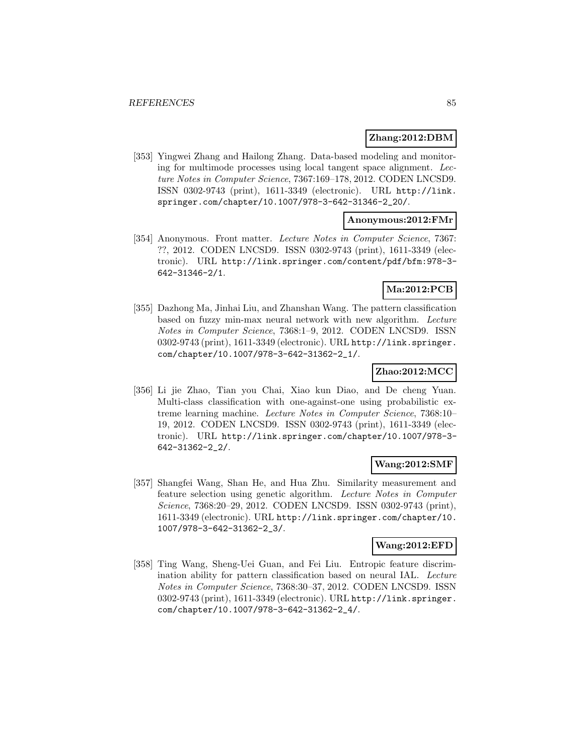### **Zhang:2012:DBM**

[353] Yingwei Zhang and Hailong Zhang. Data-based modeling and monitoring for multimode processes using local tangent space alignment. Lecture Notes in Computer Science, 7367:169–178, 2012. CODEN LNCSD9. ISSN 0302-9743 (print), 1611-3349 (electronic). URL http://link. springer.com/chapter/10.1007/978-3-642-31346-2\_20/.

### **Anonymous:2012:FMr**

[354] Anonymous. Front matter. Lecture Notes in Computer Science, 7367: ??, 2012. CODEN LNCSD9. ISSN 0302-9743 (print), 1611-3349 (electronic). URL http://link.springer.com/content/pdf/bfm:978-3- 642-31346-2/1.

# **Ma:2012:PCB**

[355] Dazhong Ma, Jinhai Liu, and Zhanshan Wang. The pattern classification based on fuzzy min-max neural network with new algorithm. Lecture Notes in Computer Science, 7368:1–9, 2012. CODEN LNCSD9. ISSN 0302-9743 (print), 1611-3349 (electronic). URL http://link.springer. com/chapter/10.1007/978-3-642-31362-2\_1/.

### **Zhao:2012:MCC**

[356] Li jie Zhao, Tian you Chai, Xiao kun Diao, and De cheng Yuan. Multi-class classification with one-against-one using probabilistic extreme learning machine. Lecture Notes in Computer Science, 7368:10– 19, 2012. CODEN LNCSD9. ISSN 0302-9743 (print), 1611-3349 (electronic). URL http://link.springer.com/chapter/10.1007/978-3- 642-31362-2\_2/.

### **Wang:2012:SMF**

[357] Shangfei Wang, Shan He, and Hua Zhu. Similarity measurement and feature selection using genetic algorithm. Lecture Notes in Computer Science, 7368:20–29, 2012. CODEN LNCSD9. ISSN 0302-9743 (print), 1611-3349 (electronic). URL http://link.springer.com/chapter/10. 1007/978-3-642-31362-2\_3/.

### **Wang:2012:EFD**

[358] Ting Wang, Sheng-Uei Guan, and Fei Liu. Entropic feature discrimination ability for pattern classification based on neural IAL. Lecture Notes in Computer Science, 7368:30–37, 2012. CODEN LNCSD9. ISSN 0302-9743 (print), 1611-3349 (electronic). URL http://link.springer. com/chapter/10.1007/978-3-642-31362-2\_4/.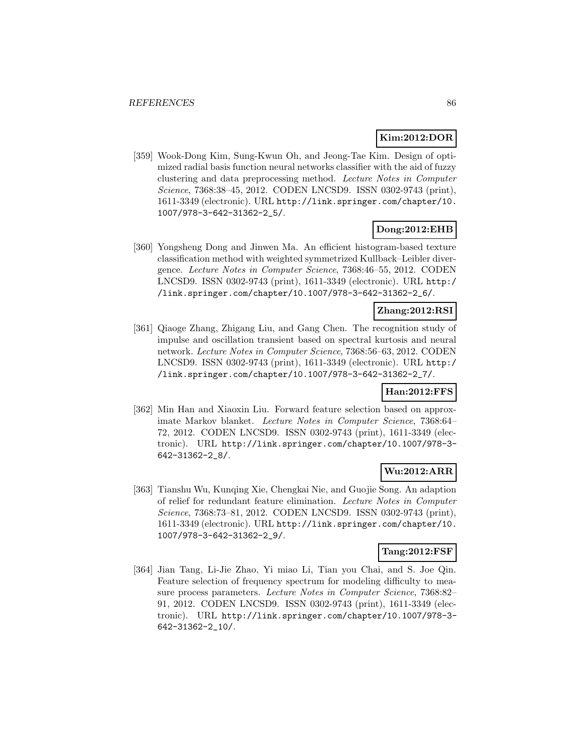#### **Kim:2012:DOR**

[359] Wook-Dong Kim, Sung-Kwun Oh, and Jeong-Tae Kim. Design of optimized radial basis function neural networks classifier with the aid of fuzzy clustering and data preprocessing method. Lecture Notes in Computer Science, 7368:38–45, 2012. CODEN LNCSD9. ISSN 0302-9743 (print), 1611-3349 (electronic). URL http://link.springer.com/chapter/10. 1007/978-3-642-31362-2\_5/.

### **Dong:2012:EHB**

[360] Yongsheng Dong and Jinwen Ma. An efficient histogram-based texture classification method with weighted symmetrized Kullback–Leibler divergence. Lecture Notes in Computer Science, 7368:46–55, 2012. CODEN LNCSD9. ISSN 0302-9743 (print), 1611-3349 (electronic). URL http:/ /link.springer.com/chapter/10.1007/978-3-642-31362-2\_6/.

### **Zhang:2012:RSI**

[361] Qiaoge Zhang, Zhigang Liu, and Gang Chen. The recognition study of impulse and oscillation transient based on spectral kurtosis and neural network. Lecture Notes in Computer Science, 7368:56–63, 2012. CODEN LNCSD9. ISSN 0302-9743 (print), 1611-3349 (electronic). URL http:/ /link.springer.com/chapter/10.1007/978-3-642-31362-2\_7/.

### **Han:2012:FFS**

[362] Min Han and Xiaoxin Liu. Forward feature selection based on approximate Markov blanket. Lecture Notes in Computer Science, 7368:64– 72, 2012. CODEN LNCSD9. ISSN 0302-9743 (print), 1611-3349 (electronic). URL http://link.springer.com/chapter/10.1007/978-3- 642-31362-2\_8/.

# **Wu:2012:ARR**

[363] Tianshu Wu, Kunqing Xie, Chengkai Nie, and Guojie Song. An adaption of relief for redundant feature elimination. Lecture Notes in Computer Science, 7368:73–81, 2012. CODEN LNCSD9. ISSN 0302-9743 (print), 1611-3349 (electronic). URL http://link.springer.com/chapter/10. 1007/978-3-642-31362-2\_9/.

### **Tang:2012:FSF**

[364] Jian Tang, Li-Jie Zhao, Yi miao Li, Tian you Chai, and S. Joe Qin. Feature selection of frequency spectrum for modeling difficulty to measure process parameters. Lecture Notes in Computer Science, 7368:82– 91, 2012. CODEN LNCSD9. ISSN 0302-9743 (print), 1611-3349 (electronic). URL http://link.springer.com/chapter/10.1007/978-3- 642-31362-2\_10/.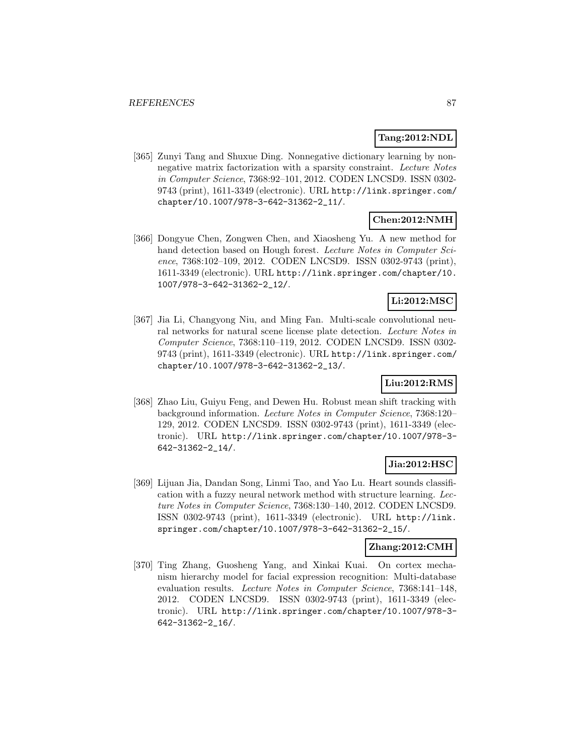#### **Tang:2012:NDL**

[365] Zunyi Tang and Shuxue Ding. Nonnegative dictionary learning by nonnegative matrix factorization with a sparsity constraint. Lecture Notes in Computer Science, 7368:92–101, 2012. CODEN LNCSD9. ISSN 0302- 9743 (print), 1611-3349 (electronic). URL http://link.springer.com/ chapter/10.1007/978-3-642-31362-2\_11/.

# **Chen:2012:NMH**

[366] Dongyue Chen, Zongwen Chen, and Xiaosheng Yu. A new method for hand detection based on Hough forest. Lecture Notes in Computer Science, 7368:102–109, 2012. CODEN LNCSD9. ISSN 0302-9743 (print), 1611-3349 (electronic). URL http://link.springer.com/chapter/10. 1007/978-3-642-31362-2\_12/.

### **Li:2012:MSC**

[367] Jia Li, Changyong Niu, and Ming Fan. Multi-scale convolutional neural networks for natural scene license plate detection. Lecture Notes in Computer Science, 7368:110–119, 2012. CODEN LNCSD9. ISSN 0302- 9743 (print), 1611-3349 (electronic). URL http://link.springer.com/ chapter/10.1007/978-3-642-31362-2\_13/.

# **Liu:2012:RMS**

[368] Zhao Liu, Guiyu Feng, and Dewen Hu. Robust mean shift tracking with background information. Lecture Notes in Computer Science, 7368:120– 129, 2012. CODEN LNCSD9. ISSN 0302-9743 (print), 1611-3349 (electronic). URL http://link.springer.com/chapter/10.1007/978-3- 642-31362-2\_14/.

### **Jia:2012:HSC**

[369] Lijuan Jia, Dandan Song, Linmi Tao, and Yao Lu. Heart sounds classification with a fuzzy neural network method with structure learning. Lecture Notes in Computer Science, 7368:130–140, 2012. CODEN LNCSD9. ISSN 0302-9743 (print), 1611-3349 (electronic). URL http://link. springer.com/chapter/10.1007/978-3-642-31362-2\_15/.

#### **Zhang:2012:CMH**

[370] Ting Zhang, Guosheng Yang, and Xinkai Kuai. On cortex mechanism hierarchy model for facial expression recognition: Multi-database evaluation results. Lecture Notes in Computer Science, 7368:141–148, 2012. CODEN LNCSD9. ISSN 0302-9743 (print), 1611-3349 (electronic). URL http://link.springer.com/chapter/10.1007/978-3- 642-31362-2\_16/.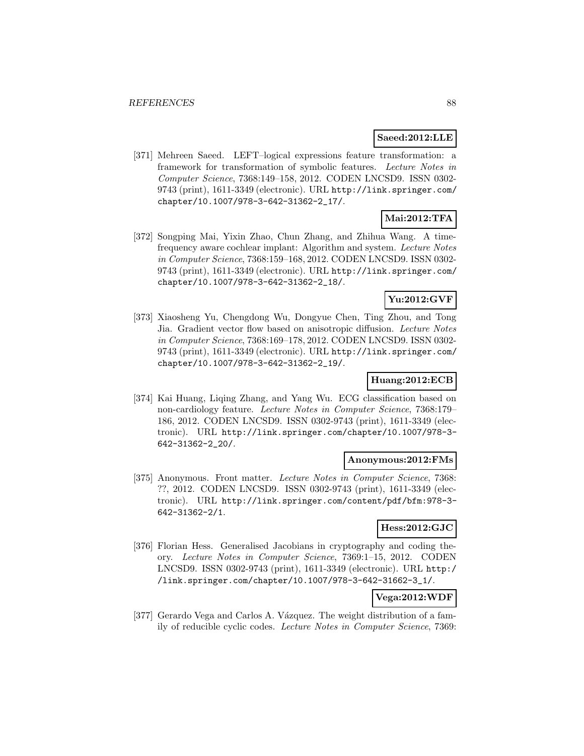#### **Saeed:2012:LLE**

[371] Mehreen Saeed. LEFT–logical expressions feature transformation: a framework for transformation of symbolic features. Lecture Notes in Computer Science, 7368:149–158, 2012. CODEN LNCSD9. ISSN 0302- 9743 (print), 1611-3349 (electronic). URL http://link.springer.com/ chapter/10.1007/978-3-642-31362-2\_17/.

# **Mai:2012:TFA**

[372] Songping Mai, Yixin Zhao, Chun Zhang, and Zhihua Wang. A timefrequency aware cochlear implant: Algorithm and system. Lecture Notes in Computer Science, 7368:159–168, 2012. CODEN LNCSD9. ISSN 0302- 9743 (print), 1611-3349 (electronic). URL http://link.springer.com/ chapter/10.1007/978-3-642-31362-2\_18/.

### **Yu:2012:GVF**

[373] Xiaosheng Yu, Chengdong Wu, Dongyue Chen, Ting Zhou, and Tong Jia. Gradient vector flow based on anisotropic diffusion. Lecture Notes in Computer Science, 7368:169–178, 2012. CODEN LNCSD9. ISSN 0302- 9743 (print), 1611-3349 (electronic). URL http://link.springer.com/ chapter/10.1007/978-3-642-31362-2\_19/.

### **Huang:2012:ECB**

[374] Kai Huang, Liqing Zhang, and Yang Wu. ECG classification based on non-cardiology feature. Lecture Notes in Computer Science, 7368:179– 186, 2012. CODEN LNCSD9. ISSN 0302-9743 (print), 1611-3349 (electronic). URL http://link.springer.com/chapter/10.1007/978-3- 642-31362-2\_20/.

#### **Anonymous:2012:FMs**

[375] Anonymous. Front matter. Lecture Notes in Computer Science, 7368: ??, 2012. CODEN LNCSD9. ISSN 0302-9743 (print), 1611-3349 (electronic). URL http://link.springer.com/content/pdf/bfm:978-3- 642-31362-2/1.

#### **Hess:2012:GJC**

[376] Florian Hess. Generalised Jacobians in cryptography and coding theory. Lecture Notes in Computer Science, 7369:1–15, 2012. CODEN LNCSD9. ISSN 0302-9743 (print), 1611-3349 (electronic). URL http:/ /link.springer.com/chapter/10.1007/978-3-642-31662-3\_1/.

# **Vega:2012:WDF**

[377] Gerardo Vega and Carlos A. Vázquez. The weight distribution of a family of reducible cyclic codes. Lecture Notes in Computer Science, 7369: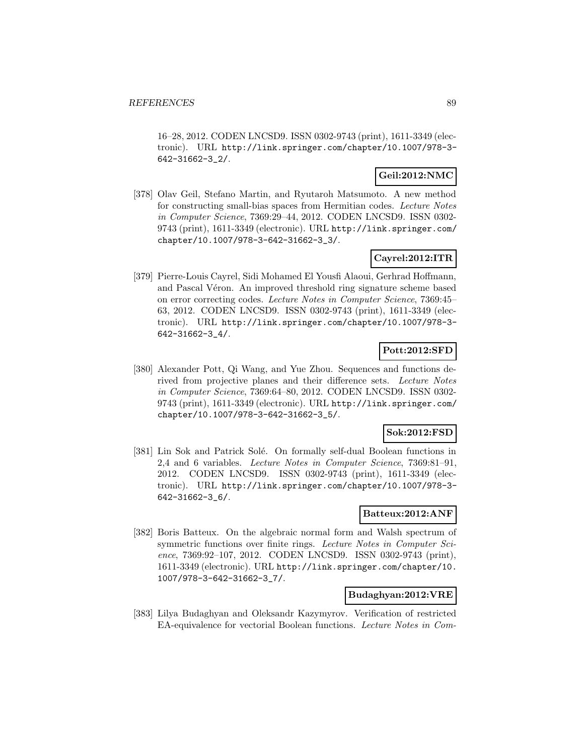16–28, 2012. CODEN LNCSD9. ISSN 0302-9743 (print), 1611-3349 (electronic). URL http://link.springer.com/chapter/10.1007/978-3- 642-31662-3\_2/.

### **Geil:2012:NMC**

[378] Olav Geil, Stefano Martin, and Ryutaroh Matsumoto. A new method for constructing small-bias spaces from Hermitian codes. Lecture Notes in Computer Science, 7369:29–44, 2012. CODEN LNCSD9. ISSN 0302- 9743 (print), 1611-3349 (electronic). URL http://link.springer.com/ chapter/10.1007/978-3-642-31662-3\_3/.

# **Cayrel:2012:ITR**

[379] Pierre-Louis Cayrel, Sidi Mohamed El Yousfi Alaoui, Gerhrad Hoffmann, and Pascal Véron. An improved threshold ring signature scheme based on error correcting codes. Lecture Notes in Computer Science, 7369:45– 63, 2012. CODEN LNCSD9. ISSN 0302-9743 (print), 1611-3349 (electronic). URL http://link.springer.com/chapter/10.1007/978-3- 642-31662-3\_4/.

### **Pott:2012:SFD**

[380] Alexander Pott, Qi Wang, and Yue Zhou. Sequences and functions derived from projective planes and their difference sets. Lecture Notes in Computer Science, 7369:64–80, 2012. CODEN LNCSD9. ISSN 0302- 9743 (print), 1611-3349 (electronic). URL http://link.springer.com/ chapter/10.1007/978-3-642-31662-3\_5/.

### **Sok:2012:FSD**

[381] Lin Sok and Patrick Solé. On formally self-dual Boolean functions in 2,4 and 6 variables. Lecture Notes in Computer Science, 7369:81–91, 2012. CODEN LNCSD9. ISSN 0302-9743 (print), 1611-3349 (electronic). URL http://link.springer.com/chapter/10.1007/978-3- 642-31662-3\_6/.

#### **Batteux:2012:ANF**

[382] Boris Batteux. On the algebraic normal form and Walsh spectrum of symmetric functions over finite rings. Lecture Notes in Computer Science, 7369:92–107, 2012. CODEN LNCSD9. ISSN 0302-9743 (print), 1611-3349 (electronic). URL http://link.springer.com/chapter/10. 1007/978-3-642-31662-3\_7/.

#### **Budaghyan:2012:VRE**

[383] Lilya Budaghyan and Oleksandr Kazymyrov. Verification of restricted EA-equivalence for vectorial Boolean functions. Lecture Notes in Com-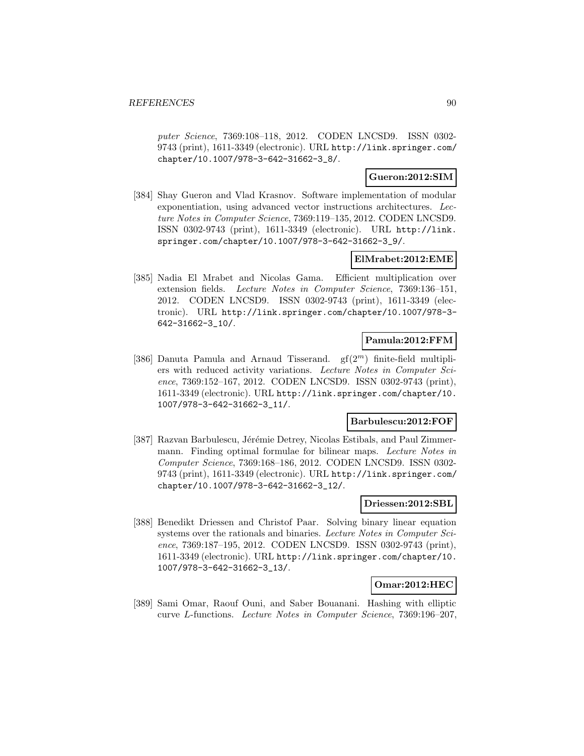puter Science, 7369:108–118, 2012. CODEN LNCSD9. ISSN 0302- 9743 (print), 1611-3349 (electronic). URL http://link.springer.com/ chapter/10.1007/978-3-642-31662-3\_8/.

### **Gueron:2012:SIM**

[384] Shay Gueron and Vlad Krasnov. Software implementation of modular exponentiation, using advanced vector instructions architectures. Lecture Notes in Computer Science, 7369:119–135, 2012. CODEN LNCSD9. ISSN 0302-9743 (print), 1611-3349 (electronic). URL http://link. springer.com/chapter/10.1007/978-3-642-31662-3\_9/.

#### **ElMrabet:2012:EME**

[385] Nadia El Mrabet and Nicolas Gama. Efficient multiplication over extension fields. Lecture Notes in Computer Science, 7369:136–151, 2012. CODEN LNCSD9. ISSN 0302-9743 (print), 1611-3349 (electronic). URL http://link.springer.com/chapter/10.1007/978-3- 642-31662-3\_10/.

#### **Pamula:2012:FFM**

[386] Danuta Pamula and Arnaud Tisserand.  $gf(2^m)$  finite-field multipliers with reduced activity variations. Lecture Notes in Computer Science, 7369:152–167, 2012. CODEN LNCSD9. ISSN 0302-9743 (print), 1611-3349 (electronic). URL http://link.springer.com/chapter/10. 1007/978-3-642-31662-3\_11/.

#### **Barbulescu:2012:FOF**

[387] Razvan Barbulescu, Jérémie Detrey, Nicolas Estibals, and Paul Zimmermann. Finding optimal formulae for bilinear maps. Lecture Notes in Computer Science, 7369:168–186, 2012. CODEN LNCSD9. ISSN 0302- 9743 (print), 1611-3349 (electronic). URL http://link.springer.com/ chapter/10.1007/978-3-642-31662-3\_12/.

### **Driessen:2012:SBL**

[388] Benedikt Driessen and Christof Paar. Solving binary linear equation systems over the rationals and binaries. Lecture Notes in Computer Science, 7369:187–195, 2012. CODEN LNCSD9. ISSN 0302-9743 (print), 1611-3349 (electronic). URL http://link.springer.com/chapter/10. 1007/978-3-642-31662-3\_13/.

#### **Omar:2012:HEC**

[389] Sami Omar, Raouf Ouni, and Saber Bouanani. Hashing with elliptic curve L-functions. Lecture Notes in Computer Science, 7369:196–207,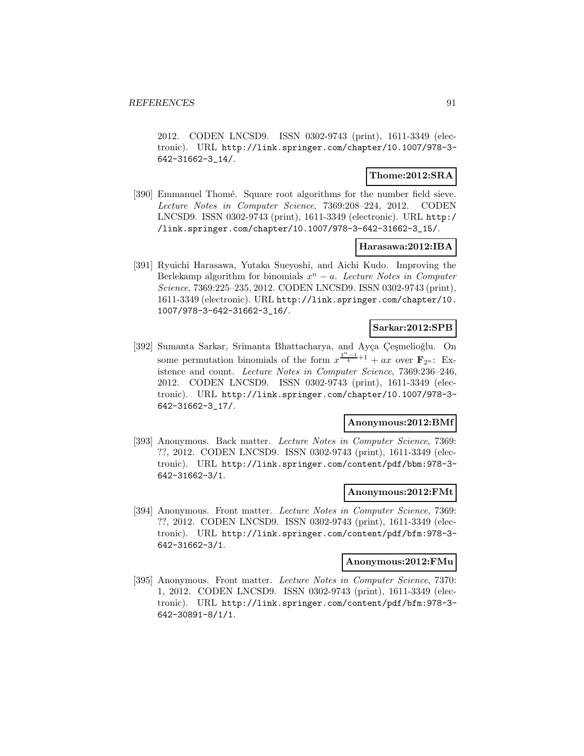2012. CODEN LNCSD9. ISSN 0302-9743 (print), 1611-3349 (electronic). URL http://link.springer.com/chapter/10.1007/978-3- 642-31662-3\_14/.

### **Thome:2012:SRA**

[390] Emmanuel Thomé. Square root algorithms for the number field sieve. Lecture Notes in Computer Science, 7369:208–224, 2012. CODEN LNCSD9. ISSN 0302-9743 (print), 1611-3349 (electronic). URL http:/ /link.springer.com/chapter/10.1007/978-3-642-31662-3\_15/.

### **Harasawa:2012:IBA**

[391] Ryuichi Harasawa, Yutaka Sueyoshi, and Aichi Kudo. Improving the Berlekamp algorithm for binomials  $x^n - a$ . Lecture Notes in Computer Science, 7369:225–235, 2012. CODEN LNCSD9. ISSN 0302-9743 (print), 1611-3349 (electronic). URL http://link.springer.com/chapter/10. 1007/978-3-642-31662-3\_16/.

### **Sarkar:2012:SPB**

[392] Sumanta Sarkar, Srimanta Bhattacharya, and Ayça Çeşmelioğlu. On some permutation binomials of the form  $x^{\frac{2^{n}-1}{k}+1} + ax$  over **F**<sub>2n</sub>: Existence and count. Lecture Notes in Computer Science, 7369:236–246, 2012. CODEN LNCSD9. ISSN 0302-9743 (print), 1611-3349 (electronic). URL http://link.springer.com/chapter/10.1007/978-3- 642-31662-3\_17/.

#### **Anonymous:2012:BMf**

[393] Anonymous. Back matter. Lecture Notes in Computer Science, 7369: ??, 2012. CODEN LNCSD9. ISSN 0302-9743 (print), 1611-3349 (electronic). URL http://link.springer.com/content/pdf/bbm:978-3- 642-31662-3/1.

#### **Anonymous:2012:FMt**

[394] Anonymous. Front matter. Lecture Notes in Computer Science, 7369: ??, 2012. CODEN LNCSD9. ISSN 0302-9743 (print), 1611-3349 (electronic). URL http://link.springer.com/content/pdf/bfm:978-3- 642-31662-3/1.

#### **Anonymous:2012:FMu**

[395] Anonymous. Front matter. Lecture Notes in Computer Science, 7370: 1, 2012. CODEN LNCSD9. ISSN 0302-9743 (print), 1611-3349 (electronic). URL http://link.springer.com/content/pdf/bfm:978-3- 642-30891-8/1/1.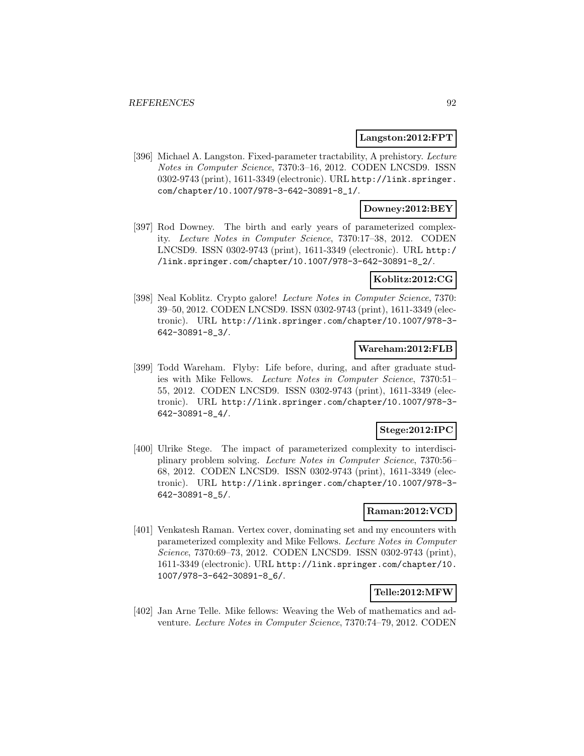#### **Langston:2012:FPT**

[396] Michael A. Langston. Fixed-parameter tractability, A prehistory. Lecture Notes in Computer Science, 7370:3–16, 2012. CODEN LNCSD9. ISSN 0302-9743 (print), 1611-3349 (electronic). URL http://link.springer. com/chapter/10.1007/978-3-642-30891-8\_1/.

#### **Downey:2012:BEY**

[397] Rod Downey. The birth and early years of parameterized complexity. Lecture Notes in Computer Science, 7370:17–38, 2012. CODEN LNCSD9. ISSN 0302-9743 (print), 1611-3349 (electronic). URL http:/ /link.springer.com/chapter/10.1007/978-3-642-30891-8\_2/.

#### **Koblitz:2012:CG**

[398] Neal Koblitz. Crypto galore! Lecture Notes in Computer Science, 7370: 39–50, 2012. CODEN LNCSD9. ISSN 0302-9743 (print), 1611-3349 (electronic). URL http://link.springer.com/chapter/10.1007/978-3- 642-30891-8\_3/.

#### **Wareham:2012:FLB**

[399] Todd Wareham. Flyby: Life before, during, and after graduate studies with Mike Fellows. Lecture Notes in Computer Science, 7370:51– 55, 2012. CODEN LNCSD9. ISSN 0302-9743 (print), 1611-3349 (electronic). URL http://link.springer.com/chapter/10.1007/978-3- 642-30891-8\_4/.

### **Stege:2012:IPC**

[400] Ulrike Stege. The impact of parameterized complexity to interdisciplinary problem solving. Lecture Notes in Computer Science, 7370:56– 68, 2012. CODEN LNCSD9. ISSN 0302-9743 (print), 1611-3349 (electronic). URL http://link.springer.com/chapter/10.1007/978-3- 642-30891-8\_5/.

#### **Raman:2012:VCD**

[401] Venkatesh Raman. Vertex cover, dominating set and my encounters with parameterized complexity and Mike Fellows. Lecture Notes in Computer Science, 7370:69–73, 2012. CODEN LNCSD9. ISSN 0302-9743 (print), 1611-3349 (electronic). URL http://link.springer.com/chapter/10. 1007/978-3-642-30891-8\_6/.

### **Telle:2012:MFW**

[402] Jan Arne Telle. Mike fellows: Weaving the Web of mathematics and adventure. Lecture Notes in Computer Science, 7370:74–79, 2012. CODEN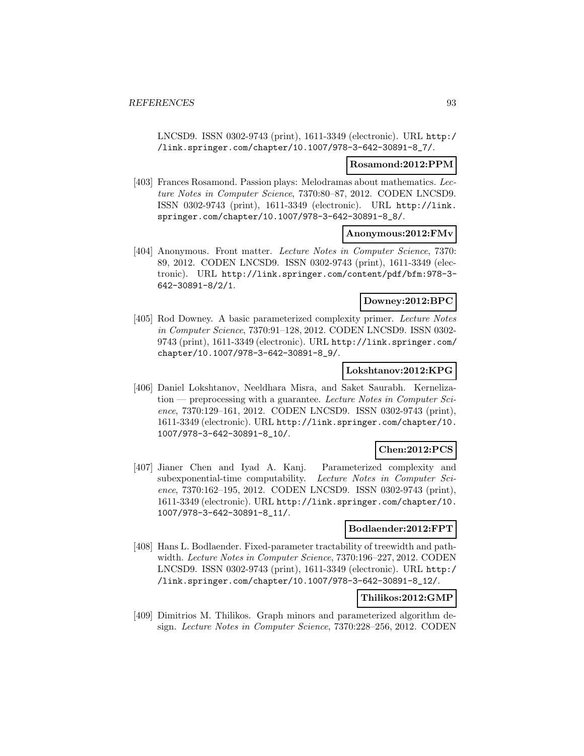LNCSD9. ISSN 0302-9743 (print), 1611-3349 (electronic). URL http:/ /link.springer.com/chapter/10.1007/978-3-642-30891-8\_7/.

#### **Rosamond:2012:PPM**

[403] Frances Rosamond. Passion plays: Melodramas about mathematics. Lecture Notes in Computer Science, 7370:80–87, 2012. CODEN LNCSD9. ISSN 0302-9743 (print), 1611-3349 (electronic). URL http://link. springer.com/chapter/10.1007/978-3-642-30891-8\_8/.

#### **Anonymous:2012:FMv**

[404] Anonymous. Front matter. Lecture Notes in Computer Science, 7370: 89, 2012. CODEN LNCSD9. ISSN 0302-9743 (print), 1611-3349 (electronic). URL http://link.springer.com/content/pdf/bfm:978-3- 642-30891-8/2/1.

#### **Downey:2012:BPC**

[405] Rod Downey. A basic parameterized complexity primer. Lecture Notes in Computer Science, 7370:91–128, 2012. CODEN LNCSD9. ISSN 0302- 9743 (print), 1611-3349 (electronic). URL http://link.springer.com/ chapter/10.1007/978-3-642-30891-8\_9/.

#### **Lokshtanov:2012:KPG**

[406] Daniel Lokshtanov, Neeldhara Misra, and Saket Saurabh. Kerneliza $t$ tion — preprocessing with a guarantee. Lecture Notes in Computer Science, 7370:129–161, 2012. CODEN LNCSD9. ISSN 0302-9743 (print), 1611-3349 (electronic). URL http://link.springer.com/chapter/10. 1007/978-3-642-30891-8\_10/.

### **Chen:2012:PCS**

[407] Jianer Chen and Iyad A. Kanj. Parameterized complexity and subexponential-time computability. Lecture Notes in Computer Science, 7370:162–195, 2012. CODEN LNCSD9. ISSN 0302-9743 (print), 1611-3349 (electronic). URL http://link.springer.com/chapter/10. 1007/978-3-642-30891-8\_11/.

#### **Bodlaender:2012:FPT**

[408] Hans L. Bodlaender. Fixed-parameter tractability of treewidth and pathwidth. Lecture Notes in Computer Science, 7370:196–227, 2012. CODEN LNCSD9. ISSN 0302-9743 (print), 1611-3349 (electronic). URL http:/ /link.springer.com/chapter/10.1007/978-3-642-30891-8\_12/.

### **Thilikos:2012:GMP**

[409] Dimitrios M. Thilikos. Graph minors and parameterized algorithm design. Lecture Notes in Computer Science, 7370:228–256, 2012. CODEN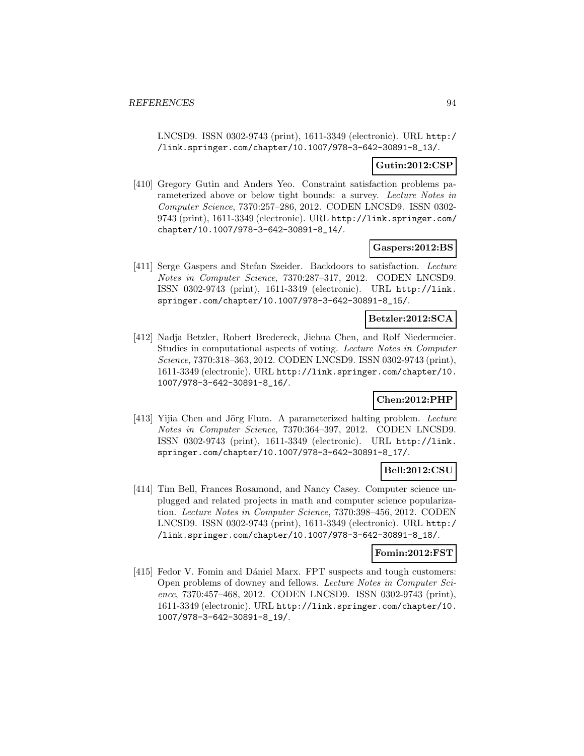LNCSD9. ISSN 0302-9743 (print), 1611-3349 (electronic). URL http:/ /link.springer.com/chapter/10.1007/978-3-642-30891-8\_13/.

### **Gutin:2012:CSP**

[410] Gregory Gutin and Anders Yeo. Constraint satisfaction problems parameterized above or below tight bounds: a survey. Lecture Notes in Computer Science, 7370:257–286, 2012. CODEN LNCSD9. ISSN 0302- 9743 (print), 1611-3349 (electronic). URL http://link.springer.com/ chapter/10.1007/978-3-642-30891-8\_14/.

#### **Gaspers:2012:BS**

[411] Serge Gaspers and Stefan Szeider. Backdoors to satisfaction. Lecture Notes in Computer Science, 7370:287–317, 2012. CODEN LNCSD9. ISSN 0302-9743 (print), 1611-3349 (electronic). URL http://link. springer.com/chapter/10.1007/978-3-642-30891-8\_15/.

### **Betzler:2012:SCA**

[412] Nadja Betzler, Robert Bredereck, Jiehua Chen, and Rolf Niedermeier. Studies in computational aspects of voting. Lecture Notes in Computer Science, 7370:318–363, 2012. CODEN LNCSD9. ISSN 0302-9743 (print), 1611-3349 (electronic). URL http://link.springer.com/chapter/10. 1007/978-3-642-30891-8\_16/.

#### **Chen:2012:PHP**

[413] Yijia Chen and Jörg Flum. A parameterized halting problem. Lecture Notes in Computer Science, 7370:364–397, 2012. CODEN LNCSD9. ISSN 0302-9743 (print), 1611-3349 (electronic). URL http://link. springer.com/chapter/10.1007/978-3-642-30891-8\_17/.

### **Bell:2012:CSU**

[414] Tim Bell, Frances Rosamond, and Nancy Casey. Computer science unplugged and related projects in math and computer science popularization. Lecture Notes in Computer Science, 7370:398–456, 2012. CODEN LNCSD9. ISSN 0302-9743 (print), 1611-3349 (electronic). URL http:/ /link.springer.com/chapter/10.1007/978-3-642-30891-8\_18/.

#### **Fomin:2012:FST**

[415] Fedor V. Fomin and Dániel Marx. FPT suspects and tough customers: Open problems of downey and fellows. Lecture Notes in Computer Science, 7370:457–468, 2012. CODEN LNCSD9. ISSN 0302-9743 (print), 1611-3349 (electronic). URL http://link.springer.com/chapter/10. 1007/978-3-642-30891-8\_19/.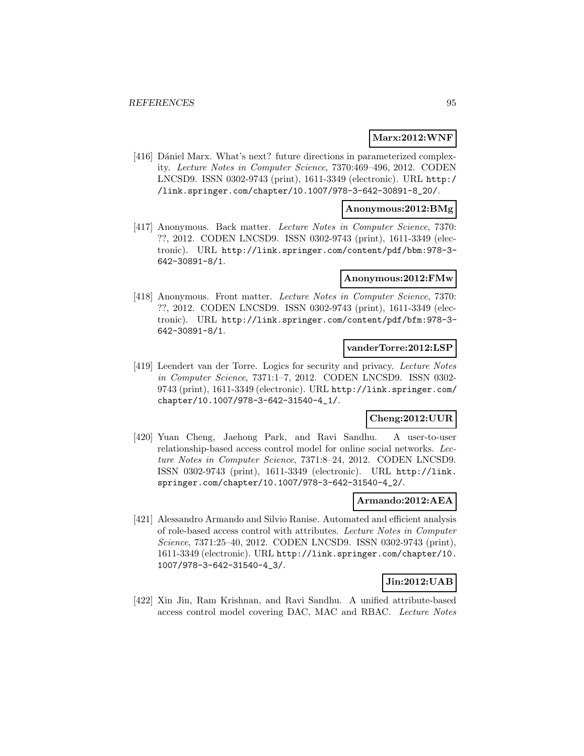#### **Marx:2012:WNF**

[416] Dániel Marx. What's next? future directions in parameterized complexity. Lecture Notes in Computer Science, 7370:469–496, 2012. CODEN LNCSD9. ISSN 0302-9743 (print), 1611-3349 (electronic). URL http:/ /link.springer.com/chapter/10.1007/978-3-642-30891-8\_20/.

#### **Anonymous:2012:BMg**

[417] Anonymous. Back matter. Lecture Notes in Computer Science, 7370: ??, 2012. CODEN LNCSD9. ISSN 0302-9743 (print), 1611-3349 (electronic). URL http://link.springer.com/content/pdf/bbm:978-3- 642-30891-8/1.

#### **Anonymous:2012:FMw**

[418] Anonymous. Front matter. Lecture Notes in Computer Science, 7370: ??, 2012. CODEN LNCSD9. ISSN 0302-9743 (print), 1611-3349 (electronic). URL http://link.springer.com/content/pdf/bfm:978-3- 642-30891-8/1.

### **vanderTorre:2012:LSP**

[419] Leendert van der Torre. Logics for security and privacy. Lecture Notes in Computer Science, 7371:1–7, 2012. CODEN LNCSD9. ISSN 0302- 9743 (print), 1611-3349 (electronic). URL http://link.springer.com/ chapter/10.1007/978-3-642-31540-4\_1/.

### **Cheng:2012:UUR**

[420] Yuan Cheng, Jaehong Park, and Ravi Sandhu. A user-to-user relationship-based access control model for online social networks. Lecture Notes in Computer Science, 7371:8–24, 2012. CODEN LNCSD9. ISSN 0302-9743 (print), 1611-3349 (electronic). URL http://link. springer.com/chapter/10.1007/978-3-642-31540-4\_2/.

#### **Armando:2012:AEA**

[421] Alessandro Armando and Silvio Ranise. Automated and efficient analysis of role-based access control with attributes. Lecture Notes in Computer Science, 7371:25–40, 2012. CODEN LNCSD9. ISSN 0302-9743 (print), 1611-3349 (electronic). URL http://link.springer.com/chapter/10. 1007/978-3-642-31540-4\_3/.

#### **Jin:2012:UAB**

[422] Xin Jin, Ram Krishnan, and Ravi Sandhu. A unified attribute-based access control model covering DAC, MAC and RBAC. Lecture Notes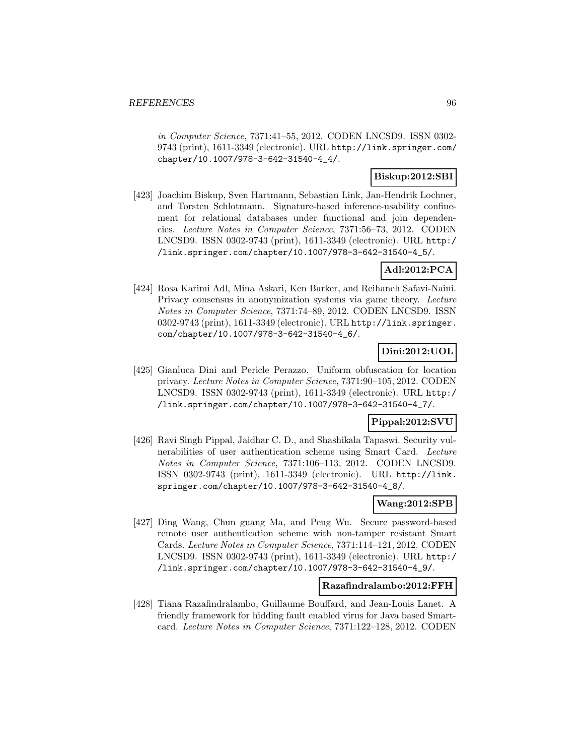in Computer Science, 7371:41–55, 2012. CODEN LNCSD9. ISSN 0302- 9743 (print), 1611-3349 (electronic). URL http://link.springer.com/ chapter/10.1007/978-3-642-31540-4\_4/.

### **Biskup:2012:SBI**

[423] Joachim Biskup, Sven Hartmann, Sebastian Link, Jan-Hendrik Lochner, and Torsten Schlotmann. Signature-based inference-usability confinement for relational databases under functional and join dependencies. Lecture Notes in Computer Science, 7371:56–73, 2012. CODEN LNCSD9. ISSN 0302-9743 (print), 1611-3349 (electronic). URL http:/ /link.springer.com/chapter/10.1007/978-3-642-31540-4\_5/.

### **Adl:2012:PCA**

[424] Rosa Karimi Adl, Mina Askari, Ken Barker, and Reihaneh Safavi-Naini. Privacy consensus in anonymization systems via game theory. Lecture Notes in Computer Science, 7371:74–89, 2012. CODEN LNCSD9. ISSN 0302-9743 (print), 1611-3349 (electronic). URL http://link.springer. com/chapter/10.1007/978-3-642-31540-4\_6/.

# **Dini:2012:UOL**

[425] Gianluca Dini and Pericle Perazzo. Uniform obfuscation for location privacy. Lecture Notes in Computer Science, 7371:90–105, 2012. CODEN LNCSD9. ISSN 0302-9743 (print), 1611-3349 (electronic). URL http:/ /link.springer.com/chapter/10.1007/978-3-642-31540-4\_7/.

### **Pippal:2012:SVU**

[426] Ravi Singh Pippal, Jaidhar C. D., and Shashikala Tapaswi. Security vulnerabilities of user authentication scheme using Smart Card. Lecture Notes in Computer Science, 7371:106–113, 2012. CODEN LNCSD9. ISSN 0302-9743 (print), 1611-3349 (electronic). URL http://link. springer.com/chapter/10.1007/978-3-642-31540-4\_8/.

### **Wang:2012:SPB**

[427] Ding Wang, Chun guang Ma, and Peng Wu. Secure password-based remote user authentication scheme with non-tamper resistant Smart Cards. Lecture Notes in Computer Science, 7371:114–121, 2012. CODEN LNCSD9. ISSN 0302-9743 (print), 1611-3349 (electronic). URL http:/ /link.springer.com/chapter/10.1007/978-3-642-31540-4\_9/.

#### **Razafindralambo:2012:FFH**

[428] Tiana Razafindralambo, Guillaume Bouffard, and Jean-Louis Lanet. A friendly framework for hidding fault enabled virus for Java based Smartcard. Lecture Notes in Computer Science, 7371:122–128, 2012. CODEN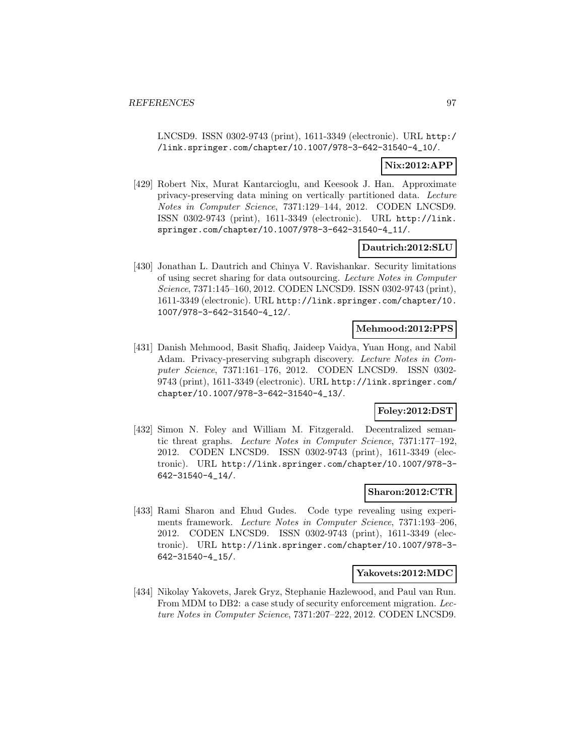LNCSD9. ISSN 0302-9743 (print), 1611-3349 (electronic). URL http:/ /link.springer.com/chapter/10.1007/978-3-642-31540-4\_10/.

### **Nix:2012:APP**

[429] Robert Nix, Murat Kantarcioglu, and Keesook J. Han. Approximate privacy-preserving data mining on vertically partitioned data. Lecture Notes in Computer Science, 7371:129–144, 2012. CODEN LNCSD9. ISSN 0302-9743 (print), 1611-3349 (electronic). URL http://link. springer.com/chapter/10.1007/978-3-642-31540-4\_11/.

### **Dautrich:2012:SLU**

[430] Jonathan L. Dautrich and Chinya V. Ravishankar. Security limitations of using secret sharing for data outsourcing. Lecture Notes in Computer Science, 7371:145–160, 2012. CODEN LNCSD9. ISSN 0302-9743 (print), 1611-3349 (electronic). URL http://link.springer.com/chapter/10. 1007/978-3-642-31540-4\_12/.

### **Mehmood:2012:PPS**

[431] Danish Mehmood, Basit Shafiq, Jaideep Vaidya, Yuan Hong, and Nabil Adam. Privacy-preserving subgraph discovery. Lecture Notes in Computer Science, 7371:161–176, 2012. CODEN LNCSD9. ISSN 0302- 9743 (print), 1611-3349 (electronic). URL http://link.springer.com/ chapter/10.1007/978-3-642-31540-4\_13/.

### **Foley:2012:DST**

[432] Simon N. Foley and William M. Fitzgerald. Decentralized semantic threat graphs. Lecture Notes in Computer Science, 7371:177–192, 2012. CODEN LNCSD9. ISSN 0302-9743 (print), 1611-3349 (electronic). URL http://link.springer.com/chapter/10.1007/978-3- 642-31540-4\_14/.

#### **Sharon:2012:CTR**

[433] Rami Sharon and Ehud Gudes. Code type revealing using experiments framework. Lecture Notes in Computer Science, 7371:193–206, 2012. CODEN LNCSD9. ISSN 0302-9743 (print), 1611-3349 (electronic). URL http://link.springer.com/chapter/10.1007/978-3- 642-31540-4\_15/.

#### **Yakovets:2012:MDC**

[434] Nikolay Yakovets, Jarek Gryz, Stephanie Hazlewood, and Paul van Run. From MDM to DB2: a case study of security enforcement migration. Lecture Notes in Computer Science, 7371:207–222, 2012. CODEN LNCSD9.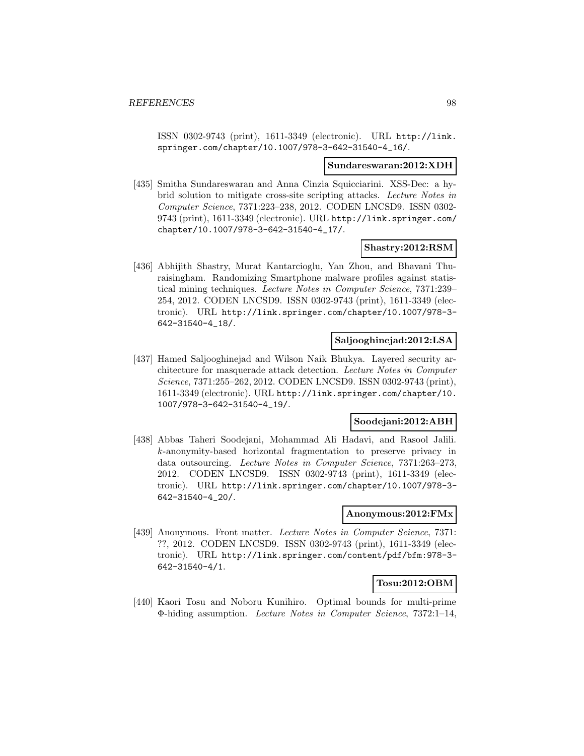ISSN 0302-9743 (print), 1611-3349 (electronic). URL http://link. springer.com/chapter/10.1007/978-3-642-31540-4\_16/.

#### **Sundareswaran:2012:XDH**

[435] Smitha Sundareswaran and Anna Cinzia Squicciarini. XSS-Dec: a hybrid solution to mitigate cross-site scripting attacks. Lecture Notes in Computer Science, 7371:223–238, 2012. CODEN LNCSD9. ISSN 0302- 9743 (print), 1611-3349 (electronic). URL http://link.springer.com/ chapter/10.1007/978-3-642-31540-4\_17/.

#### **Shastry:2012:RSM**

[436] Abhijith Shastry, Murat Kantarcioglu, Yan Zhou, and Bhavani Thuraisingham. Randomizing Smartphone malware profiles against statistical mining techniques. Lecture Notes in Computer Science, 7371:239– 254, 2012. CODEN LNCSD9. ISSN 0302-9743 (print), 1611-3349 (electronic). URL http://link.springer.com/chapter/10.1007/978-3- 642-31540-4\_18/.

#### **Saljooghinejad:2012:LSA**

[437] Hamed Saljooghinejad and Wilson Naik Bhukya. Layered security architecture for masquerade attack detection. Lecture Notes in Computer Science, 7371:255–262, 2012. CODEN LNCSD9. ISSN 0302-9743 (print), 1611-3349 (electronic). URL http://link.springer.com/chapter/10. 1007/978-3-642-31540-4\_19/.

#### **Soodejani:2012:ABH**

[438] Abbas Taheri Soodejani, Mohammad Ali Hadavi, and Rasool Jalili. k-anonymity-based horizontal fragmentation to preserve privacy in data outsourcing. Lecture Notes in Computer Science, 7371:263–273, 2012. CODEN LNCSD9. ISSN 0302-9743 (print), 1611-3349 (electronic). URL http://link.springer.com/chapter/10.1007/978-3- 642-31540-4\_20/.

#### **Anonymous:2012:FMx**

[439] Anonymous. Front matter. Lecture Notes in Computer Science, 7371: ??, 2012. CODEN LNCSD9. ISSN 0302-9743 (print), 1611-3349 (electronic). URL http://link.springer.com/content/pdf/bfm:978-3- 642-31540-4/1.

#### **Tosu:2012:OBM**

[440] Kaori Tosu and Noboru Kunihiro. Optimal bounds for multi-prime Φ-hiding assumption. Lecture Notes in Computer Science, 7372:1–14,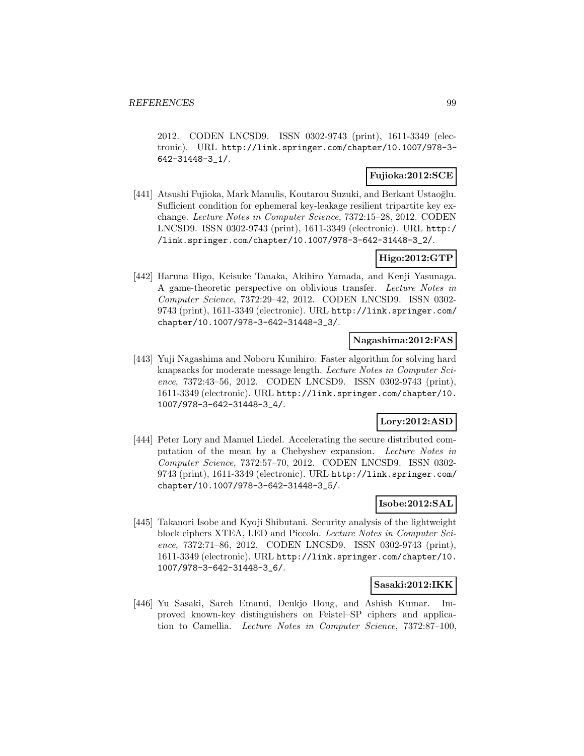2012. CODEN LNCSD9. ISSN 0302-9743 (print), 1611-3349 (electronic). URL http://link.springer.com/chapter/10.1007/978-3- 642-31448-3\_1/.

### **Fujioka:2012:SCE**

[441] Atsushi Fujioka, Mark Manulis, Koutarou Suzuki, and Berkant Ustaoğlu. Sufficient condition for ephemeral key-leakage resilient tripartite key exchange. Lecture Notes in Computer Science, 7372:15–28, 2012. CODEN LNCSD9. ISSN 0302-9743 (print), 1611-3349 (electronic). URL http:/ /link.springer.com/chapter/10.1007/978-3-642-31448-3\_2/.

### **Higo:2012:GTP**

[442] Haruna Higo, Keisuke Tanaka, Akihiro Yamada, and Kenji Yasunaga. A game-theoretic perspective on oblivious transfer. Lecture Notes in Computer Science, 7372:29–42, 2012. CODEN LNCSD9. ISSN 0302- 9743 (print), 1611-3349 (electronic). URL http://link.springer.com/ chapter/10.1007/978-3-642-31448-3\_3/.

#### **Nagashima:2012:FAS**

[443] Yuji Nagashima and Noboru Kunihiro. Faster algorithm for solving hard knapsacks for moderate message length. Lecture Notes in Computer Science, 7372:43–56, 2012. CODEN LNCSD9. ISSN 0302-9743 (print), 1611-3349 (electronic). URL http://link.springer.com/chapter/10. 1007/978-3-642-31448-3\_4/.

### **Lory:2012:ASD**

[444] Peter Lory and Manuel Liedel. Accelerating the secure distributed computation of the mean by a Chebyshev expansion. Lecture Notes in Computer Science, 7372:57–70, 2012. CODEN LNCSD9. ISSN 0302- 9743 (print), 1611-3349 (electronic). URL http://link.springer.com/ chapter/10.1007/978-3-642-31448-3\_5/.

### **Isobe:2012:SAL**

[445] Takanori Isobe and Kyoji Shibutani. Security analysis of the lightweight block ciphers XTEA, LED and Piccolo. Lecture Notes in Computer Science, 7372:71–86, 2012. CODEN LNCSD9. ISSN 0302-9743 (print), 1611-3349 (electronic). URL http://link.springer.com/chapter/10. 1007/978-3-642-31448-3\_6/.

#### **Sasaki:2012:IKK**

[446] Yu Sasaki, Sareh Emami, Deukjo Hong, and Ashish Kumar. Improved known-key distinguishers on Feistel–SP ciphers and application to Camellia. Lecture Notes in Computer Science, 7372:87–100,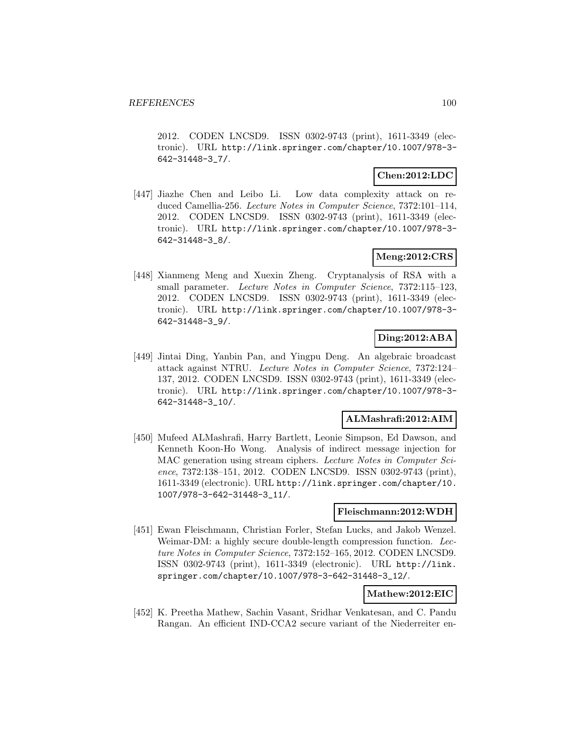2012. CODEN LNCSD9. ISSN 0302-9743 (print), 1611-3349 (electronic). URL http://link.springer.com/chapter/10.1007/978-3- 642-31448-3\_7/.

### **Chen:2012:LDC**

[447] Jiazhe Chen and Leibo Li. Low data complexity attack on reduced Camellia-256. Lecture Notes in Computer Science, 7372:101–114, 2012. CODEN LNCSD9. ISSN 0302-9743 (print), 1611-3349 (electronic). URL http://link.springer.com/chapter/10.1007/978-3- 642-31448-3\_8/.

### **Meng:2012:CRS**

[448] Xianmeng Meng and Xuexin Zheng. Cryptanalysis of RSA with a small parameter. Lecture Notes in Computer Science, 7372:115–123, 2012. CODEN LNCSD9. ISSN 0302-9743 (print), 1611-3349 (electronic). URL http://link.springer.com/chapter/10.1007/978-3- 642-31448-3\_9/.

### **Ding:2012:ABA**

[449] Jintai Ding, Yanbin Pan, and Yingpu Deng. An algebraic broadcast attack against NTRU. Lecture Notes in Computer Science, 7372:124– 137, 2012. CODEN LNCSD9. ISSN 0302-9743 (print), 1611-3349 (electronic). URL http://link.springer.com/chapter/10.1007/978-3- 642-31448-3\_10/.

#### **ALMashrafi:2012:AIM**

[450] Mufeed ALMashrafi, Harry Bartlett, Leonie Simpson, Ed Dawson, and Kenneth Koon-Ho Wong. Analysis of indirect message injection for MAC generation using stream ciphers. Lecture Notes in Computer Science, 7372:138–151, 2012. CODEN LNCSD9. ISSN 0302-9743 (print), 1611-3349 (electronic). URL http://link.springer.com/chapter/10. 1007/978-3-642-31448-3\_11/.

#### **Fleischmann:2012:WDH**

[451] Ewan Fleischmann, Christian Forler, Stefan Lucks, and Jakob Wenzel. Weimar-DM: a highly secure double-length compression function. Lecture Notes in Computer Science, 7372:152–165, 2012. CODEN LNCSD9. ISSN 0302-9743 (print), 1611-3349 (electronic). URL http://link. springer.com/chapter/10.1007/978-3-642-31448-3\_12/.

#### **Mathew:2012:EIC**

[452] K. Preetha Mathew, Sachin Vasant, Sridhar Venkatesan, and C. Pandu Rangan. An efficient IND-CCA2 secure variant of the Niederreiter en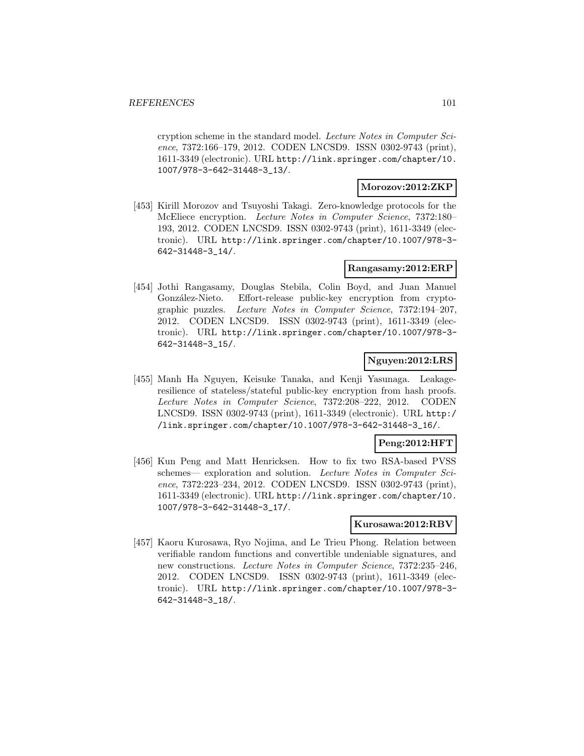cryption scheme in the standard model. Lecture Notes in Computer Science, 7372:166–179, 2012. CODEN LNCSD9. ISSN 0302-9743 (print), 1611-3349 (electronic). URL http://link.springer.com/chapter/10. 1007/978-3-642-31448-3\_13/.

#### **Morozov:2012:ZKP**

[453] Kirill Morozov and Tsuyoshi Takagi. Zero-knowledge protocols for the McEliece encryption. Lecture Notes in Computer Science, 7372:180– 193, 2012. CODEN LNCSD9. ISSN 0302-9743 (print), 1611-3349 (electronic). URL http://link.springer.com/chapter/10.1007/978-3- 642-31448-3\_14/.

### **Rangasamy:2012:ERP**

[454] Jothi Rangasamy, Douglas Stebila, Colin Boyd, and Juan Manuel González-Nieto. Effort-release public-key encryption from cryptographic puzzles. Lecture Notes in Computer Science, 7372:194–207, 2012. CODEN LNCSD9. ISSN 0302-9743 (print), 1611-3349 (electronic). URL http://link.springer.com/chapter/10.1007/978-3- 642-31448-3\_15/.

### **Nguyen:2012:LRS**

[455] Manh Ha Nguyen, Keisuke Tanaka, and Kenji Yasunaga. Leakageresilience of stateless/stateful public-key encryption from hash proofs. Lecture Notes in Computer Science, 7372:208–222, 2012. CODEN LNCSD9. ISSN 0302-9743 (print), 1611-3349 (electronic). URL http:/ /link.springer.com/chapter/10.1007/978-3-642-31448-3\_16/.

### **Peng:2012:HFT**

[456] Kun Peng and Matt Henricksen. How to fix two RSA-based PVSS schemes— exploration and solution. Lecture Notes in Computer Science, 7372:223–234, 2012. CODEN LNCSD9. ISSN 0302-9743 (print), 1611-3349 (electronic). URL http://link.springer.com/chapter/10. 1007/978-3-642-31448-3\_17/.

#### **Kurosawa:2012:RBV**

[457] Kaoru Kurosawa, Ryo Nojima, and Le Trieu Phong. Relation between verifiable random functions and convertible undeniable signatures, and new constructions. Lecture Notes in Computer Science, 7372:235–246, 2012. CODEN LNCSD9. ISSN 0302-9743 (print), 1611-3349 (electronic). URL http://link.springer.com/chapter/10.1007/978-3- 642-31448-3\_18/.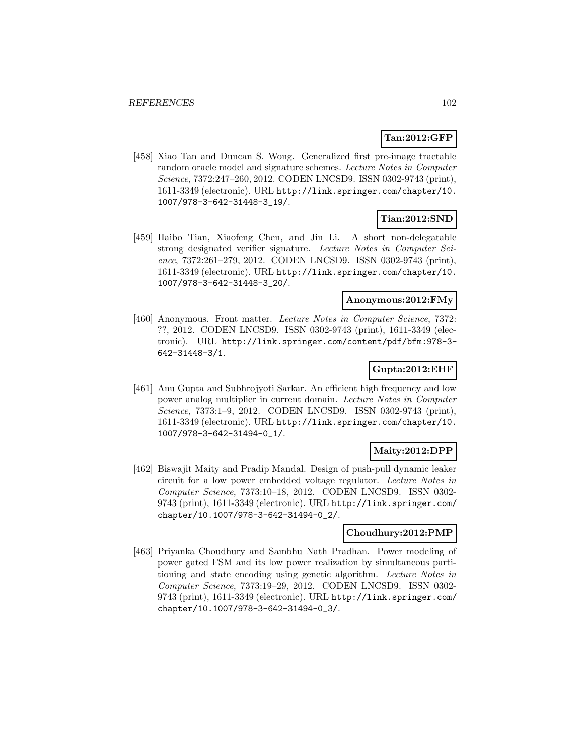### **Tan:2012:GFP**

[458] Xiao Tan and Duncan S. Wong. Generalized first pre-image tractable random oracle model and signature schemes. Lecture Notes in Computer Science, 7372:247–260, 2012. CODEN LNCSD9. ISSN 0302-9743 (print), 1611-3349 (electronic). URL http://link.springer.com/chapter/10. 1007/978-3-642-31448-3\_19/.

### **Tian:2012:SND**

[459] Haibo Tian, Xiaofeng Chen, and Jin Li. A short non-delegatable strong designated verifier signature. Lecture Notes in Computer Science, 7372:261–279, 2012. CODEN LNCSD9. ISSN 0302-9743 (print), 1611-3349 (electronic). URL http://link.springer.com/chapter/10. 1007/978-3-642-31448-3\_20/.

### **Anonymous:2012:FMy**

[460] Anonymous. Front matter. Lecture Notes in Computer Science, 7372: ??, 2012. CODEN LNCSD9. ISSN 0302-9743 (print), 1611-3349 (electronic). URL http://link.springer.com/content/pdf/bfm:978-3- 642-31448-3/1.

### **Gupta:2012:EHF**

[461] Anu Gupta and Subhrojyoti Sarkar. An efficient high frequency and low power analog multiplier in current domain. Lecture Notes in Computer Science, 7373:1-9, 2012. CODEN LNCSD9. ISSN 0302-9743 (print), 1611-3349 (electronic). URL http://link.springer.com/chapter/10. 1007/978-3-642-31494-0\_1/.

### **Maity:2012:DPP**

[462] Biswajit Maity and Pradip Mandal. Design of push-pull dynamic leaker circuit for a low power embedded voltage regulator. Lecture Notes in Computer Science, 7373:10–18, 2012. CODEN LNCSD9. ISSN 0302- 9743 (print), 1611-3349 (electronic). URL http://link.springer.com/ chapter/10.1007/978-3-642-31494-0\_2/.

#### **Choudhury:2012:PMP**

[463] Priyanka Choudhury and Sambhu Nath Pradhan. Power modeling of power gated FSM and its low power realization by simultaneous partitioning and state encoding using genetic algorithm. Lecture Notes in Computer Science, 7373:19–29, 2012. CODEN LNCSD9. ISSN 0302- 9743 (print), 1611-3349 (electronic). URL http://link.springer.com/ chapter/10.1007/978-3-642-31494-0\_3/.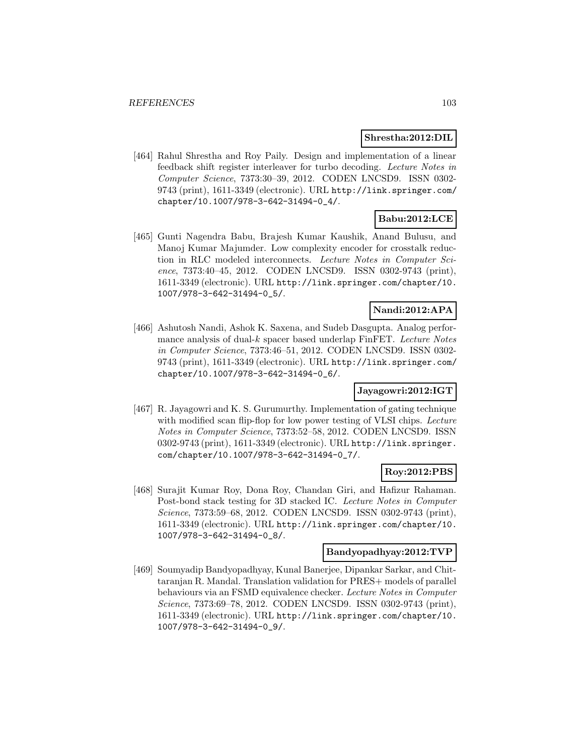#### **Shrestha:2012:DIL**

[464] Rahul Shrestha and Roy Paily. Design and implementation of a linear feedback shift register interleaver for turbo decoding. Lecture Notes in Computer Science, 7373:30–39, 2012. CODEN LNCSD9. ISSN 0302- 9743 (print), 1611-3349 (electronic). URL http://link.springer.com/ chapter/10.1007/978-3-642-31494-0\_4/.

# **Babu:2012:LCE**

[465] Gunti Nagendra Babu, Brajesh Kumar Kaushik, Anand Bulusu, and Manoj Kumar Majumder. Low complexity encoder for crosstalk reduction in RLC modeled interconnects. Lecture Notes in Computer Science, 7373:40–45, 2012. CODEN LNCSD9. ISSN 0302-9743 (print), 1611-3349 (electronic). URL http://link.springer.com/chapter/10. 1007/978-3-642-31494-0\_5/.

### **Nandi:2012:APA**

[466] Ashutosh Nandi, Ashok K. Saxena, and Sudeb Dasgupta. Analog performance analysis of dual- $k$  spacer based underlap FinFET. Lecture Notes in Computer Science, 7373:46–51, 2012. CODEN LNCSD9. ISSN 0302- 9743 (print), 1611-3349 (electronic). URL http://link.springer.com/ chapter/10.1007/978-3-642-31494-0\_6/.

### **Jayagowri:2012:IGT**

[467] R. Jayagowri and K. S. Gurumurthy. Implementation of gating technique with modified scan flip-flop for low power testing of VLSI chips. Lecture Notes in Computer Science, 7373:52–58, 2012. CODEN LNCSD9. ISSN 0302-9743 (print), 1611-3349 (electronic). URL http://link.springer. com/chapter/10.1007/978-3-642-31494-0\_7/.

### **Roy:2012:PBS**

[468] Surajit Kumar Roy, Dona Roy, Chandan Giri, and Hafizur Rahaman. Post-bond stack testing for 3D stacked IC. Lecture Notes in Computer Science, 7373:59–68, 2012. CODEN LNCSD9. ISSN 0302-9743 (print), 1611-3349 (electronic). URL http://link.springer.com/chapter/10. 1007/978-3-642-31494-0\_8/.

### **Bandyopadhyay:2012:TVP**

[469] Soumyadip Bandyopadhyay, Kunal Banerjee, Dipankar Sarkar, and Chittaranjan R. Mandal. Translation validation for PRES+ models of parallel behaviours via an FSMD equivalence checker. Lecture Notes in Computer Science, 7373:69–78, 2012. CODEN LNCSD9. ISSN 0302-9743 (print), 1611-3349 (electronic). URL http://link.springer.com/chapter/10. 1007/978-3-642-31494-0\_9/.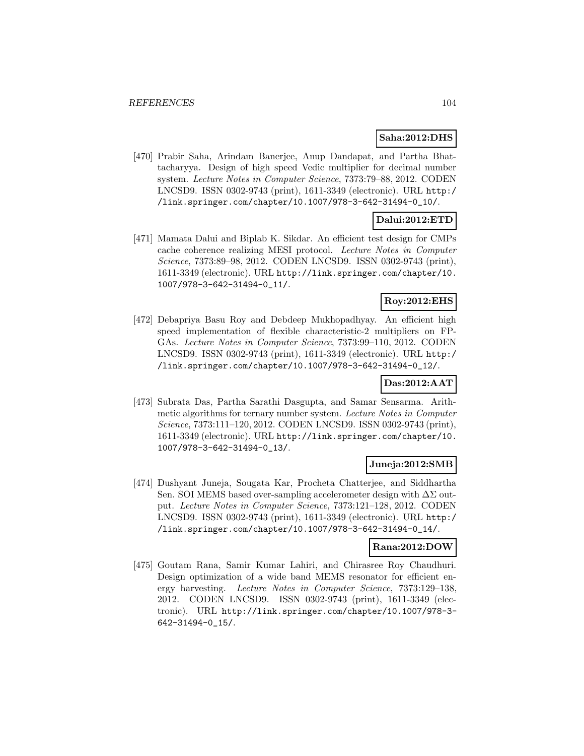#### **Saha:2012:DHS**

[470] Prabir Saha, Arindam Banerjee, Anup Dandapat, and Partha Bhattacharyya. Design of high speed Vedic multiplier for decimal number system. Lecture Notes in Computer Science, 7373:79–88, 2012. CODEN LNCSD9. ISSN 0302-9743 (print), 1611-3349 (electronic). URL http:/ /link.springer.com/chapter/10.1007/978-3-642-31494-0\_10/.

### **Dalui:2012:ETD**

[471] Mamata Dalui and Biplab K. Sikdar. An efficient test design for CMPs cache coherence realizing MESI protocol. Lecture Notes in Computer Science, 7373:89–98, 2012. CODEN LNCSD9. ISSN 0302-9743 (print), 1611-3349 (electronic). URL http://link.springer.com/chapter/10. 1007/978-3-642-31494-0\_11/.

### **Roy:2012:EHS**

[472] Debapriya Basu Roy and Debdeep Mukhopadhyay. An efficient high speed implementation of flexible characteristic-2 multipliers on FP-GAs. Lecture Notes in Computer Science, 7373:99–110, 2012. CODEN LNCSD9. ISSN 0302-9743 (print), 1611-3349 (electronic). URL http:/ /link.springer.com/chapter/10.1007/978-3-642-31494-0\_12/.

### **Das:2012:AAT**

[473] Subrata Das, Partha Sarathi Dasgupta, and Samar Sensarma. Arithmetic algorithms for ternary number system. Lecture Notes in Computer Science, 7373:111–120, 2012. CODEN LNCSD9. ISSN 0302-9743 (print), 1611-3349 (electronic). URL http://link.springer.com/chapter/10. 1007/978-3-642-31494-0\_13/.

#### **Juneja:2012:SMB**

[474] Dushyant Juneja, Sougata Kar, Procheta Chatterjee, and Siddhartha Sen. SOI MEMS based over-sampling accelerometer design with  $\Delta\Sigma$  output. Lecture Notes in Computer Science, 7373:121–128, 2012. CODEN LNCSD9. ISSN 0302-9743 (print), 1611-3349 (electronic). URL http:/ /link.springer.com/chapter/10.1007/978-3-642-31494-0\_14/.

#### **Rana:2012:DOW**

[475] Goutam Rana, Samir Kumar Lahiri, and Chirasree Roy Chaudhuri. Design optimization of a wide band MEMS resonator for efficient energy harvesting. Lecture Notes in Computer Science, 7373:129–138, 2012. CODEN LNCSD9. ISSN 0302-9743 (print), 1611-3349 (electronic). URL http://link.springer.com/chapter/10.1007/978-3- 642-31494-0\_15/.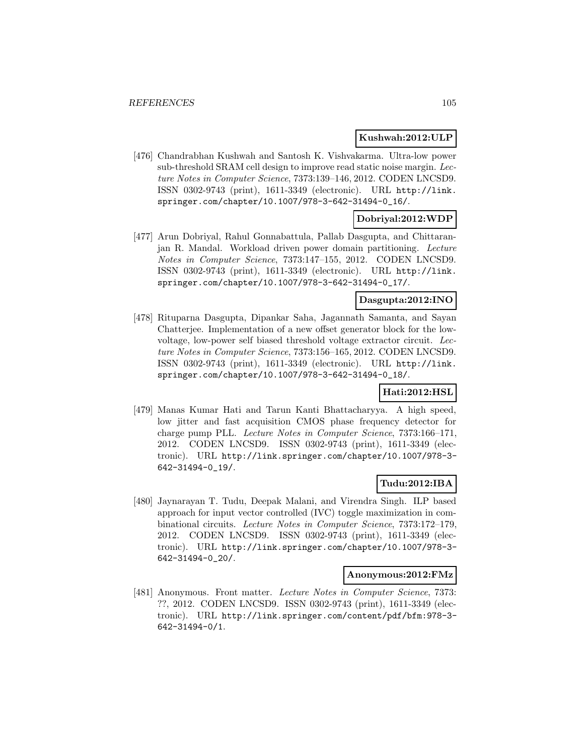### **Kushwah:2012:ULP**

[476] Chandrabhan Kushwah and Santosh K. Vishvakarma. Ultra-low power sub-threshold SRAM cell design to improve read static noise margin. Lecture Notes in Computer Science, 7373:139–146, 2012. CODEN LNCSD9. ISSN 0302-9743 (print), 1611-3349 (electronic). URL http://link. springer.com/chapter/10.1007/978-3-642-31494-0\_16/.

# **Dobriyal:2012:WDP**

[477] Arun Dobriyal, Rahul Gonnabattula, Pallab Dasgupta, and Chittaranjan R. Mandal. Workload driven power domain partitioning. Lecture Notes in Computer Science, 7373:147–155, 2012. CODEN LNCSD9. ISSN 0302-9743 (print), 1611-3349 (electronic). URL http://link. springer.com/chapter/10.1007/978-3-642-31494-0\_17/.

### **Dasgupta:2012:INO**

[478] Rituparna Dasgupta, Dipankar Saha, Jagannath Samanta, and Sayan Chatterjee. Implementation of a new offset generator block for the lowvoltage, low-power self biased threshold voltage extractor circuit. Lecture Notes in Computer Science, 7373:156–165, 2012. CODEN LNCSD9. ISSN 0302-9743 (print), 1611-3349 (electronic). URL http://link. springer.com/chapter/10.1007/978-3-642-31494-0\_18/.

# **Hati:2012:HSL**

[479] Manas Kumar Hati and Tarun Kanti Bhattacharyya. A high speed, low jitter and fast acquisition CMOS phase frequency detector for charge pump PLL. Lecture Notes in Computer Science, 7373:166–171, 2012. CODEN LNCSD9. ISSN 0302-9743 (print), 1611-3349 (electronic). URL http://link.springer.com/chapter/10.1007/978-3- 642-31494-0\_19/.

### **Tudu:2012:IBA**

[480] Jaynarayan T. Tudu, Deepak Malani, and Virendra Singh. ILP based approach for input vector controlled (IVC) toggle maximization in combinational circuits. Lecture Notes in Computer Science, 7373:172–179, 2012. CODEN LNCSD9. ISSN 0302-9743 (print), 1611-3349 (electronic). URL http://link.springer.com/chapter/10.1007/978-3- 642-31494-0\_20/.

#### **Anonymous:2012:FMz**

[481] Anonymous. Front matter. Lecture Notes in Computer Science, 7373: ??, 2012. CODEN LNCSD9. ISSN 0302-9743 (print), 1611-3349 (electronic). URL http://link.springer.com/content/pdf/bfm:978-3- 642-31494-0/1.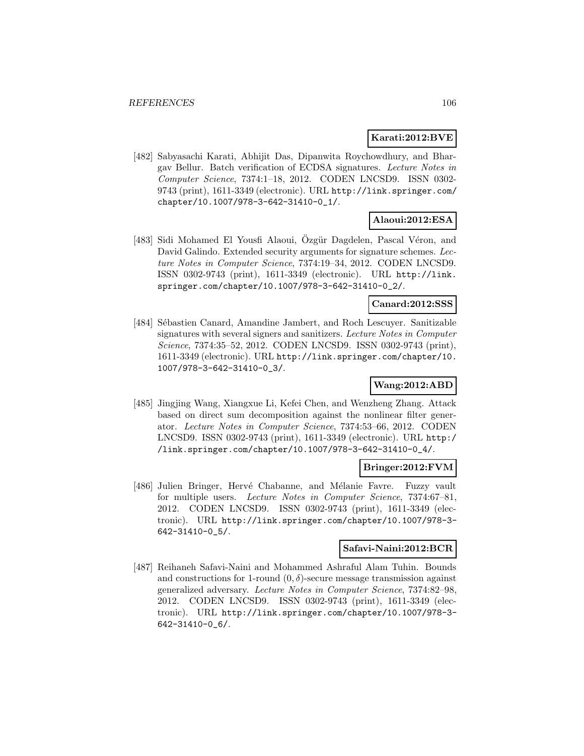#### **Karati:2012:BVE**

[482] Sabyasachi Karati, Abhijit Das, Dipanwita Roychowdhury, and Bhargav Bellur. Batch verification of ECDSA signatures. Lecture Notes in Computer Science, 7374:1–18, 2012. CODEN LNCSD9. ISSN 0302- 9743 (print), 1611-3349 (electronic). URL http://link.springer.com/ chapter/10.1007/978-3-642-31410-0\_1/.

### **Alaoui:2012:ESA**

[483] Sidi Mohamed El Yousfi Alaoui, Ozgür Dagdelen, Pascal Véron, and David Galindo. Extended security arguments for signature schemes. Lecture Notes in Computer Science, 7374:19–34, 2012. CODEN LNCSD9. ISSN 0302-9743 (print), 1611-3349 (electronic). URL http://link. springer.com/chapter/10.1007/978-3-642-31410-0\_2/.

#### **Canard:2012:SSS**

[484] Sébastien Canard, Amandine Jambert, and Roch Lescuyer. Sanitizable signatures with several signers and sanitizers. Lecture Notes in Computer Science, 7374:35–52, 2012. CODEN LNCSD9. ISSN 0302-9743 (print), 1611-3349 (electronic). URL http://link.springer.com/chapter/10. 1007/978-3-642-31410-0\_3/.

### **Wang:2012:ABD**

[485] Jingjing Wang, Xiangxue Li, Kefei Chen, and Wenzheng Zhang. Attack based on direct sum decomposition against the nonlinear filter generator. Lecture Notes in Computer Science, 7374:53–66, 2012. CODEN LNCSD9. ISSN 0302-9743 (print), 1611-3349 (electronic). URL http:/ /link.springer.com/chapter/10.1007/978-3-642-31410-0\_4/.

#### **Bringer:2012:FVM**

[486] Julien Bringer, Hervé Chabanne, and Mélanie Favre. Fuzzy vault for multiple users. Lecture Notes in Computer Science, 7374:67–81, 2012. CODEN LNCSD9. ISSN 0302-9743 (print), 1611-3349 (electronic). URL http://link.springer.com/chapter/10.1007/978-3- 642-31410-0\_5/.

#### **Safavi-Naini:2012:BCR**

[487] Reihaneh Safavi-Naini and Mohammed Ashraful Alam Tuhin. Bounds and constructions for 1-round  $(0, \delta)$ -secure message transmission against generalized adversary. Lecture Notes in Computer Science, 7374:82–98, 2012. CODEN LNCSD9. ISSN 0302-9743 (print), 1611-3349 (electronic). URL http://link.springer.com/chapter/10.1007/978-3- 642-31410-0\_6/.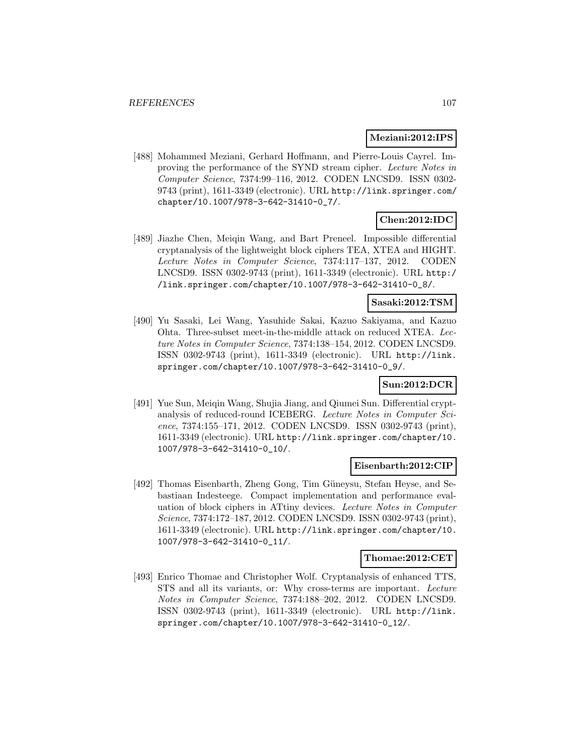#### **Meziani:2012:IPS**

[488] Mohammed Meziani, Gerhard Hoffmann, and Pierre-Louis Cayrel. Improving the performance of the SYND stream cipher. Lecture Notes in Computer Science, 7374:99–116, 2012. CODEN LNCSD9. ISSN 0302- 9743 (print), 1611-3349 (electronic). URL http://link.springer.com/ chapter/10.1007/978-3-642-31410-0\_7/.

# **Chen:2012:IDC**

[489] Jiazhe Chen, Meiqin Wang, and Bart Preneel. Impossible differential cryptanalysis of the lightweight block ciphers TEA, XTEA and HIGHT. Lecture Notes in Computer Science, 7374:117–137, 2012. CODEN LNCSD9. ISSN 0302-9743 (print), 1611-3349 (electronic). URL http:/ /link.springer.com/chapter/10.1007/978-3-642-31410-0\_8/.

### **Sasaki:2012:TSM**

[490] Yu Sasaki, Lei Wang, Yasuhide Sakai, Kazuo Sakiyama, and Kazuo Ohta. Three-subset meet-in-the-middle attack on reduced XTEA. Lecture Notes in Computer Science, 7374:138–154, 2012. CODEN LNCSD9. ISSN 0302-9743 (print), 1611-3349 (electronic). URL http://link. springer.com/chapter/10.1007/978-3-642-31410-0\_9/.

### **Sun:2012:DCR**

[491] Yue Sun, Meiqin Wang, Shujia Jiang, and Qiumei Sun. Differential cryptanalysis of reduced-round ICEBERG. Lecture Notes in Computer Science, 7374:155–171, 2012. CODEN LNCSD9. ISSN 0302-9743 (print), 1611-3349 (electronic). URL http://link.springer.com/chapter/10. 1007/978-3-642-31410-0\_10/.

#### **Eisenbarth:2012:CIP**

[492] Thomas Eisenbarth, Zheng Gong, Tim Güneysu, Stefan Heyse, and Sebastiaan Indesteege. Compact implementation and performance evaluation of block ciphers in ATtiny devices. Lecture Notes in Computer Science, 7374:172–187, 2012. CODEN LNCSD9. ISSN 0302-9743 (print), 1611-3349 (electronic). URL http://link.springer.com/chapter/10. 1007/978-3-642-31410-0\_11/.

### **Thomae:2012:CET**

[493] Enrico Thomae and Christopher Wolf. Cryptanalysis of enhanced TTS, STS and all its variants, or: Why cross-terms are important. Lecture Notes in Computer Science, 7374:188–202, 2012. CODEN LNCSD9. ISSN 0302-9743 (print), 1611-3349 (electronic). URL http://link. springer.com/chapter/10.1007/978-3-642-31410-0\_12/.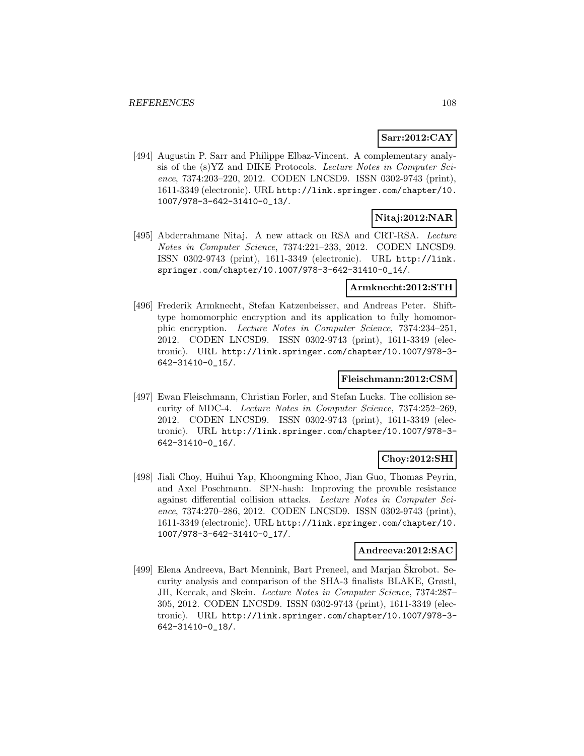# **Sarr:2012:CAY**

[494] Augustin P. Sarr and Philippe Elbaz-Vincent. A complementary analysis of the (s)YZ and DIKE Protocols. Lecture Notes in Computer Science, 7374:203–220, 2012. CODEN LNCSD9. ISSN 0302-9743 (print), 1611-3349 (electronic). URL http://link.springer.com/chapter/10. 1007/978-3-642-31410-0\_13/.

### **Nitaj:2012:NAR**

[495] Abderrahmane Nitaj. A new attack on RSA and CRT-RSA. Lecture Notes in Computer Science, 7374:221–233, 2012. CODEN LNCSD9. ISSN 0302-9743 (print), 1611-3349 (electronic). URL http://link. springer.com/chapter/10.1007/978-3-642-31410-0\_14/.

### **Armknecht:2012:STH**

[496] Frederik Armknecht, Stefan Katzenbeisser, and Andreas Peter. Shifttype homomorphic encryption and its application to fully homomorphic encryption. Lecture Notes in Computer Science, 7374:234–251, 2012. CODEN LNCSD9. ISSN 0302-9743 (print), 1611-3349 (electronic). URL http://link.springer.com/chapter/10.1007/978-3- 642-31410-0\_15/.

### **Fleischmann:2012:CSM**

[497] Ewan Fleischmann, Christian Forler, and Stefan Lucks. The collision security of MDC-4. Lecture Notes in Computer Science, 7374:252–269, 2012. CODEN LNCSD9. ISSN 0302-9743 (print), 1611-3349 (electronic). URL http://link.springer.com/chapter/10.1007/978-3- 642-31410-0\_16/.

### **Choy:2012:SHI**

[498] Jiali Choy, Huihui Yap, Khoongming Khoo, Jian Guo, Thomas Peyrin, and Axel Poschmann. SPN-hash: Improving the provable resistance against differential collision attacks. Lecture Notes in Computer Science, 7374:270–286, 2012. CODEN LNCSD9. ISSN 0302-9743 (print), 1611-3349 (electronic). URL http://link.springer.com/chapter/10. 1007/978-3-642-31410-0\_17/.

### **Andreeva:2012:SAC**

[499] Elena Andreeva, Bart Mennink, Bart Preneel, and Marjan Škrobot. Security analysis and comparison of the SHA-3 finalists BLAKE, Grøstl, JH, Keccak, and Skein. Lecture Notes in Computer Science, 7374:287– 305, 2012. CODEN LNCSD9. ISSN 0302-9743 (print), 1611-3349 (electronic). URL http://link.springer.com/chapter/10.1007/978-3- 642-31410-0\_18/.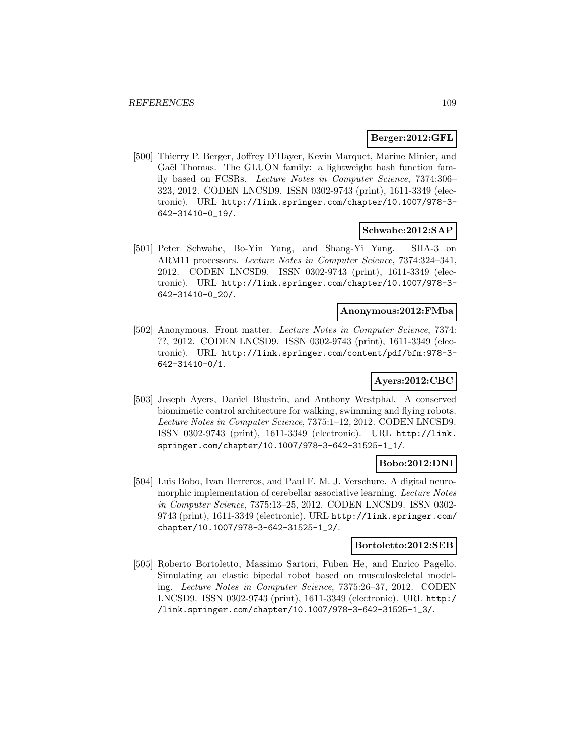### **Berger:2012:GFL**

[500] Thierry P. Berger, Joffrey D'Hayer, Kevin Marquet, Marine Minier, and Gaël Thomas. The GLUON family: a lightweight hash function family based on FCSRs. Lecture Notes in Computer Science, 7374:306– 323, 2012. CODEN LNCSD9. ISSN 0302-9743 (print), 1611-3349 (electronic). URL http://link.springer.com/chapter/10.1007/978-3- 642-31410-0\_19/.

### **Schwabe:2012:SAP**

[501] Peter Schwabe, Bo-Yin Yang, and Shang-Yi Yang. SHA-3 on ARM11 processors. Lecture Notes in Computer Science, 7374:324–341, 2012. CODEN LNCSD9. ISSN 0302-9743 (print), 1611-3349 (electronic). URL http://link.springer.com/chapter/10.1007/978-3- 642-31410-0\_20/.

#### **Anonymous:2012:FMba**

[502] Anonymous. Front matter. Lecture Notes in Computer Science, 7374: ??, 2012. CODEN LNCSD9. ISSN 0302-9743 (print), 1611-3349 (electronic). URL http://link.springer.com/content/pdf/bfm:978-3- 642-31410-0/1.

# **Ayers:2012:CBC**

[503] Joseph Ayers, Daniel Blustein, and Anthony Westphal. A conserved biomimetic control architecture for walking, swimming and flying robots. Lecture Notes in Computer Science, 7375:1–12, 2012. CODEN LNCSD9. ISSN 0302-9743 (print), 1611-3349 (electronic). URL http://link. springer.com/chapter/10.1007/978-3-642-31525-1\_1/.

### **Bobo:2012:DNI**

[504] Luis Bobo, Ivan Herreros, and Paul F. M. J. Verschure. A digital neuromorphic implementation of cerebellar associative learning. Lecture Notes in Computer Science, 7375:13–25, 2012. CODEN LNCSD9. ISSN 0302- 9743 (print), 1611-3349 (electronic). URL http://link.springer.com/ chapter/10.1007/978-3-642-31525-1\_2/.

### **Bortoletto:2012:SEB**

[505] Roberto Bortoletto, Massimo Sartori, Fuben He, and Enrico Pagello. Simulating an elastic bipedal robot based on musculoskeletal modeling. Lecture Notes in Computer Science, 7375:26–37, 2012. CODEN LNCSD9. ISSN 0302-9743 (print), 1611-3349 (electronic). URL http:/ /link.springer.com/chapter/10.1007/978-3-642-31525-1\_3/.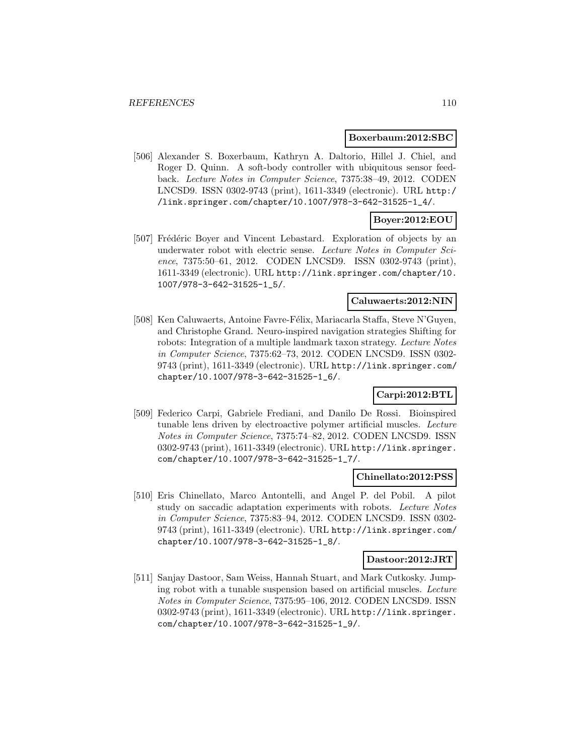#### **Boxerbaum:2012:SBC**

[506] Alexander S. Boxerbaum, Kathryn A. Daltorio, Hillel J. Chiel, and Roger D. Quinn. A soft-body controller with ubiquitous sensor feedback. Lecture Notes in Computer Science, 7375:38–49, 2012. CODEN LNCSD9. ISSN 0302-9743 (print), 1611-3349 (electronic). URL http:/ /link.springer.com/chapter/10.1007/978-3-642-31525-1\_4/.

# **Boyer:2012:EOU**

[507] Frédéric Boyer and Vincent Lebastard. Exploration of objects by an underwater robot with electric sense. Lecture Notes in Computer Science, 7375:50–61, 2012. CODEN LNCSD9. ISSN 0302-9743 (print), 1611-3349 (electronic). URL http://link.springer.com/chapter/10. 1007/978-3-642-31525-1\_5/.

#### **Caluwaerts:2012:NIN**

[508] Ken Caluwaerts, Antoine Favre-Félix, Mariacarla Staffa, Steve N'Guyen, and Christophe Grand. Neuro-inspired navigation strategies Shifting for robots: Integration of a multiple landmark taxon strategy. Lecture Notes in Computer Science, 7375:62–73, 2012. CODEN LNCSD9. ISSN 0302- 9743 (print), 1611-3349 (electronic). URL http://link.springer.com/ chapter/10.1007/978-3-642-31525-1\_6/.

# **Carpi:2012:BTL**

[509] Federico Carpi, Gabriele Frediani, and Danilo De Rossi. Bioinspired tunable lens driven by electroactive polymer artificial muscles. Lecture Notes in Computer Science, 7375:74–82, 2012. CODEN LNCSD9. ISSN 0302-9743 (print), 1611-3349 (electronic). URL http://link.springer. com/chapter/10.1007/978-3-642-31525-1\_7/.

#### **Chinellato:2012:PSS**

[510] Eris Chinellato, Marco Antontelli, and Angel P. del Pobil. A pilot study on saccadic adaptation experiments with robots. Lecture Notes in Computer Science, 7375:83–94, 2012. CODEN LNCSD9. ISSN 0302- 9743 (print), 1611-3349 (electronic). URL http://link.springer.com/ chapter/10.1007/978-3-642-31525-1\_8/.

### **Dastoor:2012:JRT**

[511] Sanjay Dastoor, Sam Weiss, Hannah Stuart, and Mark Cutkosky. Jumping robot with a tunable suspension based on artificial muscles. Lecture Notes in Computer Science, 7375:95–106, 2012. CODEN LNCSD9. ISSN 0302-9743 (print), 1611-3349 (electronic). URL http://link.springer. com/chapter/10.1007/978-3-642-31525-1\_9/.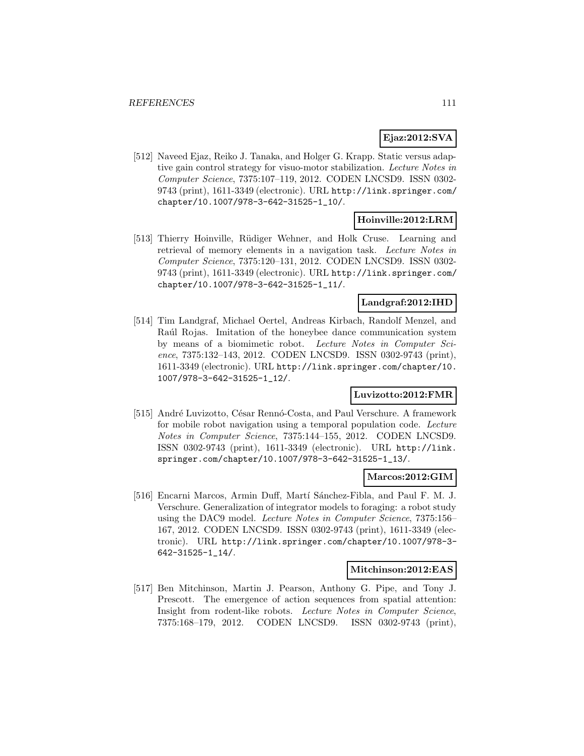# **Ejaz:2012:SVA**

[512] Naveed Ejaz, Reiko J. Tanaka, and Holger G. Krapp. Static versus adaptive gain control strategy for visuo-motor stabilization. Lecture Notes in Computer Science, 7375:107–119, 2012. CODEN LNCSD9. ISSN 0302- 9743 (print), 1611-3349 (electronic). URL http://link.springer.com/ chapter/10.1007/978-3-642-31525-1\_10/.

# **Hoinville:2012:LRM**

[513] Thierry Hoinville, Rüdiger Wehner, and Holk Cruse. Learning and retrieval of memory elements in a navigation task. Lecture Notes in Computer Science, 7375:120–131, 2012. CODEN LNCSD9. ISSN 0302- 9743 (print), 1611-3349 (electronic). URL http://link.springer.com/ chapter/10.1007/978-3-642-31525-1\_11/.

# **Landgraf:2012:IHD**

[514] Tim Landgraf, Michael Oertel, Andreas Kirbach, Randolf Menzel, and Raúl Rojas. Imitation of the honeybee dance communication system by means of a biomimetic robot. Lecture Notes in Computer Science, 7375:132–143, 2012. CODEN LNCSD9. ISSN 0302-9743 (print), 1611-3349 (electronic). URL http://link.springer.com/chapter/10. 1007/978-3-642-31525-1\_12/.

# **Luvizotto:2012:FMR**

[515] André Luvizotto, César Rennó-Costa, and Paul Verschure. A framework for mobile robot navigation using a temporal population code. Lecture Notes in Computer Science, 7375:144–155, 2012. CODEN LNCSD9. ISSN 0302-9743 (print), 1611-3349 (electronic). URL http://link. springer.com/chapter/10.1007/978-3-642-31525-1\_13/.

#### **Marcos:2012:GIM**

[516] Encarni Marcos, Armin Duff, Martí Sánchez-Fibla, and Paul F. M. J. Verschure. Generalization of integrator models to foraging: a robot study using the DAC9 model. Lecture Notes in Computer Science, 7375:156– 167, 2012. CODEN LNCSD9. ISSN 0302-9743 (print), 1611-3349 (electronic). URL http://link.springer.com/chapter/10.1007/978-3- 642-31525-1\_14/.

### **Mitchinson:2012:EAS**

[517] Ben Mitchinson, Martin J. Pearson, Anthony G. Pipe, and Tony J. Prescott. The emergence of action sequences from spatial attention: Insight from rodent-like robots. Lecture Notes in Computer Science, 7375:168–179, 2012. CODEN LNCSD9. ISSN 0302-9743 (print),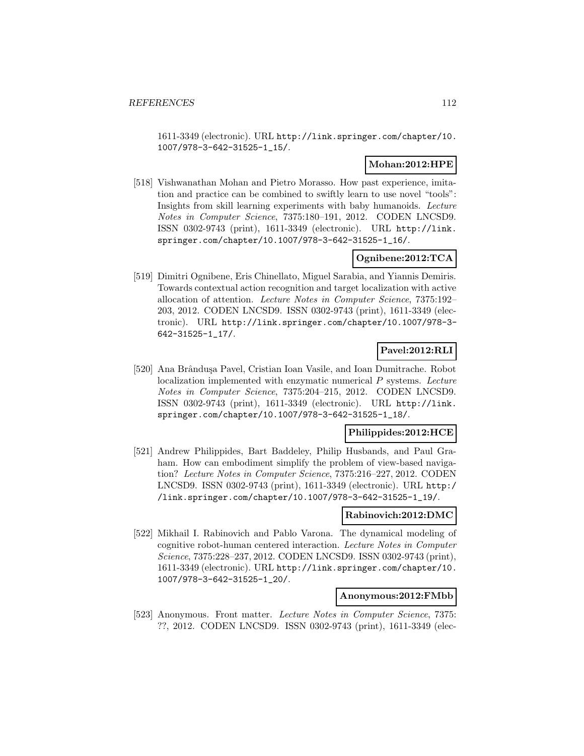1611-3349 (electronic). URL http://link.springer.com/chapter/10. 1007/978-3-642-31525-1\_15/.

## **Mohan:2012:HPE**

[518] Vishwanathan Mohan and Pietro Morasso. How past experience, imitation and practice can be combined to swiftly learn to use novel "tools": Insights from skill learning experiments with baby humanoids. Lecture Notes in Computer Science, 7375:180–191, 2012. CODEN LNCSD9. ISSN 0302-9743 (print), 1611-3349 (electronic). URL http://link. springer.com/chapter/10.1007/978-3-642-31525-1\_16/.

### **Ognibene:2012:TCA**

[519] Dimitri Ognibene, Eris Chinellato, Miguel Sarabia, and Yiannis Demiris. Towards contextual action recognition and target localization with active allocation of attention. Lecture Notes in Computer Science, 7375:192– 203, 2012. CODEN LNCSD9. ISSN 0302-9743 (print), 1611-3349 (electronic). URL http://link.springer.com/chapter/10.1007/978-3- 642-31525-1\_17/.

# **Pavel:2012:RLI**

[520] Ana Brândușa Pavel, Cristian Ioan Vasile, and Ioan Dumitrache. Robot localization implemented with enzymatic numerical P systems. Lecture Notes in Computer Science, 7375:204–215, 2012. CODEN LNCSD9. ISSN 0302-9743 (print), 1611-3349 (electronic). URL http://link. springer.com/chapter/10.1007/978-3-642-31525-1\_18/.

### **Philippides:2012:HCE**

[521] Andrew Philippides, Bart Baddeley, Philip Husbands, and Paul Graham. How can embodiment simplify the problem of view-based navigation? Lecture Notes in Computer Science, 7375:216–227, 2012. CODEN LNCSD9. ISSN 0302-9743 (print), 1611-3349 (electronic). URL http:/ /link.springer.com/chapter/10.1007/978-3-642-31525-1\_19/.

### **Rabinovich:2012:DMC**

[522] Mikhail I. Rabinovich and Pablo Varona. The dynamical modeling of cognitive robot-human centered interaction. Lecture Notes in Computer Science, 7375:228–237, 2012. CODEN LNCSD9. ISSN 0302-9743 (print), 1611-3349 (electronic). URL http://link.springer.com/chapter/10. 1007/978-3-642-31525-1\_20/.

#### **Anonymous:2012:FMbb**

[523] Anonymous. Front matter. Lecture Notes in Computer Science, 7375: ??, 2012. CODEN LNCSD9. ISSN 0302-9743 (print), 1611-3349 (elec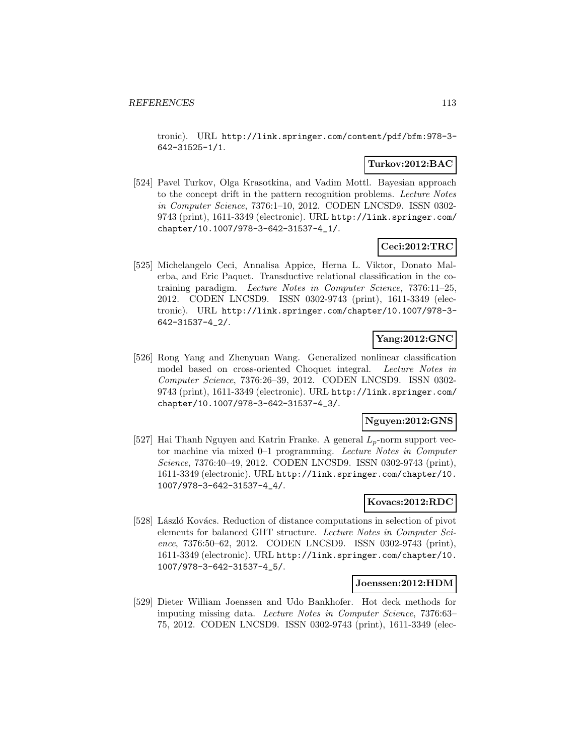tronic). URL http://link.springer.com/content/pdf/bfm:978-3- 642-31525-1/1.

## **Turkov:2012:BAC**

[524] Pavel Turkov, Olga Krasotkina, and Vadim Mottl. Bayesian approach to the concept drift in the pattern recognition problems. Lecture Notes in Computer Science, 7376:1–10, 2012. CODEN LNCSD9. ISSN 0302- 9743 (print), 1611-3349 (electronic). URL http://link.springer.com/ chapter/10.1007/978-3-642-31537-4\_1/.

# **Ceci:2012:TRC**

[525] Michelangelo Ceci, Annalisa Appice, Herna L. Viktor, Donato Malerba, and Eric Paquet. Transductive relational classification in the cotraining paradigm. Lecture Notes in Computer Science, 7376:11–25, 2012. CODEN LNCSD9. ISSN 0302-9743 (print), 1611-3349 (electronic). URL http://link.springer.com/chapter/10.1007/978-3- 642-31537-4\_2/.

# **Yang:2012:GNC**

[526] Rong Yang and Zhenyuan Wang. Generalized nonlinear classification model based on cross-oriented Choquet integral. Lecture Notes in Computer Science, 7376:26–39, 2012. CODEN LNCSD9. ISSN 0302- 9743 (print), 1611-3349 (electronic). URL http://link.springer.com/ chapter/10.1007/978-3-642-31537-4\_3/.

### **Nguyen:2012:GNS**

[527] Hai Thanh Nguyen and Katrin Franke. A general  $L_p$ -norm support vector machine via mixed 0–1 programming. Lecture Notes in Computer Science, 7376:40–49, 2012. CODEN LNCSD9. ISSN 0302-9743 (print), 1611-3349 (electronic). URL http://link.springer.com/chapter/10. 1007/978-3-642-31537-4\_4/.

# **Kovacs:2012:RDC**

[528] László Kovács. Reduction of distance computations in selection of pivot elements for balanced GHT structure. Lecture Notes in Computer Science, 7376:50–62, 2012. CODEN LNCSD9. ISSN 0302-9743 (print), 1611-3349 (electronic). URL http://link.springer.com/chapter/10. 1007/978-3-642-31537-4\_5/.

#### **Joenssen:2012:HDM**

[529] Dieter William Joenssen and Udo Bankhofer. Hot deck methods for imputing missing data. Lecture Notes in Computer Science, 7376:63– 75, 2012. CODEN LNCSD9. ISSN 0302-9743 (print), 1611-3349 (elec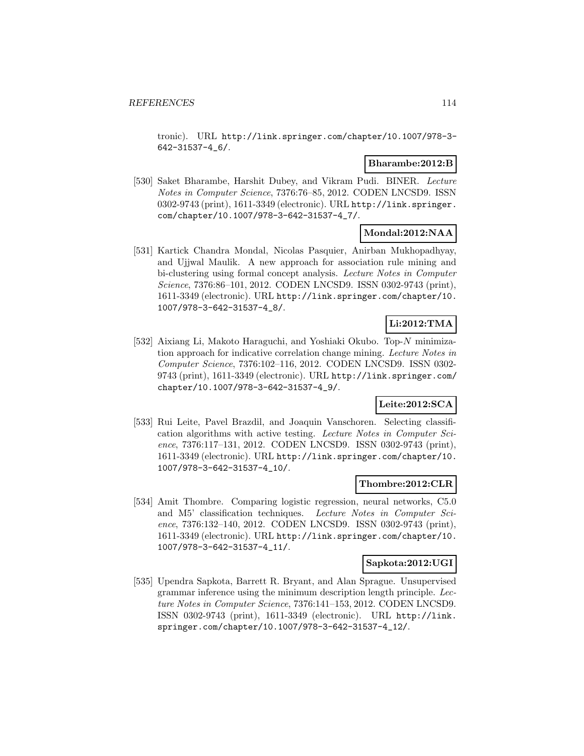tronic). URL http://link.springer.com/chapter/10.1007/978-3- 642-31537-4\_6/.

### **Bharambe:2012:B**

[530] Saket Bharambe, Harshit Dubey, and Vikram Pudi. BINER. Lecture Notes in Computer Science, 7376:76–85, 2012. CODEN LNCSD9. ISSN 0302-9743 (print), 1611-3349 (electronic). URL http://link.springer. com/chapter/10.1007/978-3-642-31537-4\_7/.

# **Mondal:2012:NAA**

[531] Kartick Chandra Mondal, Nicolas Pasquier, Anirban Mukhopadhyay, and Ujjwal Maulik. A new approach for association rule mining and bi-clustering using formal concept analysis. Lecture Notes in Computer Science, 7376:86–101, 2012. CODEN LNCSD9. ISSN 0302-9743 (print), 1611-3349 (electronic). URL http://link.springer.com/chapter/10. 1007/978-3-642-31537-4\_8/.

# **Li:2012:TMA**

[532] Aixiang Li, Makoto Haraguchi, and Yoshiaki Okubo. Top-N minimization approach for indicative correlation change mining. Lecture Notes in Computer Science, 7376:102–116, 2012. CODEN LNCSD9. ISSN 0302- 9743 (print), 1611-3349 (electronic). URL http://link.springer.com/ chapter/10.1007/978-3-642-31537-4\_9/.

# **Leite:2012:SCA**

[533] Rui Leite, Pavel Brazdil, and Joaquin Vanschoren. Selecting classification algorithms with active testing. Lecture Notes in Computer Science, 7376:117–131, 2012. CODEN LNCSD9. ISSN 0302-9743 (print), 1611-3349 (electronic). URL http://link.springer.com/chapter/10. 1007/978-3-642-31537-4\_10/.

# **Thombre:2012:CLR**

[534] Amit Thombre. Comparing logistic regression, neural networks, C5.0 and M5' classification techniques. Lecture Notes in Computer Science, 7376:132–140, 2012. CODEN LNCSD9. ISSN 0302-9743 (print), 1611-3349 (electronic). URL http://link.springer.com/chapter/10. 1007/978-3-642-31537-4\_11/.

### **Sapkota:2012:UGI**

[535] Upendra Sapkota, Barrett R. Bryant, and Alan Sprague. Unsupervised grammar inference using the minimum description length principle. Lecture Notes in Computer Science, 7376:141–153, 2012. CODEN LNCSD9. ISSN 0302-9743 (print), 1611-3349 (electronic). URL http://link. springer.com/chapter/10.1007/978-3-642-31537-4\_12/.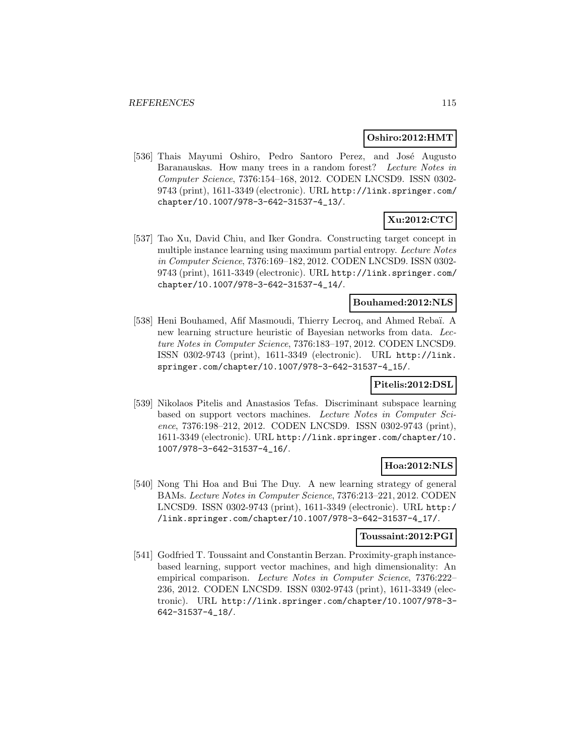#### **Oshiro:2012:HMT**

[536] Thais Mayumi Oshiro, Pedro Santoro Perez, and José Augusto Baranauskas. How many trees in a random forest? Lecture Notes in Computer Science, 7376:154–168, 2012. CODEN LNCSD9. ISSN 0302- 9743 (print), 1611-3349 (electronic). URL http://link.springer.com/ chapter/10.1007/978-3-642-31537-4\_13/.

# **Xu:2012:CTC**

[537] Tao Xu, David Chiu, and Iker Gondra. Constructing target concept in multiple instance learning using maximum partial entropy. Lecture Notes in Computer Science, 7376:169–182, 2012. CODEN LNCSD9. ISSN 0302- 9743 (print), 1611-3349 (electronic). URL http://link.springer.com/ chapter/10.1007/978-3-642-31537-4\_14/.

# **Bouhamed:2012:NLS**

[538] Heni Bouhamed, Afif Masmoudi, Thierry Lecroq, and Ahmed Rebaï. A new learning structure heuristic of Bayesian networks from data. Lecture Notes in Computer Science, 7376:183–197, 2012. CODEN LNCSD9. ISSN 0302-9743 (print), 1611-3349 (electronic). URL http://link. springer.com/chapter/10.1007/978-3-642-31537-4\_15/.

# **Pitelis:2012:DSL**

[539] Nikolaos Pitelis and Anastasios Tefas. Discriminant subspace learning based on support vectors machines. Lecture Notes in Computer Science, 7376:198–212, 2012. CODEN LNCSD9. ISSN 0302-9743 (print), 1611-3349 (electronic). URL http://link.springer.com/chapter/10. 1007/978-3-642-31537-4\_16/.

# **Hoa:2012:NLS**

[540] Nong Thi Hoa and Bui The Duy. A new learning strategy of general BAMs. Lecture Notes in Computer Science, 7376:213–221, 2012. CODEN LNCSD9. ISSN 0302-9743 (print), 1611-3349 (electronic). URL http:/ /link.springer.com/chapter/10.1007/978-3-642-31537-4\_17/.

# **Toussaint:2012:PGI**

[541] Godfried T. Toussaint and Constantin Berzan. Proximity-graph instancebased learning, support vector machines, and high dimensionality: An empirical comparison. Lecture Notes in Computer Science, 7376:222– 236, 2012. CODEN LNCSD9. ISSN 0302-9743 (print), 1611-3349 (electronic). URL http://link.springer.com/chapter/10.1007/978-3- 642-31537-4\_18/.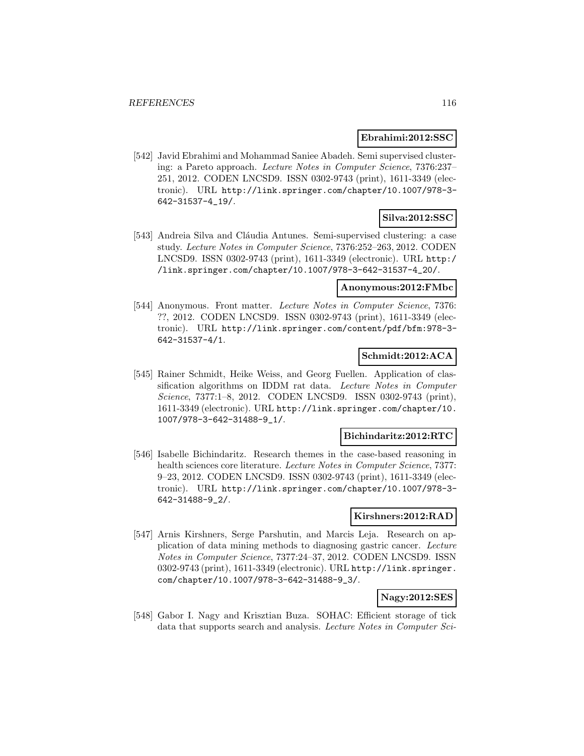### **Ebrahimi:2012:SSC**

[542] Javid Ebrahimi and Mohammad Saniee Abadeh. Semi supervised clustering: a Pareto approach. Lecture Notes in Computer Science, 7376:237– 251, 2012. CODEN LNCSD9. ISSN 0302-9743 (print), 1611-3349 (electronic). URL http://link.springer.com/chapter/10.1007/978-3- 642-31537-4\_19/.

# **Silva:2012:SSC**

[543] Andreia Silva and Cláudia Antunes. Semi-supervised clustering: a case study. Lecture Notes in Computer Science, 7376:252–263, 2012. CODEN LNCSD9. ISSN 0302-9743 (print), 1611-3349 (electronic). URL http:/ /link.springer.com/chapter/10.1007/978-3-642-31537-4\_20/.

## **Anonymous:2012:FMbc**

[544] Anonymous. Front matter. Lecture Notes in Computer Science, 7376: ??, 2012. CODEN LNCSD9. ISSN 0302-9743 (print), 1611-3349 (electronic). URL http://link.springer.com/content/pdf/bfm:978-3- 642-31537-4/1.

### **Schmidt:2012:ACA**

[545] Rainer Schmidt, Heike Weiss, and Georg Fuellen. Application of classification algorithms on IDDM rat data. Lecture Notes in Computer Science, 7377:1–8, 2012. CODEN LNCSD9. ISSN 0302-9743 (print), 1611-3349 (electronic). URL http://link.springer.com/chapter/10. 1007/978-3-642-31488-9\_1/.

### **Bichindaritz:2012:RTC**

[546] Isabelle Bichindaritz. Research themes in the case-based reasoning in health sciences core literature. Lecture Notes in Computer Science, 7377: 9–23, 2012. CODEN LNCSD9. ISSN 0302-9743 (print), 1611-3349 (electronic). URL http://link.springer.com/chapter/10.1007/978-3- 642-31488-9\_2/.

### **Kirshners:2012:RAD**

[547] Arnis Kirshners, Serge Parshutin, and Marcis Leja. Research on application of data mining methods to diagnosing gastric cancer. Lecture Notes in Computer Science, 7377:24–37, 2012. CODEN LNCSD9. ISSN 0302-9743 (print), 1611-3349 (electronic). URL http://link.springer. com/chapter/10.1007/978-3-642-31488-9\_3/.

# **Nagy:2012:SES**

[548] Gabor I. Nagy and Krisztian Buza. SOHAC: Efficient storage of tick data that supports search and analysis. Lecture Notes in Computer Sci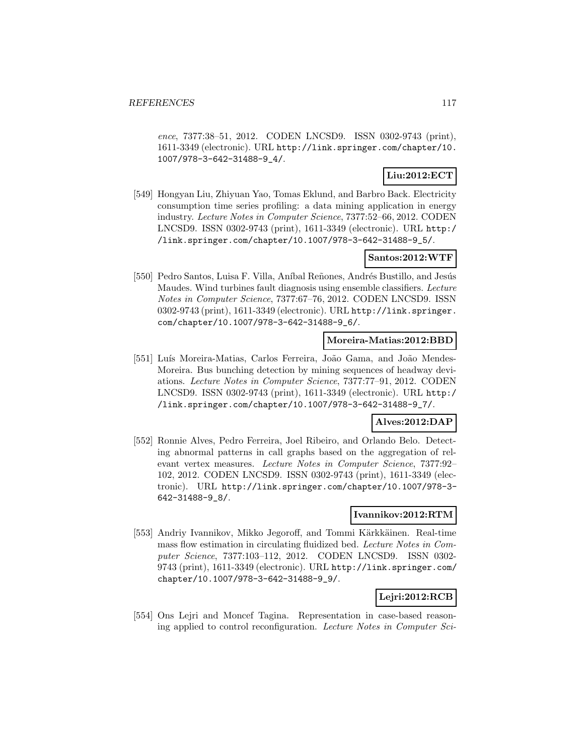ence, 7377:38–51, 2012. CODEN LNCSD9. ISSN 0302-9743 (print), 1611-3349 (electronic). URL http://link.springer.com/chapter/10. 1007/978-3-642-31488-9\_4/.

# **Liu:2012:ECT**

[549] Hongyan Liu, Zhiyuan Yao, Tomas Eklund, and Barbro Back. Electricity consumption time series profiling: a data mining application in energy industry. Lecture Notes in Computer Science, 7377:52–66, 2012. CODEN LNCSD9. ISSN 0302-9743 (print), 1611-3349 (electronic). URL http:/ /link.springer.com/chapter/10.1007/978-3-642-31488-9\_5/.

### **Santos:2012:WTF**

[550] Pedro Santos, Luisa F. Villa, Aníbal Reñones, Andrés Bustillo, and Jesús Maudes. Wind turbines fault diagnosis using ensemble classifiers. Lecture Notes in Computer Science, 7377:67–76, 2012. CODEN LNCSD9. ISSN 0302-9743 (print), 1611-3349 (electronic). URL http://link.springer. com/chapter/10.1007/978-3-642-31488-9\_6/.

### **Moreira-Matias:2012:BBD**

[551] Luís Moreira-Matias, Carlos Ferreira, João Gama, and João Mendes-Moreira. Bus bunching detection by mining sequences of headway deviations. Lecture Notes in Computer Science, 7377:77–91, 2012. CODEN LNCSD9. ISSN 0302-9743 (print), 1611-3349 (electronic). URL http:/ /link.springer.com/chapter/10.1007/978-3-642-31488-9\_7/.

# **Alves:2012:DAP**

[552] Ronnie Alves, Pedro Ferreira, Joel Ribeiro, and Orlando Belo. Detecting abnormal patterns in call graphs based on the aggregation of relevant vertex measures. Lecture Notes in Computer Science, 7377:92– 102, 2012. CODEN LNCSD9. ISSN 0302-9743 (print), 1611-3349 (electronic). URL http://link.springer.com/chapter/10.1007/978-3- 642-31488-9\_8/.

# **Ivannikov:2012:RTM**

[553] Andriy Ivannikov, Mikko Jegoroff, and Tommi Kärkkäinen. Real-time mass flow estimation in circulating fluidized bed. Lecture Notes in Computer Science, 7377:103–112, 2012. CODEN LNCSD9. ISSN 0302- 9743 (print), 1611-3349 (electronic). URL http://link.springer.com/ chapter/10.1007/978-3-642-31488-9\_9/.

# **Lejri:2012:RCB**

[554] Ons Lejri and Moncef Tagina. Representation in case-based reasoning applied to control reconfiguration. Lecture Notes in Computer Sci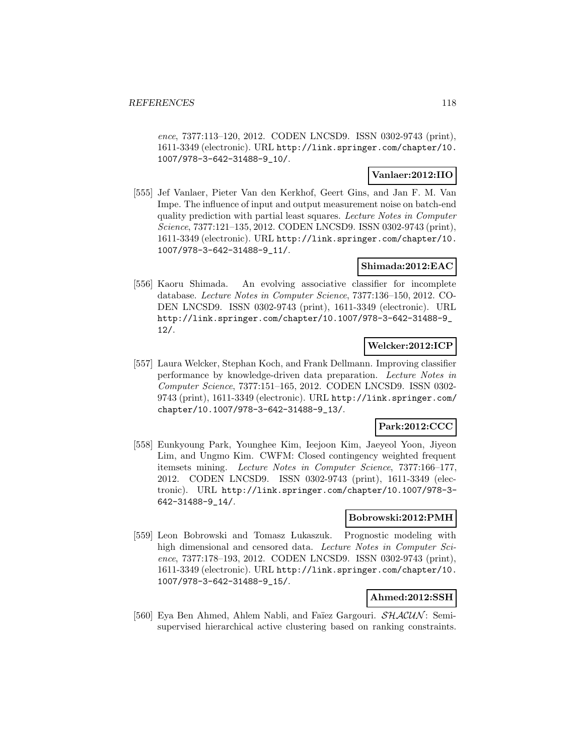ence, 7377:113–120, 2012. CODEN LNCSD9. ISSN 0302-9743 (print), 1611-3349 (electronic). URL http://link.springer.com/chapter/10. 1007/978-3-642-31488-9\_10/.

# **Vanlaer:2012:IIO**

[555] Jef Vanlaer, Pieter Van den Kerkhof, Geert Gins, and Jan F. M. Van Impe. The influence of input and output measurement noise on batch-end quality prediction with partial least squares. Lecture Notes in Computer Science, 7377:121–135, 2012. CODEN LNCSD9. ISSN 0302-9743 (print), 1611-3349 (electronic). URL http://link.springer.com/chapter/10. 1007/978-3-642-31488-9\_11/.

### **Shimada:2012:EAC**

[556] Kaoru Shimada. An evolving associative classifier for incomplete database. Lecture Notes in Computer Science, 7377:136–150, 2012. CO-DEN LNCSD9. ISSN 0302-9743 (print), 1611-3349 (electronic). URL http://link.springer.com/chapter/10.1007/978-3-642-31488-9\_ 12/.

# **Welcker:2012:ICP**

[557] Laura Welcker, Stephan Koch, and Frank Dellmann. Improving classifier performance by knowledge-driven data preparation. Lecture Notes in Computer Science, 7377:151–165, 2012. CODEN LNCSD9. ISSN 0302- 9743 (print), 1611-3349 (electronic). URL http://link.springer.com/ chapter/10.1007/978-3-642-31488-9\_13/.

# **Park:2012:CCC**

[558] Eunkyoung Park, Younghee Kim, Ieejoon Kim, Jaeyeol Yoon, Jiyeon Lim, and Ungmo Kim. CWFM: Closed contingency weighted frequent itemsets mining. Lecture Notes in Computer Science, 7377:166–177, 2012. CODEN LNCSD9. ISSN 0302-9743 (print), 1611-3349 (electronic). URL http://link.springer.com/chapter/10.1007/978-3- 642-31488-9\_14/.

## **Bobrowski:2012:PMH**

[559] Leon Bobrowski and Tomasz Lukaszuk. Prognostic modeling with high dimensional and censored data. Lecture Notes in Computer Science, 7377:178–193, 2012. CODEN LNCSD9. ISSN 0302-9743 (print), 1611-3349 (electronic). URL http://link.springer.com/chapter/10. 1007/978-3-642-31488-9\_15/.

### **Ahmed:2012:SSH**

[560] Eya Ben Ahmed, Ahlem Nabli, and Faïez Gargouri.  $\mathcal{SHACUN}$ : Semisupervised hierarchical active clustering based on ranking constraints.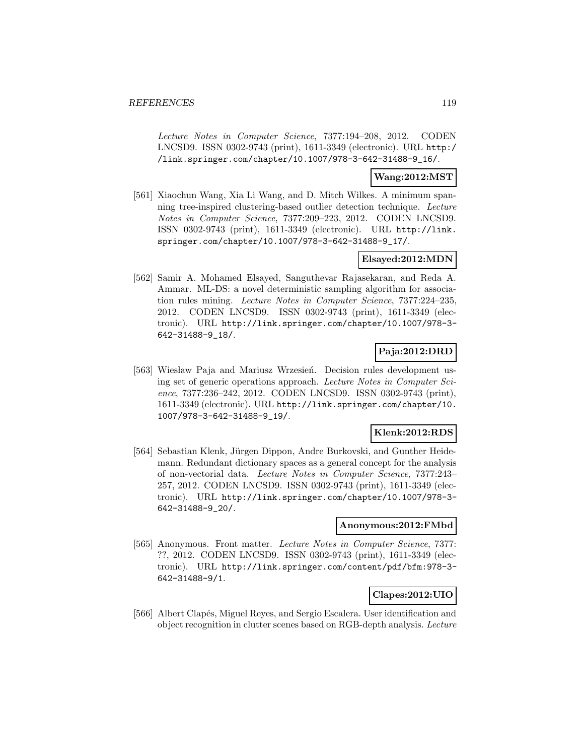Lecture Notes in Computer Science, 7377:194–208, 2012. CODEN LNCSD9. ISSN 0302-9743 (print), 1611-3349 (electronic). URL http:/ /link.springer.com/chapter/10.1007/978-3-642-31488-9\_16/.

### **Wang:2012:MST**

[561] Xiaochun Wang, Xia Li Wang, and D. Mitch Wilkes. A minimum spanning tree-inspired clustering-based outlier detection technique. Lecture Notes in Computer Science, 7377:209–223, 2012. CODEN LNCSD9. ISSN 0302-9743 (print), 1611-3349 (electronic). URL http://link. springer.com/chapter/10.1007/978-3-642-31488-9\_17/.

### **Elsayed:2012:MDN**

[562] Samir A. Mohamed Elsayed, Sanguthevar Rajasekaran, and Reda A. Ammar. ML-DS: a novel deterministic sampling algorithm for association rules mining. Lecture Notes in Computer Science, 7377:224–235, 2012. CODEN LNCSD9. ISSN 0302-9743 (print), 1611-3349 (electronic). URL http://link.springer.com/chapter/10.1007/978-3- 642-31488-9\_18/.

# **Paja:2012:DRD**

[563] Wiesław Paja and Mariusz Wrzesień. Decision rules development using set of generic operations approach. Lecture Notes in Computer Science, 7377:236–242, 2012. CODEN LNCSD9. ISSN 0302-9743 (print), 1611-3349 (electronic). URL http://link.springer.com/chapter/10. 1007/978-3-642-31488-9\_19/.

# **Klenk:2012:RDS**

[564] Sebastian Klenk, Jürgen Dippon, Andre Burkovski, and Gunther Heidemann. Redundant dictionary spaces as a general concept for the analysis of non-vectorial data. Lecture Notes in Computer Science, 7377:243– 257, 2012. CODEN LNCSD9. ISSN 0302-9743 (print), 1611-3349 (electronic). URL http://link.springer.com/chapter/10.1007/978-3- 642-31488-9\_20/.

### **Anonymous:2012:FMbd**

[565] Anonymous. Front matter. Lecture Notes in Computer Science, 7377: ??, 2012. CODEN LNCSD9. ISSN 0302-9743 (print), 1611-3349 (electronic). URL http://link.springer.com/content/pdf/bfm:978-3- 642-31488-9/1.

# **Clapes:2012:UIO**

[566] Albert Clapés, Miguel Reyes, and Sergio Escalera. User identification and object recognition in clutter scenes based on RGB-depth analysis. Lecture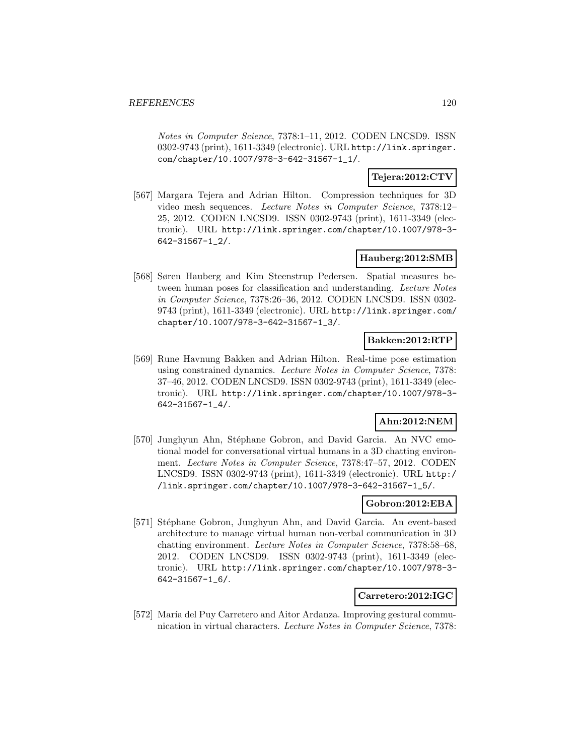Notes in Computer Science, 7378:1–11, 2012. CODEN LNCSD9. ISSN 0302-9743 (print), 1611-3349 (electronic). URL http://link.springer. com/chapter/10.1007/978-3-642-31567-1\_1/.

# **Tejera:2012:CTV**

[567] Margara Tejera and Adrian Hilton. Compression techniques for 3D video mesh sequences. Lecture Notes in Computer Science, 7378:12– 25, 2012. CODEN LNCSD9. ISSN 0302-9743 (print), 1611-3349 (electronic). URL http://link.springer.com/chapter/10.1007/978-3- 642-31567-1\_2/.

# **Hauberg:2012:SMB**

[568] Søren Hauberg and Kim Steenstrup Pedersen. Spatial measures between human poses for classification and understanding. Lecture Notes in Computer Science, 7378:26–36, 2012. CODEN LNCSD9. ISSN 0302- 9743 (print), 1611-3349 (electronic). URL http://link.springer.com/ chapter/10.1007/978-3-642-31567-1\_3/.

### **Bakken:2012:RTP**

[569] Rune Havnung Bakken and Adrian Hilton. Real-time pose estimation using constrained dynamics. Lecture Notes in Computer Science, 7378: 37–46, 2012. CODEN LNCSD9. ISSN 0302-9743 (print), 1611-3349 (electronic). URL http://link.springer.com/chapter/10.1007/978-3- 642-31567-1\_4/.

# **Ahn:2012:NEM**

[570] Junghyun Ahn, Stéphane Gobron, and David Garcia. An NVC emotional model for conversational virtual humans in a 3D chatting environment. Lecture Notes in Computer Science, 7378:47–57, 2012. CODEN LNCSD9. ISSN 0302-9743 (print), 1611-3349 (electronic). URL http:/ /link.springer.com/chapter/10.1007/978-3-642-31567-1\_5/.

# **Gobron:2012:EBA**

[571] Stéphane Gobron, Junghyun Ahn, and David Garcia. An event-based architecture to manage virtual human non-verbal communication in 3D chatting environment. Lecture Notes in Computer Science, 7378:58–68, 2012. CODEN LNCSD9. ISSN 0302-9743 (print), 1611-3349 (electronic). URL http://link.springer.com/chapter/10.1007/978-3- 642-31567-1\_6/.

### **Carretero:2012:IGC**

[572] María del Puy Carretero and Aitor Ardanza. Improving gestural communication in virtual characters. Lecture Notes in Computer Science, 7378: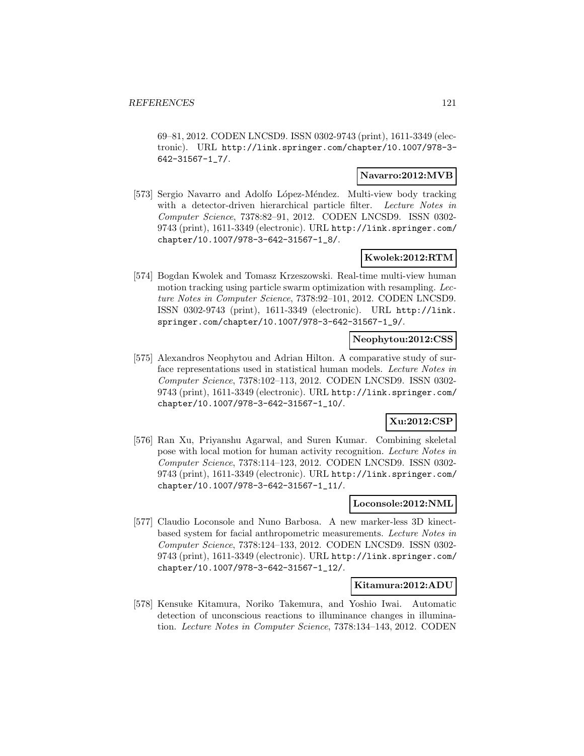69–81, 2012. CODEN LNCSD9. ISSN 0302-9743 (print), 1611-3349 (electronic). URL http://link.springer.com/chapter/10.1007/978-3- 642-31567-1\_7/.

### **Navarro:2012:MVB**

[573] Sergio Navarro and Adolfo López-Méndez. Multi-view body tracking with a detector-driven hierarchical particle filter. Lecture Notes in Computer Science, 7378:82–91, 2012. CODEN LNCSD9. ISSN 0302- 9743 (print), 1611-3349 (electronic). URL http://link.springer.com/ chapter/10.1007/978-3-642-31567-1\_8/.

### **Kwolek:2012:RTM**

[574] Bogdan Kwolek and Tomasz Krzeszowski. Real-time multi-view human motion tracking using particle swarm optimization with resampling. Lecture Notes in Computer Science, 7378:92–101, 2012. CODEN LNCSD9. ISSN 0302-9743 (print), 1611-3349 (electronic). URL http://link. springer.com/chapter/10.1007/978-3-642-31567-1\_9/.

### **Neophytou:2012:CSS**

[575] Alexandros Neophytou and Adrian Hilton. A comparative study of surface representations used in statistical human models. Lecture Notes in Computer Science, 7378:102–113, 2012. CODEN LNCSD9. ISSN 0302- 9743 (print), 1611-3349 (electronic). URL http://link.springer.com/ chapter/10.1007/978-3-642-31567-1\_10/.

# **Xu:2012:CSP**

[576] Ran Xu, Priyanshu Agarwal, and Suren Kumar. Combining skeletal pose with local motion for human activity recognition. Lecture Notes in Computer Science, 7378:114–123, 2012. CODEN LNCSD9. ISSN 0302- 9743 (print), 1611-3349 (electronic). URL http://link.springer.com/ chapter/10.1007/978-3-642-31567-1\_11/.

## **Loconsole:2012:NML**

[577] Claudio Loconsole and Nuno Barbosa. A new marker-less 3D kinectbased system for facial anthropometric measurements. Lecture Notes in Computer Science, 7378:124–133, 2012. CODEN LNCSD9. ISSN 0302- 9743 (print), 1611-3349 (electronic). URL http://link.springer.com/ chapter/10.1007/978-3-642-31567-1\_12/.

### **Kitamura:2012:ADU**

[578] Kensuke Kitamura, Noriko Takemura, and Yoshio Iwai. Automatic detection of unconscious reactions to illuminance changes in illumination. Lecture Notes in Computer Science, 7378:134–143, 2012. CODEN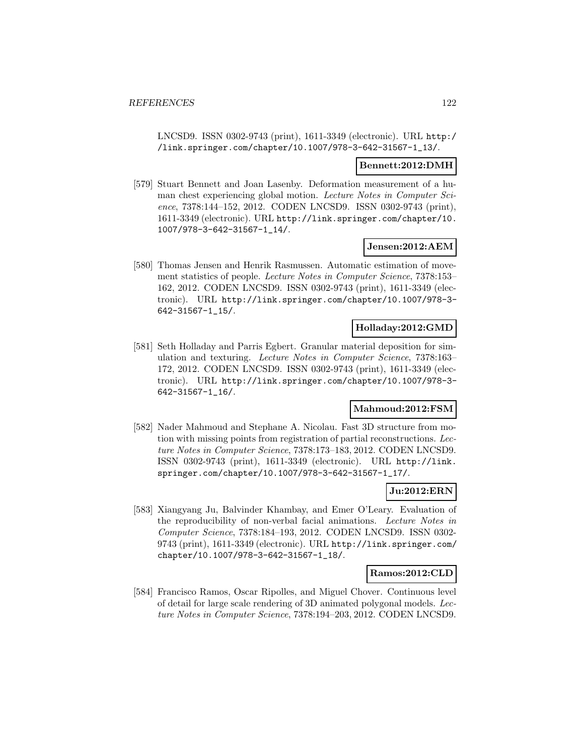LNCSD9. ISSN 0302-9743 (print), 1611-3349 (electronic). URL http:/ /link.springer.com/chapter/10.1007/978-3-642-31567-1\_13/.

#### **Bennett:2012:DMH**

[579] Stuart Bennett and Joan Lasenby. Deformation measurement of a human chest experiencing global motion. Lecture Notes in Computer Science, 7378:144–152, 2012. CODEN LNCSD9. ISSN 0302-9743 (print), 1611-3349 (electronic). URL http://link.springer.com/chapter/10. 1007/978-3-642-31567-1\_14/.

### **Jensen:2012:AEM**

[580] Thomas Jensen and Henrik Rasmussen. Automatic estimation of movement statistics of people. Lecture Notes in Computer Science, 7378:153– 162, 2012. CODEN LNCSD9. ISSN 0302-9743 (print), 1611-3349 (electronic). URL http://link.springer.com/chapter/10.1007/978-3- 642-31567-1\_15/.

### **Holladay:2012:GMD**

[581] Seth Holladay and Parris Egbert. Granular material deposition for simulation and texturing. Lecture Notes in Computer Science, 7378:163– 172, 2012. CODEN LNCSD9. ISSN 0302-9743 (print), 1611-3349 (electronic). URL http://link.springer.com/chapter/10.1007/978-3- 642-31567-1\_16/.

# **Mahmoud:2012:FSM**

[582] Nader Mahmoud and Stephane A. Nicolau. Fast 3D structure from motion with missing points from registration of partial reconstructions. Lecture Notes in Computer Science, 7378:173–183, 2012. CODEN LNCSD9. ISSN 0302-9743 (print), 1611-3349 (electronic). URL http://link. springer.com/chapter/10.1007/978-3-642-31567-1\_17/.

#### **Ju:2012:ERN**

[583] Xiangyang Ju, Balvinder Khambay, and Emer O'Leary. Evaluation of the reproducibility of non-verbal facial animations. Lecture Notes in Computer Science, 7378:184–193, 2012. CODEN LNCSD9. ISSN 0302- 9743 (print), 1611-3349 (electronic). URL http://link.springer.com/ chapter/10.1007/978-3-642-31567-1\_18/.

### **Ramos:2012:CLD**

[584] Francisco Ramos, Oscar Ripolles, and Miguel Chover. Continuous level of detail for large scale rendering of 3D animated polygonal models. Lecture Notes in Computer Science, 7378:194–203, 2012. CODEN LNCSD9.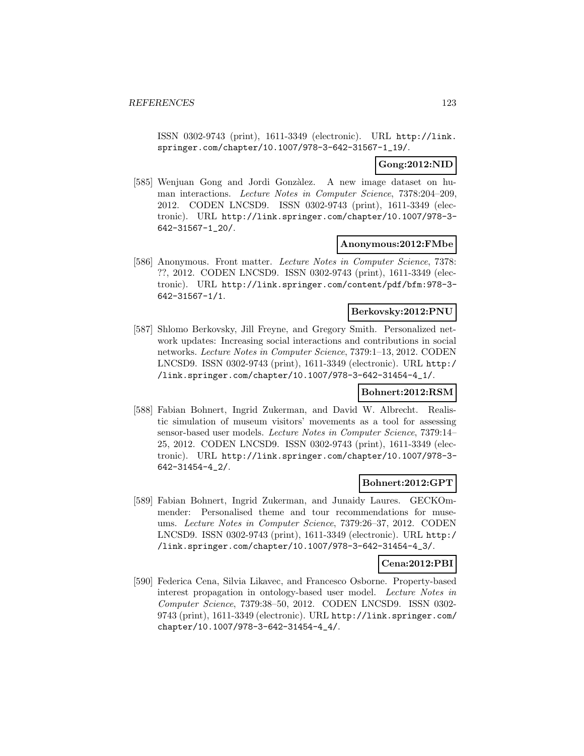ISSN 0302-9743 (print), 1611-3349 (electronic). URL http://link. springer.com/chapter/10.1007/978-3-642-31567-1\_19/.

### **Gong:2012:NID**

[585] Wenjuan Gong and Jordi Gonzàlez. A new image dataset on human interactions. Lecture Notes in Computer Science, 7378:204–209, 2012. CODEN LNCSD9. ISSN 0302-9743 (print), 1611-3349 (electronic). URL http://link.springer.com/chapter/10.1007/978-3- 642-31567-1\_20/.

#### **Anonymous:2012:FMbe**

[586] Anonymous. Front matter. Lecture Notes in Computer Science, 7378: ??, 2012. CODEN LNCSD9. ISSN 0302-9743 (print), 1611-3349 (electronic). URL http://link.springer.com/content/pdf/bfm:978-3- 642-31567-1/1.

### **Berkovsky:2012:PNU**

[587] Shlomo Berkovsky, Jill Freyne, and Gregory Smith. Personalized network updates: Increasing social interactions and contributions in social networks. Lecture Notes in Computer Science, 7379:1–13, 2012. CODEN LNCSD9. ISSN 0302-9743 (print), 1611-3349 (electronic). URL http:/ /link.springer.com/chapter/10.1007/978-3-642-31454-4\_1/.

### **Bohnert:2012:RSM**

[588] Fabian Bohnert, Ingrid Zukerman, and David W. Albrecht. Realistic simulation of museum visitors' movements as a tool for assessing sensor-based user models. Lecture Notes in Computer Science, 7379:14– 25, 2012. CODEN LNCSD9. ISSN 0302-9743 (print), 1611-3349 (electronic). URL http://link.springer.com/chapter/10.1007/978-3- 642-31454-4\_2/.

### **Bohnert:2012:GPT**

[589] Fabian Bohnert, Ingrid Zukerman, and Junaidy Laures. GECKOmmender: Personalised theme and tour recommendations for museums. Lecture Notes in Computer Science, 7379:26–37, 2012. CODEN LNCSD9. ISSN 0302-9743 (print), 1611-3349 (electronic). URL http:/ /link.springer.com/chapter/10.1007/978-3-642-31454-4\_3/.

# **Cena:2012:PBI**

[590] Federica Cena, Silvia Likavec, and Francesco Osborne. Property-based interest propagation in ontology-based user model. Lecture Notes in Computer Science, 7379:38–50, 2012. CODEN LNCSD9. ISSN 0302- 9743 (print), 1611-3349 (electronic). URL http://link.springer.com/ chapter/10.1007/978-3-642-31454-4\_4/.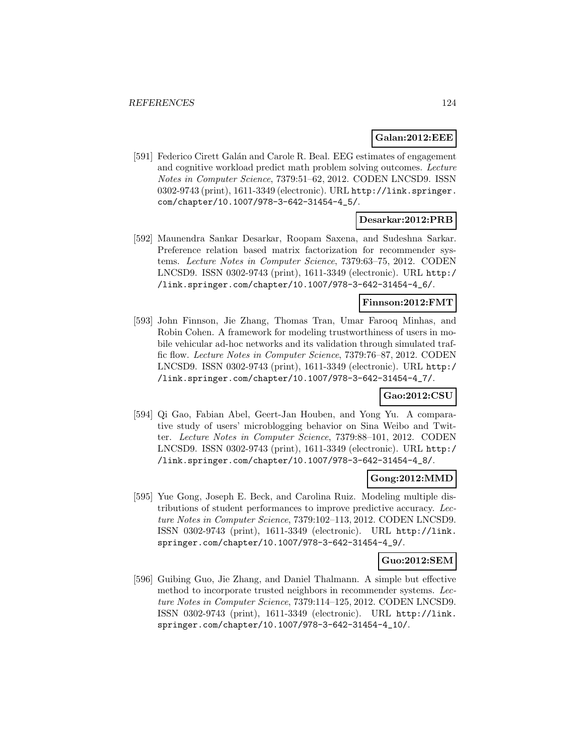### **Galan:2012:EEE**

[591] Federico Cirett Galán and Carole R. Beal. EEG estimates of engagement and cognitive workload predict math problem solving outcomes. Lecture Notes in Computer Science, 7379:51–62, 2012. CODEN LNCSD9. ISSN 0302-9743 (print), 1611-3349 (electronic). URL http://link.springer. com/chapter/10.1007/978-3-642-31454-4\_5/.

### **Desarkar:2012:PRB**

[592] Maunendra Sankar Desarkar, Roopam Saxena, and Sudeshna Sarkar. Preference relation based matrix factorization for recommender systems. Lecture Notes in Computer Science, 7379:63–75, 2012. CODEN LNCSD9. ISSN 0302-9743 (print), 1611-3349 (electronic). URL http:/ /link.springer.com/chapter/10.1007/978-3-642-31454-4\_6/.

#### **Finnson:2012:FMT**

[593] John Finnson, Jie Zhang, Thomas Tran, Umar Farooq Minhas, and Robin Cohen. A framework for modeling trustworthiness of users in mobile vehicular ad-hoc networks and its validation through simulated traffic flow. Lecture Notes in Computer Science, 7379:76–87, 2012. CODEN LNCSD9. ISSN 0302-9743 (print), 1611-3349 (electronic). URL http:/ /link.springer.com/chapter/10.1007/978-3-642-31454-4\_7/.

### **Gao:2012:CSU**

[594] Qi Gao, Fabian Abel, Geert-Jan Houben, and Yong Yu. A comparative study of users' microblogging behavior on Sina Weibo and Twitter. Lecture Notes in Computer Science, 7379:88–101, 2012. CODEN LNCSD9. ISSN 0302-9743 (print), 1611-3349 (electronic). URL http:/ /link.springer.com/chapter/10.1007/978-3-642-31454-4\_8/.

### **Gong:2012:MMD**

[595] Yue Gong, Joseph E. Beck, and Carolina Ruiz. Modeling multiple distributions of student performances to improve predictive accuracy. Lecture Notes in Computer Science, 7379:102–113, 2012. CODEN LNCSD9. ISSN 0302-9743 (print), 1611-3349 (electronic). URL http://link. springer.com/chapter/10.1007/978-3-642-31454-4\_9/.

### **Guo:2012:SEM**

[596] Guibing Guo, Jie Zhang, and Daniel Thalmann. A simple but effective method to incorporate trusted neighbors in recommender systems. Lecture Notes in Computer Science, 7379:114–125, 2012. CODEN LNCSD9. ISSN 0302-9743 (print), 1611-3349 (electronic). URL http://link. springer.com/chapter/10.1007/978-3-642-31454-4\_10/.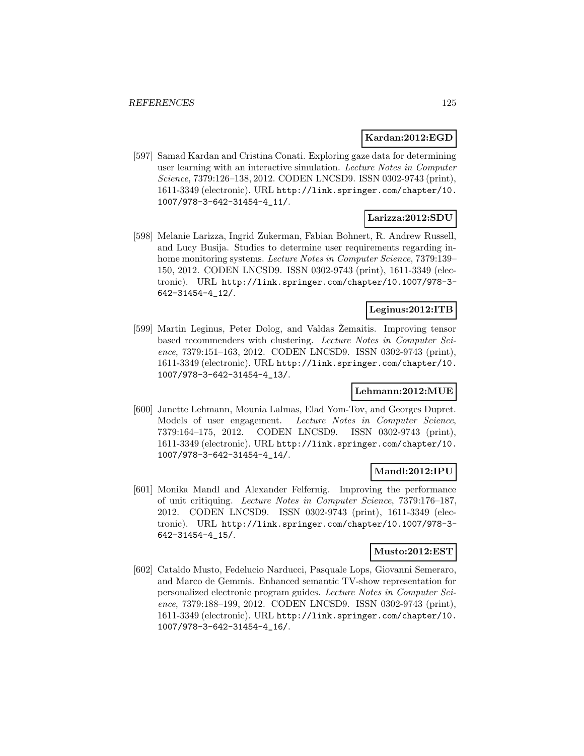### **Kardan:2012:EGD**

[597] Samad Kardan and Cristina Conati. Exploring gaze data for determining user learning with an interactive simulation. Lecture Notes in Computer Science, 7379:126–138, 2012. CODEN LNCSD9. ISSN 0302-9743 (print), 1611-3349 (electronic). URL http://link.springer.com/chapter/10. 1007/978-3-642-31454-4\_11/.

# **Larizza:2012:SDU**

[598] Melanie Larizza, Ingrid Zukerman, Fabian Bohnert, R. Andrew Russell, and Lucy Busija. Studies to determine user requirements regarding inhome monitoring systems. Lecture Notes in Computer Science, 7379:139– 150, 2012. CODEN LNCSD9. ISSN 0302-9743 (print), 1611-3349 (electronic). URL http://link.springer.com/chapter/10.1007/978-3- 642-31454-4\_12/.

### **Leginus:2012:ITB**

[599] Martin Leginus, Peter Dolog, and Valdas Zemaitis. Improving tensor based recommenders with clustering. Lecture Notes in Computer Science, 7379:151–163, 2012. CODEN LNCSD9. ISSN 0302-9743 (print), 1611-3349 (electronic). URL http://link.springer.com/chapter/10. 1007/978-3-642-31454-4\_13/.

### **Lehmann:2012:MUE**

[600] Janette Lehmann, Mounia Lalmas, Elad Yom-Tov, and Georges Dupret. Models of user engagement. Lecture Notes in Computer Science, 7379:164–175, 2012. CODEN LNCSD9. ISSN 0302-9743 (print), 1611-3349 (electronic). URL http://link.springer.com/chapter/10. 1007/978-3-642-31454-4\_14/.

# **Mandl:2012:IPU**

[601] Monika Mandl and Alexander Felfernig. Improving the performance of unit critiquing. Lecture Notes in Computer Science, 7379:176–187, 2012. CODEN LNCSD9. ISSN 0302-9743 (print), 1611-3349 (electronic). URL http://link.springer.com/chapter/10.1007/978-3- 642-31454-4\_15/.

## **Musto:2012:EST**

[602] Cataldo Musto, Fedelucio Narducci, Pasquale Lops, Giovanni Semeraro, and Marco de Gemmis. Enhanced semantic TV-show representation for personalized electronic program guides. Lecture Notes in Computer Science, 7379:188–199, 2012. CODEN LNCSD9. ISSN 0302-9743 (print), 1611-3349 (electronic). URL http://link.springer.com/chapter/10. 1007/978-3-642-31454-4\_16/.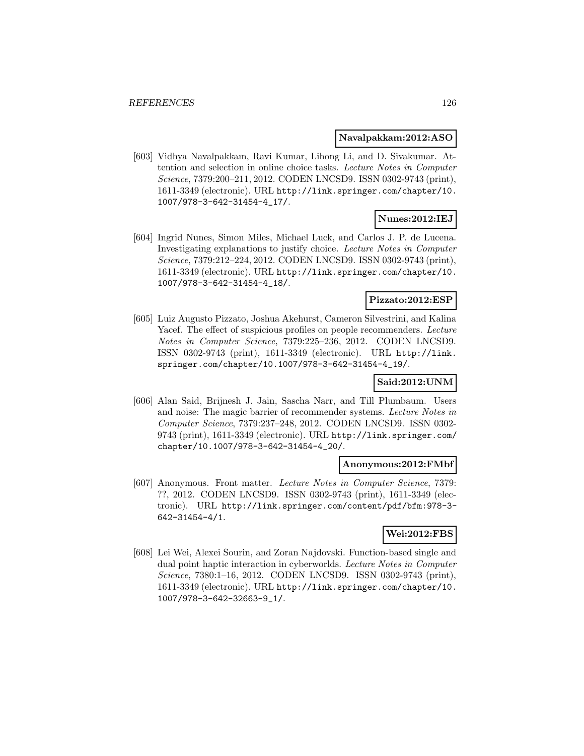### **Navalpakkam:2012:ASO**

[603] Vidhya Navalpakkam, Ravi Kumar, Lihong Li, and D. Sivakumar. Attention and selection in online choice tasks. Lecture Notes in Computer Science, 7379:200–211, 2012. CODEN LNCSD9. ISSN 0302-9743 (print), 1611-3349 (electronic). URL http://link.springer.com/chapter/10. 1007/978-3-642-31454-4\_17/.

### **Nunes:2012:IEJ**

[604] Ingrid Nunes, Simon Miles, Michael Luck, and Carlos J. P. de Lucena. Investigating explanations to justify choice. Lecture Notes in Computer Science, 7379:212–224, 2012. CODEN LNCSD9. ISSN 0302-9743 (print), 1611-3349 (electronic). URL http://link.springer.com/chapter/10. 1007/978-3-642-31454-4\_18/.

## **Pizzato:2012:ESP**

[605] Luiz Augusto Pizzato, Joshua Akehurst, Cameron Silvestrini, and Kalina Yacef. The effect of suspicious profiles on people recommenders. Lecture Notes in Computer Science, 7379:225–236, 2012. CODEN LNCSD9. ISSN 0302-9743 (print), 1611-3349 (electronic). URL http://link. springer.com/chapter/10.1007/978-3-642-31454-4\_19/.

### **Said:2012:UNM**

[606] Alan Said, Brijnesh J. Jain, Sascha Narr, and Till Plumbaum. Users and noise: The magic barrier of recommender systems. Lecture Notes in Computer Science, 7379:237–248, 2012. CODEN LNCSD9. ISSN 0302- 9743 (print), 1611-3349 (electronic). URL http://link.springer.com/ chapter/10.1007/978-3-642-31454-4\_20/.

#### **Anonymous:2012:FMbf**

[607] Anonymous. Front matter. Lecture Notes in Computer Science, 7379: ??, 2012. CODEN LNCSD9. ISSN 0302-9743 (print), 1611-3349 (electronic). URL http://link.springer.com/content/pdf/bfm:978-3- 642-31454-4/1.

# **Wei:2012:FBS**

[608] Lei Wei, Alexei Sourin, and Zoran Najdovski. Function-based single and dual point haptic interaction in cyberworlds. Lecture Notes in Computer Science, 7380:1–16, 2012. CODEN LNCSD9. ISSN 0302-9743 (print), 1611-3349 (electronic). URL http://link.springer.com/chapter/10. 1007/978-3-642-32663-9\_1/.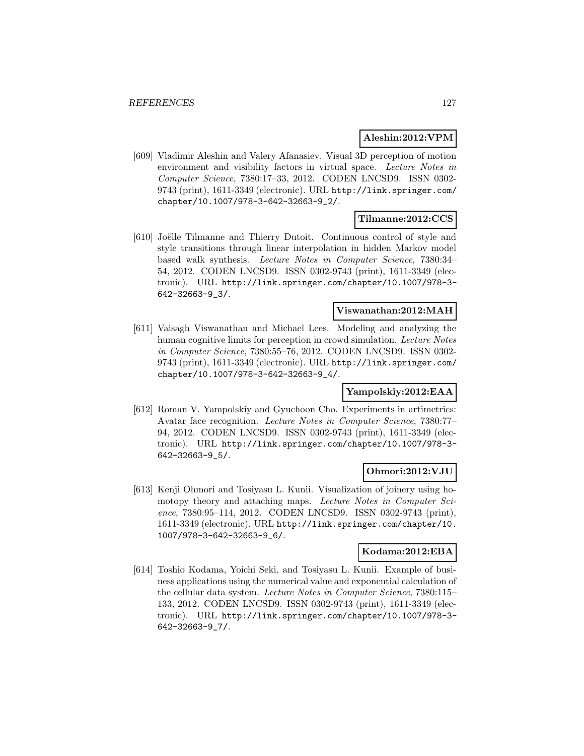### **Aleshin:2012:VPM**

[609] Vladimir Aleshin and Valery Afanasiev. Visual 3D perception of motion environment and visibility factors in virtual space. Lecture Notes in Computer Science, 7380:17–33, 2012. CODEN LNCSD9. ISSN 0302- 9743 (print), 1611-3349 (electronic). URL http://link.springer.com/ chapter/10.1007/978-3-642-32663-9\_2/.

# **Tilmanne:2012:CCS**

[610] Joëlle Tilmanne and Thierry Dutoit. Continuous control of style and style transitions through linear interpolation in hidden Markov model based walk synthesis. Lecture Notes in Computer Science, 7380:34– 54, 2012. CODEN LNCSD9. ISSN 0302-9743 (print), 1611-3349 (electronic). URL http://link.springer.com/chapter/10.1007/978-3- 642-32663-9\_3/.

### **Viswanathan:2012:MAH**

[611] Vaisagh Viswanathan and Michael Lees. Modeling and analyzing the human cognitive limits for perception in crowd simulation. Lecture Notes in Computer Science, 7380:55–76, 2012. CODEN LNCSD9. ISSN 0302- 9743 (print), 1611-3349 (electronic). URL http://link.springer.com/ chapter/10.1007/978-3-642-32663-9\_4/.

# **Yampolskiy:2012:EAA**

[612] Roman V. Yampolskiy and Gyuchoon Cho. Experiments in artimetrics: Avatar face recognition. Lecture Notes in Computer Science, 7380:77– 94, 2012. CODEN LNCSD9. ISSN 0302-9743 (print), 1611-3349 (electronic). URL http://link.springer.com/chapter/10.1007/978-3- 642-32663-9\_5/.

# **Ohmori:2012:VJU**

[613] Kenji Ohmori and Tosiyasu L. Kunii. Visualization of joinery using homotopy theory and attaching maps. Lecture Notes in Computer Science, 7380:95–114, 2012. CODEN LNCSD9. ISSN 0302-9743 (print), 1611-3349 (electronic). URL http://link.springer.com/chapter/10. 1007/978-3-642-32663-9\_6/.

# **Kodama:2012:EBA**

[614] Toshio Kodama, Yoichi Seki, and Tosiyasu L. Kunii. Example of business applications using the numerical value and exponential calculation of the cellular data system. Lecture Notes in Computer Science, 7380:115– 133, 2012. CODEN LNCSD9. ISSN 0302-9743 (print), 1611-3349 (electronic). URL http://link.springer.com/chapter/10.1007/978-3- 642-32663-9\_7/.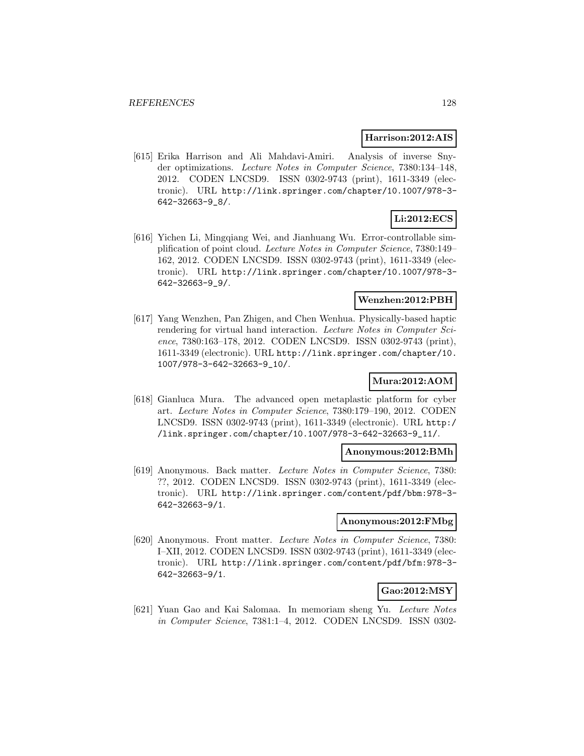#### **Harrison:2012:AIS**

[615] Erika Harrison and Ali Mahdavi-Amiri. Analysis of inverse Snyder optimizations. Lecture Notes in Computer Science, 7380:134–148, 2012. CODEN LNCSD9. ISSN 0302-9743 (print), 1611-3349 (electronic). URL http://link.springer.com/chapter/10.1007/978-3- 642-32663-9\_8/.

# **Li:2012:ECS**

[616] Yichen Li, Mingqiang Wei, and Jianhuang Wu. Error-controllable simplification of point cloud. Lecture Notes in Computer Science, 7380:149– 162, 2012. CODEN LNCSD9. ISSN 0302-9743 (print), 1611-3349 (electronic). URL http://link.springer.com/chapter/10.1007/978-3- 642-32663-9\_9/.

### **Wenzhen:2012:PBH**

[617] Yang Wenzhen, Pan Zhigen, and Chen Wenhua. Physically-based haptic rendering for virtual hand interaction. Lecture Notes in Computer Science, 7380:163–178, 2012. CODEN LNCSD9. ISSN 0302-9743 (print), 1611-3349 (electronic). URL http://link.springer.com/chapter/10. 1007/978-3-642-32663-9\_10/.

## **Mura:2012:AOM**

[618] Gianluca Mura. The advanced open metaplastic platform for cyber art. Lecture Notes in Computer Science, 7380:179–190, 2012. CODEN LNCSD9. ISSN 0302-9743 (print), 1611-3349 (electronic). URL http:/ /link.springer.com/chapter/10.1007/978-3-642-32663-9\_11/.

### **Anonymous:2012:BMh**

[619] Anonymous. Back matter. Lecture Notes in Computer Science, 7380: ??, 2012. CODEN LNCSD9. ISSN 0302-9743 (print), 1611-3349 (electronic). URL http://link.springer.com/content/pdf/bbm:978-3- 642-32663-9/1.

#### **Anonymous:2012:FMbg**

[620] Anonymous. Front matter. Lecture Notes in Computer Science, 7380: I–XII, 2012. CODEN LNCSD9. ISSN 0302-9743 (print), 1611-3349 (electronic). URL http://link.springer.com/content/pdf/bfm:978-3- 642-32663-9/1.

### **Gao:2012:MSY**

[621] Yuan Gao and Kai Salomaa. In memoriam sheng Yu. Lecture Notes in Computer Science, 7381:1–4, 2012. CODEN LNCSD9. ISSN 0302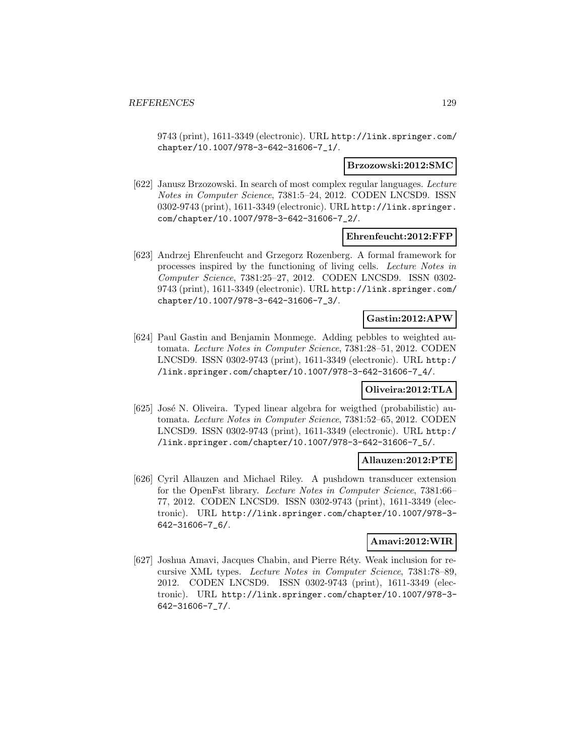9743 (print), 1611-3349 (electronic). URL http://link.springer.com/ chapter/10.1007/978-3-642-31606-7\_1/.

#### **Brzozowski:2012:SMC**

[622] Janusz Brzozowski. In search of most complex regular languages. Lecture Notes in Computer Science, 7381:5–24, 2012. CODEN LNCSD9. ISSN 0302-9743 (print), 1611-3349 (electronic). URL http://link.springer. com/chapter/10.1007/978-3-642-31606-7\_2/.

### **Ehrenfeucht:2012:FFP**

[623] Andrzej Ehrenfeucht and Grzegorz Rozenberg. A formal framework for processes inspired by the functioning of living cells. Lecture Notes in Computer Science, 7381:25–27, 2012. CODEN LNCSD9. ISSN 0302- 9743 (print), 1611-3349 (electronic). URL http://link.springer.com/ chapter/10.1007/978-3-642-31606-7\_3/.

### **Gastin:2012:APW**

[624] Paul Gastin and Benjamin Monmege. Adding pebbles to weighted automata. Lecture Notes in Computer Science, 7381:28–51, 2012. CODEN LNCSD9. ISSN 0302-9743 (print), 1611-3349 (electronic). URL http:/ /link.springer.com/chapter/10.1007/978-3-642-31606-7\_4/.

### **Oliveira:2012:TLA**

[625] José N. Oliveira. Typed linear algebra for weigthed (probabilistic) automata. Lecture Notes in Computer Science, 7381:52–65, 2012. CODEN LNCSD9. ISSN 0302-9743 (print), 1611-3349 (electronic). URL http:/ /link.springer.com/chapter/10.1007/978-3-642-31606-7\_5/.

### **Allauzen:2012:PTE**

[626] Cyril Allauzen and Michael Riley. A pushdown transducer extension for the OpenFst library. Lecture Notes in Computer Science, 7381:66– 77, 2012. CODEN LNCSD9. ISSN 0302-9743 (print), 1611-3349 (electronic). URL http://link.springer.com/chapter/10.1007/978-3- 642-31606-7\_6/.

## **Amavi:2012:WIR**

[627] Joshua Amavi, Jacques Chabin, and Pierre Réty. Weak inclusion for recursive XML types. Lecture Notes in Computer Science, 7381:78–89, 2012. CODEN LNCSD9. ISSN 0302-9743 (print), 1611-3349 (electronic). URL http://link.springer.com/chapter/10.1007/978-3- 642-31606-7\_7/.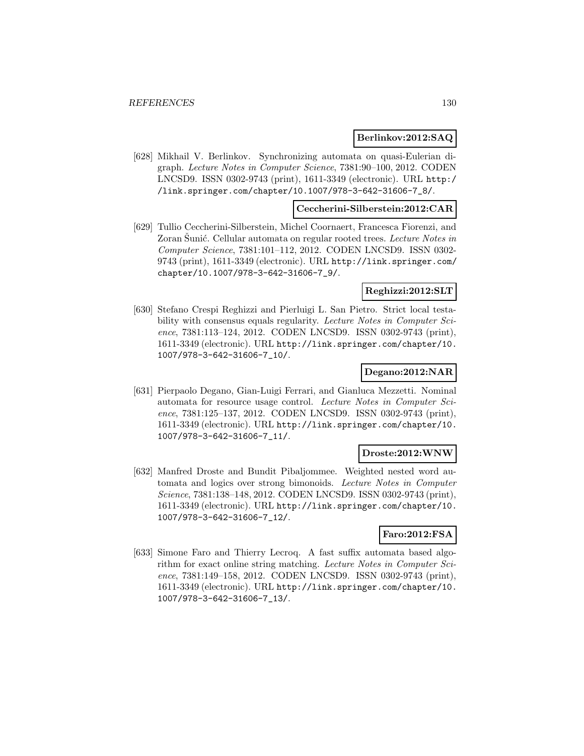### **Berlinkov:2012:SAQ**

[628] Mikhail V. Berlinkov. Synchronizing automata on quasi-Eulerian digraph. Lecture Notes in Computer Science, 7381:90–100, 2012. CODEN LNCSD9. ISSN 0302-9743 (print), 1611-3349 (electronic). URL http:/ /link.springer.com/chapter/10.1007/978-3-642-31606-7\_8/.

### **Ceccherini-Silberstein:2012:CAR**

[629] Tullio Ceccherini-Silberstein, Michel Coornaert, Francesca Fiorenzi, and Zoran Sunić. Cellular automata on regular rooted trees. Lecture Notes in Computer Science, 7381:101–112, 2012. CODEN LNCSD9. ISSN 0302- 9743 (print), 1611-3349 (electronic). URL http://link.springer.com/ chapter/10.1007/978-3-642-31606-7\_9/.

#### **Reghizzi:2012:SLT**

[630] Stefano Crespi Reghizzi and Pierluigi L. San Pietro. Strict local testability with consensus equals regularity. Lecture Notes in Computer Science, 7381:113–124, 2012. CODEN LNCSD9. ISSN 0302-9743 (print), 1611-3349 (electronic). URL http://link.springer.com/chapter/10. 1007/978-3-642-31606-7\_10/.

### **Degano:2012:NAR**

[631] Pierpaolo Degano, Gian-Luigi Ferrari, and Gianluca Mezzetti. Nominal automata for resource usage control. Lecture Notes in Computer Science, 7381:125–137, 2012. CODEN LNCSD9. ISSN 0302-9743 (print), 1611-3349 (electronic). URL http://link.springer.com/chapter/10. 1007/978-3-642-31606-7\_11/.

#### **Droste:2012:WNW**

[632] Manfred Droste and Bundit Pibaljommee. Weighted nested word automata and logics over strong bimonoids. Lecture Notes in Computer Science, 7381:138–148, 2012. CODEN LNCSD9. ISSN 0302-9743 (print), 1611-3349 (electronic). URL http://link.springer.com/chapter/10. 1007/978-3-642-31606-7\_12/.

# **Faro:2012:FSA**

[633] Simone Faro and Thierry Lecroq. A fast suffix automata based algorithm for exact online string matching. Lecture Notes in Computer Science, 7381:149–158, 2012. CODEN LNCSD9. ISSN 0302-9743 (print), 1611-3349 (electronic). URL http://link.springer.com/chapter/10. 1007/978-3-642-31606-7\_13/.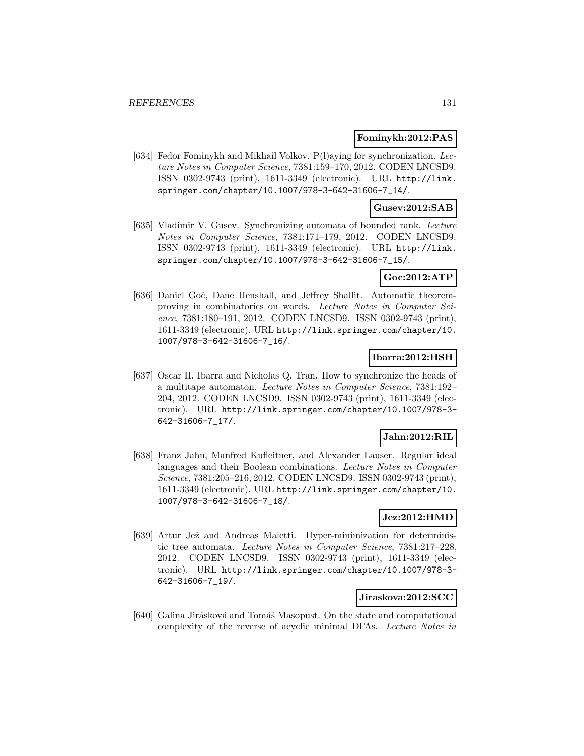### **Fominykh:2012:PAS**

[634] Fedor Fominykh and Mikhail Volkov.  $P(1)$ aying for synchronization. Lecture Notes in Computer Science, 7381:159–170, 2012. CODEN LNCSD9. ISSN 0302-9743 (print), 1611-3349 (electronic). URL http://link. springer.com/chapter/10.1007/978-3-642-31606-7\_14/.

## **Gusev:2012:SAB**

[635] Vladimir V. Gusev. Synchronizing automata of bounded rank. Lecture Notes in Computer Science, 7381:171–179, 2012. CODEN LNCSD9. ISSN 0302-9743 (print), 1611-3349 (electronic). URL http://link. springer.com/chapter/10.1007/978-3-642-31606-7\_15/.

# **Goc:2012:ATP**

[636] Daniel Goč, Dane Henshall, and Jeffrey Shallit. Automatic theoremproving in combinatorics on words. Lecture Notes in Computer Science, 7381:180–191, 2012. CODEN LNCSD9. ISSN 0302-9743 (print), 1611-3349 (electronic). URL http://link.springer.com/chapter/10. 1007/978-3-642-31606-7\_16/.

### **Ibarra:2012:HSH**

[637] Oscar H. Ibarra and Nicholas Q. Tran. How to synchronize the heads of a multitape automaton. Lecture Notes in Computer Science, 7381:192– 204, 2012. CODEN LNCSD9. ISSN 0302-9743 (print), 1611-3349 (electronic). URL http://link.springer.com/chapter/10.1007/978-3- 642-31606-7\_17/.

### **Jahn:2012:RIL**

[638] Franz Jahn, Manfred Kufleitner, and Alexander Lauser. Regular ideal languages and their Boolean combinations. Lecture Notes in Computer Science, 7381:205–216, 2012. CODEN LNCSD9. ISSN 0302-9743 (print), 1611-3349 (electronic). URL http://link.springer.com/chapter/10. 1007/978-3-642-31606-7\_18/.

## **Jez:2012:HMD**

[639] Artur Jeż and Andreas Maletti. Hyper-minimization for deterministic tree automata. Lecture Notes in Computer Science, 7381:217–228, 2012. CODEN LNCSD9. ISSN 0302-9743 (print), 1611-3349 (electronic). URL http://link.springer.com/chapter/10.1007/978-3- 642-31606-7\_19/.

### **Jiraskova:2012:SCC**

[640] Galina Jirásková and Tomáš Masopust. On the state and computational complexity of the reverse of acyclic minimal DFAs. Lecture Notes in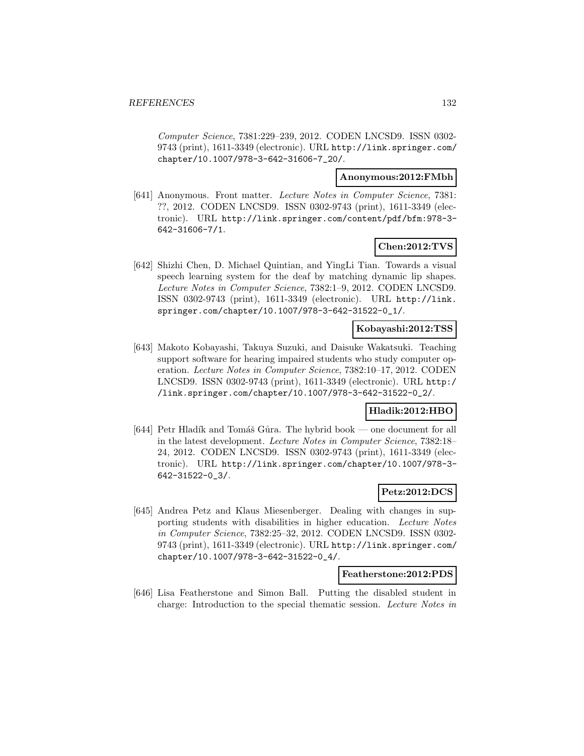Computer Science, 7381:229–239, 2012. CODEN LNCSD9. ISSN 0302- 9743 (print), 1611-3349 (electronic). URL http://link.springer.com/ chapter/10.1007/978-3-642-31606-7\_20/.

### **Anonymous:2012:FMbh**

[641] Anonymous. Front matter. Lecture Notes in Computer Science, 7381: ??, 2012. CODEN LNCSD9. ISSN 0302-9743 (print), 1611-3349 (electronic). URL http://link.springer.com/content/pdf/bfm:978-3- 642-31606-7/1.

# **Chen:2012:TVS**

[642] Shizhi Chen, D. Michael Quintian, and YingLi Tian. Towards a visual speech learning system for the deaf by matching dynamic lip shapes. Lecture Notes in Computer Science, 7382:1–9, 2012. CODEN LNCSD9. ISSN 0302-9743 (print), 1611-3349 (electronic). URL http://link. springer.com/chapter/10.1007/978-3-642-31522-0\_1/.

# **Kobayashi:2012:TSS**

[643] Makoto Kobayashi, Takuya Suzuki, and Daisuke Wakatsuki. Teaching support software for hearing impaired students who study computer operation. Lecture Notes in Computer Science, 7382:10–17, 2012. CODEN LNCSD9. ISSN 0302-9743 (print), 1611-3349 (electronic). URL http:/ /link.springer.com/chapter/10.1007/978-3-642-31522-0\_2/.

## **Hladik:2012:HBO**

[644] Petr Hladík and Tomáš Gůra. The hybrid book — one document for all in the latest development. Lecture Notes in Computer Science, 7382:18– 24, 2012. CODEN LNCSD9. ISSN 0302-9743 (print), 1611-3349 (electronic). URL http://link.springer.com/chapter/10.1007/978-3- 642-31522-0\_3/.

## **Petz:2012:DCS**

[645] Andrea Petz and Klaus Miesenberger. Dealing with changes in supporting students with disabilities in higher education. Lecture Notes in Computer Science, 7382:25–32, 2012. CODEN LNCSD9. ISSN 0302- 9743 (print), 1611-3349 (electronic). URL http://link.springer.com/ chapter/10.1007/978-3-642-31522-0\_4/.

#### **Featherstone:2012:PDS**

[646] Lisa Featherstone and Simon Ball. Putting the disabled student in charge: Introduction to the special thematic session. Lecture Notes in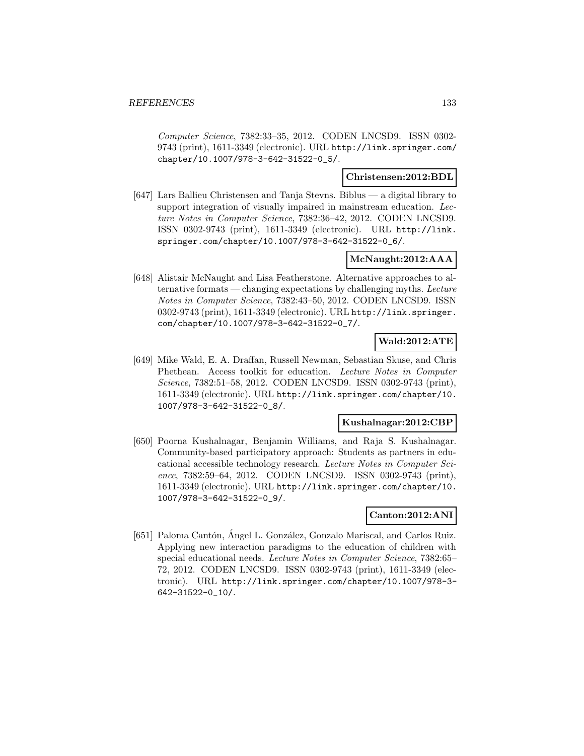Computer Science, 7382:33–35, 2012. CODEN LNCSD9. ISSN 0302- 9743 (print), 1611-3349 (electronic). URL http://link.springer.com/ chapter/10.1007/978-3-642-31522-0\_5/.

### **Christensen:2012:BDL**

[647] Lars Ballieu Christensen and Tanja Stevns. Biblus — a digital library to support integration of visually impaired in mainstream education. Lecture Notes in Computer Science, 7382:36–42, 2012. CODEN LNCSD9. ISSN 0302-9743 (print), 1611-3349 (electronic). URL http://link. springer.com/chapter/10.1007/978-3-642-31522-0\_6/.

# **McNaught:2012:AAA**

[648] Alistair McNaught and Lisa Featherstone. Alternative approaches to alternative formats — changing expectations by challenging myths. Lecture Notes in Computer Science, 7382:43–50, 2012. CODEN LNCSD9. ISSN 0302-9743 (print), 1611-3349 (electronic). URL http://link.springer. com/chapter/10.1007/978-3-642-31522-0\_7/.

### **Wald:2012:ATE**

[649] Mike Wald, E. A. Draffan, Russell Newman, Sebastian Skuse, and Chris Phethean. Access toolkit for education. Lecture Notes in Computer Science, 7382:51–58, 2012. CODEN LNCSD9. ISSN 0302-9743 (print), 1611-3349 (electronic). URL http://link.springer.com/chapter/10. 1007/978-3-642-31522-0\_8/.

### **Kushalnagar:2012:CBP**

[650] Poorna Kushalnagar, Benjamin Williams, and Raja S. Kushalnagar. Community-based participatory approach: Students as partners in educational accessible technology research. Lecture Notes in Computer Science, 7382:59–64, 2012. CODEN LNCSD9. ISSN 0302-9743 (print), 1611-3349 (electronic). URL http://link.springer.com/chapter/10. 1007/978-3-642-31522-0\_9/.

## **Canton:2012:ANI**

[651] Paloma Cantón, Ángel L. González, Gonzalo Mariscal, and Carlos Ruiz. Applying new interaction paradigms to the education of children with special educational needs. Lecture Notes in Computer Science, 7382:65– 72, 2012. CODEN LNCSD9. ISSN 0302-9743 (print), 1611-3349 (electronic). URL http://link.springer.com/chapter/10.1007/978-3- 642-31522-0\_10/.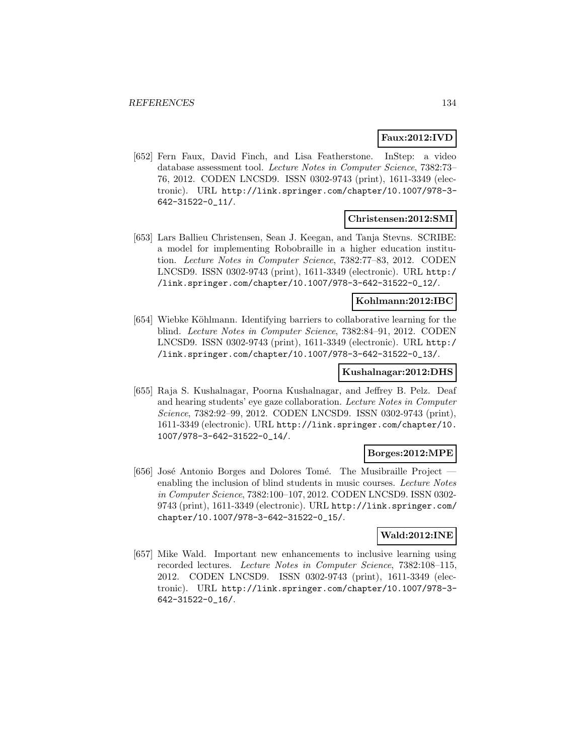# **Faux:2012:IVD**

[652] Fern Faux, David Finch, and Lisa Featherstone. InStep: a video database assessment tool. Lecture Notes in Computer Science, 7382:73– 76, 2012. CODEN LNCSD9. ISSN 0302-9743 (print), 1611-3349 (electronic). URL http://link.springer.com/chapter/10.1007/978-3- 642-31522-0\_11/.

### **Christensen:2012:SMI**

[653] Lars Ballieu Christensen, Sean J. Keegan, and Tanja Stevns. SCRIBE: a model for implementing Robobraille in a higher education institution. Lecture Notes in Computer Science, 7382:77–83, 2012. CODEN LNCSD9. ISSN 0302-9743 (print), 1611-3349 (electronic). URL http:/ /link.springer.com/chapter/10.1007/978-3-642-31522-0\_12/.

#### **Kohlmann:2012:IBC**

[654] Wiebke Köhlmann. Identifying barriers to collaborative learning for the blind. Lecture Notes in Computer Science, 7382:84–91, 2012. CODEN LNCSD9. ISSN 0302-9743 (print), 1611-3349 (electronic). URL http:/ /link.springer.com/chapter/10.1007/978-3-642-31522-0\_13/.

### **Kushalnagar:2012:DHS**

[655] Raja S. Kushalnagar, Poorna Kushalnagar, and Jeffrey B. Pelz. Deaf and hearing students' eye gaze collaboration. Lecture Notes in Computer Science, 7382:92–99, 2012. CODEN LNCSD9. ISSN 0302-9743 (print), 1611-3349 (electronic). URL http://link.springer.com/chapter/10. 1007/978-3-642-31522-0\_14/.

### **Borges:2012:MPE**

[656] José Antonio Borges and Dolores Tomé. The Musibraille Project enabling the inclusion of blind students in music courses. Lecture Notes in Computer Science, 7382:100–107, 2012. CODEN LNCSD9. ISSN 0302- 9743 (print), 1611-3349 (electronic). URL http://link.springer.com/ chapter/10.1007/978-3-642-31522-0\_15/.

# **Wald:2012:INE**

[657] Mike Wald. Important new enhancements to inclusive learning using recorded lectures. Lecture Notes in Computer Science, 7382:108–115, 2012. CODEN LNCSD9. ISSN 0302-9743 (print), 1611-3349 (electronic). URL http://link.springer.com/chapter/10.1007/978-3- 642-31522-0\_16/.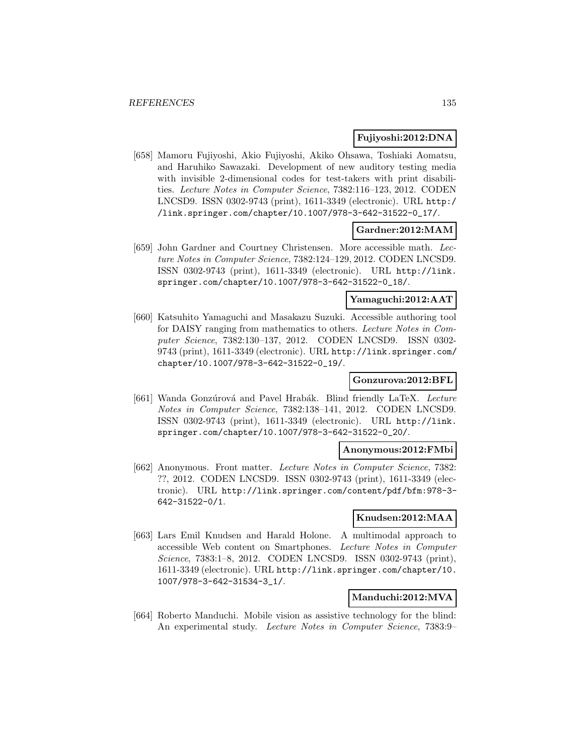# **Fujiyoshi:2012:DNA**

[658] Mamoru Fujiyoshi, Akio Fujiyoshi, Akiko Ohsawa, Toshiaki Aomatsu, and Haruhiko Sawazaki. Development of new auditory testing media with invisible 2-dimensional codes for test-takers with print disabilities. Lecture Notes in Computer Science, 7382:116–123, 2012. CODEN LNCSD9. ISSN 0302-9743 (print), 1611-3349 (electronic). URL http:/ /link.springer.com/chapter/10.1007/978-3-642-31522-0\_17/.

### **Gardner:2012:MAM**

[659] John Gardner and Courtney Christensen. More accessible math. Lecture Notes in Computer Science, 7382:124–129, 2012. CODEN LNCSD9. ISSN 0302-9743 (print), 1611-3349 (electronic). URL http://link. springer.com/chapter/10.1007/978-3-642-31522-0\_18/.

# **Yamaguchi:2012:AAT**

[660] Katsuhito Yamaguchi and Masakazu Suzuki. Accessible authoring tool for DAISY ranging from mathematics to others. Lecture Notes in Computer Science, 7382:130–137, 2012. CODEN LNCSD9. ISSN 0302- 9743 (print), 1611-3349 (electronic). URL http://link.springer.com/ chapter/10.1007/978-3-642-31522-0\_19/.

## **Gonzurova:2012:BFL**

[661] Wanda Gonzúrová and Pavel Hrabák. Blind friendly LaTeX. Lecture Notes in Computer Science, 7382:138–141, 2012. CODEN LNCSD9. ISSN 0302-9743 (print), 1611-3349 (electronic). URL http://link. springer.com/chapter/10.1007/978-3-642-31522-0\_20/.

#### **Anonymous:2012:FMbi**

[662] Anonymous. Front matter. Lecture Notes in Computer Science, 7382: ??, 2012. CODEN LNCSD9. ISSN 0302-9743 (print), 1611-3349 (electronic). URL http://link.springer.com/content/pdf/bfm:978-3- 642-31522-0/1.

## **Knudsen:2012:MAA**

[663] Lars Emil Knudsen and Harald Holone. A multimodal approach to accessible Web content on Smartphones. Lecture Notes in Computer Science, 7383:1–8, 2012. CODEN LNCSD9. ISSN 0302-9743 (print), 1611-3349 (electronic). URL http://link.springer.com/chapter/10. 1007/978-3-642-31534-3\_1/.

### **Manduchi:2012:MVA**

[664] Roberto Manduchi. Mobile vision as assistive technology for the blind: An experimental study. Lecture Notes in Computer Science, 7383:9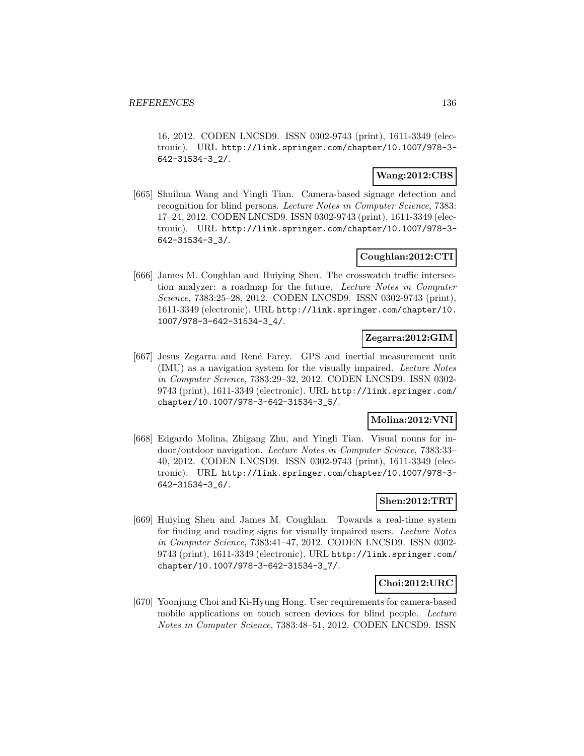16, 2012. CODEN LNCSD9. ISSN 0302-9743 (print), 1611-3349 (electronic). URL http://link.springer.com/chapter/10.1007/978-3- 642-31534-3\_2/.

# **Wang:2012:CBS**

[665] Shuihua Wang and Yingli Tian. Camera-based signage detection and recognition for blind persons. Lecture Notes in Computer Science, 7383: 17–24, 2012. CODEN LNCSD9. ISSN 0302-9743 (print), 1611-3349 (electronic). URL http://link.springer.com/chapter/10.1007/978-3- 642-31534-3\_3/.

# **Coughlan:2012:CTI**

[666] James M. Coughlan and Huiying Shen. The crosswatch traffic intersection analyzer: a roadmap for the future. Lecture Notes in Computer Science, 7383:25–28, 2012. CODEN LNCSD9. ISSN 0302-9743 (print), 1611-3349 (electronic). URL http://link.springer.com/chapter/10. 1007/978-3-642-31534-3\_4/.

## **Zegarra:2012:GIM**

[667] Jesus Zegarra and René Farcy. GPS and inertial measurement unit (IMU) as a navigation system for the visually impaired. Lecture Notes in Computer Science, 7383:29–32, 2012. CODEN LNCSD9. ISSN 0302- 9743 (print), 1611-3349 (electronic). URL http://link.springer.com/ chapter/10.1007/978-3-642-31534-3\_5/.

# **Molina:2012:VNI**

[668] Edgardo Molina, Zhigang Zhu, and Yingli Tian. Visual nouns for indoor/outdoor navigation. Lecture Notes in Computer Science, 7383:33– 40, 2012. CODEN LNCSD9. ISSN 0302-9743 (print), 1611-3349 (electronic). URL http://link.springer.com/chapter/10.1007/978-3- 642-31534-3\_6/.

# **Shen:2012:TRT**

[669] Huiying Shen and James M. Coughlan. Towards a real-time system for finding and reading signs for visually impaired users. Lecture Notes in Computer Science, 7383:41–47, 2012. CODEN LNCSD9. ISSN 0302- 9743 (print), 1611-3349 (electronic). URL http://link.springer.com/ chapter/10.1007/978-3-642-31534-3\_7/.

# **Choi:2012:URC**

[670] Yoonjung Choi and Ki-Hyung Hong. User requirements for camera-based mobile applications on touch screen devices for blind people. Lecture Notes in Computer Science, 7383:48–51, 2012. CODEN LNCSD9. ISSN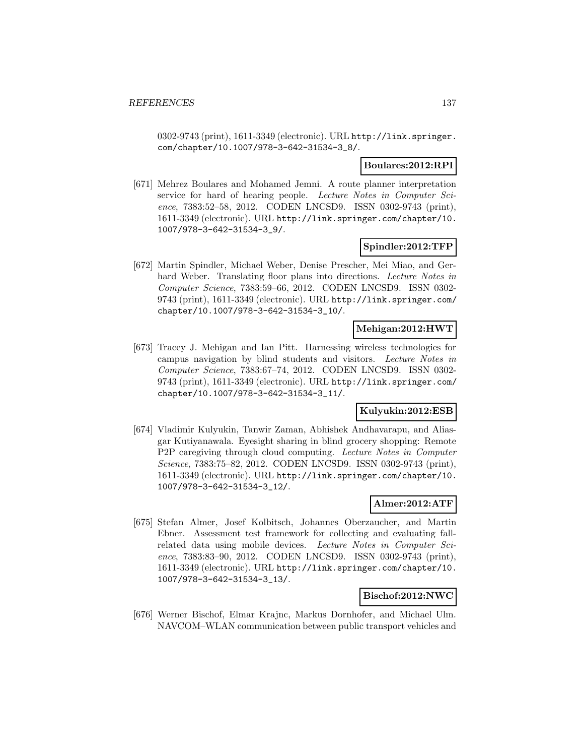0302-9743 (print), 1611-3349 (electronic). URL http://link.springer. com/chapter/10.1007/978-3-642-31534-3\_8/.

### **Boulares:2012:RPI**

[671] Mehrez Boulares and Mohamed Jemni. A route planner interpretation service for hard of hearing people. Lecture Notes in Computer Science, 7383:52–58, 2012. CODEN LNCSD9. ISSN 0302-9743 (print), 1611-3349 (electronic). URL http://link.springer.com/chapter/10. 1007/978-3-642-31534-3\_9/.

# **Spindler:2012:TFP**

[672] Martin Spindler, Michael Weber, Denise Prescher, Mei Miao, and Gerhard Weber. Translating floor plans into directions. Lecture Notes in Computer Science, 7383:59–66, 2012. CODEN LNCSD9. ISSN 0302- 9743 (print), 1611-3349 (electronic). URL http://link.springer.com/ chapter/10.1007/978-3-642-31534-3\_10/.

# **Mehigan:2012:HWT**

[673] Tracey J. Mehigan and Ian Pitt. Harnessing wireless technologies for campus navigation by blind students and visitors. Lecture Notes in Computer Science, 7383:67–74, 2012. CODEN LNCSD9. ISSN 0302- 9743 (print), 1611-3349 (electronic). URL http://link.springer.com/ chapter/10.1007/978-3-642-31534-3\_11/.

## **Kulyukin:2012:ESB**

[674] Vladimir Kulyukin, Tanwir Zaman, Abhishek Andhavarapu, and Aliasgar Kutiyanawala. Eyesight sharing in blind grocery shopping: Remote P2P caregiving through cloud computing. Lecture Notes in Computer Science, 7383:75–82, 2012. CODEN LNCSD9. ISSN 0302-9743 (print), 1611-3349 (electronic). URL http://link.springer.com/chapter/10. 1007/978-3-642-31534-3\_12/.

# **Almer:2012:ATF**

[675] Stefan Almer, Josef Kolbitsch, Johannes Oberzaucher, and Martin Ebner. Assessment test framework for collecting and evaluating fallrelated data using mobile devices. Lecture Notes in Computer Science, 7383:83–90, 2012. CODEN LNCSD9. ISSN 0302-9743 (print), 1611-3349 (electronic). URL http://link.springer.com/chapter/10. 1007/978-3-642-31534-3\_13/.

### **Bischof:2012:NWC**

[676] Werner Bischof, Elmar Krajnc, Markus Dornhofer, and Michael Ulm. NAVCOM–WLAN communication between public transport vehicles and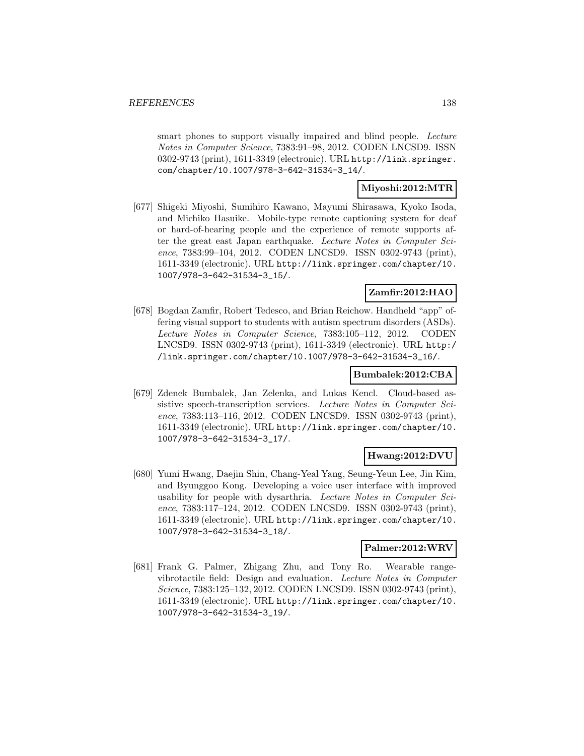smart phones to support visually impaired and blind people. Lecture Notes in Computer Science, 7383:91–98, 2012. CODEN LNCSD9. ISSN 0302-9743 (print), 1611-3349 (electronic). URL http://link.springer. com/chapter/10.1007/978-3-642-31534-3\_14/.

# **Miyoshi:2012:MTR**

[677] Shigeki Miyoshi, Sumihiro Kawano, Mayumi Shirasawa, Kyoko Isoda, and Michiko Hasuike. Mobile-type remote captioning system for deaf or hard-of-hearing people and the experience of remote supports after the great east Japan earthquake. Lecture Notes in Computer Science, 7383:99–104, 2012. CODEN LNCSD9. ISSN 0302-9743 (print), 1611-3349 (electronic). URL http://link.springer.com/chapter/10. 1007/978-3-642-31534-3\_15/.

# **Zamfir:2012:HAO**

[678] Bogdan Zamfir, Robert Tedesco, and Brian Reichow. Handheld "app" offering visual support to students with autism spectrum disorders (ASDs). Lecture Notes in Computer Science, 7383:105–112, 2012. CODEN LNCSD9. ISSN 0302-9743 (print), 1611-3349 (electronic). URL http:/ /link.springer.com/chapter/10.1007/978-3-642-31534-3\_16/.

### **Bumbalek:2012:CBA**

[679] Zdenek Bumbalek, Jan Zelenka, and Lukas Kencl. Cloud-based assistive speech-transcription services. Lecture Notes in Computer Science, 7383:113–116, 2012. CODEN LNCSD9. ISSN 0302-9743 (print), 1611-3349 (electronic). URL http://link.springer.com/chapter/10. 1007/978-3-642-31534-3\_17/.

# **Hwang:2012:DVU**

[680] Yumi Hwang, Daejin Shin, Chang-Yeal Yang, Seung-Yeun Lee, Jin Kim, and Byunggoo Kong. Developing a voice user interface with improved usability for people with dysarthria. Lecture Notes in Computer Science, 7383:117–124, 2012. CODEN LNCSD9. ISSN 0302-9743 (print), 1611-3349 (electronic). URL http://link.springer.com/chapter/10. 1007/978-3-642-31534-3\_18/.

### **Palmer:2012:WRV**

[681] Frank G. Palmer, Zhigang Zhu, and Tony Ro. Wearable rangevibrotactile field: Design and evaluation. Lecture Notes in Computer Science, 7383:125–132, 2012. CODEN LNCSD9. ISSN 0302-9743 (print), 1611-3349 (electronic). URL http://link.springer.com/chapter/10. 1007/978-3-642-31534-3\_19/.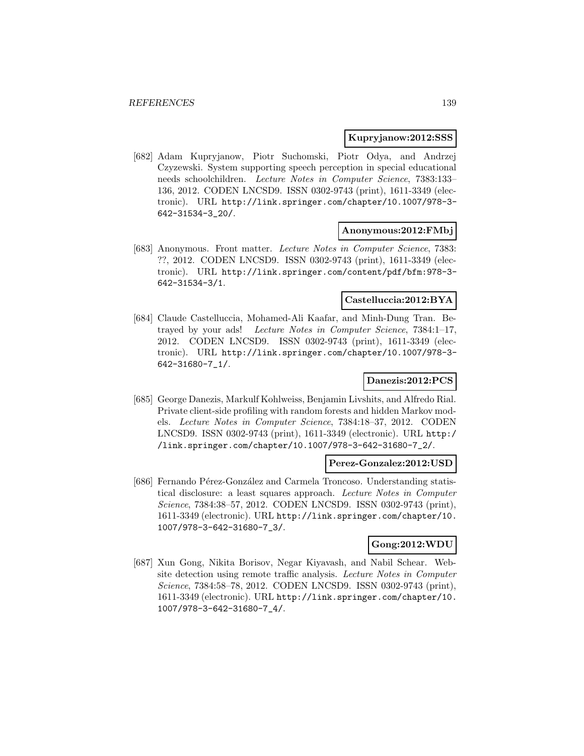#### **Kupryjanow:2012:SSS**

[682] Adam Kupryjanow, Piotr Suchomski, Piotr Odya, and Andrzej Czyzewski. System supporting speech perception in special educational needs schoolchildren. Lecture Notes in Computer Science, 7383:133– 136, 2012. CODEN LNCSD9. ISSN 0302-9743 (print), 1611-3349 (electronic). URL http://link.springer.com/chapter/10.1007/978-3- 642-31534-3\_20/.

#### **Anonymous:2012:FMbj**

[683] Anonymous. Front matter. Lecture Notes in Computer Science, 7383: ??, 2012. CODEN LNCSD9. ISSN 0302-9743 (print), 1611-3349 (electronic). URL http://link.springer.com/content/pdf/bfm:978-3- 642-31534-3/1.

## **Castelluccia:2012:BYA**

[684] Claude Castelluccia, Mohamed-Ali Kaafar, and Minh-Dung Tran. Betrayed by your ads! Lecture Notes in Computer Science, 7384:1–17, 2012. CODEN LNCSD9. ISSN 0302-9743 (print), 1611-3349 (electronic). URL http://link.springer.com/chapter/10.1007/978-3- 642-31680-7\_1/.

### **Danezis:2012:PCS**

[685] George Danezis, Markulf Kohlweiss, Benjamin Livshits, and Alfredo Rial. Private client-side profiling with random forests and hidden Markov models. Lecture Notes in Computer Science, 7384:18–37, 2012. CODEN LNCSD9. ISSN 0302-9743 (print), 1611-3349 (electronic). URL http:/ /link.springer.com/chapter/10.1007/978-3-642-31680-7\_2/.

### **Perez-Gonzalez:2012:USD**

[686] Fernando Pérez-González and Carmela Troncoso. Understanding statistical disclosure: a least squares approach. Lecture Notes in Computer Science, 7384:38–57, 2012. CODEN LNCSD9. ISSN 0302-9743 (print), 1611-3349 (electronic). URL http://link.springer.com/chapter/10. 1007/978-3-642-31680-7\_3/.

### **Gong:2012:WDU**

[687] Xun Gong, Nikita Borisov, Negar Kiyavash, and Nabil Schear. Website detection using remote traffic analysis. Lecture Notes in Computer Science, 7384:58–78, 2012. CODEN LNCSD9. ISSN 0302-9743 (print), 1611-3349 (electronic). URL http://link.springer.com/chapter/10. 1007/978-3-642-31680-7\_4/.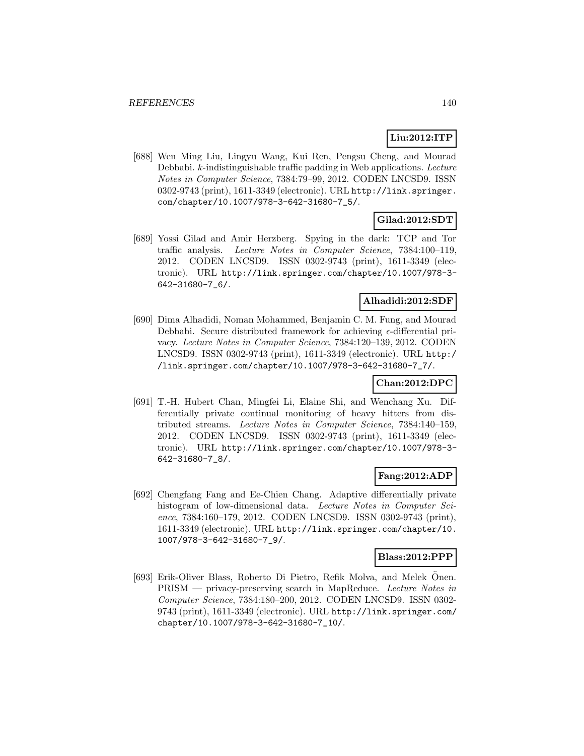# **Liu:2012:ITP**

[688] Wen Ming Liu, Lingyu Wang, Kui Ren, Pengsu Cheng, and Mourad Debbabi. k-indistinguishable traffic padding in Web applications. Lecture Notes in Computer Science, 7384:79–99, 2012. CODEN LNCSD9. ISSN 0302-9743 (print), 1611-3349 (electronic). URL http://link.springer. com/chapter/10.1007/978-3-642-31680-7\_5/.

# **Gilad:2012:SDT**

[689] Yossi Gilad and Amir Herzberg. Spying in the dark: TCP and Tor traffic analysis. Lecture Notes in Computer Science, 7384:100–119, 2012. CODEN LNCSD9. ISSN 0302-9743 (print), 1611-3349 (electronic). URL http://link.springer.com/chapter/10.1007/978-3- 642-31680-7\_6/.

### **Alhadidi:2012:SDF**

[690] Dima Alhadidi, Noman Mohammed, Benjamin C. M. Fung, and Mourad Debbabi. Secure distributed framework for achieving  $\epsilon$ -differential privacy. Lecture Notes in Computer Science, 7384:120–139, 2012. CODEN LNCSD9. ISSN 0302-9743 (print), 1611-3349 (electronic). URL http:/ /link.springer.com/chapter/10.1007/978-3-642-31680-7\_7/.

# **Chan:2012:DPC**

[691] T.-H. Hubert Chan, Mingfei Li, Elaine Shi, and Wenchang Xu. Differentially private continual monitoring of heavy hitters from distributed streams. Lecture Notes in Computer Science, 7384:140–159, 2012. CODEN LNCSD9. ISSN 0302-9743 (print), 1611-3349 (electronic). URL http://link.springer.com/chapter/10.1007/978-3- 642-31680-7\_8/.

### **Fang:2012:ADP**

[692] Chengfang Fang and Ee-Chien Chang. Adaptive differentially private histogram of low-dimensional data. Lecture Notes in Computer Science, 7384:160–179, 2012. CODEN LNCSD9. ISSN 0302-9743 (print), 1611-3349 (electronic). URL http://link.springer.com/chapter/10. 1007/978-3-642-31680-7\_9/.

#### **Blass:2012:PPP**

[693] Erik-Oliver Blass, Roberto Di Pietro, Refik Molva, and Melek Önen. PRISM — privacy-preserving search in MapReduce. Lecture Notes in Computer Science, 7384:180–200, 2012. CODEN LNCSD9. ISSN 0302- 9743 (print), 1611-3349 (electronic). URL http://link.springer.com/ chapter/10.1007/978-3-642-31680-7\_10/.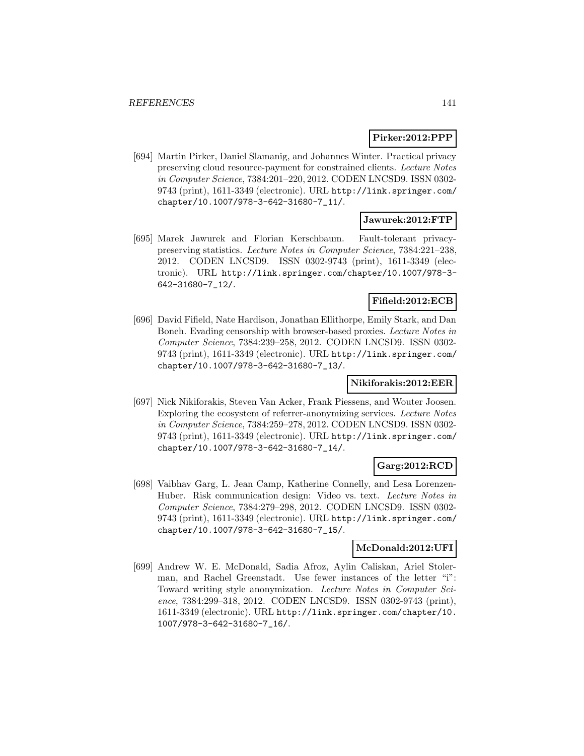### **Pirker:2012:PPP**

[694] Martin Pirker, Daniel Slamanig, and Johannes Winter. Practical privacy preserving cloud resource-payment for constrained clients. Lecture Notes in Computer Science, 7384:201–220, 2012. CODEN LNCSD9. ISSN 0302- 9743 (print), 1611-3349 (electronic). URL http://link.springer.com/ chapter/10.1007/978-3-642-31680-7\_11/.

# **Jawurek:2012:FTP**

[695] Marek Jawurek and Florian Kerschbaum. Fault-tolerant privacypreserving statistics. Lecture Notes in Computer Science, 7384:221–238, 2012. CODEN LNCSD9. ISSN 0302-9743 (print), 1611-3349 (electronic). URL http://link.springer.com/chapter/10.1007/978-3- 642-31680-7\_12/.

### **Fifield:2012:ECB**

[696] David Fifield, Nate Hardison, Jonathan Ellithorpe, Emily Stark, and Dan Boneh. Evading censorship with browser-based proxies. Lecture Notes in Computer Science, 7384:239–258, 2012. CODEN LNCSD9. ISSN 0302- 9743 (print), 1611-3349 (electronic). URL http://link.springer.com/ chapter/10.1007/978-3-642-31680-7\_13/.

### **Nikiforakis:2012:EER**

[697] Nick Nikiforakis, Steven Van Acker, Frank Piessens, and Wouter Joosen. Exploring the ecosystem of referrer-anonymizing services. Lecture Notes in Computer Science, 7384:259–278, 2012. CODEN LNCSD9. ISSN 0302- 9743 (print), 1611-3349 (electronic). URL http://link.springer.com/ chapter/10.1007/978-3-642-31680-7\_14/.

# **Garg:2012:RCD**

[698] Vaibhav Garg, L. Jean Camp, Katherine Connelly, and Lesa Lorenzen-Huber. Risk communication design: Video vs. text. Lecture Notes in Computer Science, 7384:279–298, 2012. CODEN LNCSD9. ISSN 0302- 9743 (print), 1611-3349 (electronic). URL http://link.springer.com/ chapter/10.1007/978-3-642-31680-7\_15/.

#### **McDonald:2012:UFI**

[699] Andrew W. E. McDonald, Sadia Afroz, Aylin Caliskan, Ariel Stolerman, and Rachel Greenstadt. Use fewer instances of the letter "i": Toward writing style anonymization. Lecture Notes in Computer Science, 7384:299–318, 2012. CODEN LNCSD9. ISSN 0302-9743 (print), 1611-3349 (electronic). URL http://link.springer.com/chapter/10. 1007/978-3-642-31680-7\_16/.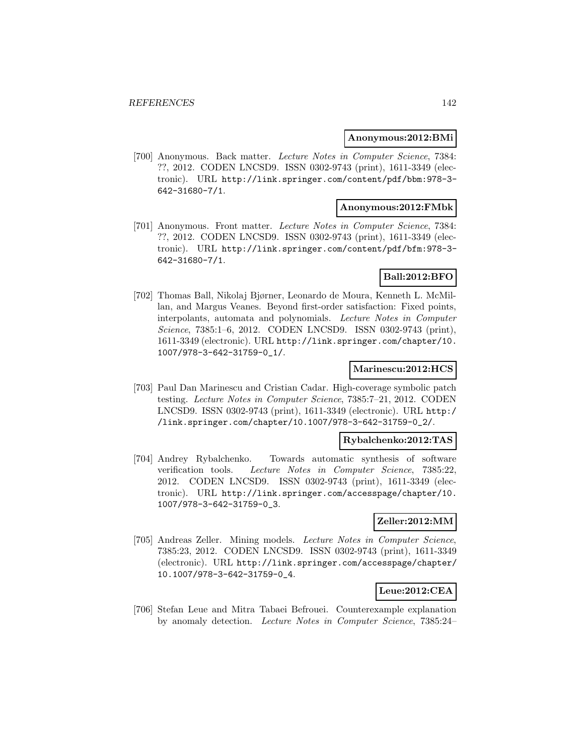#### **Anonymous:2012:BMi**

[700] Anonymous. Back matter. Lecture Notes in Computer Science, 7384: ??, 2012. CODEN LNCSD9. ISSN 0302-9743 (print), 1611-3349 (electronic). URL http://link.springer.com/content/pdf/bbm:978-3- 642-31680-7/1.

### **Anonymous:2012:FMbk**

[701] Anonymous. Front matter. Lecture Notes in Computer Science, 7384: ??, 2012. CODEN LNCSD9. ISSN 0302-9743 (print), 1611-3349 (electronic). URL http://link.springer.com/content/pdf/bfm:978-3- 642-31680-7/1.

# **Ball:2012:BFO**

[702] Thomas Ball, Nikolaj Bjørner, Leonardo de Moura, Kenneth L. McMillan, and Margus Veanes. Beyond first-order satisfaction: Fixed points, interpolants, automata and polynomials. Lecture Notes in Computer Science, 7385:1–6, 2012. CODEN LNCSD9. ISSN 0302-9743 (print), 1611-3349 (electronic). URL http://link.springer.com/chapter/10. 1007/978-3-642-31759-0\_1/.

#### **Marinescu:2012:HCS**

[703] Paul Dan Marinescu and Cristian Cadar. High-coverage symbolic patch testing. Lecture Notes in Computer Science, 7385:7–21, 2012. CODEN LNCSD9. ISSN 0302-9743 (print), 1611-3349 (electronic). URL http:/ /link.springer.com/chapter/10.1007/978-3-642-31759-0\_2/.

### **Rybalchenko:2012:TAS**

[704] Andrey Rybalchenko. Towards automatic synthesis of software verification tools. Lecture Notes in Computer Science, 7385:22, 2012. CODEN LNCSD9. ISSN 0302-9743 (print), 1611-3349 (electronic). URL http://link.springer.com/accesspage/chapter/10. 1007/978-3-642-31759-0\_3.

### **Zeller:2012:MM**

[705] Andreas Zeller. Mining models. Lecture Notes in Computer Science, 7385:23, 2012. CODEN LNCSD9. ISSN 0302-9743 (print), 1611-3349 (electronic). URL http://link.springer.com/accesspage/chapter/ 10.1007/978-3-642-31759-0\_4.

### **Leue:2012:CEA**

[706] Stefan Leue and Mitra Tabaei Befrouei. Counterexample explanation by anomaly detection. Lecture Notes in Computer Science, 7385:24–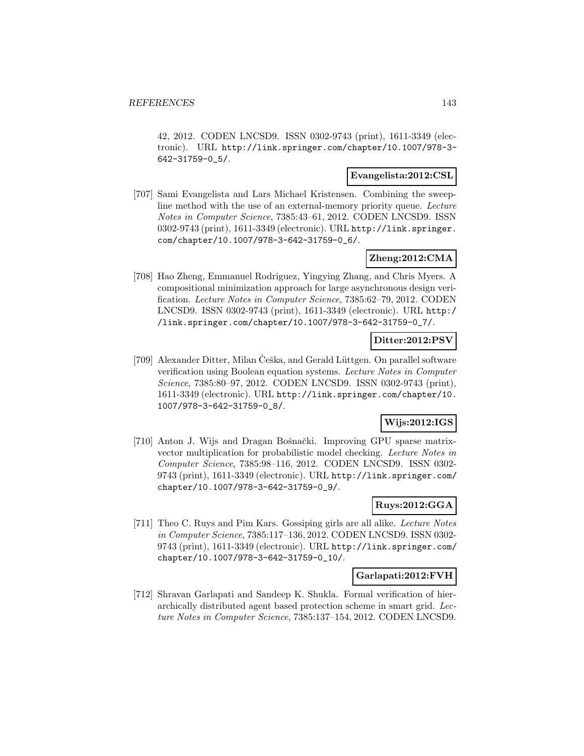42, 2012. CODEN LNCSD9. ISSN 0302-9743 (print), 1611-3349 (electronic). URL http://link.springer.com/chapter/10.1007/978-3- 642-31759-0\_5/.

### **Evangelista:2012:CSL**

[707] Sami Evangelista and Lars Michael Kristensen. Combining the sweepline method with the use of an external-memory priority queue. Lecture Notes in Computer Science, 7385:43–61, 2012. CODEN LNCSD9. ISSN 0302-9743 (print), 1611-3349 (electronic). URL http://link.springer. com/chapter/10.1007/978-3-642-31759-0\_6/.

# **Zheng:2012:CMA**

[708] Hao Zheng, Emmanuel Rodriguez, Yingying Zhang, and Chris Myers. A compositional minimization approach for large asynchronous design verification. Lecture Notes in Computer Science, 7385:62–79, 2012. CODEN LNCSD9. ISSN 0302-9743 (print), 1611-3349 (electronic). URL http:/ /link.springer.com/chapter/10.1007/978-3-642-31759-0\_7/.

# **Ditter:2012:PSV**

[709] Alexander Ditter, Milan Ceška, and Gerald Lüttgen. On parallel software verification using Boolean equation systems. Lecture Notes in Computer Science, 7385:80–97, 2012. CODEN LNCSD9. ISSN 0302-9743 (print), 1611-3349 (electronic). URL http://link.springer.com/chapter/10. 1007/978-3-642-31759-0\_8/.

# **Wijs:2012:IGS**

[710] Anton J. Wijs and Dragan Bošnački. Improving GPU sparse matrixvector multiplication for probabilistic model checking. Lecture Notes in Computer Science, 7385:98–116, 2012. CODEN LNCSD9. ISSN 0302- 9743 (print), 1611-3349 (electronic). URL http://link.springer.com/ chapter/10.1007/978-3-642-31759-0\_9/.

# **Ruys:2012:GGA**

[711] Theo C. Ruys and Pim Kars. Gossiping girls are all alike. Lecture Notes in Computer Science, 7385:117–136, 2012. CODEN LNCSD9. ISSN 0302- 9743 (print), 1611-3349 (electronic). URL http://link.springer.com/ chapter/10.1007/978-3-642-31759-0\_10/.

#### **Garlapati:2012:FVH**

[712] Shravan Garlapati and Sandeep K. Shukla. Formal verification of hierarchically distributed agent based protection scheme in smart grid. Lecture Notes in Computer Science, 7385:137–154, 2012. CODEN LNCSD9.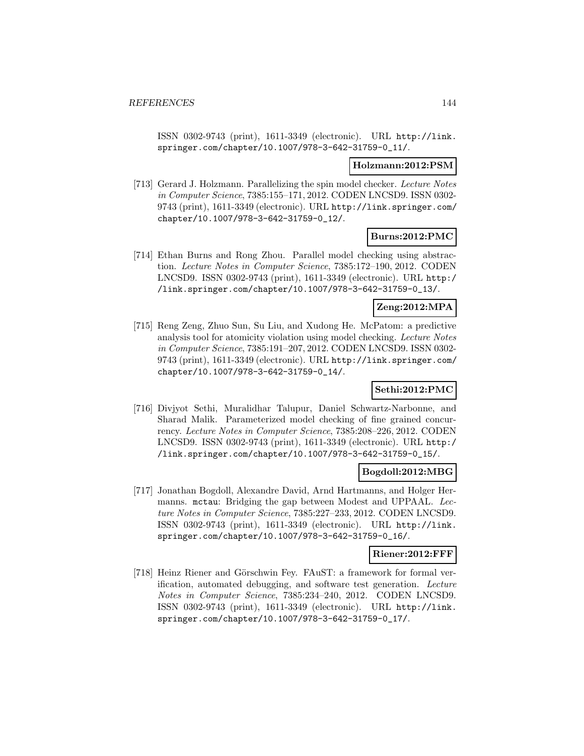ISSN 0302-9743 (print), 1611-3349 (electronic). URL http://link. springer.com/chapter/10.1007/978-3-642-31759-0\_11/.

### **Holzmann:2012:PSM**

[713] Gerard J. Holzmann. Parallelizing the spin model checker. Lecture Notes in Computer Science, 7385:155–171, 2012. CODEN LNCSD9. ISSN 0302- 9743 (print), 1611-3349 (electronic). URL http://link.springer.com/ chapter/10.1007/978-3-642-31759-0\_12/.

# **Burns:2012:PMC**

[714] Ethan Burns and Rong Zhou. Parallel model checking using abstraction. Lecture Notes in Computer Science, 7385:172–190, 2012. CODEN LNCSD9. ISSN 0302-9743 (print), 1611-3349 (electronic). URL http:/ /link.springer.com/chapter/10.1007/978-3-642-31759-0\_13/.

# **Zeng:2012:MPA**

[715] Reng Zeng, Zhuo Sun, Su Liu, and Xudong He. McPatom: a predictive analysis tool for atomicity violation using model checking. Lecture Notes in Computer Science, 7385:191–207, 2012. CODEN LNCSD9. ISSN 0302- 9743 (print), 1611-3349 (electronic). URL http://link.springer.com/ chapter/10.1007/978-3-642-31759-0\_14/.

# **Sethi:2012:PMC**

[716] Divjyot Sethi, Muralidhar Talupur, Daniel Schwartz-Narbonne, and Sharad Malik. Parameterized model checking of fine grained concurrency. Lecture Notes in Computer Science, 7385:208–226, 2012. CODEN LNCSD9. ISSN 0302-9743 (print), 1611-3349 (electronic). URL http:/ /link.springer.com/chapter/10.1007/978-3-642-31759-0\_15/.

# **Bogdoll:2012:MBG**

[717] Jonathan Bogdoll, Alexandre David, Arnd Hartmanns, and Holger Hermanns. mctau: Bridging the gap between Modest and UPPAAL. Lecture Notes in Computer Science, 7385:227–233, 2012. CODEN LNCSD9. ISSN 0302-9743 (print), 1611-3349 (electronic). URL http://link. springer.com/chapter/10.1007/978-3-642-31759-0\_16/.

### **Riener:2012:FFF**

[718] Heinz Riener and Görschwin Fey. FAuST: a framework for formal verification, automated debugging, and software test generation. Lecture Notes in Computer Science, 7385:234–240, 2012. CODEN LNCSD9. ISSN 0302-9743 (print), 1611-3349 (electronic). URL http://link. springer.com/chapter/10.1007/978-3-642-31759-0\_17/.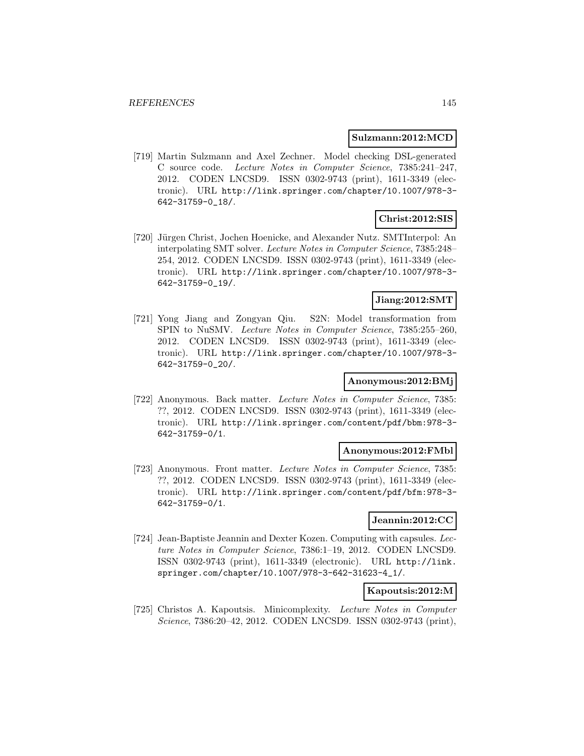#### **Sulzmann:2012:MCD**

[719] Martin Sulzmann and Axel Zechner. Model checking DSL-generated C source code. Lecture Notes in Computer Science, 7385:241–247, 2012. CODEN LNCSD9. ISSN 0302-9743 (print), 1611-3349 (electronic). URL http://link.springer.com/chapter/10.1007/978-3- 642-31759-0\_18/.

### **Christ:2012:SIS**

[720] Jürgen Christ, Jochen Hoenicke, and Alexander Nutz. SMTInterpol: An interpolating SMT solver. Lecture Notes in Computer Science, 7385:248– 254, 2012. CODEN LNCSD9. ISSN 0302-9743 (print), 1611-3349 (electronic). URL http://link.springer.com/chapter/10.1007/978-3- 642-31759-0\_19/.

# **Jiang:2012:SMT**

[721] Yong Jiang and Zongyan Qiu. S2N: Model transformation from SPIN to NuSMV. Lecture Notes in Computer Science, 7385:255–260, 2012. CODEN LNCSD9. ISSN 0302-9743 (print), 1611-3349 (electronic). URL http://link.springer.com/chapter/10.1007/978-3- 642-31759-0\_20/.

### **Anonymous:2012:BMj**

[722] Anonymous. Back matter. Lecture Notes in Computer Science, 7385: ??, 2012. CODEN LNCSD9. ISSN 0302-9743 (print), 1611-3349 (electronic). URL http://link.springer.com/content/pdf/bbm:978-3- 642-31759-0/1.

#### **Anonymous:2012:FMbl**

[723] Anonymous. Front matter. Lecture Notes in Computer Science, 7385: ??, 2012. CODEN LNCSD9. ISSN 0302-9743 (print), 1611-3349 (electronic). URL http://link.springer.com/content/pdf/bfm:978-3- 642-31759-0/1.

### **Jeannin:2012:CC**

[724] Jean-Baptiste Jeannin and Dexter Kozen. Computing with capsules. Lecture Notes in Computer Science, 7386:1–19, 2012. CODEN LNCSD9. ISSN 0302-9743 (print), 1611-3349 (electronic). URL http://link. springer.com/chapter/10.1007/978-3-642-31623-4\_1/.

### **Kapoutsis:2012:M**

[725] Christos A. Kapoutsis. Minicomplexity. Lecture Notes in Computer Science, 7386:20–42, 2012. CODEN LNCSD9. ISSN 0302-9743 (print),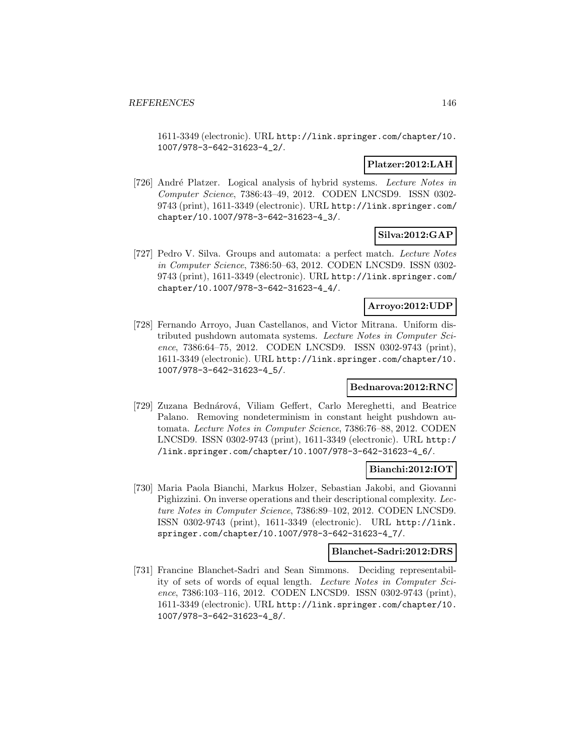1611-3349 (electronic). URL http://link.springer.com/chapter/10. 1007/978-3-642-31623-4\_2/.

### **Platzer:2012:LAH**

[726] André Platzer. Logical analysis of hybrid systems. Lecture Notes in Computer Science, 7386:43–49, 2012. CODEN LNCSD9. ISSN 0302- 9743 (print), 1611-3349 (electronic). URL http://link.springer.com/ chapter/10.1007/978-3-642-31623-4\_3/.

# **Silva:2012:GAP**

[727] Pedro V. Silva. Groups and automata: a perfect match. Lecture Notes in Computer Science, 7386:50–63, 2012. CODEN LNCSD9. ISSN 0302- 9743 (print), 1611-3349 (electronic). URL http://link.springer.com/ chapter/10.1007/978-3-642-31623-4\_4/.

### **Arroyo:2012:UDP**

[728] Fernando Arroyo, Juan Castellanos, and Victor Mitrana. Uniform distributed pushdown automata systems. Lecture Notes in Computer Science, 7386:64–75, 2012. CODEN LNCSD9. ISSN 0302-9743 (print), 1611-3349 (electronic). URL http://link.springer.com/chapter/10. 1007/978-3-642-31623-4\_5/.

# **Bednarova:2012:RNC**

[729] Zuzana Bednárová, Viliam Geffert, Carlo Mereghetti, and Beatrice Palano. Removing nondeterminism in constant height pushdown automata. Lecture Notes in Computer Science, 7386:76–88, 2012. CODEN LNCSD9. ISSN 0302-9743 (print), 1611-3349 (electronic). URL http:/ /link.springer.com/chapter/10.1007/978-3-642-31623-4\_6/.

# **Bianchi:2012:IOT**

[730] Maria Paola Bianchi, Markus Holzer, Sebastian Jakobi, and Giovanni Pighizzini. On inverse operations and their descriptional complexity. Lecture Notes in Computer Science, 7386:89–102, 2012. CODEN LNCSD9. ISSN 0302-9743 (print), 1611-3349 (electronic). URL http://link. springer.com/chapter/10.1007/978-3-642-31623-4\_7/.

# **Blanchet-Sadri:2012:DRS**

[731] Francine Blanchet-Sadri and Sean Simmons. Deciding representability of sets of words of equal length. Lecture Notes in Computer Science, 7386:103–116, 2012. CODEN LNCSD9. ISSN 0302-9743 (print), 1611-3349 (electronic). URL http://link.springer.com/chapter/10. 1007/978-3-642-31623-4\_8/.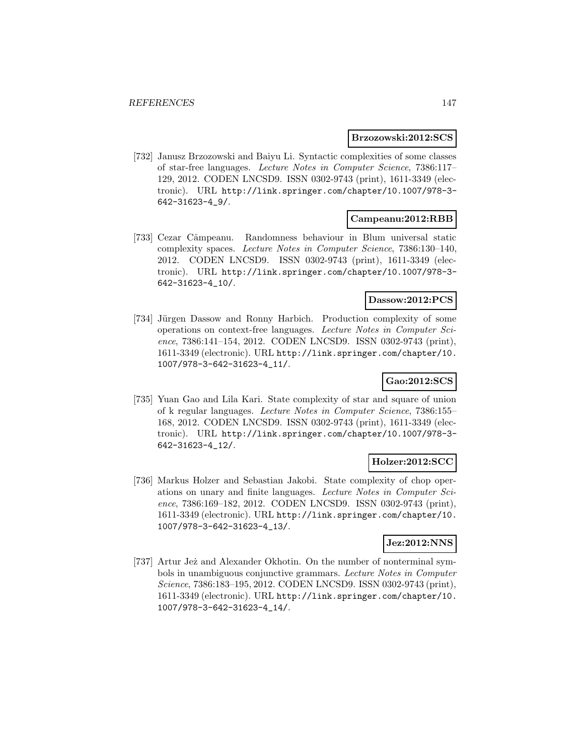#### **Brzozowski:2012:SCS**

[732] Janusz Brzozowski and Baiyu Li. Syntactic complexities of some classes of star-free languages. Lecture Notes in Computer Science, 7386:117– 129, 2012. CODEN LNCSD9. ISSN 0302-9743 (print), 1611-3349 (electronic). URL http://link.springer.com/chapter/10.1007/978-3- 642-31623-4\_9/.

### **Campeanu:2012:RBB**

[733] Cezar Câmpeanu. Randomness behaviour in Blum universal static complexity spaces. Lecture Notes in Computer Science, 7386:130–140, 2012. CODEN LNCSD9. ISSN 0302-9743 (print), 1611-3349 (electronic). URL http://link.springer.com/chapter/10.1007/978-3- 642-31623-4\_10/.

# **Dassow:2012:PCS**

[734] Jürgen Dassow and Ronny Harbich. Production complexity of some operations on context-free languages. Lecture Notes in Computer Science, 7386:141–154, 2012. CODEN LNCSD9. ISSN 0302-9743 (print), 1611-3349 (electronic). URL http://link.springer.com/chapter/10. 1007/978-3-642-31623-4\_11/.

# **Gao:2012:SCS**

[735] Yuan Gao and Lila Kari. State complexity of star and square of union of k regular languages. Lecture Notes in Computer Science, 7386:155– 168, 2012. CODEN LNCSD9. ISSN 0302-9743 (print), 1611-3349 (electronic). URL http://link.springer.com/chapter/10.1007/978-3- 642-31623-4\_12/.

### **Holzer:2012:SCC**

[736] Markus Holzer and Sebastian Jakobi. State complexity of chop operations on unary and finite languages. Lecture Notes in Computer Science, 7386:169–182, 2012. CODEN LNCSD9. ISSN 0302-9743 (print), 1611-3349 (electronic). URL http://link.springer.com/chapter/10. 1007/978-3-642-31623-4\_13/.

### **Jez:2012:NNS**

[737] Artur Jeż and Alexander Okhotin. On the number of nonterminal symbols in unambiguous conjunctive grammars. Lecture Notes in Computer Science, 7386:183–195, 2012. CODEN LNCSD9. ISSN 0302-9743 (print), 1611-3349 (electronic). URL http://link.springer.com/chapter/10. 1007/978-3-642-31623-4\_14/.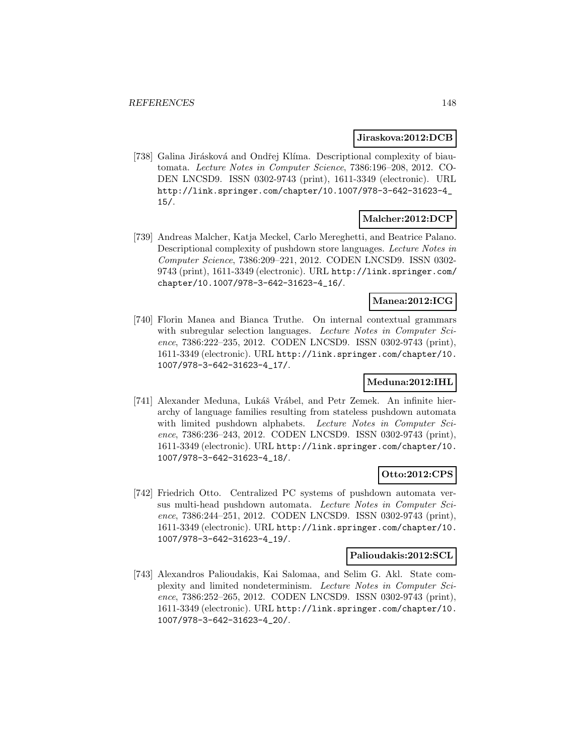### **Jiraskova:2012:DCB**

[738] Galina Jirásková and Ondřej Klíma. Descriptional complexity of biautomata. Lecture Notes in Computer Science, 7386:196–208, 2012. CO-DEN LNCSD9. ISSN 0302-9743 (print), 1611-3349 (electronic). URL http://link.springer.com/chapter/10.1007/978-3-642-31623-4\_ 15/.

# **Malcher:2012:DCP**

[739] Andreas Malcher, Katja Meckel, Carlo Mereghetti, and Beatrice Palano. Descriptional complexity of pushdown store languages. Lecture Notes in Computer Science, 7386:209–221, 2012. CODEN LNCSD9. ISSN 0302- 9743 (print), 1611-3349 (electronic). URL http://link.springer.com/ chapter/10.1007/978-3-642-31623-4\_16/.

### **Manea:2012:ICG**

[740] Florin Manea and Bianca Truthe. On internal contextual grammars with subregular selection languages. Lecture Notes in Computer Science, 7386:222–235, 2012. CODEN LNCSD9. ISSN 0302-9743 (print), 1611-3349 (electronic). URL http://link.springer.com/chapter/10. 1007/978-3-642-31623-4\_17/.

# **Meduna:2012:IHL**

[741] Alexander Meduna, Lukáš Vrábel, and Petr Zemek. An infinite hierarchy of language families resulting from stateless pushdown automata with limited pushdown alphabets. Lecture Notes in Computer Science, 7386:236–243, 2012. CODEN LNCSD9. ISSN 0302-9743 (print), 1611-3349 (electronic). URL http://link.springer.com/chapter/10. 1007/978-3-642-31623-4\_18/.

### **Otto:2012:CPS**

[742] Friedrich Otto. Centralized PC systems of pushdown automata versus multi-head pushdown automata. Lecture Notes in Computer Science, 7386:244–251, 2012. CODEN LNCSD9. ISSN 0302-9743 (print), 1611-3349 (electronic). URL http://link.springer.com/chapter/10. 1007/978-3-642-31623-4\_19/.

### **Palioudakis:2012:SCL**

[743] Alexandros Palioudakis, Kai Salomaa, and Selim G. Akl. State complexity and limited nondeterminism. Lecture Notes in Computer Science, 7386:252–265, 2012. CODEN LNCSD9. ISSN 0302-9743 (print), 1611-3349 (electronic). URL http://link.springer.com/chapter/10. 1007/978-3-642-31623-4\_20/.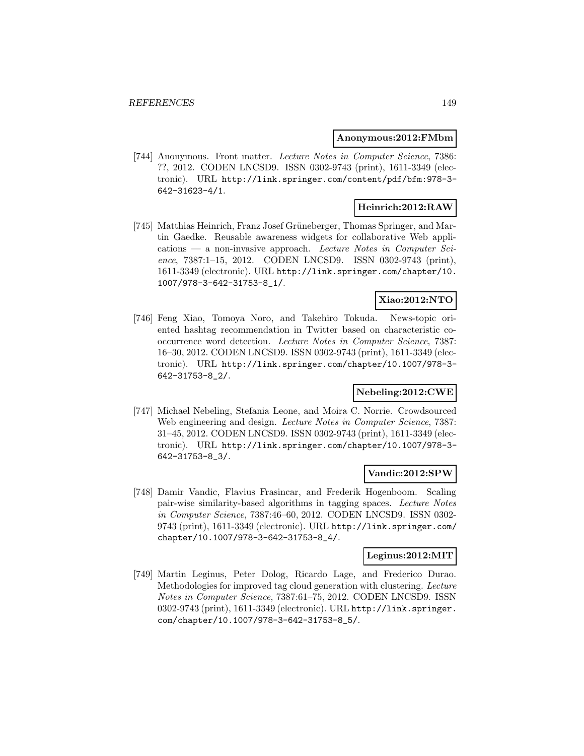#### **Anonymous:2012:FMbm**

[744] Anonymous. Front matter. Lecture Notes in Computer Science, 7386: ??, 2012. CODEN LNCSD9. ISSN 0302-9743 (print), 1611-3349 (electronic). URL http://link.springer.com/content/pdf/bfm:978-3- 642-31623-4/1.

# **Heinrich:2012:RAW**

[745] Matthias Heinrich, Franz Josef Grüneberger, Thomas Springer, and Martin Gaedke. Reusable awareness widgets for collaborative Web applications — a non-invasive approach. Lecture Notes in Computer Science, 7387:1–15, 2012. CODEN LNCSD9. ISSN 0302-9743 (print), 1611-3349 (electronic). URL http://link.springer.com/chapter/10. 1007/978-3-642-31753-8\_1/.

# **Xiao:2012:NTO**

[746] Feng Xiao, Tomoya Noro, and Takehiro Tokuda. News-topic oriented hashtag recommendation in Twitter based on characteristic cooccurrence word detection. Lecture Notes in Computer Science, 7387: 16–30, 2012. CODEN LNCSD9. ISSN 0302-9743 (print), 1611-3349 (electronic). URL http://link.springer.com/chapter/10.1007/978-3- 642-31753-8\_2/.

# **Nebeling:2012:CWE**

[747] Michael Nebeling, Stefania Leone, and Moira C. Norrie. Crowdsourced Web engineering and design. *Lecture Notes in Computer Science*, 7387: 31–45, 2012. CODEN LNCSD9. ISSN 0302-9743 (print), 1611-3349 (electronic). URL http://link.springer.com/chapter/10.1007/978-3- 642-31753-8\_3/.

### **Vandic:2012:SPW**

[748] Damir Vandic, Flavius Frasincar, and Frederik Hogenboom. Scaling pair-wise similarity-based algorithms in tagging spaces. Lecture Notes in Computer Science, 7387:46–60, 2012. CODEN LNCSD9. ISSN 0302- 9743 (print), 1611-3349 (electronic). URL http://link.springer.com/ chapter/10.1007/978-3-642-31753-8\_4/.

### **Leginus:2012:MIT**

[749] Martin Leginus, Peter Dolog, Ricardo Lage, and Frederico Durao. Methodologies for improved tag cloud generation with clustering. Lecture Notes in Computer Science, 7387:61–75, 2012. CODEN LNCSD9. ISSN 0302-9743 (print), 1611-3349 (electronic). URL http://link.springer. com/chapter/10.1007/978-3-642-31753-8\_5/.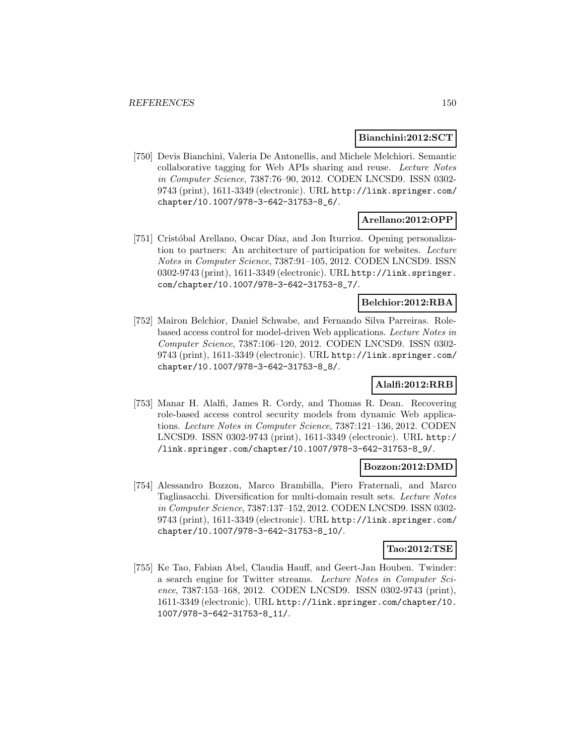### **Bianchini:2012:SCT**

[750] Devis Bianchini, Valeria De Antonellis, and Michele Melchiori. Semantic collaborative tagging for Web APIs sharing and reuse. Lecture Notes in Computer Science, 7387:76–90, 2012. CODEN LNCSD9. ISSN 0302- 9743 (print), 1611-3349 (electronic). URL http://link.springer.com/ chapter/10.1007/978-3-642-31753-8\_6/.

# **Arellano:2012:OPP**

[751] Cristóbal Arellano, Oscar Díaz, and Jon Iturrioz. Opening personalization to partners: An architecture of participation for websites. Lecture Notes in Computer Science, 7387:91–105, 2012. CODEN LNCSD9. ISSN 0302-9743 (print), 1611-3349 (electronic). URL http://link.springer. com/chapter/10.1007/978-3-642-31753-8\_7/.

# **Belchior:2012:RBA**

[752] Mairon Belchior, Daniel Schwabe, and Fernando Silva Parreiras. Rolebased access control for model-driven Web applications. Lecture Notes in Computer Science, 7387:106–120, 2012. CODEN LNCSD9. ISSN 0302- 9743 (print), 1611-3349 (electronic). URL http://link.springer.com/ chapter/10.1007/978-3-642-31753-8\_8/.

# **Alalfi:2012:RRB**

[753] Manar H. Alalfi, James R. Cordy, and Thomas R. Dean. Recovering role-based access control security models from dynamic Web applications. Lecture Notes in Computer Science, 7387:121–136, 2012. CODEN LNCSD9. ISSN 0302-9743 (print), 1611-3349 (electronic). URL http:/ /link.springer.com/chapter/10.1007/978-3-642-31753-8\_9/.

### **Bozzon:2012:DMD**

[754] Alessandro Bozzon, Marco Brambilla, Piero Fraternali, and Marco Tagliasacchi. Diversification for multi-domain result sets. Lecture Notes in Computer Science, 7387:137–152, 2012. CODEN LNCSD9. ISSN 0302- 9743 (print), 1611-3349 (electronic). URL http://link.springer.com/ chapter/10.1007/978-3-642-31753-8\_10/.

#### **Tao:2012:TSE**

[755] Ke Tao, Fabian Abel, Claudia Hauff, and Geert-Jan Houben. Twinder: a search engine for Twitter streams. Lecture Notes in Computer Science, 7387:153–168, 2012. CODEN LNCSD9. ISSN 0302-9743 (print), 1611-3349 (electronic). URL http://link.springer.com/chapter/10. 1007/978-3-642-31753-8\_11/.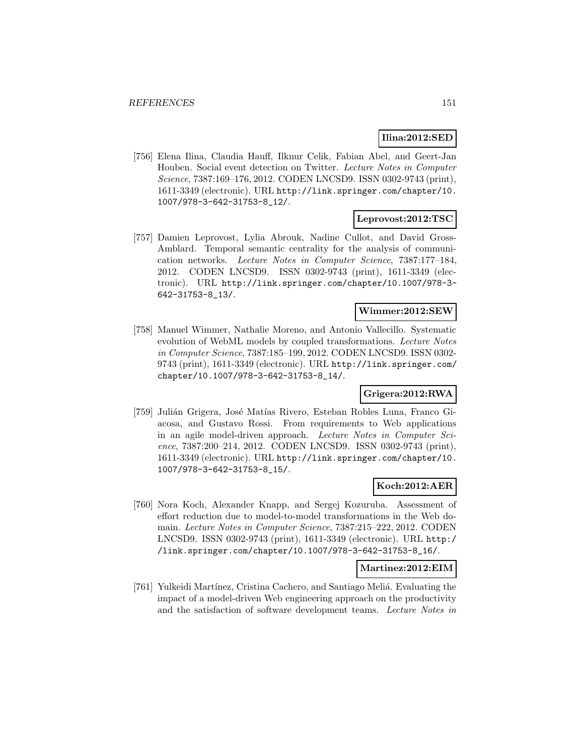# **Ilina:2012:SED**

[756] Elena Ilina, Claudia Hauff, Ilknur Celik, Fabian Abel, and Geert-Jan Houben. Social event detection on Twitter. Lecture Notes in Computer Science, 7387:169–176, 2012. CODEN LNCSD9. ISSN 0302-9743 (print), 1611-3349 (electronic). URL http://link.springer.com/chapter/10. 1007/978-3-642-31753-8\_12/.

# **Leprovost:2012:TSC**

[757] Damien Leprovost, Lylia Abrouk, Nadine Cullot, and David Gross-Amblard. Temporal semantic centrality for the analysis of communication networks. Lecture Notes in Computer Science, 7387:177–184, 2012. CODEN LNCSD9. ISSN 0302-9743 (print), 1611-3349 (electronic). URL http://link.springer.com/chapter/10.1007/978-3- 642-31753-8\_13/.

# **Wimmer:2012:SEW**

[758] Manuel Wimmer, Nathalie Moreno, and Antonio Vallecillo. Systematic evolution of WebML models by coupled transformations. Lecture Notes in Computer Science, 7387:185–199, 2012. CODEN LNCSD9. ISSN 0302- 9743 (print), 1611-3349 (electronic). URL http://link.springer.com/ chapter/10.1007/978-3-642-31753-8\_14/.

# **Grigera:2012:RWA**

[759] Julián Grigera, José Matías Rivero, Esteban Robles Luna, Franco Giacosa, and Gustavo Rossi. From requirements to Web applications in an agile model-driven approach. Lecture Notes in Computer Science, 7387:200–214, 2012. CODEN LNCSD9. ISSN 0302-9743 (print), 1611-3349 (electronic). URL http://link.springer.com/chapter/10. 1007/978-3-642-31753-8\_15/.

### **Koch:2012:AER**

[760] Nora Koch, Alexander Knapp, and Sergej Kozuruba. Assessment of effort reduction due to model-to-model transformations in the Web domain. Lecture Notes in Computer Science, 7387:215–222, 2012. CODEN LNCSD9. ISSN 0302-9743 (print), 1611-3349 (electronic). URL http:/ /link.springer.com/chapter/10.1007/978-3-642-31753-8\_16/.

# **Martinez:2012:EIM**

[761] Yulkeidi Martínez, Cristina Cachero, and Santiago Meliá. Evaluating the impact of a model-driven Web engineering approach on the productivity and the satisfaction of software development teams. Lecture Notes in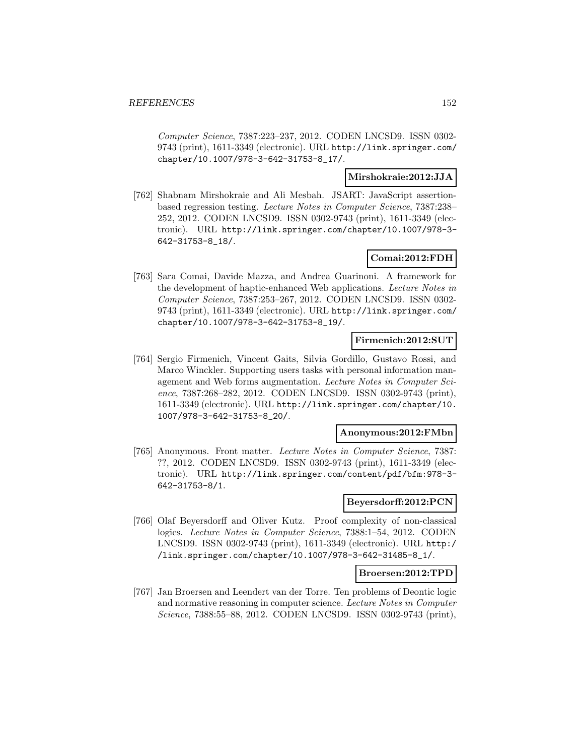Computer Science, 7387:223–237, 2012. CODEN LNCSD9. ISSN 0302- 9743 (print), 1611-3349 (electronic). URL http://link.springer.com/ chapter/10.1007/978-3-642-31753-8\_17/.

## **Mirshokraie:2012:JJA**

[762] Shabnam Mirshokraie and Ali Mesbah. JSART: JavaScript assertionbased regression testing. Lecture Notes in Computer Science, 7387:238– 252, 2012. CODEN LNCSD9. ISSN 0302-9743 (print), 1611-3349 (electronic). URL http://link.springer.com/chapter/10.1007/978-3- 642-31753-8\_18/.

# **Comai:2012:FDH**

[763] Sara Comai, Davide Mazza, and Andrea Guarinoni. A framework for the development of haptic-enhanced Web applications. Lecture Notes in Computer Science, 7387:253–267, 2012. CODEN LNCSD9. ISSN 0302- 9743 (print), 1611-3349 (electronic). URL http://link.springer.com/ chapter/10.1007/978-3-642-31753-8\_19/.

#### **Firmenich:2012:SUT**

[764] Sergio Firmenich, Vincent Gaits, Silvia Gordillo, Gustavo Rossi, and Marco Winckler. Supporting users tasks with personal information management and Web forms augmentation. Lecture Notes in Computer Science, 7387:268–282, 2012. CODEN LNCSD9. ISSN 0302-9743 (print), 1611-3349 (electronic). URL http://link.springer.com/chapter/10. 1007/978-3-642-31753-8\_20/.

#### **Anonymous:2012:FMbn**

[765] Anonymous. Front matter. Lecture Notes in Computer Science, 7387: ??, 2012. CODEN LNCSD9. ISSN 0302-9743 (print), 1611-3349 (electronic). URL http://link.springer.com/content/pdf/bfm:978-3- 642-31753-8/1.

## **Beyersdorff:2012:PCN**

[766] Olaf Beyersdorff and Oliver Kutz. Proof complexity of non-classical logics. Lecture Notes in Computer Science, 7388:1–54, 2012. CODEN LNCSD9. ISSN 0302-9743 (print), 1611-3349 (electronic). URL http:/ /link.springer.com/chapter/10.1007/978-3-642-31485-8\_1/.

### **Broersen:2012:TPD**

[767] Jan Broersen and Leendert van der Torre. Ten problems of Deontic logic and normative reasoning in computer science. Lecture Notes in Computer Science, 7388:55–88, 2012. CODEN LNCSD9. ISSN 0302-9743 (print),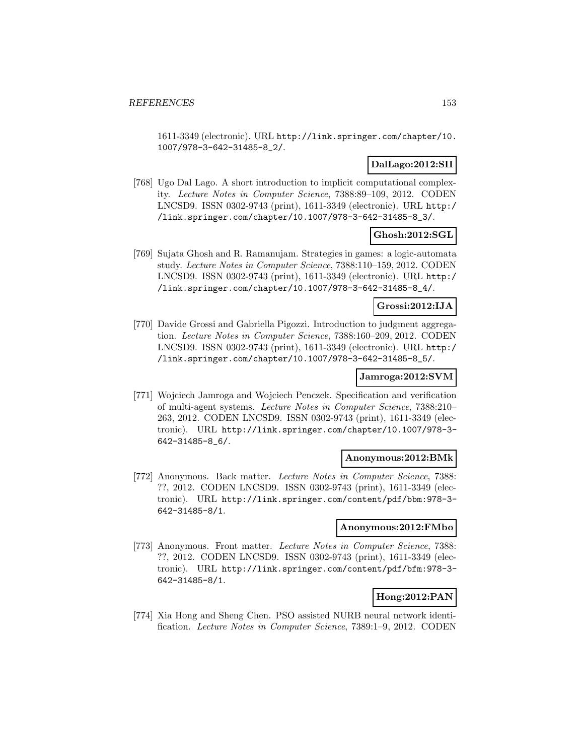1611-3349 (electronic). URL http://link.springer.com/chapter/10. 1007/978-3-642-31485-8\_2/.

# **DalLago:2012:SII**

[768] Ugo Dal Lago. A short introduction to implicit computational complexity. Lecture Notes in Computer Science, 7388:89–109, 2012. CODEN LNCSD9. ISSN 0302-9743 (print), 1611-3349 (electronic). URL http:/ /link.springer.com/chapter/10.1007/978-3-642-31485-8\_3/.

# **Ghosh:2012:SGL**

[769] Sujata Ghosh and R. Ramanujam. Strategies in games: a logic-automata study. Lecture Notes in Computer Science, 7388:110–159, 2012. CODEN LNCSD9. ISSN 0302-9743 (print), 1611-3349 (electronic). URL http:/ /link.springer.com/chapter/10.1007/978-3-642-31485-8\_4/.

### **Grossi:2012:IJA**

[770] Davide Grossi and Gabriella Pigozzi. Introduction to judgment aggregation. Lecture Notes in Computer Science, 7388:160–209, 2012. CODEN LNCSD9. ISSN 0302-9743 (print), 1611-3349 (electronic). URL http:/ /link.springer.com/chapter/10.1007/978-3-642-31485-8\_5/.

# **Jamroga:2012:SVM**

[771] Wojciech Jamroga and Wojciech Penczek. Specification and verification of multi-agent systems. Lecture Notes in Computer Science, 7388:210– 263, 2012. CODEN LNCSD9. ISSN 0302-9743 (print), 1611-3349 (electronic). URL http://link.springer.com/chapter/10.1007/978-3- 642-31485-8\_6/.

### **Anonymous:2012:BMk**

[772] Anonymous. Back matter. Lecture Notes in Computer Science, 7388: ??, 2012. CODEN LNCSD9. ISSN 0302-9743 (print), 1611-3349 (electronic). URL http://link.springer.com/content/pdf/bbm:978-3- 642-31485-8/1.

## **Anonymous:2012:FMbo**

[773] Anonymous. Front matter. Lecture Notes in Computer Science, 7388: ??, 2012. CODEN LNCSD9. ISSN 0302-9743 (print), 1611-3349 (electronic). URL http://link.springer.com/content/pdf/bfm:978-3- 642-31485-8/1.

# **Hong:2012:PAN**

[774] Xia Hong and Sheng Chen. PSO assisted NURB neural network identification. Lecture Notes in Computer Science, 7389:1–9, 2012. CODEN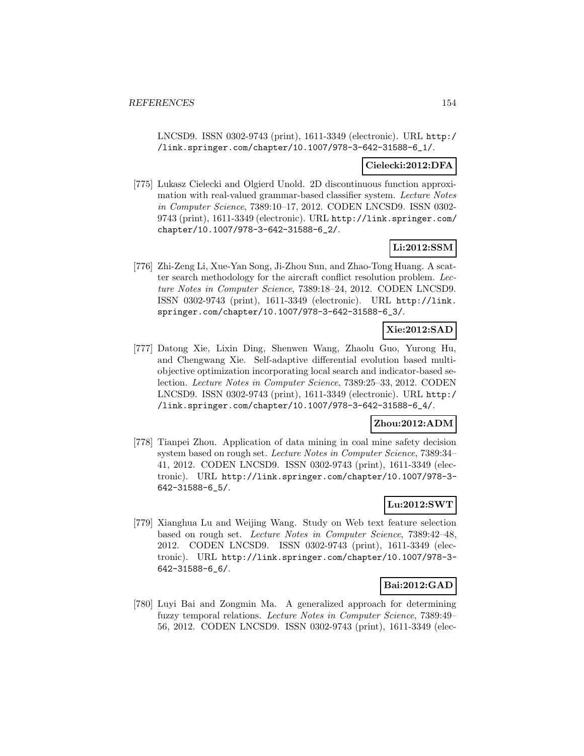LNCSD9. ISSN 0302-9743 (print), 1611-3349 (electronic). URL http:/ /link.springer.com/chapter/10.1007/978-3-642-31588-6\_1/.

### **Cielecki:2012:DFA**

[775] Lukasz Cielecki and Olgierd Unold. 2D discontinuous function approximation with real-valued grammar-based classifier system. Lecture Notes in Computer Science, 7389:10–17, 2012. CODEN LNCSD9. ISSN 0302- 9743 (print), 1611-3349 (electronic). URL http://link.springer.com/ chapter/10.1007/978-3-642-31588-6\_2/.

# **Li:2012:SSM**

[776] Zhi-Zeng Li, Xue-Yan Song, Ji-Zhou Sun, and Zhao-Tong Huang. A scatter search methodology for the aircraft conflict resolution problem. Lecture Notes in Computer Science, 7389:18–24, 2012. CODEN LNCSD9. ISSN 0302-9743 (print), 1611-3349 (electronic). URL http://link. springer.com/chapter/10.1007/978-3-642-31588-6\_3/.

# **Xie:2012:SAD**

[777] Datong Xie, Lixin Ding, Shenwen Wang, Zhaolu Guo, Yurong Hu, and Chengwang Xie. Self-adaptive differential evolution based multiobjective optimization incorporating local search and indicator-based selection. Lecture Notes in Computer Science, 7389:25–33, 2012. CODEN LNCSD9. ISSN 0302-9743 (print), 1611-3349 (electronic). URL http:/ /link.springer.com/chapter/10.1007/978-3-642-31588-6\_4/.

# **Zhou:2012:ADM**

[778] Tianpei Zhou. Application of data mining in coal mine safety decision system based on rough set. Lecture Notes in Computer Science, 7389:34– 41, 2012. CODEN LNCSD9. ISSN 0302-9743 (print), 1611-3349 (electronic). URL http://link.springer.com/chapter/10.1007/978-3- 642-31588-6\_5/.

# **Lu:2012:SWT**

[779] Xianghua Lu and Weijing Wang. Study on Web text feature selection based on rough set. Lecture Notes in Computer Science, 7389:42–48, 2012. CODEN LNCSD9. ISSN 0302-9743 (print), 1611-3349 (electronic). URL http://link.springer.com/chapter/10.1007/978-3- 642-31588-6\_6/.

# **Bai:2012:GAD**

[780] Luyi Bai and Zongmin Ma. A generalized approach for determining fuzzy temporal relations. Lecture Notes in Computer Science, 7389:49– 56, 2012. CODEN LNCSD9. ISSN 0302-9743 (print), 1611-3349 (elec-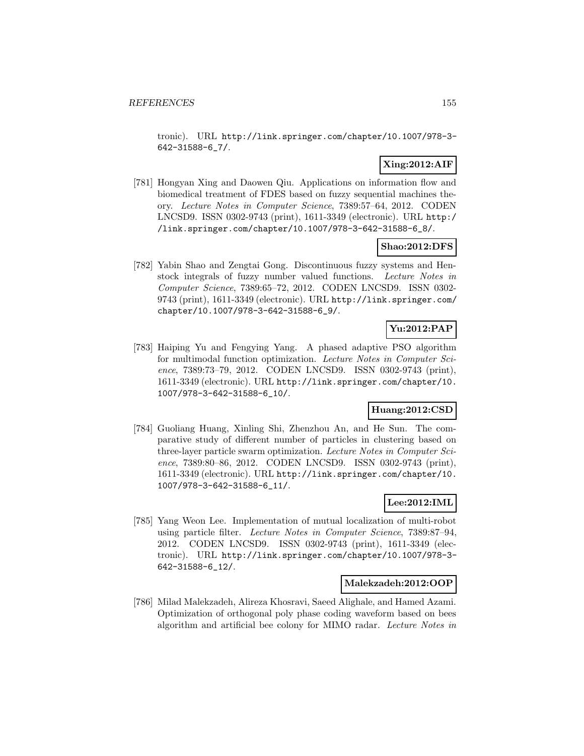tronic). URL http://link.springer.com/chapter/10.1007/978-3- 642-31588-6\_7/.

# **Xing:2012:AIF**

[781] Hongyan Xing and Daowen Qiu. Applications on information flow and biomedical treatment of FDES based on fuzzy sequential machines theory. Lecture Notes in Computer Science, 7389:57–64, 2012. CODEN LNCSD9. ISSN 0302-9743 (print), 1611-3349 (electronic). URL http:/ /link.springer.com/chapter/10.1007/978-3-642-31588-6\_8/.

# **Shao:2012:DFS**

[782] Yabin Shao and Zengtai Gong. Discontinuous fuzzy systems and Henstock integrals of fuzzy number valued functions. Lecture Notes in Computer Science, 7389:65–72, 2012. CODEN LNCSD9. ISSN 0302- 9743 (print), 1611-3349 (electronic). URL http://link.springer.com/ chapter/10.1007/978-3-642-31588-6\_9/.

# **Yu:2012:PAP**

[783] Haiping Yu and Fengying Yang. A phased adaptive PSO algorithm for multimodal function optimization. Lecture Notes in Computer Science, 7389:73–79, 2012. CODEN LNCSD9. ISSN 0302-9743 (print), 1611-3349 (electronic). URL http://link.springer.com/chapter/10. 1007/978-3-642-31588-6\_10/.

# **Huang:2012:CSD**

[784] Guoliang Huang, Xinling Shi, Zhenzhou An, and He Sun. The comparative study of different number of particles in clustering based on three-layer particle swarm optimization. Lecture Notes in Computer Science, 7389:80–86, 2012. CODEN LNCSD9. ISSN 0302-9743 (print), 1611-3349 (electronic). URL http://link.springer.com/chapter/10. 1007/978-3-642-31588-6\_11/.

# **Lee:2012:IML**

[785] Yang Weon Lee. Implementation of mutual localization of multi-robot using particle filter. Lecture Notes in Computer Science, 7389:87–94, 2012. CODEN LNCSD9. ISSN 0302-9743 (print), 1611-3349 (electronic). URL http://link.springer.com/chapter/10.1007/978-3- 642-31588-6\_12/.

# **Malekzadeh:2012:OOP**

[786] Milad Malekzadeh, Alireza Khosravi, Saeed Alighale, and Hamed Azami. Optimization of orthogonal poly phase coding waveform based on bees algorithm and artificial bee colony for MIMO radar. Lecture Notes in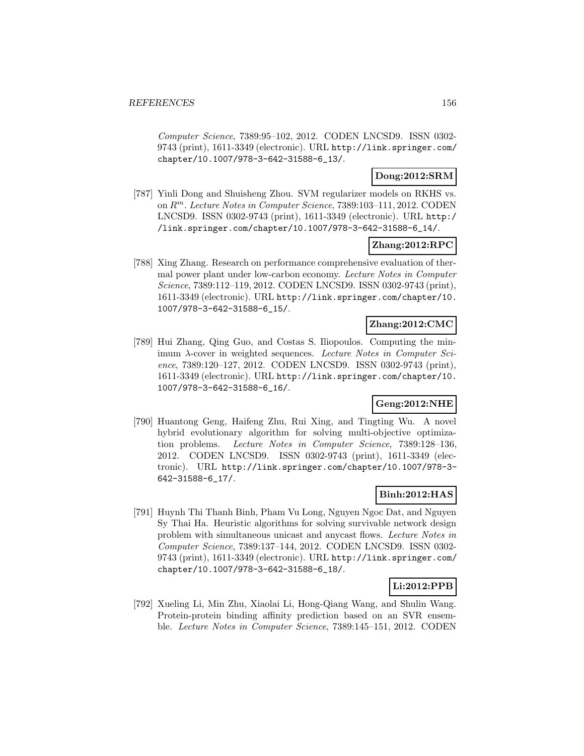Computer Science, 7389:95–102, 2012. CODEN LNCSD9. ISSN 0302- 9743 (print), 1611-3349 (electronic). URL http://link.springer.com/ chapter/10.1007/978-3-642-31588-6\_13/.

# **Dong:2012:SRM**

[787] Yinli Dong and Shuisheng Zhou. SVM regularizer models on RKHS vs. on R<sup>m</sup>. Lecture Notes in Computer Science, 7389:103–111, 2012. CODEN LNCSD9. ISSN 0302-9743 (print), 1611-3349 (electronic). URL http:/ /link.springer.com/chapter/10.1007/978-3-642-31588-6\_14/.

# **Zhang:2012:RPC**

[788] Xing Zhang. Research on performance comprehensive evaluation of thermal power plant under low-carbon economy. Lecture Notes in Computer Science, 7389:112–119, 2012. CODEN LNCSD9. ISSN 0302-9743 (print), 1611-3349 (electronic). URL http://link.springer.com/chapter/10. 1007/978-3-642-31588-6\_15/.

# **Zhang:2012:CMC**

[789] Hui Zhang, Qing Guo, and Costas S. Iliopoulos. Computing the minimum  $\lambda$ -cover in weighted sequences. Lecture Notes in Computer Science, 7389:120–127, 2012. CODEN LNCSD9. ISSN 0302-9743 (print), 1611-3349 (electronic). URL http://link.springer.com/chapter/10. 1007/978-3-642-31588-6\_16/.

# **Geng:2012:NHE**

[790] Huantong Geng, Haifeng Zhu, Rui Xing, and Tingting Wu. A novel hybrid evolutionary algorithm for solving multi-objective optimization problems. Lecture Notes in Computer Science, 7389:128–136, 2012. CODEN LNCSD9. ISSN 0302-9743 (print), 1611-3349 (electronic). URL http://link.springer.com/chapter/10.1007/978-3- 642-31588-6\_17/.

# **Binh:2012:HAS**

[791] Huynh Thi Thanh Binh, Pham Vu Long, Nguyen Ngoc Dat, and Nguyen Sy Thai Ha. Heuristic algorithms for solving survivable network design problem with simultaneous unicast and anycast flows. Lecture Notes in Computer Science, 7389:137–144, 2012. CODEN LNCSD9. ISSN 0302- 9743 (print), 1611-3349 (electronic). URL http://link.springer.com/ chapter/10.1007/978-3-642-31588-6\_18/.

# **Li:2012:PPB**

[792] Xueling Li, Min Zhu, Xiaolai Li, Hong-Qiang Wang, and Shulin Wang. Protein-protein binding affinity prediction based on an SVR ensemble. Lecture Notes in Computer Science, 7389:145–151, 2012. CODEN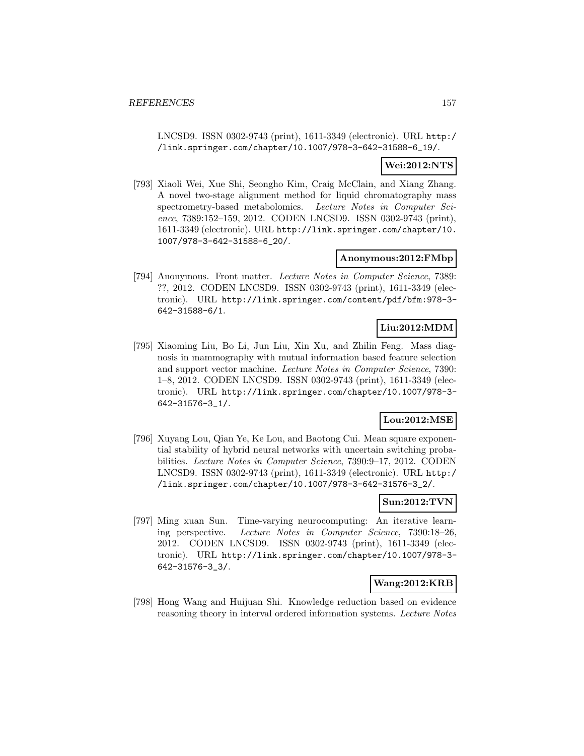LNCSD9. ISSN 0302-9743 (print), 1611-3349 (electronic). URL http:/ /link.springer.com/chapter/10.1007/978-3-642-31588-6\_19/.

# **Wei:2012:NTS**

[793] Xiaoli Wei, Xue Shi, Seongho Kim, Craig McClain, and Xiang Zhang. A novel two-stage alignment method for liquid chromatography mass spectrometry-based metabolomics. Lecture Notes in Computer Science, 7389:152–159, 2012. CODEN LNCSD9. ISSN 0302-9743 (print), 1611-3349 (electronic). URL http://link.springer.com/chapter/10. 1007/978-3-642-31588-6\_20/.

### **Anonymous:2012:FMbp**

[794] Anonymous. Front matter. Lecture Notes in Computer Science, 7389: ??, 2012. CODEN LNCSD9. ISSN 0302-9743 (print), 1611-3349 (electronic). URL http://link.springer.com/content/pdf/bfm:978-3- 642-31588-6/1.

# **Liu:2012:MDM**

[795] Xiaoming Liu, Bo Li, Jun Liu, Xin Xu, and Zhilin Feng. Mass diagnosis in mammography with mutual information based feature selection and support vector machine. Lecture Notes in Computer Science, 7390: 1–8, 2012. CODEN LNCSD9. ISSN 0302-9743 (print), 1611-3349 (electronic). URL http://link.springer.com/chapter/10.1007/978-3- 642-31576-3\_1/.

# **Lou:2012:MSE**

[796] Xuyang Lou, Qian Ye, Ke Lou, and Baotong Cui. Mean square exponential stability of hybrid neural networks with uncertain switching probabilities. Lecture Notes in Computer Science, 7390:9–17, 2012. CODEN LNCSD9. ISSN 0302-9743 (print), 1611-3349 (electronic). URL http:/ /link.springer.com/chapter/10.1007/978-3-642-31576-3\_2/.

# **Sun:2012:TVN**

[797] Ming xuan Sun. Time-varying neurocomputing: An iterative learning perspective. Lecture Notes in Computer Science, 7390:18–26, 2012. CODEN LNCSD9. ISSN 0302-9743 (print), 1611-3349 (electronic). URL http://link.springer.com/chapter/10.1007/978-3- 642-31576-3\_3/.

# **Wang:2012:KRB**

[798] Hong Wang and Huijuan Shi. Knowledge reduction based on evidence reasoning theory in interval ordered information systems. Lecture Notes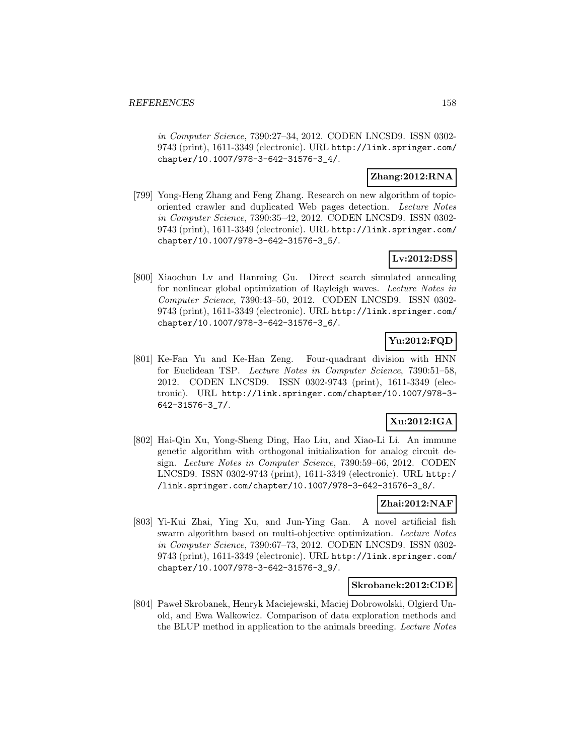in Computer Science, 7390:27–34, 2012. CODEN LNCSD9. ISSN 0302- 9743 (print), 1611-3349 (electronic). URL http://link.springer.com/ chapter/10.1007/978-3-642-31576-3\_4/.

# **Zhang:2012:RNA**

[799] Yong-Heng Zhang and Feng Zhang. Research on new algorithm of topicoriented crawler and duplicated Web pages detection. Lecture Notes in Computer Science, 7390:35–42, 2012. CODEN LNCSD9. ISSN 0302- 9743 (print), 1611-3349 (electronic). URL http://link.springer.com/ chapter/10.1007/978-3-642-31576-3\_5/.

# **Lv:2012:DSS**

[800] Xiaochun Lv and Hanming Gu. Direct search simulated annealing for nonlinear global optimization of Rayleigh waves. Lecture Notes in Computer Science, 7390:43–50, 2012. CODEN LNCSD9. ISSN 0302- 9743 (print), 1611-3349 (electronic). URL http://link.springer.com/ chapter/10.1007/978-3-642-31576-3\_6/.

# **Yu:2012:FQD**

[801] Ke-Fan Yu and Ke-Han Zeng. Four-quadrant division with HNN for Euclidean TSP. Lecture Notes in Computer Science, 7390:51–58, 2012. CODEN LNCSD9. ISSN 0302-9743 (print), 1611-3349 (electronic). URL http://link.springer.com/chapter/10.1007/978-3- 642-31576-3\_7/.

# **Xu:2012:IGA**

[802] Hai-Qin Xu, Yong-Sheng Ding, Hao Liu, and Xiao-Li Li. An immune genetic algorithm with orthogonal initialization for analog circuit design. Lecture Notes in Computer Science, 7390:59–66, 2012. CODEN LNCSD9. ISSN 0302-9743 (print), 1611-3349 (electronic). URL http:/ /link.springer.com/chapter/10.1007/978-3-642-31576-3\_8/.

# **Zhai:2012:NAF**

[803] Yi-Kui Zhai, Ying Xu, and Jun-Ying Gan. A novel artificial fish swarm algorithm based on multi-objective optimization. Lecture Notes in Computer Science, 7390:67–73, 2012. CODEN LNCSD9. ISSN 0302- 9743 (print), 1611-3349 (electronic). URL http://link.springer.com/ chapter/10.1007/978-3-642-31576-3\_9/.

### **Skrobanek:2012:CDE**

[804] Paweł Skrobanek, Henryk Maciejewski, Maciej Dobrowolski, Olgierd Unold, and Ewa Walkowicz. Comparison of data exploration methods and the BLUP method in application to the animals breeding. Lecture Notes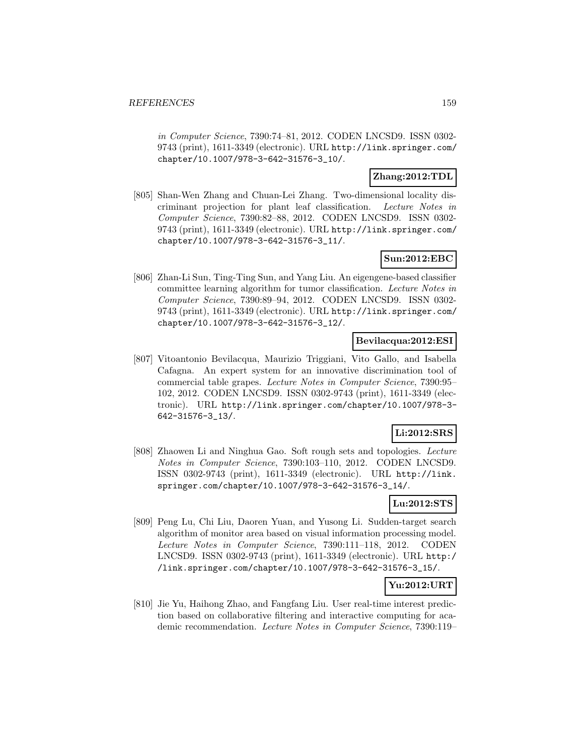in Computer Science, 7390:74–81, 2012. CODEN LNCSD9. ISSN 0302- 9743 (print), 1611-3349 (electronic). URL http://link.springer.com/ chapter/10.1007/978-3-642-31576-3\_10/.

# **Zhang:2012:TDL**

[805] Shan-Wen Zhang and Chuan-Lei Zhang. Two-dimensional locality discriminant projection for plant leaf classification. Lecture Notes in Computer Science, 7390:82–88, 2012. CODEN LNCSD9. ISSN 0302- 9743 (print), 1611-3349 (electronic). URL http://link.springer.com/ chapter/10.1007/978-3-642-31576-3\_11/.

# **Sun:2012:EBC**

[806] Zhan-Li Sun, Ting-Ting Sun, and Yang Liu. An eigengene-based classifier committee learning algorithm for tumor classification. Lecture Notes in Computer Science, 7390:89–94, 2012. CODEN LNCSD9. ISSN 0302- 9743 (print), 1611-3349 (electronic). URL http://link.springer.com/ chapter/10.1007/978-3-642-31576-3\_12/.

# **Bevilacqua:2012:ESI**

[807] Vitoantonio Bevilacqua, Maurizio Triggiani, Vito Gallo, and Isabella Cafagna. An expert system for an innovative discrimination tool of commercial table grapes. Lecture Notes in Computer Science, 7390:95– 102, 2012. CODEN LNCSD9. ISSN 0302-9743 (print), 1611-3349 (electronic). URL http://link.springer.com/chapter/10.1007/978-3- 642-31576-3\_13/.

# **Li:2012:SRS**

[808] Zhaowen Li and Ninghua Gao. Soft rough sets and topologies. Lecture Notes in Computer Science, 7390:103–110, 2012. CODEN LNCSD9. ISSN 0302-9743 (print), 1611-3349 (electronic). URL http://link. springer.com/chapter/10.1007/978-3-642-31576-3\_14/.

# **Lu:2012:STS**

[809] Peng Lu, Chi Liu, Daoren Yuan, and Yusong Li. Sudden-target search algorithm of monitor area based on visual information processing model. Lecture Notes in Computer Science, 7390:111–118, 2012. CODEN LNCSD9. ISSN 0302-9743 (print), 1611-3349 (electronic). URL http:/ /link.springer.com/chapter/10.1007/978-3-642-31576-3\_15/.

# **Yu:2012:URT**

[810] Jie Yu, Haihong Zhao, and Fangfang Liu. User real-time interest prediction based on collaborative filtering and interactive computing for academic recommendation. Lecture Notes in Computer Science, 7390:119–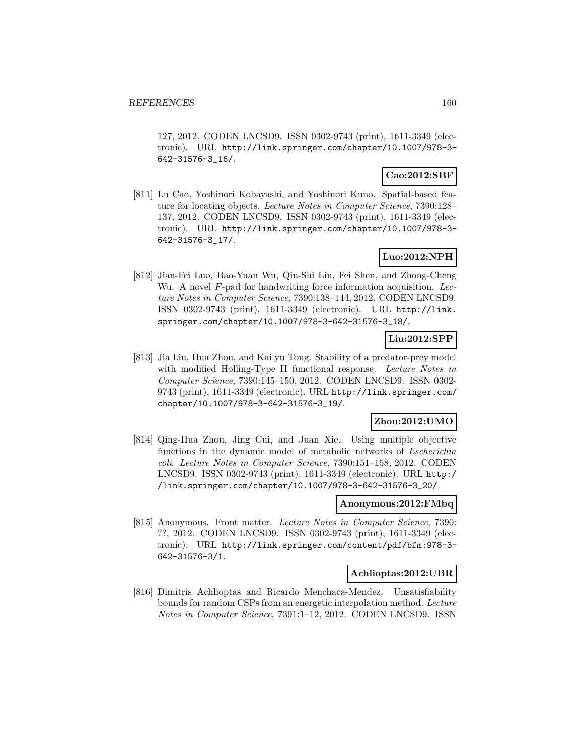127, 2012. CODEN LNCSD9. ISSN 0302-9743 (print), 1611-3349 (electronic). URL http://link.springer.com/chapter/10.1007/978-3- 642-31576-3\_16/.

# **Cao:2012:SBF**

[811] Lu Cao, Yoshinori Kobayashi, and Yoshinori Kuno. Spatial-based feature for locating objects. Lecture Notes in Computer Science, 7390:128– 137, 2012. CODEN LNCSD9. ISSN 0302-9743 (print), 1611-3349 (electronic). URL http://link.springer.com/chapter/10.1007/978-3- 642-31576-3\_17/.

# **Luo:2012:NPH**

[812] Jian-Fei Luo, Bao-Yuan Wu, Qiu-Shi Lin, Fei Shen, and Zhong-Cheng Wu. A novel  $F$ -pad for handwriting force information acquisition. Lecture Notes in Computer Science, 7390:138–144, 2012. CODEN LNCSD9. ISSN 0302-9743 (print), 1611-3349 (electronic). URL http://link. springer.com/chapter/10.1007/978-3-642-31576-3\_18/.

# **Liu:2012:SPP**

[813] Jia Liu, Hua Zhou, and Kai yu Tong. Stability of a predator-prey model with modified Holling-Type II functional response. Lecture Notes in Computer Science, 7390:145–150, 2012. CODEN LNCSD9. ISSN 0302- 9743 (print), 1611-3349 (electronic). URL http://link.springer.com/ chapter/10.1007/978-3-642-31576-3\_19/.

# **Zhou:2012:UMO**

[814] Qing-Hua Zhou, Jing Cui, and Juan Xie. Using multiple objective functions in the dynamic model of metabolic networks of Escherichia coli. Lecture Notes in Computer Science, 7390:151–158, 2012. CODEN LNCSD9. ISSN 0302-9743 (print), 1611-3349 (electronic). URL http:/ /link.springer.com/chapter/10.1007/978-3-642-31576-3\_20/.

# **Anonymous:2012:FMbq**

[815] Anonymous. Front matter. Lecture Notes in Computer Science, 7390: ??, 2012. CODEN LNCSD9. ISSN 0302-9743 (print), 1611-3349 (electronic). URL http://link.springer.com/content/pdf/bfm:978-3- 642-31576-3/1.

### **Achlioptas:2012:UBR**

[816] Dimitris Achlioptas and Ricardo Menchaca-Mendez. Unsatisfiability bounds for random CSPs from an energetic interpolation method. Lecture Notes in Computer Science, 7391:1–12, 2012. CODEN LNCSD9. ISSN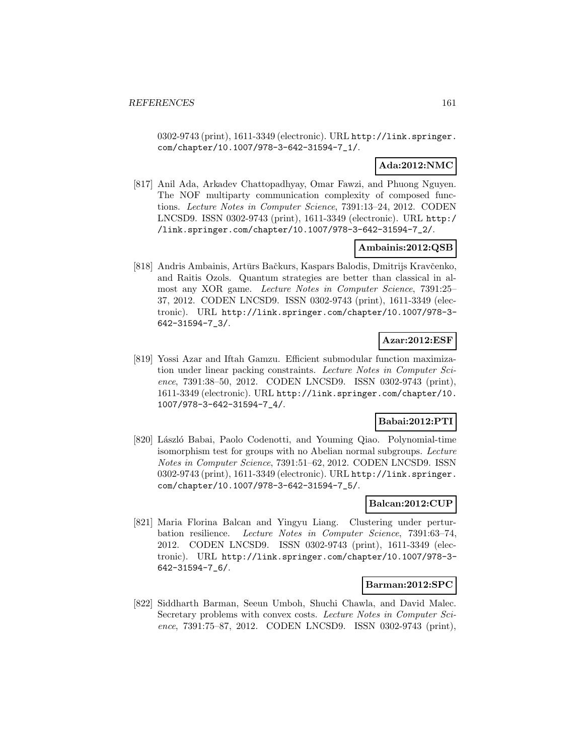0302-9743 (print), 1611-3349 (electronic). URL http://link.springer. com/chapter/10.1007/978-3-642-31594-7\_1/.

# **Ada:2012:NMC**

[817] Anil Ada, Arkadev Chattopadhyay, Omar Fawzi, and Phuong Nguyen. The NOF multiparty communication complexity of composed functions. Lecture Notes in Computer Science, 7391:13–24, 2012. CODEN LNCSD9. ISSN 0302-9743 (print), 1611-3349 (electronic). URL http:/ /link.springer.com/chapter/10.1007/978-3-642-31594-7\_2/.

# **Ambainis:2012:QSB**

[818] Andris Ambainis, Artūrs Bačkurs, Kaspars Balodis, Dmitrijs Kravčenko, and Raitis Ozols. Quantum strategies are better than classical in almost any XOR game. Lecture Notes in Computer Science, 7391:25– 37, 2012. CODEN LNCSD9. ISSN 0302-9743 (print), 1611-3349 (electronic). URL http://link.springer.com/chapter/10.1007/978-3- 642-31594-7\_3/.

# **Azar:2012:ESF**

[819] Yossi Azar and Iftah Gamzu. Efficient submodular function maximization under linear packing constraints. Lecture Notes in Computer Science, 7391:38–50, 2012. CODEN LNCSD9. ISSN 0302-9743 (print), 1611-3349 (electronic). URL http://link.springer.com/chapter/10. 1007/978-3-642-31594-7\_4/.

# **Babai:2012:PTI**

[820] László Babai, Paolo Codenotti, and Youming Qiao. Polynomial-time isomorphism test for groups with no Abelian normal subgroups. Lecture Notes in Computer Science, 7391:51–62, 2012. CODEN LNCSD9. ISSN 0302-9743 (print), 1611-3349 (electronic). URL http://link.springer. com/chapter/10.1007/978-3-642-31594-7\_5/.

## **Balcan:2012:CUP**

[821] Maria Florina Balcan and Yingyu Liang. Clustering under perturbation resilience. Lecture Notes in Computer Science, 7391:63–74, 2012. CODEN LNCSD9. ISSN 0302-9743 (print), 1611-3349 (electronic). URL http://link.springer.com/chapter/10.1007/978-3- 642-31594-7\_6/.

### **Barman:2012:SPC**

[822] Siddharth Barman, Seeun Umboh, Shuchi Chawla, and David Malec. Secretary problems with convex costs. Lecture Notes in Computer Science, 7391:75–87, 2012. CODEN LNCSD9. ISSN 0302-9743 (print),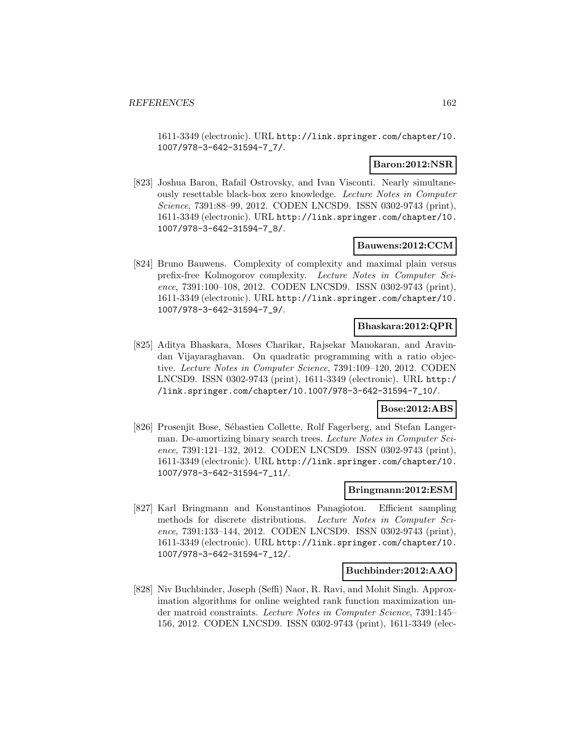1611-3349 (electronic). URL http://link.springer.com/chapter/10. 1007/978-3-642-31594-7\_7/.

### **Baron:2012:NSR**

[823] Joshua Baron, Rafail Ostrovsky, and Ivan Visconti. Nearly simultaneously resettable black-box zero knowledge. Lecture Notes in Computer Science, 7391:88–99, 2012. CODEN LNCSD9. ISSN 0302-9743 (print), 1611-3349 (electronic). URL http://link.springer.com/chapter/10. 1007/978-3-642-31594-7\_8/.

### **Bauwens:2012:CCM**

[824] Bruno Bauwens. Complexity of complexity and maximal plain versus prefix-free Kolmogorov complexity. Lecture Notes in Computer Science, 7391:100–108, 2012. CODEN LNCSD9. ISSN 0302-9743 (print), 1611-3349 (electronic). URL http://link.springer.com/chapter/10. 1007/978-3-642-31594-7\_9/.

### **Bhaskara:2012:QPR**

[825] Aditya Bhaskara, Moses Charikar, Rajsekar Manokaran, and Aravindan Vijayaraghavan. On quadratic programming with a ratio objective. Lecture Notes in Computer Science, 7391:109–120, 2012. CODEN LNCSD9. ISSN 0302-9743 (print), 1611-3349 (electronic). URL http:/ /link.springer.com/chapter/10.1007/978-3-642-31594-7\_10/.

# **Bose:2012:ABS**

[826] Prosenjit Bose, Sébastien Collette, Rolf Fagerberg, and Stefan Langerman. De-amortizing binary search trees. Lecture Notes in Computer Science, 7391:121–132, 2012. CODEN LNCSD9. ISSN 0302-9743 (print), 1611-3349 (electronic). URL http://link.springer.com/chapter/10. 1007/978-3-642-31594-7\_11/.

#### **Bringmann:2012:ESM**

[827] Karl Bringmann and Konstantinos Panagiotou. Efficient sampling methods for discrete distributions. Lecture Notes in Computer Science, 7391:133–144, 2012. CODEN LNCSD9. ISSN 0302-9743 (print), 1611-3349 (electronic). URL http://link.springer.com/chapter/10. 1007/978-3-642-31594-7\_12/.

### **Buchbinder:2012:AAO**

[828] Niv Buchbinder, Joseph (Seffi) Naor, R. Ravi, and Mohit Singh. Approximation algorithms for online weighted rank function maximization under matroid constraints. Lecture Notes in Computer Science, 7391:145– 156, 2012. CODEN LNCSD9. ISSN 0302-9743 (print), 1611-3349 (elec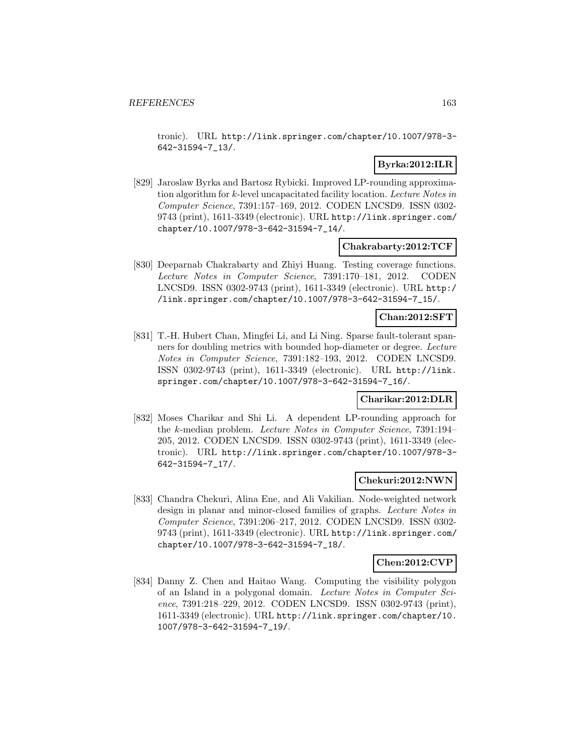tronic). URL http://link.springer.com/chapter/10.1007/978-3- 642-31594-7\_13/.

# **Byrka:2012:ILR**

[829] Jaroslaw Byrka and Bartosz Rybicki. Improved LP-rounding approximation algorithm for k-level uncapacitated facility location. Lecture Notes in Computer Science, 7391:157–169, 2012. CODEN LNCSD9. ISSN 0302- 9743 (print), 1611-3349 (electronic). URL http://link.springer.com/ chapter/10.1007/978-3-642-31594-7\_14/.

### **Chakrabarty:2012:TCF**

[830] Deeparnab Chakrabarty and Zhiyi Huang. Testing coverage functions. Lecture Notes in Computer Science, 7391:170–181, 2012. CODEN LNCSD9. ISSN 0302-9743 (print), 1611-3349 (electronic). URL http:/ /link.springer.com/chapter/10.1007/978-3-642-31594-7\_15/.

### **Chan:2012:SFT**

[831] T.-H. Hubert Chan, Mingfei Li, and Li Ning. Sparse fault-tolerant spanners for doubling metrics with bounded hop-diameter or degree. Lecture Notes in Computer Science, 7391:182–193, 2012. CODEN LNCSD9. ISSN 0302-9743 (print), 1611-3349 (electronic). URL http://link. springer.com/chapter/10.1007/978-3-642-31594-7\_16/.

#### **Charikar:2012:DLR**

[832] Moses Charikar and Shi Li. A dependent LP-rounding approach for the k-median problem. Lecture Notes in Computer Science, 7391:194– 205, 2012. CODEN LNCSD9. ISSN 0302-9743 (print), 1611-3349 (electronic). URL http://link.springer.com/chapter/10.1007/978-3- 642-31594-7\_17/.

#### **Chekuri:2012:NWN**

[833] Chandra Chekuri, Alina Ene, and Ali Vakilian. Node-weighted network design in planar and minor-closed families of graphs. Lecture Notes in Computer Science, 7391:206–217, 2012. CODEN LNCSD9. ISSN 0302- 9743 (print), 1611-3349 (electronic). URL http://link.springer.com/ chapter/10.1007/978-3-642-31594-7\_18/.

### **Chen:2012:CVP**

[834] Danny Z. Chen and Haitao Wang. Computing the visibility polygon of an Island in a polygonal domain. Lecture Notes in Computer Science, 7391:218–229, 2012. CODEN LNCSD9. ISSN 0302-9743 (print), 1611-3349 (electronic). URL http://link.springer.com/chapter/10. 1007/978-3-642-31594-7\_19/.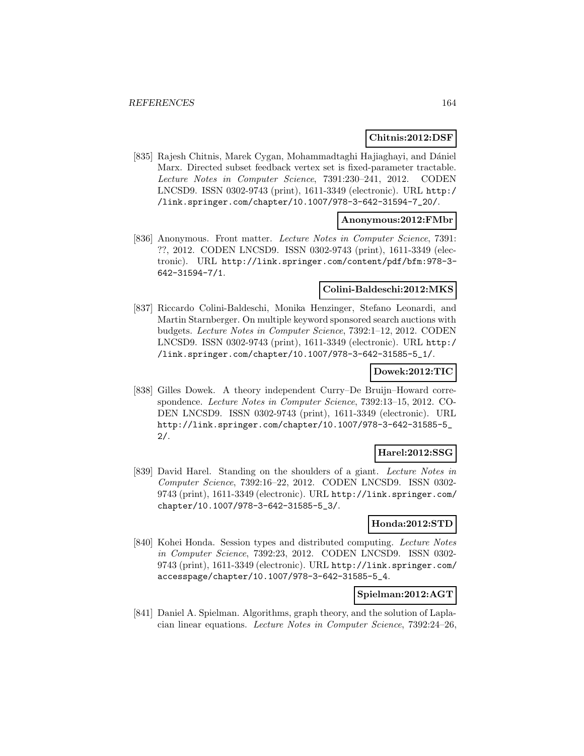### **Chitnis:2012:DSF**

[835] Rajesh Chitnis, Marek Cygan, Mohammadtaghi Hajiaghayi, and Dániel Marx. Directed subset feedback vertex set is fixed-parameter tractable. Lecture Notes in Computer Science, 7391:230–241, 2012. CODEN LNCSD9. ISSN 0302-9743 (print), 1611-3349 (electronic). URL http:/ /link.springer.com/chapter/10.1007/978-3-642-31594-7\_20/.

### **Anonymous:2012:FMbr**

[836] Anonymous. Front matter. Lecture Notes in Computer Science, 7391: ??, 2012. CODEN LNCSD9. ISSN 0302-9743 (print), 1611-3349 (electronic). URL http://link.springer.com/content/pdf/bfm:978-3- 642-31594-7/1.

### **Colini-Baldeschi:2012:MKS**

[837] Riccardo Colini-Baldeschi, Monika Henzinger, Stefano Leonardi, and Martin Starnberger. On multiple keyword sponsored search auctions with budgets. Lecture Notes in Computer Science, 7392:1–12, 2012. CODEN LNCSD9. ISSN 0302-9743 (print), 1611-3349 (electronic). URL http:/ /link.springer.com/chapter/10.1007/978-3-642-31585-5\_1/.

#### **Dowek:2012:TIC**

[838] Gilles Dowek. A theory independent Curry–De Bruijn–Howard correspondence. Lecture Notes in Computer Science, 7392:13–15, 2012. CO-DEN LNCSD9. ISSN 0302-9743 (print), 1611-3349 (electronic). URL http://link.springer.com/chapter/10.1007/978-3-642-31585-5\_ 2/.

### **Harel:2012:SSG**

[839] David Harel. Standing on the shoulders of a giant. Lecture Notes in Computer Science, 7392:16–22, 2012. CODEN LNCSD9. ISSN 0302- 9743 (print), 1611-3349 (electronic). URL http://link.springer.com/ chapter/10.1007/978-3-642-31585-5\_3/.

# **Honda:2012:STD**

[840] Kohei Honda. Session types and distributed computing. Lecture Notes in Computer Science, 7392:23, 2012. CODEN LNCSD9. ISSN 0302- 9743 (print), 1611-3349 (electronic). URL http://link.springer.com/ accesspage/chapter/10.1007/978-3-642-31585-5\_4.

#### **Spielman:2012:AGT**

[841] Daniel A. Spielman. Algorithms, graph theory, and the solution of Laplacian linear equations. Lecture Notes in Computer Science, 7392:24–26,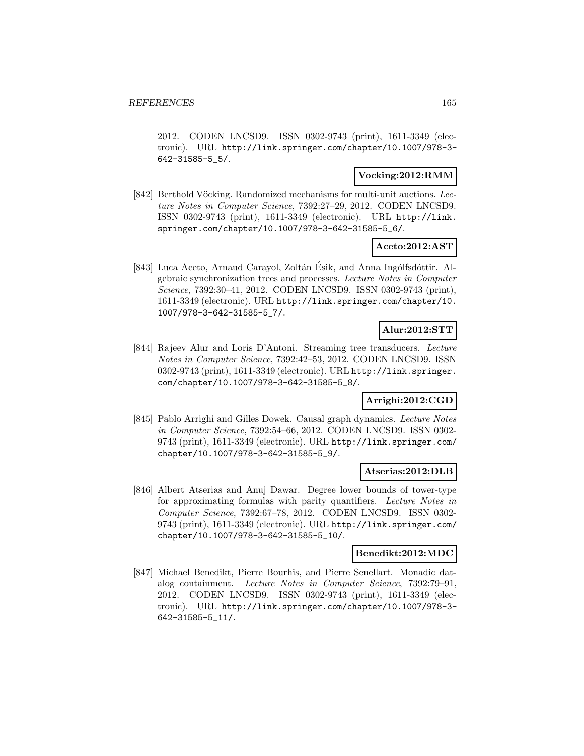2012. CODEN LNCSD9. ISSN 0302-9743 (print), 1611-3349 (electronic). URL http://link.springer.com/chapter/10.1007/978-3- 642-31585-5\_5/.

### **Vocking:2012:RMM**

[842] Berthold Vöcking. Randomized mechanisms for multi-unit auctions. Lecture Notes in Computer Science, 7392:27–29, 2012. CODEN LNCSD9. ISSN 0302-9743 (print), 1611-3349 (electronic). URL http://link. springer.com/chapter/10.1007/978-3-642-31585-5\_6/.

# **Aceto:2012:AST**

[843] Luca Aceto, Arnaud Carayol, Zoltán Ésik, and Anna Ingólfsdóttir. Algebraic synchronization trees and processes. Lecture Notes in Computer Science, 7392:30–41, 2012. CODEN LNCSD9. ISSN 0302-9743 (print), 1611-3349 (electronic). URL http://link.springer.com/chapter/10. 1007/978-3-642-31585-5\_7/.

# **Alur:2012:STT**

[844] Rajeev Alur and Loris D'Antoni. Streaming tree transducers. Lecture Notes in Computer Science, 7392:42–53, 2012. CODEN LNCSD9. ISSN 0302-9743 (print), 1611-3349 (electronic). URL http://link.springer. com/chapter/10.1007/978-3-642-31585-5\_8/.

# **Arrighi:2012:CGD**

[845] Pablo Arrighi and Gilles Dowek. Causal graph dynamics. Lecture Notes in Computer Science, 7392:54–66, 2012. CODEN LNCSD9. ISSN 0302- 9743 (print), 1611-3349 (electronic). URL http://link.springer.com/ chapter/10.1007/978-3-642-31585-5\_9/.

# **Atserias:2012:DLB**

[846] Albert Atserias and Anuj Dawar. Degree lower bounds of tower-type for approximating formulas with parity quantifiers. Lecture Notes in Computer Science, 7392:67–78, 2012. CODEN LNCSD9. ISSN 0302- 9743 (print), 1611-3349 (electronic). URL http://link.springer.com/ chapter/10.1007/978-3-642-31585-5\_10/.

### **Benedikt:2012:MDC**

[847] Michael Benedikt, Pierre Bourhis, and Pierre Senellart. Monadic datalog containment. Lecture Notes in Computer Science, 7392:79–91, 2012. CODEN LNCSD9. ISSN 0302-9743 (print), 1611-3349 (electronic). URL http://link.springer.com/chapter/10.1007/978-3- 642-31585-5\_11/.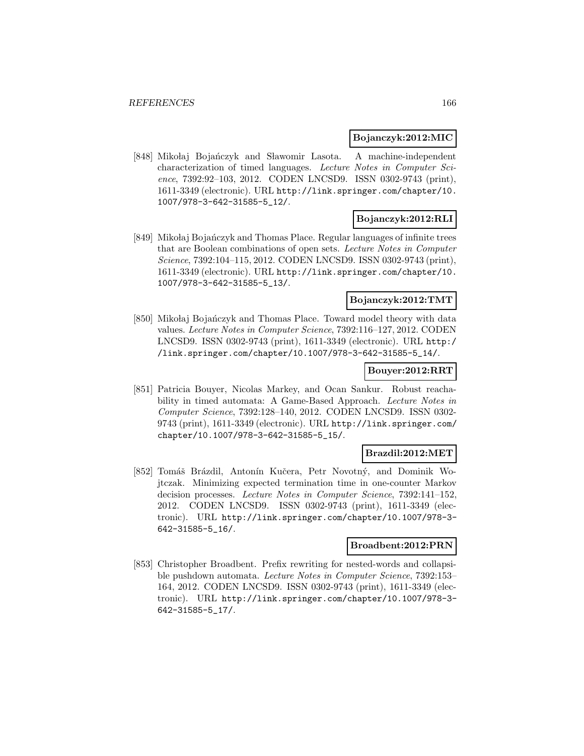#### **Bojanczyk:2012:MIC**

[848] Mikołaj Bojańczyk and Sławomir Lasota. A machine-independent characterization of timed languages. Lecture Notes in Computer Science, 7392:92–103, 2012. CODEN LNCSD9. ISSN 0302-9743 (print), 1611-3349 (electronic). URL http://link.springer.com/chapter/10. 1007/978-3-642-31585-5\_12/.

### **Bojanczyk:2012:RLI**

[849] Mikołaj Bojańczyk and Thomas Place. Regular languages of infinite trees that are Boolean combinations of open sets. Lecture Notes in Computer Science, 7392:104–115, 2012. CODEN LNCSD9. ISSN 0302-9743 (print), 1611-3349 (electronic). URL http://link.springer.com/chapter/10. 1007/978-3-642-31585-5\_13/.

# **Bojanczyk:2012:TMT**

[850] Mikołaj Bojańczyk and Thomas Place. Toward model theory with data values. Lecture Notes in Computer Science, 7392:116–127, 2012. CODEN LNCSD9. ISSN 0302-9743 (print), 1611-3349 (electronic). URL http:/ /link.springer.com/chapter/10.1007/978-3-642-31585-5\_14/.

# **Bouyer:2012:RRT**

[851] Patricia Bouyer, Nicolas Markey, and Ocan Sankur. Robust reachability in timed automata: A Game-Based Approach. Lecture Notes in Computer Science, 7392:128–140, 2012. CODEN LNCSD9. ISSN 0302- 9743 (print), 1611-3349 (electronic). URL http://link.springer.com/ chapter/10.1007/978-3-642-31585-5\_15/.

### **Brazdil:2012:MET**

[852] Tomáš Brázdil, Antonín Kučera, Petr Novotný, and Dominik Wojtczak. Minimizing expected termination time in one-counter Markov decision processes. Lecture Notes in Computer Science, 7392:141–152, 2012. CODEN LNCSD9. ISSN 0302-9743 (print), 1611-3349 (electronic). URL http://link.springer.com/chapter/10.1007/978-3- 642-31585-5\_16/.

### **Broadbent:2012:PRN**

[853] Christopher Broadbent. Prefix rewriting for nested-words and collapsible pushdown automata. Lecture Notes in Computer Science, 7392:153– 164, 2012. CODEN LNCSD9. ISSN 0302-9743 (print), 1611-3349 (electronic). URL http://link.springer.com/chapter/10.1007/978-3- 642-31585-5\_17/.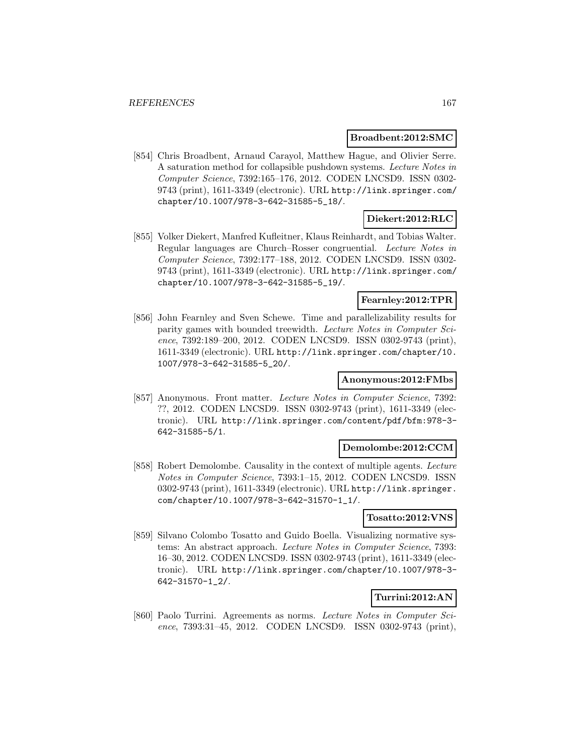#### **Broadbent:2012:SMC**

[854] Chris Broadbent, Arnaud Carayol, Matthew Hague, and Olivier Serre. A saturation method for collapsible pushdown systems. Lecture Notes in Computer Science, 7392:165–176, 2012. CODEN LNCSD9. ISSN 0302- 9743 (print), 1611-3349 (electronic). URL http://link.springer.com/ chapter/10.1007/978-3-642-31585-5\_18/.

# **Diekert:2012:RLC**

[855] Volker Diekert, Manfred Kufleitner, Klaus Reinhardt, and Tobias Walter. Regular languages are Church–Rosser congruential. Lecture Notes in Computer Science, 7392:177–188, 2012. CODEN LNCSD9. ISSN 0302- 9743 (print), 1611-3349 (electronic). URL http://link.springer.com/ chapter/10.1007/978-3-642-31585-5\_19/.

# **Fearnley:2012:TPR**

[856] John Fearnley and Sven Schewe. Time and parallelizability results for parity games with bounded treewidth. Lecture Notes in Computer Science, 7392:189–200, 2012. CODEN LNCSD9. ISSN 0302-9743 (print), 1611-3349 (electronic). URL http://link.springer.com/chapter/10. 1007/978-3-642-31585-5\_20/.

### **Anonymous:2012:FMbs**

[857] Anonymous. Front matter. Lecture Notes in Computer Science, 7392: ??, 2012. CODEN LNCSD9. ISSN 0302-9743 (print), 1611-3349 (electronic). URL http://link.springer.com/content/pdf/bfm:978-3- 642-31585-5/1.

#### **Demolombe:2012:CCM**

[858] Robert Demolombe. Causality in the context of multiple agents. Lecture Notes in Computer Science, 7393:1–15, 2012. CODEN LNCSD9. ISSN 0302-9743 (print), 1611-3349 (electronic). URL http://link.springer. com/chapter/10.1007/978-3-642-31570-1\_1/.

### **Tosatto:2012:VNS**

[859] Silvano Colombo Tosatto and Guido Boella. Visualizing normative systems: An abstract approach. Lecture Notes in Computer Science, 7393: 16–30, 2012. CODEN LNCSD9. ISSN 0302-9743 (print), 1611-3349 (electronic). URL http://link.springer.com/chapter/10.1007/978-3- 642-31570-1\_2/.

# **Turrini:2012:AN**

[860] Paolo Turrini. Agreements as norms. Lecture Notes in Computer Science, 7393:31–45, 2012. CODEN LNCSD9. ISSN 0302-9743 (print),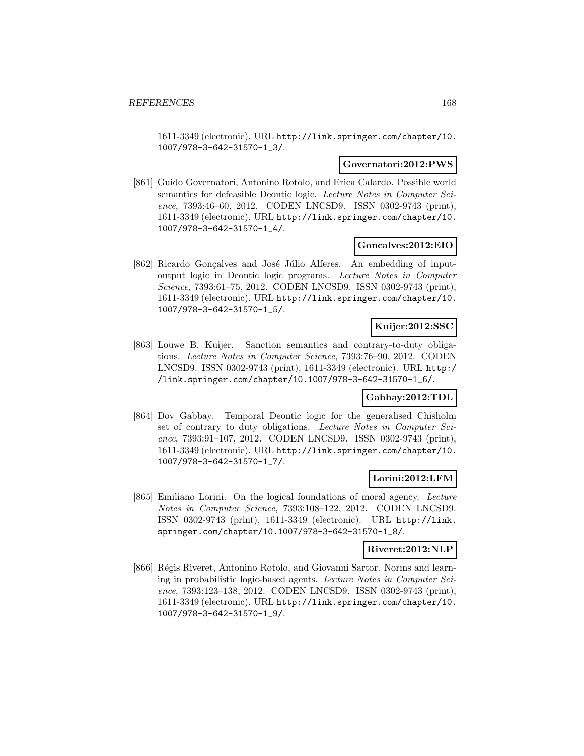1611-3349 (electronic). URL http://link.springer.com/chapter/10. 1007/978-3-642-31570-1\_3/.

### **Governatori:2012:PWS**

[861] Guido Governatori, Antonino Rotolo, and Erica Calardo. Possible world semantics for defeasible Deontic logic. Lecture Notes in Computer Science, 7393:46–60, 2012. CODEN LNCSD9. ISSN 0302-9743 (print), 1611-3349 (electronic). URL http://link.springer.com/chapter/10. 1007/978-3-642-31570-1\_4/.

### **Goncalves:2012:EIO**

[862] Ricardo Gonçalves and José Júlio Alferes. An embedding of inputoutput logic in Deontic logic programs. Lecture Notes in Computer Science, 7393:61–75, 2012. CODEN LNCSD9. ISSN 0302-9743 (print), 1611-3349 (electronic). URL http://link.springer.com/chapter/10. 1007/978-3-642-31570-1\_5/.

## **Kuijer:2012:SSC**

[863] Louwe B. Kuijer. Sanction semantics and contrary-to-duty obligations. Lecture Notes in Computer Science, 7393:76–90, 2012. CODEN LNCSD9. ISSN 0302-9743 (print), 1611-3349 (electronic). URL http:/ /link.springer.com/chapter/10.1007/978-3-642-31570-1\_6/.

#### **Gabbay:2012:TDL**

[864] Dov Gabbay. Temporal Deontic logic for the generalised Chisholm set of contrary to duty obligations. Lecture Notes in Computer Science, 7393:91–107, 2012. CODEN LNCSD9. ISSN 0302-9743 (print), 1611-3349 (electronic). URL http://link.springer.com/chapter/10. 1007/978-3-642-31570-1\_7/.

### **Lorini:2012:LFM**

[865] Emiliano Lorini. On the logical foundations of moral agency. Lecture Notes in Computer Science, 7393:108–122, 2012. CODEN LNCSD9. ISSN 0302-9743 (print), 1611-3349 (electronic). URL http://link. springer.com/chapter/10.1007/978-3-642-31570-1\_8/.

### **Riveret:2012:NLP**

[866] Régis Riveret, Antonino Rotolo, and Giovanni Sartor. Norms and learning in probabilistic logic-based agents. Lecture Notes in Computer Science, 7393:123–138, 2012. CODEN LNCSD9. ISSN 0302-9743 (print), 1611-3349 (electronic). URL http://link.springer.com/chapter/10. 1007/978-3-642-31570-1\_9/.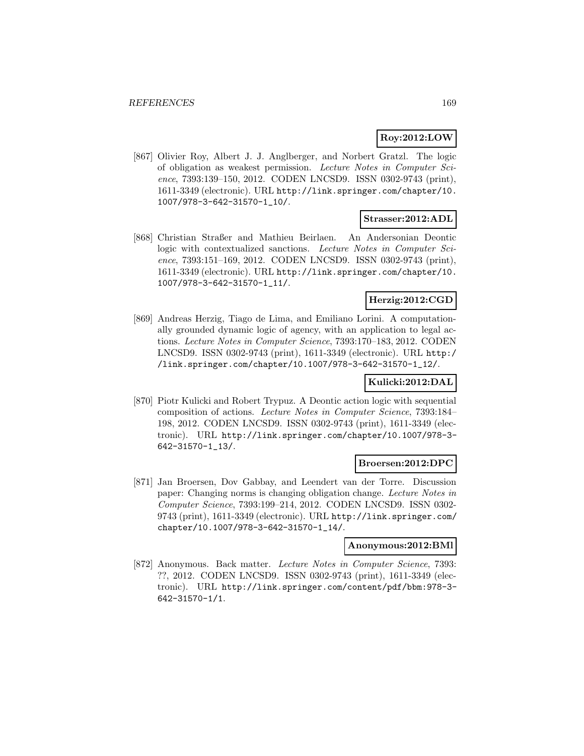# **Roy:2012:LOW**

[867] Olivier Roy, Albert J. J. Anglberger, and Norbert Gratzl. The logic of obligation as weakest permission. Lecture Notes in Computer Science, 7393:139–150, 2012. CODEN LNCSD9. ISSN 0302-9743 (print), 1611-3349 (electronic). URL http://link.springer.com/chapter/10. 1007/978-3-642-31570-1\_10/.

### **Strasser:2012:ADL**

[868] Christian Straßer and Mathieu Beirlaen. An Andersonian Deontic logic with contextualized sanctions. Lecture Notes in Computer Science, 7393:151–169, 2012. CODEN LNCSD9. ISSN 0302-9743 (print), 1611-3349 (electronic). URL http://link.springer.com/chapter/10. 1007/978-3-642-31570-1\_11/.

# **Herzig:2012:CGD**

[869] Andreas Herzig, Tiago de Lima, and Emiliano Lorini. A computationally grounded dynamic logic of agency, with an application to legal actions. Lecture Notes in Computer Science, 7393:170–183, 2012. CODEN LNCSD9. ISSN 0302-9743 (print), 1611-3349 (electronic). URL http:/ /link.springer.com/chapter/10.1007/978-3-642-31570-1\_12/.

# **Kulicki:2012:DAL**

[870] Piotr Kulicki and Robert Trypuz. A Deontic action logic with sequential composition of actions. Lecture Notes in Computer Science, 7393:184– 198, 2012. CODEN LNCSD9. ISSN 0302-9743 (print), 1611-3349 (electronic). URL http://link.springer.com/chapter/10.1007/978-3- 642-31570-1\_13/.

### **Broersen:2012:DPC**

[871] Jan Broersen, Dov Gabbay, and Leendert van der Torre. Discussion paper: Changing norms is changing obligation change. Lecture Notes in Computer Science, 7393:199–214, 2012. CODEN LNCSD9. ISSN 0302- 9743 (print), 1611-3349 (electronic). URL http://link.springer.com/ chapter/10.1007/978-3-642-31570-1\_14/.

### **Anonymous:2012:BMl**

[872] Anonymous. Back matter. Lecture Notes in Computer Science, 7393: ??, 2012. CODEN LNCSD9. ISSN 0302-9743 (print), 1611-3349 (electronic). URL http://link.springer.com/content/pdf/bbm:978-3- 642-31570-1/1.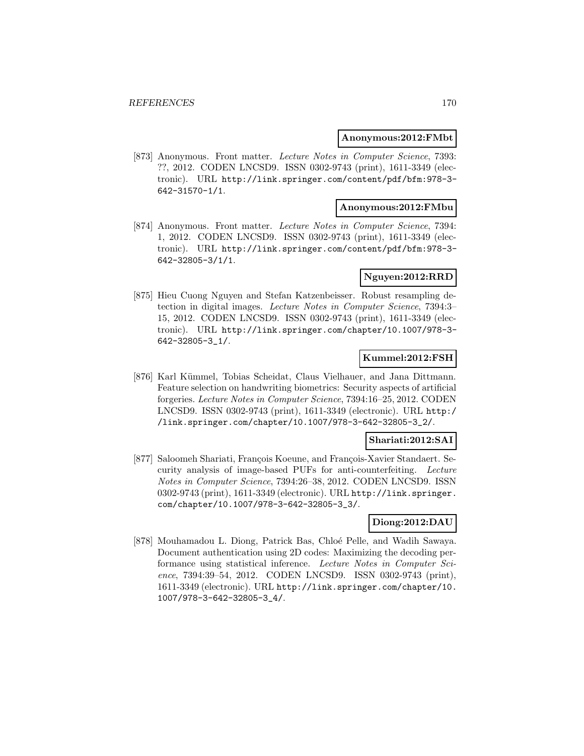#### **Anonymous:2012:FMbt**

[873] Anonymous. Front matter. Lecture Notes in Computer Science, 7393: ??, 2012. CODEN LNCSD9. ISSN 0302-9743 (print), 1611-3349 (electronic). URL http://link.springer.com/content/pdf/bfm:978-3- 642-31570-1/1.

### **Anonymous:2012:FMbu**

[874] Anonymous. Front matter. Lecture Notes in Computer Science, 7394: 1, 2012. CODEN LNCSD9. ISSN 0302-9743 (print), 1611-3349 (electronic). URL http://link.springer.com/content/pdf/bfm:978-3- 642-32805-3/1/1.

### **Nguyen:2012:RRD**

[875] Hieu Cuong Nguyen and Stefan Katzenbeisser. Robust resampling detection in digital images. Lecture Notes in Computer Science, 7394:3– 15, 2012. CODEN LNCSD9. ISSN 0302-9743 (print), 1611-3349 (electronic). URL http://link.springer.com/chapter/10.1007/978-3- 642-32805-3\_1/.

### **Kummel:2012:FSH**

[876] Karl Kümmel, Tobias Scheidat, Claus Vielhauer, and Jana Dittmann. Feature selection on handwriting biometrics: Security aspects of artificial forgeries. Lecture Notes in Computer Science, 7394:16–25, 2012. CODEN LNCSD9. ISSN 0302-9743 (print), 1611-3349 (electronic). URL http:/ /link.springer.com/chapter/10.1007/978-3-642-32805-3\_2/.

# **Shariati:2012:SAI**

[877] Saloomeh Shariati, François Koeune, and François-Xavier Standaert. Security analysis of image-based PUFs for anti-counterfeiting. Lecture Notes in Computer Science, 7394:26–38, 2012. CODEN LNCSD9. ISSN 0302-9743 (print), 1611-3349 (electronic). URL http://link.springer. com/chapter/10.1007/978-3-642-32805-3\_3/.

# **Diong:2012:DAU**

[878] Mouhamadou L. Diong, Patrick Bas, Chloé Pelle, and Wadih Sawaya. Document authentication using 2D codes: Maximizing the decoding performance using statistical inference. Lecture Notes in Computer Science, 7394:39–54, 2012. CODEN LNCSD9. ISSN 0302-9743 (print), 1611-3349 (electronic). URL http://link.springer.com/chapter/10. 1007/978-3-642-32805-3\_4/.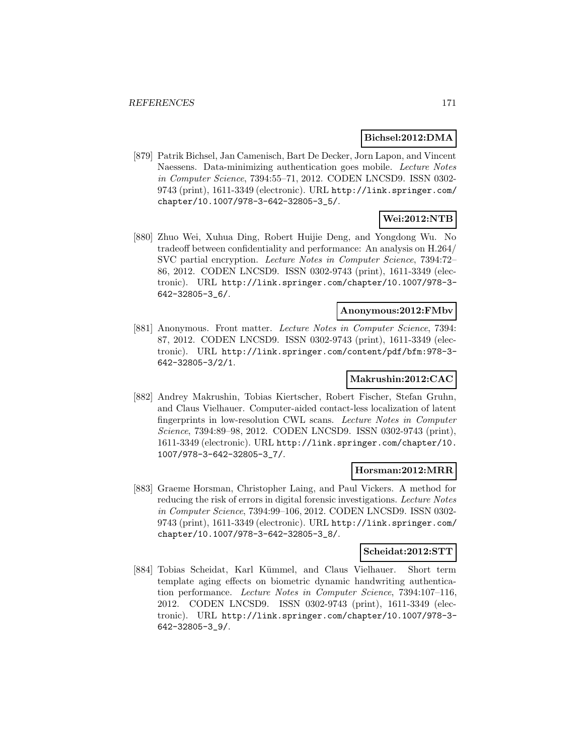### **Bichsel:2012:DMA**

[879] Patrik Bichsel, Jan Camenisch, Bart De Decker, Jorn Lapon, and Vincent Naessens. Data-minimizing authentication goes mobile. Lecture Notes in Computer Science, 7394:55–71, 2012. CODEN LNCSD9. ISSN 0302- 9743 (print), 1611-3349 (electronic). URL http://link.springer.com/ chapter/10.1007/978-3-642-32805-3\_5/.

# **Wei:2012:NTB**

[880] Zhuo Wei, Xuhua Ding, Robert Huijie Deng, and Yongdong Wu. No tradeoff between confidentiality and performance: An analysis on H.264/ SVC partial encryption. Lecture Notes in Computer Science, 7394:72– 86, 2012. CODEN LNCSD9. ISSN 0302-9743 (print), 1611-3349 (electronic). URL http://link.springer.com/chapter/10.1007/978-3- 642-32805-3\_6/.

### **Anonymous:2012:FMbv**

[881] Anonymous. Front matter. Lecture Notes in Computer Science, 7394: 87, 2012. CODEN LNCSD9. ISSN 0302-9743 (print), 1611-3349 (electronic). URL http://link.springer.com/content/pdf/bfm:978-3- 642-32805-3/2/1.

# **Makrushin:2012:CAC**

[882] Andrey Makrushin, Tobias Kiertscher, Robert Fischer, Stefan Gruhn, and Claus Vielhauer. Computer-aided contact-less localization of latent fingerprints in low-resolution CWL scans. Lecture Notes in Computer Science, 7394:89–98, 2012. CODEN LNCSD9. ISSN 0302-9743 (print), 1611-3349 (electronic). URL http://link.springer.com/chapter/10. 1007/978-3-642-32805-3\_7/.

#### **Horsman:2012:MRR**

[883] Graeme Horsman, Christopher Laing, and Paul Vickers. A method for reducing the risk of errors in digital forensic investigations. Lecture Notes in Computer Science, 7394:99–106, 2012. CODEN LNCSD9. ISSN 0302- 9743 (print), 1611-3349 (electronic). URL http://link.springer.com/ chapter/10.1007/978-3-642-32805-3\_8/.

# **Scheidat:2012:STT**

[884] Tobias Scheidat, Karl Kümmel, and Claus Vielhauer. Short term template aging effects on biometric dynamic handwriting authentication performance. Lecture Notes in Computer Science, 7394:107–116, 2012. CODEN LNCSD9. ISSN 0302-9743 (print), 1611-3349 (electronic). URL http://link.springer.com/chapter/10.1007/978-3- 642-32805-3\_9/.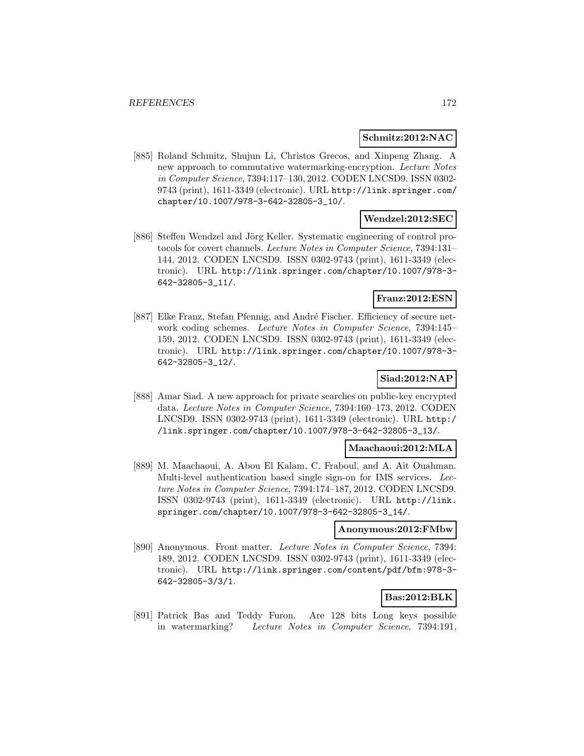### **Schmitz:2012:NAC**

[885] Roland Schmitz, Shujun Li, Christos Grecos, and Xinpeng Zhang. A new approach to commutative watermarking-encryption. Lecture Notes in Computer Science, 7394:117–130, 2012. CODEN LNCSD9. ISSN 0302- 9743 (print), 1611-3349 (electronic). URL http://link.springer.com/ chapter/10.1007/978-3-642-32805-3\_10/.

# **Wendzel:2012:SEC**

[886] Steffen Wendzel and Jörg Keller. Systematic engineering of control protocols for covert channels. Lecture Notes in Computer Science, 7394:131– 144, 2012. CODEN LNCSD9. ISSN 0302-9743 (print), 1611-3349 (electronic). URL http://link.springer.com/chapter/10.1007/978-3- 642-32805-3\_11/.

# **Franz:2012:ESN**

[887] Elke Franz, Stefan Pfennig, and André Fischer. Efficiency of secure network coding schemes. Lecture Notes in Computer Science, 7394:145– 159, 2012. CODEN LNCSD9. ISSN 0302-9743 (print), 1611-3349 (electronic). URL http://link.springer.com/chapter/10.1007/978-3- 642-32805-3\_12/.

# **Siad:2012:NAP**

[888] Amar Siad. A new approach for private searches on public-key encrypted data. Lecture Notes in Computer Science, 7394:160–173, 2012. CODEN LNCSD9. ISSN 0302-9743 (print), 1611-3349 (electronic). URL http:/ /link.springer.com/chapter/10.1007/978-3-642-32805-3\_13/.

### **Maachaoui:2012:MLA**

[889] M. Maachaoui, A. Abou El Kalam, C. Fraboul, and A. Ait Ouahman. Multi-level authentication based single sign-on for IMS services. Lecture Notes in Computer Science, 7394:174–187, 2012. CODEN LNCSD9. ISSN 0302-9743 (print), 1611-3349 (electronic). URL http://link. springer.com/chapter/10.1007/978-3-642-32805-3\_14/.

# **Anonymous:2012:FMbw**

[890] Anonymous. Front matter. Lecture Notes in Computer Science, 7394: 189, 2012. CODEN LNCSD9. ISSN 0302-9743 (print), 1611-3349 (electronic). URL http://link.springer.com/content/pdf/bfm:978-3- 642-32805-3/3/1.

# **Bas:2012:BLK**

[891] Patrick Bas and Teddy Furon. Are 128 bits Long keys possible in watermarking? Lecture Notes in Computer Science, 7394:191,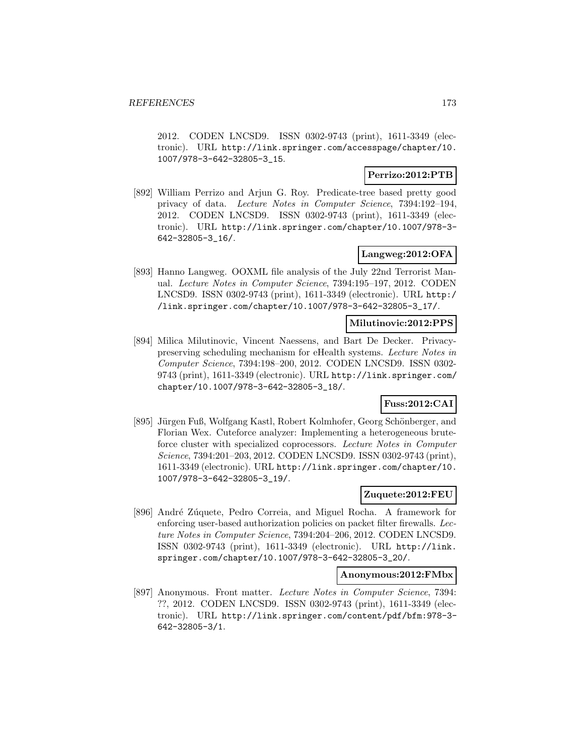2012. CODEN LNCSD9. ISSN 0302-9743 (print), 1611-3349 (electronic). URL http://link.springer.com/accesspage/chapter/10. 1007/978-3-642-32805-3\_15.

### **Perrizo:2012:PTB**

[892] William Perrizo and Arjun G. Roy. Predicate-tree based pretty good privacy of data. Lecture Notes in Computer Science, 7394:192–194, 2012. CODEN LNCSD9. ISSN 0302-9743 (print), 1611-3349 (electronic). URL http://link.springer.com/chapter/10.1007/978-3- 642-32805-3\_16/.

# **Langweg:2012:OFA**

[893] Hanno Langweg. OOXML file analysis of the July 22nd Terrorist Manual. Lecture Notes in Computer Science, 7394:195–197, 2012. CODEN LNCSD9. ISSN 0302-9743 (print), 1611-3349 (electronic). URL http:/ /link.springer.com/chapter/10.1007/978-3-642-32805-3\_17/.

### **Milutinovic:2012:PPS**

[894] Milica Milutinovic, Vincent Naessens, and Bart De Decker. Privacypreserving scheduling mechanism for eHealth systems. Lecture Notes in Computer Science, 7394:198–200, 2012. CODEN LNCSD9. ISSN 0302- 9743 (print), 1611-3349 (electronic). URL http://link.springer.com/ chapter/10.1007/978-3-642-32805-3\_18/.

# **Fuss:2012:CAI**

[895] Jürgen Fuß, Wolfgang Kastl, Robert Kolmhofer, Georg Schönberger, and Florian Wex. Cuteforce analyzer: Implementing a heterogeneous bruteforce cluster with specialized coprocessors. Lecture Notes in Computer Science, 7394:201–203, 2012. CODEN LNCSD9. ISSN 0302-9743 (print), 1611-3349 (electronic). URL http://link.springer.com/chapter/10. 1007/978-3-642-32805-3\_19/.

### **Zuquete:2012:FEU**

[896] André Zúquete, Pedro Correia, and Miguel Rocha. A framework for enforcing user-based authorization policies on packet filter firewalls. Lecture Notes in Computer Science, 7394:204–206, 2012. CODEN LNCSD9. ISSN 0302-9743 (print), 1611-3349 (electronic). URL http://link. springer.com/chapter/10.1007/978-3-642-32805-3\_20/.

#### **Anonymous:2012:FMbx**

[897] Anonymous. Front matter. Lecture Notes in Computer Science, 7394: ??, 2012. CODEN LNCSD9. ISSN 0302-9743 (print), 1611-3349 (electronic). URL http://link.springer.com/content/pdf/bfm:978-3- 642-32805-3/1.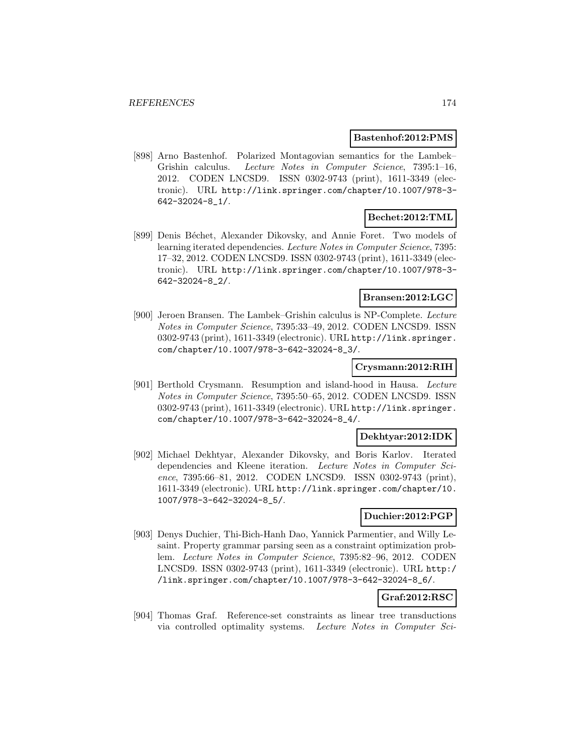#### **Bastenhof:2012:PMS**

[898] Arno Bastenhof. Polarized Montagovian semantics for the Lambek– Grishin calculus. Lecture Notes in Computer Science, 7395:1–16, 2012. CODEN LNCSD9. ISSN 0302-9743 (print), 1611-3349 (electronic). URL http://link.springer.com/chapter/10.1007/978-3- 642-32024-8\_1/.

### **Bechet:2012:TML**

[899] Denis Béchet, Alexander Dikovsky, and Annie Foret. Two models of learning iterated dependencies. Lecture Notes in Computer Science, 7395: 17–32, 2012. CODEN LNCSD9. ISSN 0302-9743 (print), 1611-3349 (electronic). URL http://link.springer.com/chapter/10.1007/978-3- 642-32024-8\_2/.

# **Bransen:2012:LGC**

[900] Jeroen Bransen. The Lambek–Grishin calculus is NP-Complete. Lecture Notes in Computer Science, 7395:33–49, 2012. CODEN LNCSD9. ISSN 0302-9743 (print), 1611-3349 (electronic). URL http://link.springer. com/chapter/10.1007/978-3-642-32024-8\_3/.

### **Crysmann:2012:RIH**

[901] Berthold Crysmann. Resumption and island-hood in Hausa. Lecture Notes in Computer Science, 7395:50–65, 2012. CODEN LNCSD9. ISSN 0302-9743 (print), 1611-3349 (electronic). URL http://link.springer. com/chapter/10.1007/978-3-642-32024-8\_4/.

### **Dekhtyar:2012:IDK**

[902] Michael Dekhtyar, Alexander Dikovsky, and Boris Karlov. Iterated dependencies and Kleene iteration. Lecture Notes in Computer Science, 7395:66–81, 2012. CODEN LNCSD9. ISSN 0302-9743 (print), 1611-3349 (electronic). URL http://link.springer.com/chapter/10. 1007/978-3-642-32024-8\_5/.

#### **Duchier:2012:PGP**

[903] Denys Duchier, Thi-Bich-Hanh Dao, Yannick Parmentier, and Willy Lesaint. Property grammar parsing seen as a constraint optimization problem. Lecture Notes in Computer Science, 7395:82–96, 2012. CODEN LNCSD9. ISSN 0302-9743 (print), 1611-3349 (electronic). URL http:/ /link.springer.com/chapter/10.1007/978-3-642-32024-8\_6/.

# **Graf:2012:RSC**

[904] Thomas Graf. Reference-set constraints as linear tree transductions via controlled optimality systems. Lecture Notes in Computer Sci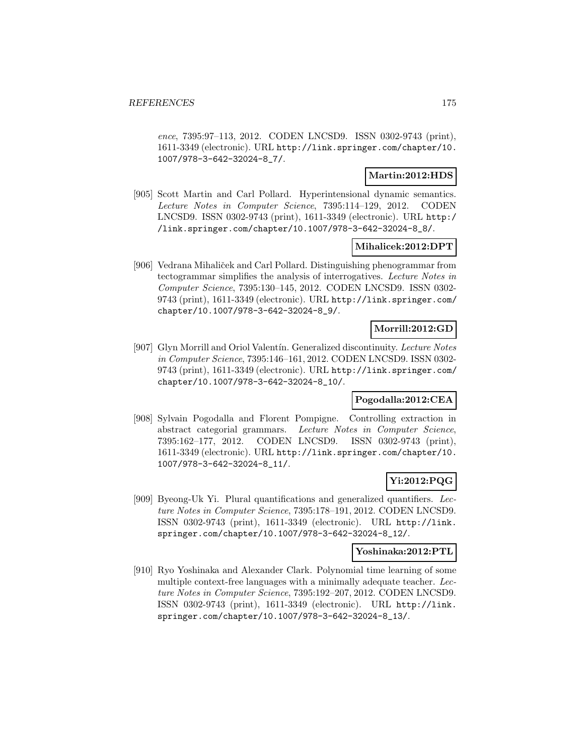ence, 7395:97–113, 2012. CODEN LNCSD9. ISSN 0302-9743 (print), 1611-3349 (electronic). URL http://link.springer.com/chapter/10. 1007/978-3-642-32024-8\_7/.

# **Martin:2012:HDS**

[905] Scott Martin and Carl Pollard. Hyperintensional dynamic semantics. Lecture Notes in Computer Science, 7395:114–129, 2012. CODEN LNCSD9. ISSN 0302-9743 (print), 1611-3349 (electronic). URL http:/ /link.springer.com/chapter/10.1007/978-3-642-32024-8\_8/.

### **Mihalicek:2012:DPT**

[906] Vedrana Mihaliček and Carl Pollard. Distinguishing phenogrammar from tectogrammar simplifies the analysis of interrogatives. Lecture Notes in Computer Science, 7395:130–145, 2012. CODEN LNCSD9. ISSN 0302- 9743 (print), 1611-3349 (electronic). URL http://link.springer.com/ chapter/10.1007/978-3-642-32024-8\_9/.

# **Morrill:2012:GD**

[907] Glyn Morrill and Oriol Valentín. Generalized discontinuity. Lecture Notes in Computer Science, 7395:146–161, 2012. CODEN LNCSD9. ISSN 0302- 9743 (print), 1611-3349 (electronic). URL http://link.springer.com/ chapter/10.1007/978-3-642-32024-8\_10/.

### **Pogodalla:2012:CEA**

[908] Sylvain Pogodalla and Florent Pompigne. Controlling extraction in abstract categorial grammars. Lecture Notes in Computer Science, 7395:162–177, 2012. CODEN LNCSD9. ISSN 0302-9743 (print), 1611-3349 (electronic). URL http://link.springer.com/chapter/10. 1007/978-3-642-32024-8\_11/.

# **Yi:2012:PQG**

[909] Byeong-Uk Yi. Plural quantifications and generalized quantifiers. Lecture Notes in Computer Science, 7395:178–191, 2012. CODEN LNCSD9. ISSN 0302-9743 (print), 1611-3349 (electronic). URL http://link. springer.com/chapter/10.1007/978-3-642-32024-8\_12/.

# **Yoshinaka:2012:PTL**

[910] Ryo Yoshinaka and Alexander Clark. Polynomial time learning of some multiple context-free languages with a minimally adequate teacher. Lecture Notes in Computer Science, 7395:192–207, 2012. CODEN LNCSD9. ISSN 0302-9743 (print), 1611-3349 (electronic). URL http://link. springer.com/chapter/10.1007/978-3-642-32024-8\_13/.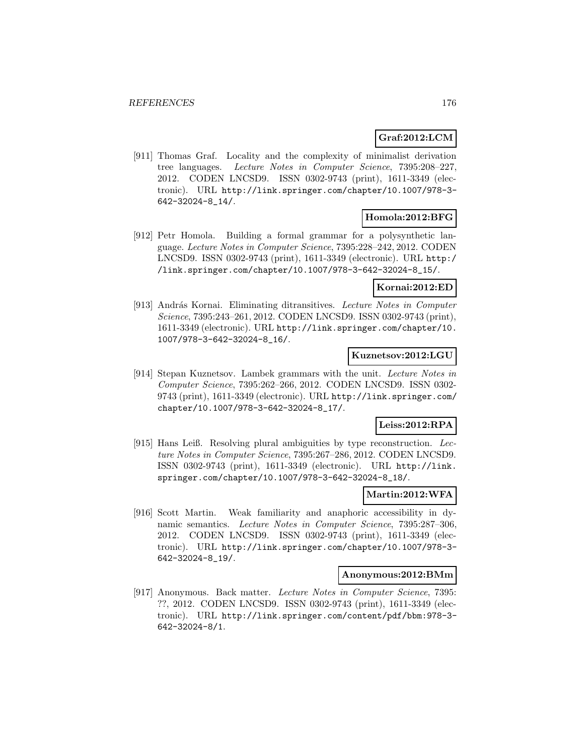# **Graf:2012:LCM**

[911] Thomas Graf. Locality and the complexity of minimalist derivation tree languages. Lecture Notes in Computer Science, 7395:208–227, 2012. CODEN LNCSD9. ISSN 0302-9743 (print), 1611-3349 (electronic). URL http://link.springer.com/chapter/10.1007/978-3- 642-32024-8\_14/.

### **Homola:2012:BFG**

[912] Petr Homola. Building a formal grammar for a polysynthetic language. Lecture Notes in Computer Science, 7395:228–242, 2012. CODEN LNCSD9. ISSN 0302-9743 (print), 1611-3349 (electronic). URL http:/ /link.springer.com/chapter/10.1007/978-3-642-32024-8\_15/.

### **Kornai:2012:ED**

[913] András Kornai. Eliminating ditransitives. Lecture Notes in Computer Science, 7395:243–261, 2012. CODEN LNCSD9. ISSN 0302-9743 (print), 1611-3349 (electronic). URL http://link.springer.com/chapter/10. 1007/978-3-642-32024-8\_16/.

### **Kuznetsov:2012:LGU**

[914] Stepan Kuznetsov. Lambek grammars with the unit. Lecture Notes in Computer Science, 7395:262–266, 2012. CODEN LNCSD9. ISSN 0302- 9743 (print), 1611-3349 (electronic). URL http://link.springer.com/ chapter/10.1007/978-3-642-32024-8\_17/.

# **Leiss:2012:RPA**

[915] Hans Leiß. Resolving plural ambiguities by type reconstruction. Lecture Notes in Computer Science, 7395:267–286, 2012. CODEN LNCSD9. ISSN 0302-9743 (print), 1611-3349 (electronic). URL http://link. springer.com/chapter/10.1007/978-3-642-32024-8\_18/.

#### **Martin:2012:WFA**

[916] Scott Martin. Weak familiarity and anaphoric accessibility in dynamic semantics. Lecture Notes in Computer Science, 7395:287–306, 2012. CODEN LNCSD9. ISSN 0302-9743 (print), 1611-3349 (electronic). URL http://link.springer.com/chapter/10.1007/978-3- 642-32024-8\_19/.

#### **Anonymous:2012:BMm**

[917] Anonymous. Back matter. Lecture Notes in Computer Science, 7395: ??, 2012. CODEN LNCSD9. ISSN 0302-9743 (print), 1611-3349 (electronic). URL http://link.springer.com/content/pdf/bbm:978-3- 642-32024-8/1.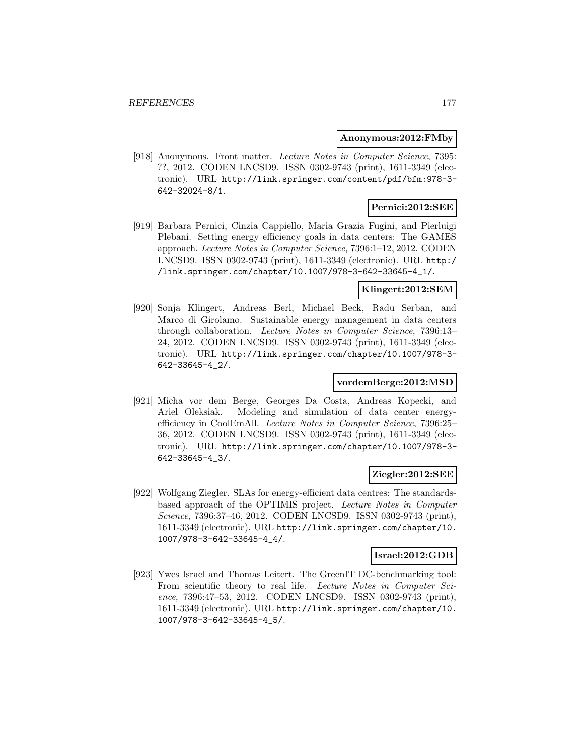#### **Anonymous:2012:FMby**

[918] Anonymous. Front matter. Lecture Notes in Computer Science, 7395: ??, 2012. CODEN LNCSD9. ISSN 0302-9743 (print), 1611-3349 (electronic). URL http://link.springer.com/content/pdf/bfm:978-3- 642-32024-8/1.

# **Pernici:2012:SEE**

[919] Barbara Pernici, Cinzia Cappiello, Maria Grazia Fugini, and Pierluigi Plebani. Setting energy efficiency goals in data centers: The GAMES approach. Lecture Notes in Computer Science, 7396:1–12, 2012. CODEN LNCSD9. ISSN 0302-9743 (print), 1611-3349 (electronic). URL http:/ /link.springer.com/chapter/10.1007/978-3-642-33645-4\_1/.

# **Klingert:2012:SEM**

[920] Sonja Klingert, Andreas Berl, Michael Beck, Radu Serban, and Marco di Girolamo. Sustainable energy management in data centers through collaboration. Lecture Notes in Computer Science, 7396:13– 24, 2012. CODEN LNCSD9. ISSN 0302-9743 (print), 1611-3349 (electronic). URL http://link.springer.com/chapter/10.1007/978-3- 642-33645-4\_2/.

# **vordemBerge:2012:MSD**

[921] Micha vor dem Berge, Georges Da Costa, Andreas Kopecki, and Ariel Oleksiak. Modeling and simulation of data center energyefficiency in CoolEmAll. Lecture Notes in Computer Science, 7396:25– 36, 2012. CODEN LNCSD9. ISSN 0302-9743 (print), 1611-3349 (electronic). URL http://link.springer.com/chapter/10.1007/978-3- 642-33645-4\_3/.

### **Ziegler:2012:SEE**

[922] Wolfgang Ziegler. SLAs for energy-efficient data centres: The standardsbased approach of the OPTIMIS project. Lecture Notes in Computer Science, 7396:37–46, 2012. CODEN LNCSD9. ISSN 0302-9743 (print), 1611-3349 (electronic). URL http://link.springer.com/chapter/10. 1007/978-3-642-33645-4\_4/.

### **Israel:2012:GDB**

[923] Ywes Israel and Thomas Leitert. The GreenIT DC-benchmarking tool: From scientific theory to real life. Lecture Notes in Computer Science, 7396:47–53, 2012. CODEN LNCSD9. ISSN 0302-9743 (print), 1611-3349 (electronic). URL http://link.springer.com/chapter/10. 1007/978-3-642-33645-4\_5/.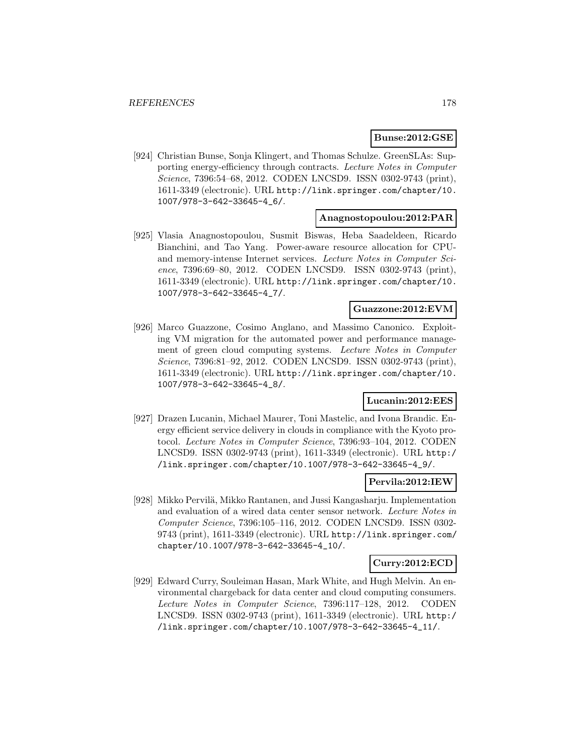# **Bunse:2012:GSE**

[924] Christian Bunse, Sonja Klingert, and Thomas Schulze. GreenSLAs: Supporting energy-efficiency through contracts. Lecture Notes in Computer Science, 7396:54–68, 2012. CODEN LNCSD9. ISSN 0302-9743 (print), 1611-3349 (electronic). URL http://link.springer.com/chapter/10. 1007/978-3-642-33645-4\_6/.

#### **Anagnostopoulou:2012:PAR**

[925] Vlasia Anagnostopoulou, Susmit Biswas, Heba Saadeldeen, Ricardo Bianchini, and Tao Yang. Power-aware resource allocation for CPUand memory-intense Internet services. Lecture Notes in Computer Science, 7396:69–80, 2012. CODEN LNCSD9. ISSN 0302-9743 (print), 1611-3349 (electronic). URL http://link.springer.com/chapter/10. 1007/978-3-642-33645-4\_7/.

#### **Guazzone:2012:EVM**

[926] Marco Guazzone, Cosimo Anglano, and Massimo Canonico. Exploiting VM migration for the automated power and performance management of green cloud computing systems. Lecture Notes in Computer Science, 7396:81–92, 2012. CODEN LNCSD9. ISSN 0302-9743 (print), 1611-3349 (electronic). URL http://link.springer.com/chapter/10. 1007/978-3-642-33645-4\_8/.

### **Lucanin:2012:EES**

[927] Drazen Lucanin, Michael Maurer, Toni Mastelic, and Ivona Brandic. Energy efficient service delivery in clouds in compliance with the Kyoto protocol. Lecture Notes in Computer Science, 7396:93–104, 2012. CODEN LNCSD9. ISSN 0302-9743 (print), 1611-3349 (electronic). URL http:/ /link.springer.com/chapter/10.1007/978-3-642-33645-4\_9/.

### **Pervila:2012:IEW**

[928] Mikko Pervil¨a, Mikko Rantanen, and Jussi Kangasharju. Implementation and evaluation of a wired data center sensor network. Lecture Notes in Computer Science, 7396:105–116, 2012. CODEN LNCSD9. ISSN 0302- 9743 (print), 1611-3349 (electronic). URL http://link.springer.com/ chapter/10.1007/978-3-642-33645-4\_10/.

## **Curry:2012:ECD**

[929] Edward Curry, Souleiman Hasan, Mark White, and Hugh Melvin. An environmental chargeback for data center and cloud computing consumers. Lecture Notes in Computer Science, 7396:117–128, 2012. CODEN LNCSD9. ISSN 0302-9743 (print), 1611-3349 (electronic). URL http:/ /link.springer.com/chapter/10.1007/978-3-642-33645-4\_11/.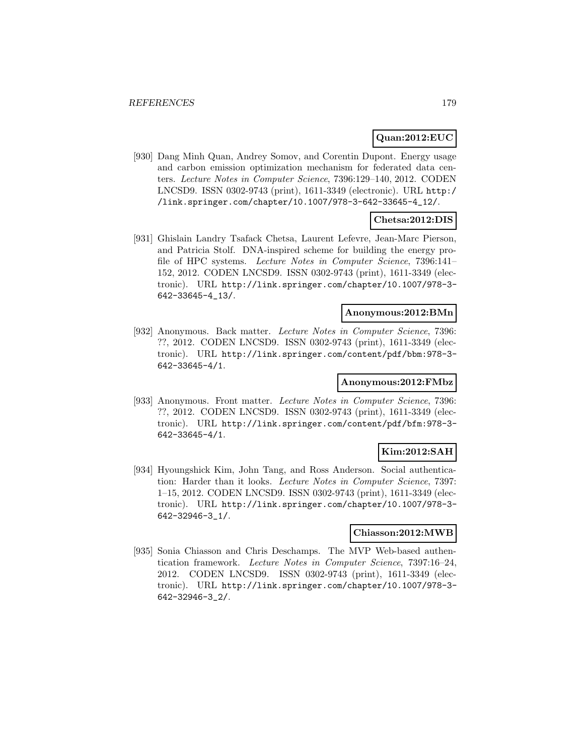### **Quan:2012:EUC**

[930] Dang Minh Quan, Andrey Somov, and Corentin Dupont. Energy usage and carbon emission optimization mechanism for federated data centers. Lecture Notes in Computer Science, 7396:129–140, 2012. CODEN LNCSD9. ISSN 0302-9743 (print), 1611-3349 (electronic). URL http:/ /link.springer.com/chapter/10.1007/978-3-642-33645-4\_12/.

# **Chetsa:2012:DIS**

[931] Ghislain Landry Tsafack Chetsa, Laurent Lefevre, Jean-Marc Pierson, and Patricia Stolf. DNA-inspired scheme for building the energy profile of HPC systems. Lecture Notes in Computer Science, 7396:141– 152, 2012. CODEN LNCSD9. ISSN 0302-9743 (print), 1611-3349 (electronic). URL http://link.springer.com/chapter/10.1007/978-3- 642-33645-4\_13/.

# **Anonymous:2012:BMn**

[932] Anonymous. Back matter. Lecture Notes in Computer Science, 7396: ??, 2012. CODEN LNCSD9. ISSN 0302-9743 (print), 1611-3349 (electronic). URL http://link.springer.com/content/pdf/bbm:978-3- 642-33645-4/1.

# **Anonymous:2012:FMbz**

[933] Anonymous. Front matter. Lecture Notes in Computer Science, 7396: ??, 2012. CODEN LNCSD9. ISSN 0302-9743 (print), 1611-3349 (electronic). URL http://link.springer.com/content/pdf/bfm:978-3- 642-33645-4/1.

# **Kim:2012:SAH**

[934] Hyoungshick Kim, John Tang, and Ross Anderson. Social authentication: Harder than it looks. Lecture Notes in Computer Science, 7397: 1–15, 2012. CODEN LNCSD9. ISSN 0302-9743 (print), 1611-3349 (electronic). URL http://link.springer.com/chapter/10.1007/978-3- 642-32946-3\_1/.

### **Chiasson:2012:MWB**

[935] Sonia Chiasson and Chris Deschamps. The MVP Web-based authentication framework. Lecture Notes in Computer Science, 7397:16–24, 2012. CODEN LNCSD9. ISSN 0302-9743 (print), 1611-3349 (electronic). URL http://link.springer.com/chapter/10.1007/978-3- 642-32946-3\_2/.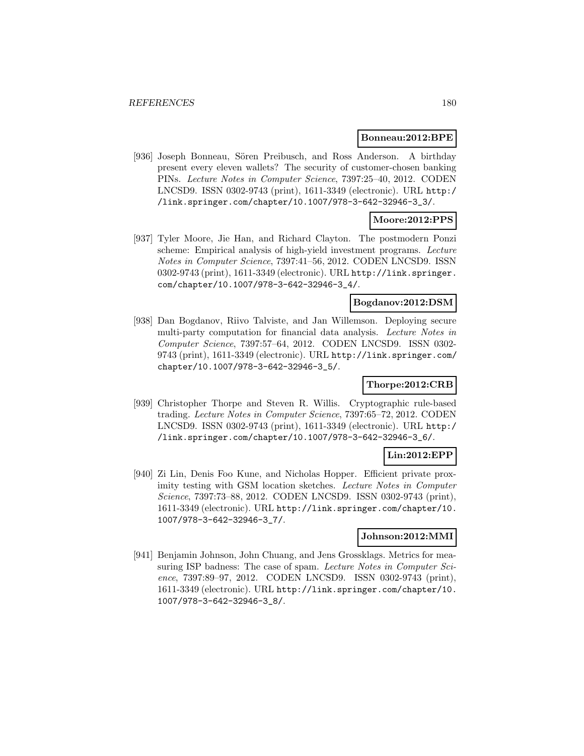#### **Bonneau:2012:BPE**

[936] Joseph Bonneau, Sören Preibusch, and Ross Anderson. A birthday present every eleven wallets? The security of customer-chosen banking PINs. Lecture Notes in Computer Science, 7397:25–40, 2012. CODEN LNCSD9. ISSN 0302-9743 (print), 1611-3349 (electronic). URL http:/ /link.springer.com/chapter/10.1007/978-3-642-32946-3\_3/.

# **Moore:2012:PPS**

[937] Tyler Moore, Jie Han, and Richard Clayton. The postmodern Ponzi scheme: Empirical analysis of high-yield investment programs. Lecture Notes in Computer Science, 7397:41–56, 2012. CODEN LNCSD9. ISSN 0302-9743 (print), 1611-3349 (electronic). URL http://link.springer. com/chapter/10.1007/978-3-642-32946-3\_4/.

# **Bogdanov:2012:DSM**

[938] Dan Bogdanov, Riivo Talviste, and Jan Willemson. Deploying secure multi-party computation for financial data analysis. Lecture Notes in Computer Science, 7397:57–64, 2012. CODEN LNCSD9. ISSN 0302- 9743 (print), 1611-3349 (electronic). URL http://link.springer.com/ chapter/10.1007/978-3-642-32946-3\_5/.

# **Thorpe:2012:CRB**

[939] Christopher Thorpe and Steven R. Willis. Cryptographic rule-based trading. Lecture Notes in Computer Science, 7397:65–72, 2012. CODEN LNCSD9. ISSN 0302-9743 (print), 1611-3349 (electronic). URL http:/ /link.springer.com/chapter/10.1007/978-3-642-32946-3\_6/.

# **Lin:2012:EPP**

[940] Zi Lin, Denis Foo Kune, and Nicholas Hopper. Efficient private proximity testing with GSM location sketches. Lecture Notes in Computer Science, 7397:73–88, 2012. CODEN LNCSD9. ISSN 0302-9743 (print), 1611-3349 (electronic). URL http://link.springer.com/chapter/10. 1007/978-3-642-32946-3\_7/.

# **Johnson:2012:MMI**

[941] Benjamin Johnson, John Chuang, and Jens Grossklags. Metrics for measuring ISP badness: The case of spam. Lecture Notes in Computer Science, 7397:89–97, 2012. CODEN LNCSD9. ISSN 0302-9743 (print), 1611-3349 (electronic). URL http://link.springer.com/chapter/10. 1007/978-3-642-32946-3\_8/.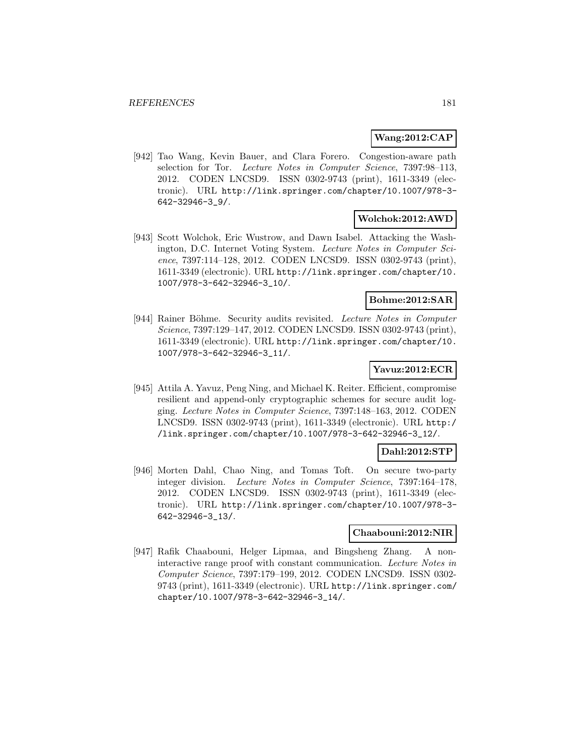## **Wang:2012:CAP**

[942] Tao Wang, Kevin Bauer, and Clara Forero. Congestion-aware path selection for Tor. Lecture Notes in Computer Science, 7397:98–113, 2012. CODEN LNCSD9. ISSN 0302-9743 (print), 1611-3349 (electronic). URL http://link.springer.com/chapter/10.1007/978-3- 642-32946-3\_9/.

# **Wolchok:2012:AWD**

[943] Scott Wolchok, Eric Wustrow, and Dawn Isabel. Attacking the Washington, D.C. Internet Voting System. Lecture Notes in Computer Science, 7397:114–128, 2012. CODEN LNCSD9. ISSN 0302-9743 (print), 1611-3349 (electronic). URL http://link.springer.com/chapter/10. 1007/978-3-642-32946-3\_10/.

# **Bohme:2012:SAR**

[944] Rainer Böhme. Security audits revisited. Lecture Notes in Computer Science, 7397:129–147, 2012. CODEN LNCSD9. ISSN 0302-9743 (print), 1611-3349 (electronic). URL http://link.springer.com/chapter/10. 1007/978-3-642-32946-3\_11/.

## **Yavuz:2012:ECR**

[945] Attila A. Yavuz, Peng Ning, and Michael K. Reiter. Efficient, compromise resilient and append-only cryptographic schemes for secure audit logging. Lecture Notes in Computer Science, 7397:148–163, 2012. CODEN LNCSD9. ISSN 0302-9743 (print), 1611-3349 (electronic). URL http:/ /link.springer.com/chapter/10.1007/978-3-642-32946-3\_12/.

## **Dahl:2012:STP**

[946] Morten Dahl, Chao Ning, and Tomas Toft. On secure two-party integer division. Lecture Notes in Computer Science, 7397:164–178, 2012. CODEN LNCSD9. ISSN 0302-9743 (print), 1611-3349 (electronic). URL http://link.springer.com/chapter/10.1007/978-3- 642-32946-3\_13/.

#### **Chaabouni:2012:NIR**

[947] Rafik Chaabouni, Helger Lipmaa, and Bingsheng Zhang. A noninteractive range proof with constant communication. Lecture Notes in Computer Science, 7397:179–199, 2012. CODEN LNCSD9. ISSN 0302- 9743 (print), 1611-3349 (electronic). URL http://link.springer.com/ chapter/10.1007/978-3-642-32946-3\_14/.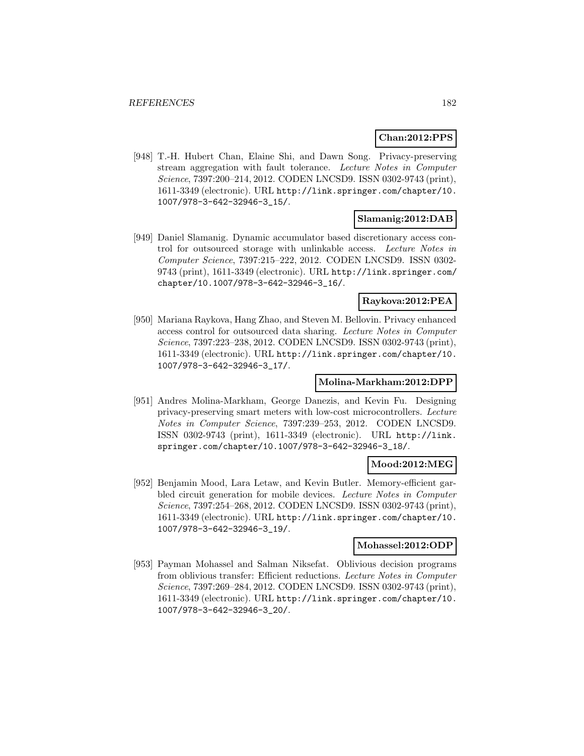#### **Chan:2012:PPS**

[948] T.-H. Hubert Chan, Elaine Shi, and Dawn Song. Privacy-preserving stream aggregation with fault tolerance. Lecture Notes in Computer Science, 7397:200–214, 2012. CODEN LNCSD9. ISSN 0302-9743 (print), 1611-3349 (electronic). URL http://link.springer.com/chapter/10. 1007/978-3-642-32946-3\_15/.

### **Slamanig:2012:DAB**

[949] Daniel Slamanig. Dynamic accumulator based discretionary access control for outsourced storage with unlinkable access. Lecture Notes in Computer Science, 7397:215–222, 2012. CODEN LNCSD9. ISSN 0302- 9743 (print), 1611-3349 (electronic). URL http://link.springer.com/ chapter/10.1007/978-3-642-32946-3\_16/.

#### **Raykova:2012:PEA**

[950] Mariana Raykova, Hang Zhao, and Steven M. Bellovin. Privacy enhanced access control for outsourced data sharing. Lecture Notes in Computer Science, 7397:223–238, 2012. CODEN LNCSD9. ISSN 0302-9743 (print), 1611-3349 (electronic). URL http://link.springer.com/chapter/10. 1007/978-3-642-32946-3\_17/.

### **Molina-Markham:2012:DPP**

[951] Andres Molina-Markham, George Danezis, and Kevin Fu. Designing privacy-preserving smart meters with low-cost microcontrollers. Lecture Notes in Computer Science, 7397:239–253, 2012. CODEN LNCSD9. ISSN 0302-9743 (print), 1611-3349 (electronic). URL http://link. springer.com/chapter/10.1007/978-3-642-32946-3\_18/.

#### **Mood:2012:MEG**

[952] Benjamin Mood, Lara Letaw, and Kevin Butler. Memory-efficient garbled circuit generation for mobile devices. Lecture Notes in Computer Science, 7397:254–268, 2012. CODEN LNCSD9. ISSN 0302-9743 (print), 1611-3349 (electronic). URL http://link.springer.com/chapter/10. 1007/978-3-642-32946-3\_19/.

### **Mohassel:2012:ODP**

[953] Payman Mohassel and Salman Niksefat. Oblivious decision programs from oblivious transfer: Efficient reductions. Lecture Notes in Computer Science, 7397:269–284, 2012. CODEN LNCSD9. ISSN 0302-9743 (print), 1611-3349 (electronic). URL http://link.springer.com/chapter/10. 1007/978-3-642-32946-3\_20/.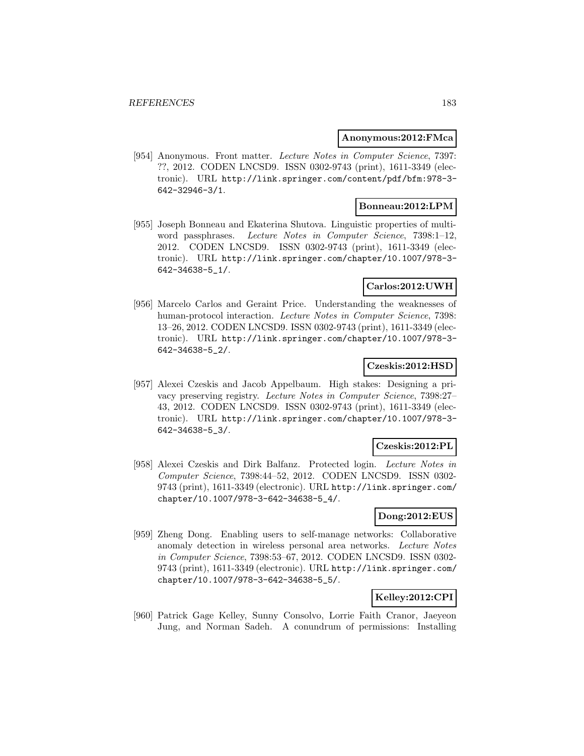#### **Anonymous:2012:FMca**

[954] Anonymous. Front matter. Lecture Notes in Computer Science, 7397: ??, 2012. CODEN LNCSD9. ISSN 0302-9743 (print), 1611-3349 (electronic). URL http://link.springer.com/content/pdf/bfm:978-3- 642-32946-3/1.

## **Bonneau:2012:LPM**

[955] Joseph Bonneau and Ekaterina Shutova. Linguistic properties of multiword passphrases. Lecture Notes in Computer Science, 7398:1-12, 2012. CODEN LNCSD9. ISSN 0302-9743 (print), 1611-3349 (electronic). URL http://link.springer.com/chapter/10.1007/978-3- 642-34638-5\_1/.

### **Carlos:2012:UWH**

[956] Marcelo Carlos and Geraint Price. Understanding the weaknesses of human-protocol interaction. Lecture Notes in Computer Science, 7398: 13–26, 2012. CODEN LNCSD9. ISSN 0302-9743 (print), 1611-3349 (electronic). URL http://link.springer.com/chapter/10.1007/978-3- 642-34638-5\_2/.

### **Czeskis:2012:HSD**

[957] Alexei Czeskis and Jacob Appelbaum. High stakes: Designing a privacy preserving registry. Lecture Notes in Computer Science, 7398:27– 43, 2012. CODEN LNCSD9. ISSN 0302-9743 (print), 1611-3349 (electronic). URL http://link.springer.com/chapter/10.1007/978-3- 642-34638-5\_3/.

## **Czeskis:2012:PL**

[958] Alexei Czeskis and Dirk Balfanz. Protected login. Lecture Notes in Computer Science, 7398:44–52, 2012. CODEN LNCSD9. ISSN 0302- 9743 (print), 1611-3349 (electronic). URL http://link.springer.com/ chapter/10.1007/978-3-642-34638-5\_4/.

### **Dong:2012:EUS**

[959] Zheng Dong. Enabling users to self-manage networks: Collaborative anomaly detection in wireless personal area networks. Lecture Notes in Computer Science, 7398:53–67, 2012. CODEN LNCSD9. ISSN 0302- 9743 (print), 1611-3349 (electronic). URL http://link.springer.com/ chapter/10.1007/978-3-642-34638-5\_5/.

# **Kelley:2012:CPI**

[960] Patrick Gage Kelley, Sunny Consolvo, Lorrie Faith Cranor, Jaeyeon Jung, and Norman Sadeh. A conundrum of permissions: Installing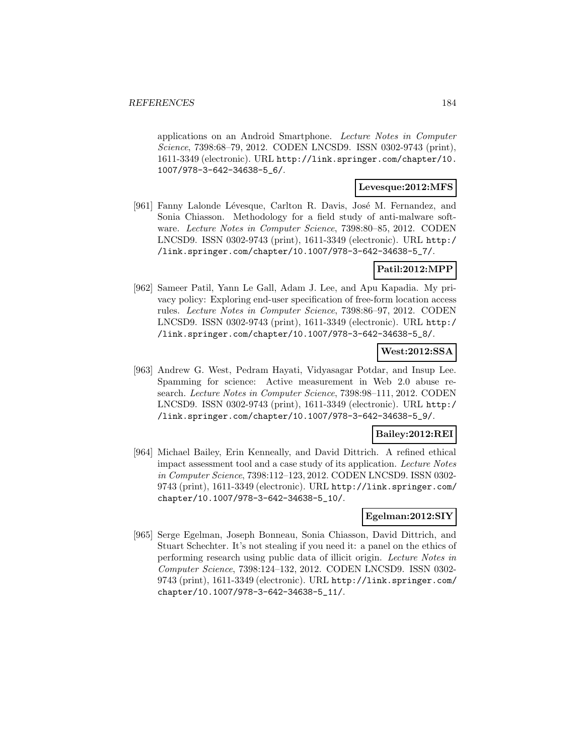applications on an Android Smartphone. Lecture Notes in Computer Science, 7398:68–79, 2012. CODEN LNCSD9. ISSN 0302-9743 (print), 1611-3349 (electronic). URL http://link.springer.com/chapter/10. 1007/978-3-642-34638-5\_6/.

### **Levesque:2012:MFS**

[961] Fanny Lalonde Lévesque, Carlton R. Davis, José M. Fernandez, and Sonia Chiasson. Methodology for a field study of anti-malware software. Lecture Notes in Computer Science, 7398:80–85, 2012. CODEN LNCSD9. ISSN 0302-9743 (print), 1611-3349 (electronic). URL http:/ /link.springer.com/chapter/10.1007/978-3-642-34638-5\_7/.

#### **Patil:2012:MPP**

[962] Sameer Patil, Yann Le Gall, Adam J. Lee, and Apu Kapadia. My privacy policy: Exploring end-user specification of free-form location access rules. Lecture Notes in Computer Science, 7398:86–97, 2012. CODEN LNCSD9. ISSN 0302-9743 (print), 1611-3349 (electronic). URL http:/ /link.springer.com/chapter/10.1007/978-3-642-34638-5\_8/.

### **West:2012:SSA**

[963] Andrew G. West, Pedram Hayati, Vidyasagar Potdar, and Insup Lee. Spamming for science: Active measurement in Web 2.0 abuse research. Lecture Notes in Computer Science, 7398:98–111, 2012. CODEN LNCSD9. ISSN 0302-9743 (print), 1611-3349 (electronic). URL http:/ /link.springer.com/chapter/10.1007/978-3-642-34638-5\_9/.

## **Bailey:2012:REI**

[964] Michael Bailey, Erin Kenneally, and David Dittrich. A refined ethical impact assessment tool and a case study of its application. Lecture Notes in Computer Science, 7398:112–123, 2012. CODEN LNCSD9. ISSN 0302- 9743 (print), 1611-3349 (electronic). URL http://link.springer.com/ chapter/10.1007/978-3-642-34638-5\_10/.

### **Egelman:2012:SIY**

[965] Serge Egelman, Joseph Bonneau, Sonia Chiasson, David Dittrich, and Stuart Schechter. It's not stealing if you need it: a panel on the ethics of performing research using public data of illicit origin. Lecture Notes in Computer Science, 7398:124–132, 2012. CODEN LNCSD9. ISSN 0302- 9743 (print), 1611-3349 (electronic). URL http://link.springer.com/ chapter/10.1007/978-3-642-34638-5\_11/.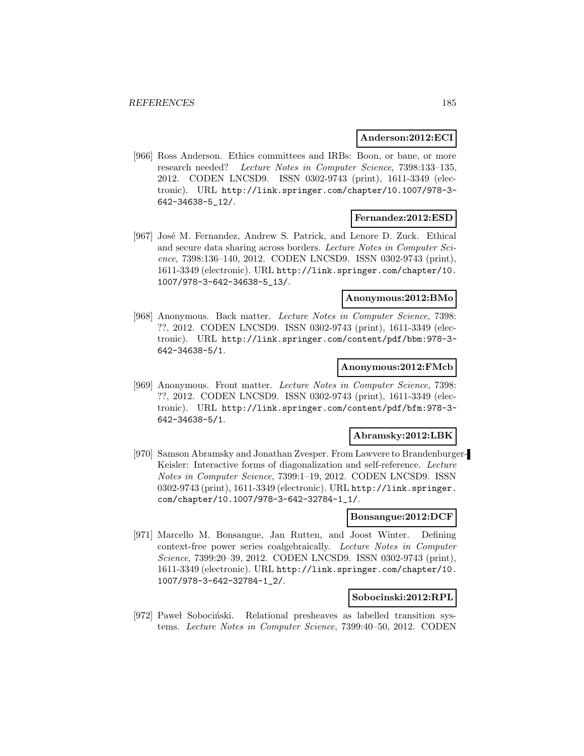#### **Anderson:2012:ECI**

[966] Ross Anderson. Ethics committees and IRBs: Boon, or bane, or more research needed? Lecture Notes in Computer Science, 7398:133–135, 2012. CODEN LNCSD9. ISSN 0302-9743 (print), 1611-3349 (electronic). URL http://link.springer.com/chapter/10.1007/978-3- 642-34638-5\_12/.

#### **Fernandez:2012:ESD**

[967] José M. Fernandez, Andrew S. Patrick, and Lenore D. Zuck. Ethical and secure data sharing across borders. Lecture Notes in Computer Science, 7398:136–140, 2012. CODEN LNCSD9. ISSN 0302-9743 (print), 1611-3349 (electronic). URL http://link.springer.com/chapter/10. 1007/978-3-642-34638-5\_13/.

### **Anonymous:2012:BMo**

[968] Anonymous. Back matter. Lecture Notes in Computer Science, 7398: ??, 2012. CODEN LNCSD9. ISSN 0302-9743 (print), 1611-3349 (electronic). URL http://link.springer.com/content/pdf/bbm:978-3- 642-34638-5/1.

#### **Anonymous:2012:FMcb**

[969] Anonymous. Front matter. Lecture Notes in Computer Science, 7398: ??, 2012. CODEN LNCSD9. ISSN 0302-9743 (print), 1611-3349 (electronic). URL http://link.springer.com/content/pdf/bfm:978-3- 642-34638-5/1.

#### **Abramsky:2012:LBK**

[970] Samson Abramsky and Jonathan Zvesper. From Lawvere to Brandenburger-Keisler: Interactive forms of diagonalization and self-reference. Lecture Notes in Computer Science, 7399:1–19, 2012. CODEN LNCSD9. ISSN 0302-9743 (print), 1611-3349 (electronic). URL http://link.springer. com/chapter/10.1007/978-3-642-32784-1\_1/.

### **Bonsangue:2012:DCF**

[971] Marcello M. Bonsangue, Jan Rutten, and Joost Winter. Defining context-free power series coalgebraically. Lecture Notes in Computer Science, 7399:20–39, 2012. CODEN LNCSD9. ISSN 0302-9743 (print), 1611-3349 (electronic). URL http://link.springer.com/chapter/10. 1007/978-3-642-32784-1\_2/.

### **Sobocinski:2012:RPL**

[972] Pawel Sobociński. Relational presheaves as labelled transition systems. Lecture Notes in Computer Science, 7399:40–50, 2012. CODEN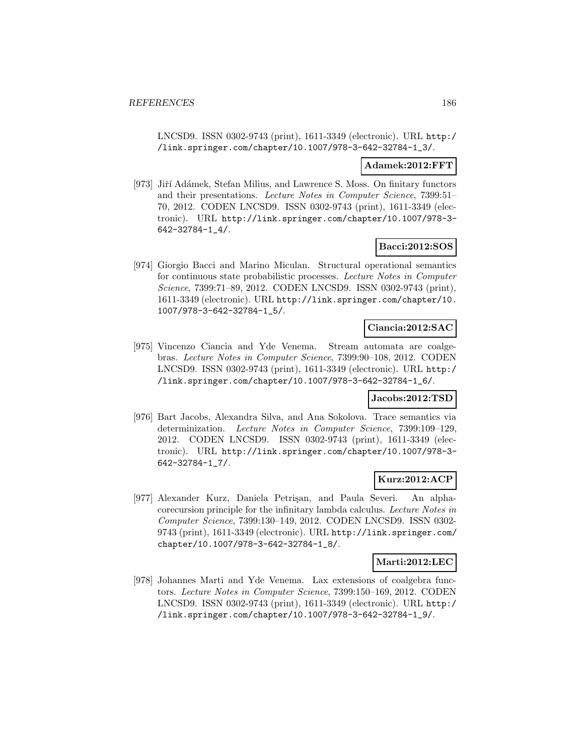LNCSD9. ISSN 0302-9743 (print), 1611-3349 (electronic). URL http:/ /link.springer.com/chapter/10.1007/978-3-642-32784-1\_3/.

#### **Adamek:2012:FFT**

[973] Jiří Adámek, Stefan Milius, and Lawrence S. Moss. On finitary functors and their presentations. Lecture Notes in Computer Science, 7399:51– 70, 2012. CODEN LNCSD9. ISSN 0302-9743 (print), 1611-3349 (electronic). URL http://link.springer.com/chapter/10.1007/978-3- 642-32784-1\_4/.

### **Bacci:2012:SOS**

[974] Giorgio Bacci and Marino Miculan. Structural operational semantics for continuous state probabilistic processes. Lecture Notes in Computer Science, 7399:71–89, 2012. CODEN LNCSD9. ISSN 0302-9743 (print), 1611-3349 (electronic). URL http://link.springer.com/chapter/10. 1007/978-3-642-32784-1\_5/.

#### **Ciancia:2012:SAC**

[975] Vincenzo Ciancia and Yde Venema. Stream automata are coalgebras. Lecture Notes in Computer Science, 7399:90–108, 2012. CODEN LNCSD9. ISSN 0302-9743 (print), 1611-3349 (electronic). URL http:/ /link.springer.com/chapter/10.1007/978-3-642-32784-1\_6/.

#### **Jacobs:2012:TSD**

[976] Bart Jacobs, Alexandra Silva, and Ana Sokolova. Trace semantics via determinization. Lecture Notes in Computer Science, 7399:109–129, 2012. CODEN LNCSD9. ISSN 0302-9743 (print), 1611-3349 (electronic). URL http://link.springer.com/chapter/10.1007/978-3- 642-32784-1\_7/.

### **Kurz:2012:ACP**

[977] Alexander Kurz, Daniela Petrişan, and Paula Severi. An alphacorecursion principle for the infinitary lambda calculus. Lecture Notes in Computer Science, 7399:130–149, 2012. CODEN LNCSD9. ISSN 0302- 9743 (print), 1611-3349 (electronic). URL http://link.springer.com/ chapter/10.1007/978-3-642-32784-1\_8/.

#### **Marti:2012:LEC**

[978] Johannes Marti and Yde Venema. Lax extensions of coalgebra functors. Lecture Notes in Computer Science, 7399:150–169, 2012. CODEN LNCSD9. ISSN 0302-9743 (print), 1611-3349 (electronic). URL http:/ /link.springer.com/chapter/10.1007/978-3-642-32784-1\_9/.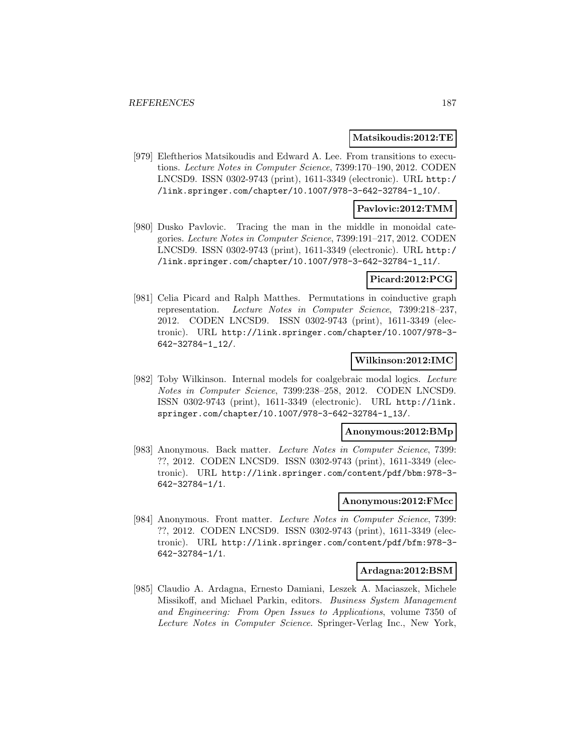#### **Matsikoudis:2012:TE**

[979] Eleftherios Matsikoudis and Edward A. Lee. From transitions to executions. Lecture Notes in Computer Science, 7399:170–190, 2012. CODEN LNCSD9. ISSN 0302-9743 (print), 1611-3349 (electronic). URL http:/ /link.springer.com/chapter/10.1007/978-3-642-32784-1\_10/.

### **Pavlovic:2012:TMM**

[980] Dusko Pavlovic. Tracing the man in the middle in monoidal categories. Lecture Notes in Computer Science, 7399:191–217, 2012. CODEN LNCSD9. ISSN 0302-9743 (print), 1611-3349 (electronic). URL http:/ /link.springer.com/chapter/10.1007/978-3-642-32784-1\_11/.

#### **Picard:2012:PCG**

[981] Celia Picard and Ralph Matthes. Permutations in coinductive graph representation. Lecture Notes in Computer Science, 7399:218–237, 2012. CODEN LNCSD9. ISSN 0302-9743 (print), 1611-3349 (electronic). URL http://link.springer.com/chapter/10.1007/978-3- 642-32784-1\_12/.

#### **Wilkinson:2012:IMC**

[982] Toby Wilkinson. Internal models for coalgebraic modal logics. Lecture Notes in Computer Science, 7399:238–258, 2012. CODEN LNCSD9. ISSN 0302-9743 (print), 1611-3349 (electronic). URL http://link. springer.com/chapter/10.1007/978-3-642-32784-1\_13/.

#### **Anonymous:2012:BMp**

[983] Anonymous. Back matter. Lecture Notes in Computer Science, 7399: ??, 2012. CODEN LNCSD9. ISSN 0302-9743 (print), 1611-3349 (electronic). URL http://link.springer.com/content/pdf/bbm:978-3- 642-32784-1/1.

#### **Anonymous:2012:FMcc**

[984] Anonymous. Front matter. Lecture Notes in Computer Science, 7399: ??, 2012. CODEN LNCSD9. ISSN 0302-9743 (print), 1611-3349 (electronic). URL http://link.springer.com/content/pdf/bfm:978-3- 642-32784-1/1.

### **Ardagna:2012:BSM**

[985] Claudio A. Ardagna, Ernesto Damiani, Leszek A. Maciaszek, Michele Missikoff, and Michael Parkin, editors. Business System Management and Engineering: From Open Issues to Applications, volume 7350 of Lecture Notes in Computer Science. Springer-Verlag Inc., New York,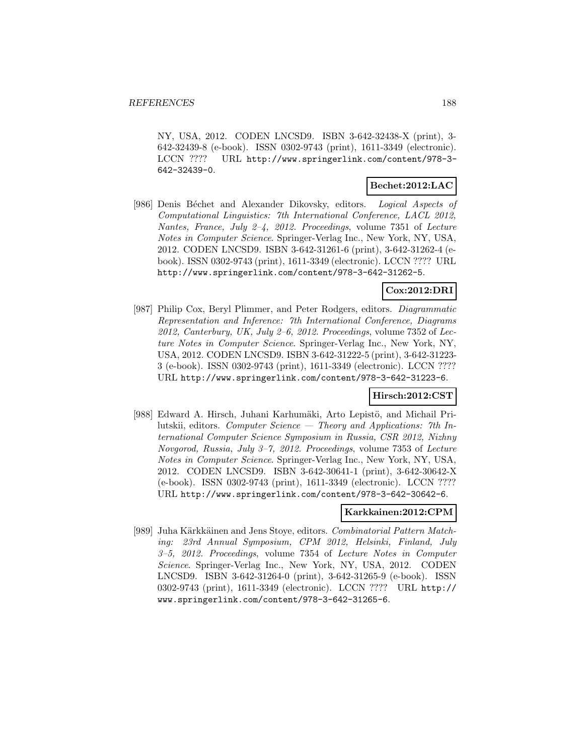NY, USA, 2012. CODEN LNCSD9. ISBN 3-642-32438-X (print), 3- 642-32439-8 (e-book). ISSN 0302-9743 (print), 1611-3349 (electronic). LCCN ???? URL http://www.springerlink.com/content/978-3- 642-32439-0.

### **Bechet:2012:LAC**

[986] Denis Béchet and Alexander Dikovsky, editors. Logical Aspects of Computational Linguistics: 7th International Conference, LACL 2012, Nantes, France, July 2–4, 2012. Proceedings, volume 7351 of Lecture Notes in Computer Science. Springer-Verlag Inc., New York, NY, USA, 2012. CODEN LNCSD9. ISBN 3-642-31261-6 (print), 3-642-31262-4 (ebook). ISSN 0302-9743 (print), 1611-3349 (electronic). LCCN ???? URL http://www.springerlink.com/content/978-3-642-31262-5.

# **Cox:2012:DRI**

[987] Philip Cox, Beryl Plimmer, and Peter Rodgers, editors. Diagrammatic Representation and Inference: 7th International Conference, Diagrams  $2012$ , Canterbury, UK, July 2–6, 2012. Proceedings, volume 7352 of Lecture Notes in Computer Science. Springer-Verlag Inc., New York, NY, USA, 2012. CODEN LNCSD9. ISBN 3-642-31222-5 (print), 3-642-31223- 3 (e-book). ISSN 0302-9743 (print), 1611-3349 (electronic). LCCN ???? URL http://www.springerlink.com/content/978-3-642-31223-6.

### **Hirsch:2012:CST**

[988] Edward A. Hirsch, Juhani Karhumäki, Arto Lepistö, and Michail Prilutskii, editors. Computer Science  $-$  Theory and Applications: 7th International Computer Science Symposium in Russia, CSR 2012, Nizhny Novgorod, Russia, July 3–7, 2012. Proceedings, volume 7353 of Lecture Notes in Computer Science. Springer-Verlag Inc., New York, NY, USA, 2012. CODEN LNCSD9. ISBN 3-642-30641-1 (print), 3-642-30642-X (e-book). ISSN 0302-9743 (print), 1611-3349 (electronic). LCCN ???? URL http://www.springerlink.com/content/978-3-642-30642-6.

## **Karkkainen:2012:CPM**

[989] Juha Kärkkäinen and Jens Stoye, editors. Combinatorial Pattern Matching: 23rd Annual Symposium, CPM 2012, Helsinki, Finland, July 3–5, 2012. Proceedings, volume 7354 of Lecture Notes in Computer Science. Springer-Verlag Inc., New York, NY, USA, 2012. CODEN LNCSD9. ISBN 3-642-31264-0 (print), 3-642-31265-9 (e-book). ISSN 0302-9743 (print), 1611-3349 (electronic). LCCN ???? URL http:// www.springerlink.com/content/978-3-642-31265-6.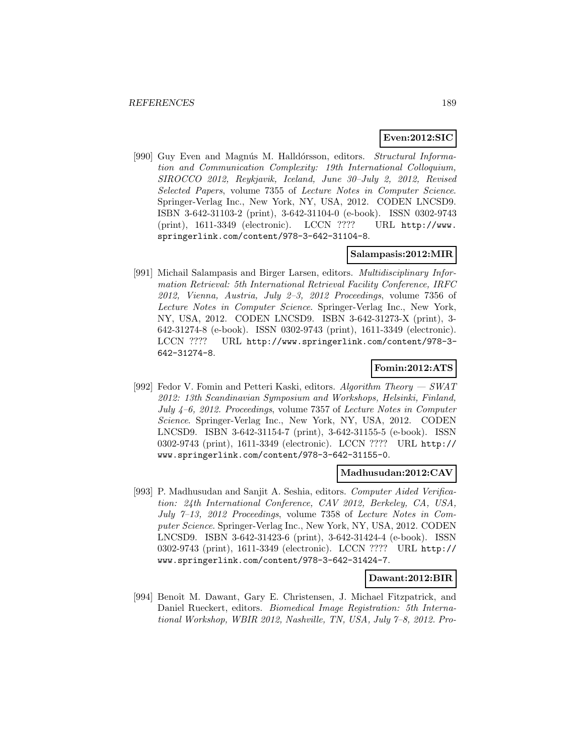## **Even:2012:SIC**

[990] Guy Even and Magnús M. Halldórsson, editors. Structural Information and Communication Complexity: 19th International Colloquium, SIROCCO 2012, Reykjavik, Iceland, June 30–July 2, 2012, Revised Selected Papers, volume 7355 of Lecture Notes in Computer Science. Springer-Verlag Inc., New York, NY, USA, 2012. CODEN LNCSD9. ISBN 3-642-31103-2 (print), 3-642-31104-0 (e-book). ISSN 0302-9743 (print), 1611-3349 (electronic). LCCN ???? URL http://www. springerlink.com/content/978-3-642-31104-8.

## **Salampasis:2012:MIR**

[991] Michail Salampasis and Birger Larsen, editors. Multidisciplinary Information Retrieval: 5th International Retrieval Facility Conference, IRFC  $2012$ , Vienna, Austria, July 2-3, 2012 Proceedings, volume 7356 of Lecture Notes in Computer Science. Springer-Verlag Inc., New York, NY, USA, 2012. CODEN LNCSD9. ISBN 3-642-31273-X (print), 3- 642-31274-8 (e-book). ISSN 0302-9743 (print), 1611-3349 (electronic). LCCN ???? URL http://www.springerlink.com/content/978-3- 642-31274-8.

## **Fomin:2012:ATS**

[992] Fedor V. Fomin and Petteri Kaski, editors. Algorithm Theory  $-$  SWAT 2012: 13th Scandinavian Symposium and Workshops, Helsinki, Finland, July 4–6, 2012. Proceedings, volume 7357 of Lecture Notes in Computer Science. Springer-Verlag Inc., New York, NY, USA, 2012. CODEN LNCSD9. ISBN 3-642-31154-7 (print), 3-642-31155-5 (e-book). ISSN 0302-9743 (print), 1611-3349 (electronic). LCCN ???? URL http:// www.springerlink.com/content/978-3-642-31155-0.

### **Madhusudan:2012:CAV**

[993] P. Madhusudan and Sanjit A. Seshia, editors. Computer Aided Verification: 24th International Conference, CAV 2012, Berkeley, CA, USA, July 7–13, 2012 Proceedings, volume 7358 of Lecture Notes in Computer Science. Springer-Verlag Inc., New York, NY, USA, 2012. CODEN LNCSD9. ISBN 3-642-31423-6 (print), 3-642-31424-4 (e-book). ISSN 0302-9743 (print), 1611-3349 (electronic). LCCN ???? URL http:// www.springerlink.com/content/978-3-642-31424-7.

#### **Dawant:2012:BIR**

[994] Benoît M. Dawant, Gary E. Christensen, J. Michael Fitzpatrick, and Daniel Rueckert, editors. Biomedical Image Registration: 5th International Workshop, WBIR 2012, Nashville, TN, USA, July 7–8, 2012. Pro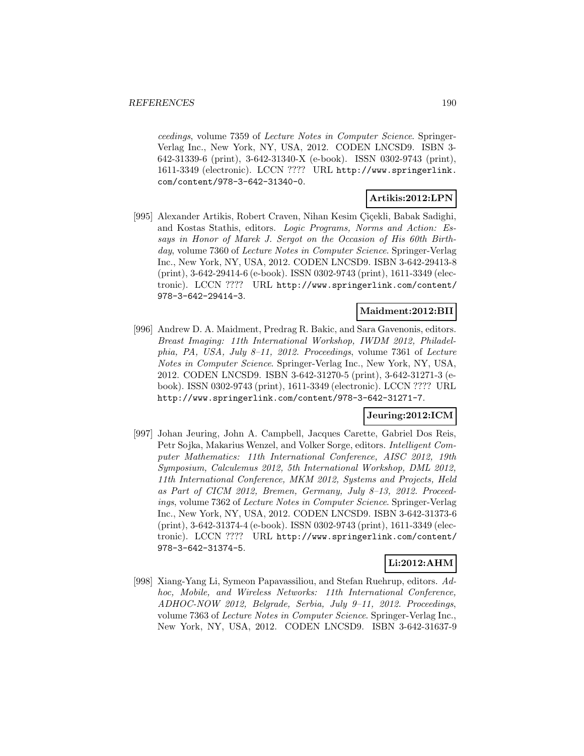ceedings, volume 7359 of Lecture Notes in Computer Science. Springer-Verlag Inc., New York, NY, USA, 2012. CODEN LNCSD9. ISBN 3- 642-31339-6 (print), 3-642-31340-X (e-book). ISSN 0302-9743 (print), 1611-3349 (electronic). LCCN ???? URL http://www.springerlink. com/content/978-3-642-31340-0.

# **Artikis:2012:LPN**

[995] Alexander Artikis, Robert Craven, Nihan Kesim Çiçekli, Babak Sadighi, and Kostas Stathis, editors. Logic Programs, Norms and Action: Essays in Honor of Marek J. Sergot on the Occasion of His 60th Birthday, volume 7360 of *Lecture Notes in Computer Science*. Springer-Verlag Inc., New York, NY, USA, 2012. CODEN LNCSD9. ISBN 3-642-29413-8 (print), 3-642-29414-6 (e-book). ISSN 0302-9743 (print), 1611-3349 (electronic). LCCN ???? URL http://www.springerlink.com/content/ 978-3-642-29414-3.

## **Maidment:2012:BII**

[996] Andrew D. A. Maidment, Predrag R. Bakic, and Sara Gavenonis, editors. Breast Imaging: 11th International Workshop, IWDM 2012, Philadelphia, PA, USA, July 8–11, 2012. Proceedings, volume 7361 of Lecture Notes in Computer Science. Springer-Verlag Inc., New York, NY, USA, 2012. CODEN LNCSD9. ISBN 3-642-31270-5 (print), 3-642-31271-3 (ebook). ISSN 0302-9743 (print), 1611-3349 (electronic). LCCN ???? URL http://www.springerlink.com/content/978-3-642-31271-7.

## **Jeuring:2012:ICM**

[997] Johan Jeuring, John A. Campbell, Jacques Carette, Gabriel Dos Reis, Petr Sojka, Makarius Wenzel, and Volker Sorge, editors. Intelligent Computer Mathematics: 11th International Conference, AISC 2012, 19th Symposium, Calculemus 2012, 5th International Workshop, DML 2012, 11th International Conference, MKM 2012, Systems and Projects, Held as Part of CICM 2012, Bremen, Germany, July 8–13, 2012. Proceedings, volume 7362 of Lecture Notes in Computer Science. Springer-Verlag Inc., New York, NY, USA, 2012. CODEN LNCSD9. ISBN 3-642-31373-6 (print), 3-642-31374-4 (e-book). ISSN 0302-9743 (print), 1611-3349 (electronic). LCCN ???? URL http://www.springerlink.com/content/ 978-3-642-31374-5.

## **Li:2012:AHM**

[998] Xiang-Yang Li, Symeon Papavassiliou, and Stefan Ruehrup, editors. Adhoc, Mobile, and Wireless Networks: 11th International Conference, ADHOC-NOW 2012, Belgrade, Serbia, July 9–11, 2012. Proceedings, volume 7363 of Lecture Notes in Computer Science. Springer-Verlag Inc., New York, NY, USA, 2012. CODEN LNCSD9. ISBN 3-642-31637-9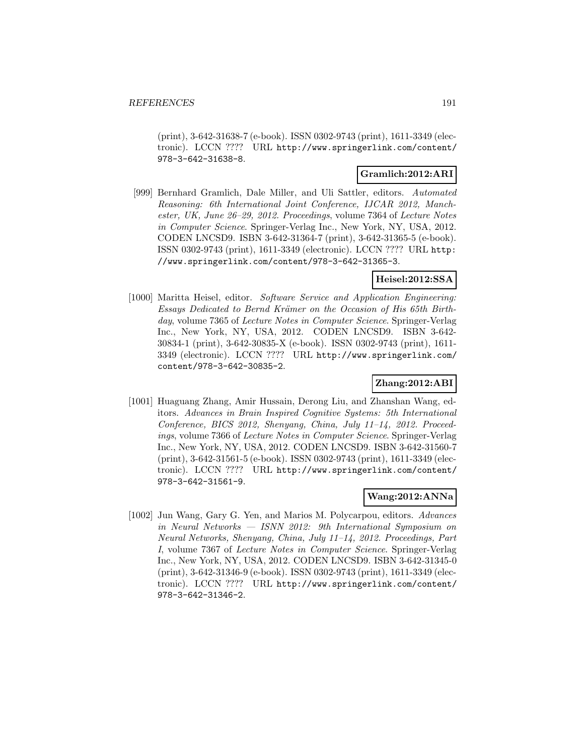(print), 3-642-31638-7 (e-book). ISSN 0302-9743 (print), 1611-3349 (electronic). LCCN ???? URL http://www.springerlink.com/content/ 978-3-642-31638-8.

## **Gramlich:2012:ARI**

[999] Bernhard Gramlich, Dale Miller, and Uli Sattler, editors. Automated Reasoning: 6th International Joint Conference, IJCAR 2012, Manchester, UK, June 26–29, 2012. Proceedings, volume 7364 of Lecture Notes in Computer Science. Springer-Verlag Inc., New York, NY, USA, 2012. CODEN LNCSD9. ISBN 3-642-31364-7 (print), 3-642-31365-5 (e-book). ISSN 0302-9743 (print), 1611-3349 (electronic). LCCN ???? URL http: //www.springerlink.com/content/978-3-642-31365-3.

## **Heisel:2012:SSA**

[1000] Maritta Heisel, editor. Software Service and Application Engineering: Essays Dedicated to Bernd Krämer on the Occasion of His 65th Birthday, volume 7365 of *Lecture Notes in Computer Science*. Springer-Verlag Inc., New York, NY, USA, 2012. CODEN LNCSD9. ISBN 3-642- 30834-1 (print), 3-642-30835-X (e-book). ISSN 0302-9743 (print), 1611- 3349 (electronic). LCCN ???? URL http://www.springerlink.com/ content/978-3-642-30835-2.

# **Zhang:2012:ABI**

[1001] Huaguang Zhang, Amir Hussain, Derong Liu, and Zhanshan Wang, editors. Advances in Brain Inspired Cognitive Systems: 5th International Conference, BICS 2012, Shenyang, China, July 11–14, 2012. Proceedings, volume 7366 of Lecture Notes in Computer Science. Springer-Verlag Inc., New York, NY, USA, 2012. CODEN LNCSD9. ISBN 3-642-31560-7 (print), 3-642-31561-5 (e-book). ISSN 0302-9743 (print), 1611-3349 (electronic). LCCN ???? URL http://www.springerlink.com/content/ 978-3-642-31561-9.

#### **Wang:2012:ANNa**

[1002] Jun Wang, Gary G. Yen, and Marios M. Polycarpou, editors. Advances in Neural Networks — ISNN 2012: 9th International Symposium on Neural Networks, Shenyang, China, July 11–14, 2012. Proceedings, Part I, volume 7367 of Lecture Notes in Computer Science. Springer-Verlag Inc., New York, NY, USA, 2012. CODEN LNCSD9. ISBN 3-642-31345-0 (print), 3-642-31346-9 (e-book). ISSN 0302-9743 (print), 1611-3349 (electronic). LCCN ???? URL http://www.springerlink.com/content/ 978-3-642-31346-2.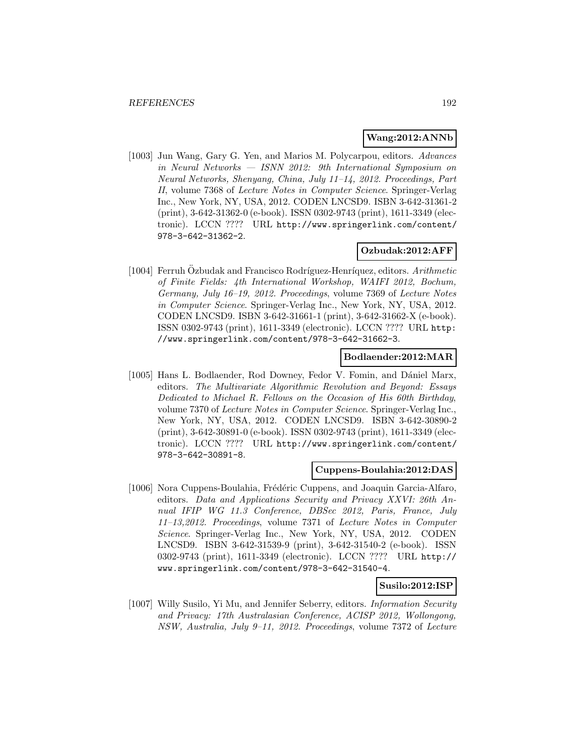#### **Wang:2012:ANNb**

[1003] Jun Wang, Gary G. Yen, and Marios M. Polycarpou, editors. Advances in Neural Networks — ISNN 2012: 9th International Symposium on Neural Networks, Shenyang, China, July 11–14, 2012. Proceedings, Part II, volume 7368 of Lecture Notes in Computer Science. Springer-Verlag Inc., New York, NY, USA, 2012. CODEN LNCSD9. ISBN 3-642-31361-2 (print), 3-642-31362-0 (e-book). ISSN 0302-9743 (print), 1611-3349 (electronic). LCCN ???? URL http://www.springerlink.com/content/ 978-3-642-31362-2.

# **Ozbudak:2012:AFF**

[1004] Ferruh Özbudak and Francisco Rodríguez-Henríquez, editors.  $Arithmetic$ of Finite Fields: 4th International Workshop, WAIFI 2012, Bochum, Germany, July 16–19, 2012. Proceedings, volume 7369 of Lecture Notes in Computer Science. Springer-Verlag Inc., New York, NY, USA, 2012. CODEN LNCSD9. ISBN 3-642-31661-1 (print), 3-642-31662-X (e-book). ISSN 0302-9743 (print), 1611-3349 (electronic). LCCN ???? URL http: //www.springerlink.com/content/978-3-642-31662-3.

## **Bodlaender:2012:MAR**

[1005] Hans L. Bodlaender, Rod Downey, Fedor V. Fomin, and Dániel Marx, editors. The Multivariate Algorithmic Revolution and Beyond: Essays Dedicated to Michael R. Fellows on the Occasion of His 60th Birthday, volume 7370 of Lecture Notes in Computer Science. Springer-Verlag Inc., New York, NY, USA, 2012. CODEN LNCSD9. ISBN 3-642-30890-2 (print), 3-642-30891-0 (e-book). ISSN 0302-9743 (print), 1611-3349 (electronic). LCCN ???? URL http://www.springerlink.com/content/ 978-3-642-30891-8.

### **Cuppens-Boulahia:2012:DAS**

[1006] Nora Cuppens-Boulahia, Frédéric Cuppens, and Joaquin Garcia-Alfaro, editors. Data and Applications Security and Privacy XXVI: 26th Annual IFIP WG 11.3 Conference, DBSec 2012, Paris, France, July 11–13,2012. Proceedings, volume 7371 of Lecture Notes in Computer Science. Springer-Verlag Inc., New York, NY, USA, 2012. CODEN LNCSD9. ISBN 3-642-31539-9 (print), 3-642-31540-2 (e-book). ISSN 0302-9743 (print), 1611-3349 (electronic). LCCN ???? URL http:// www.springerlink.com/content/978-3-642-31540-4.

#### **Susilo:2012:ISP**

[1007] Willy Susilo, Yi Mu, and Jennifer Seberry, editors. Information Security and Privacy: 17th Australasian Conference, ACISP 2012, Wollongong, NSW, Australia, July 9–11, 2012. Proceedings, volume 7372 of Lecture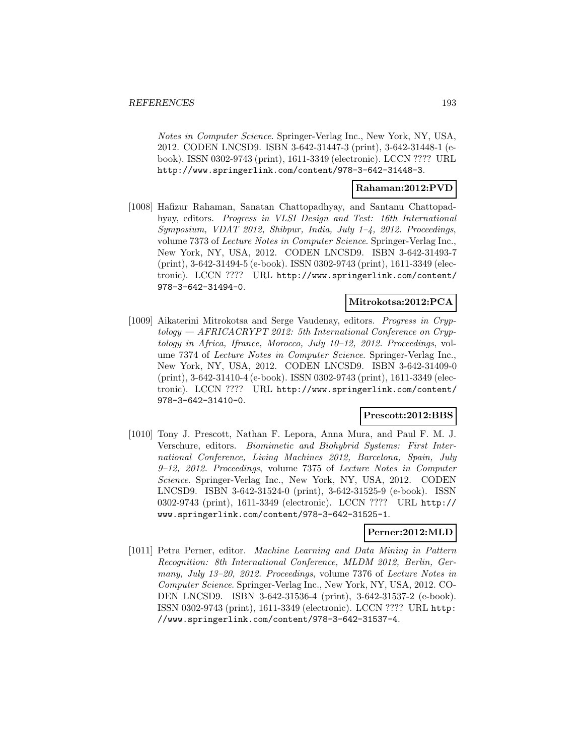Notes in Computer Science. Springer-Verlag Inc., New York, NY, USA, 2012. CODEN LNCSD9. ISBN 3-642-31447-3 (print), 3-642-31448-1 (ebook). ISSN 0302-9743 (print), 1611-3349 (electronic). LCCN ???? URL http://www.springerlink.com/content/978-3-642-31448-3.

## **Rahaman:2012:PVD**

[1008] Hafizur Rahaman, Sanatan Chattopadhyay, and Santanu Chattopadhyay, editors. Progress in VLSI Design and Test: 16th International Symposium, VDAT 2012, Shibpur, India, July 1–4, 2012. Proceedings, volume 7373 of Lecture Notes in Computer Science. Springer-Verlag Inc., New York, NY, USA, 2012. CODEN LNCSD9. ISBN 3-642-31493-7 (print), 3-642-31494-5 (e-book). ISSN 0302-9743 (print), 1611-3349 (electronic). LCCN ???? URL http://www.springerlink.com/content/ 978-3-642-31494-0.

### **Mitrokotsa:2012:PCA**

[1009] Aikaterini Mitrokotsa and Serge Vaudenay, editors. Progress in Cryptology — AFRICACRYPT 2012: 5th International Conference on Cryptology in Africa, Ifrance, Morocco, July 10–12, 2012. Proceedings, volume 7374 of Lecture Notes in Computer Science. Springer-Verlag Inc., New York, NY, USA, 2012. CODEN LNCSD9. ISBN 3-642-31409-0 (print), 3-642-31410-4 (e-book). ISSN 0302-9743 (print), 1611-3349 (electronic). LCCN ???? URL http://www.springerlink.com/content/ 978-3-642-31410-0.

#### **Prescott:2012:BBS**

[1010] Tony J. Prescott, Nathan F. Lepora, Anna Mura, and Paul F. M. J. Verschure, editors. Biomimetic and Biohybrid Systems: First International Conference, Living Machines 2012, Barcelona, Spain, July 9–12, 2012. Proceedings, volume 7375 of Lecture Notes in Computer Science. Springer-Verlag Inc., New York, NY, USA, 2012. CODEN LNCSD9. ISBN 3-642-31524-0 (print), 3-642-31525-9 (e-book). ISSN 0302-9743 (print), 1611-3349 (electronic). LCCN ???? URL http:// www.springerlink.com/content/978-3-642-31525-1.

#### **Perner:2012:MLD**

[1011] Petra Perner, editor. Machine Learning and Data Mining in Pattern Recognition: 8th International Conference, MLDM 2012, Berlin, Germany, July 13–20, 2012. Proceedings, volume 7376 of Lecture Notes in Computer Science. Springer-Verlag Inc., New York, NY, USA, 2012. CO-DEN LNCSD9. ISBN 3-642-31536-4 (print), 3-642-31537-2 (e-book). ISSN 0302-9743 (print), 1611-3349 (electronic). LCCN ???? URL http: //www.springerlink.com/content/978-3-642-31537-4.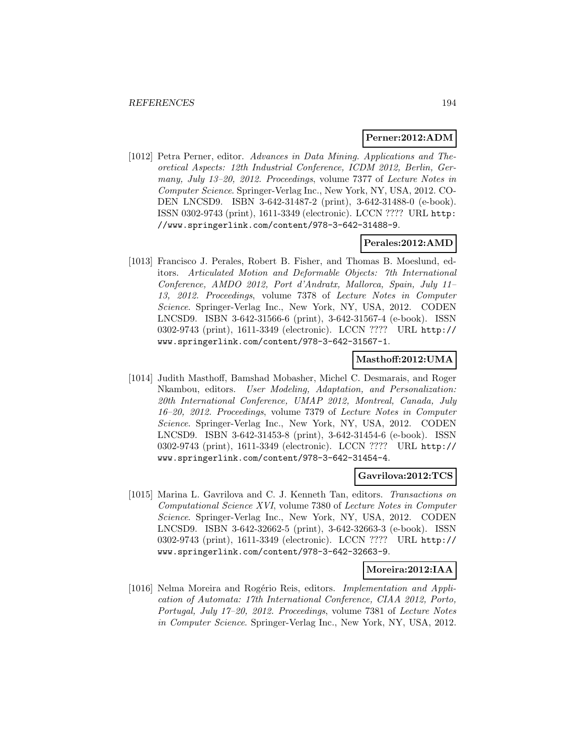#### **Perner:2012:ADM**

[1012] Petra Perner, editor. Advances in Data Mining. Applications and Theoretical Aspects: 12th Industrial Conference, ICDM 2012, Berlin, Germany, July 13–20, 2012. Proceedings, volume 7377 of Lecture Notes in Computer Science. Springer-Verlag Inc., New York, NY, USA, 2012. CO-DEN LNCSD9. ISBN 3-642-31487-2 (print), 3-642-31488-0 (e-book). ISSN 0302-9743 (print), 1611-3349 (electronic). LCCN ???? URL http: //www.springerlink.com/content/978-3-642-31488-9.

#### **Perales:2012:AMD**

[1013] Francisco J. Perales, Robert B. Fisher, and Thomas B. Moeslund, editors. Articulated Motion and Deformable Objects: 7th International Conference, AMDO 2012, Port d'Andratx, Mallorca, Spain, July 11– 13, 2012. Proceedings, volume 7378 of Lecture Notes in Computer Science. Springer-Verlag Inc., New York, NY, USA, 2012. CODEN LNCSD9. ISBN 3-642-31566-6 (print), 3-642-31567-4 (e-book). ISSN 0302-9743 (print), 1611-3349 (electronic). LCCN ???? URL http:// www.springerlink.com/content/978-3-642-31567-1.

#### **Masthoff:2012:UMA**

[1014] Judith Masthoff, Bamshad Mobasher, Michel C. Desmarais, and Roger Nkambou, editors. User Modeling, Adaptation, and Personalization: 20th International Conference, UMAP 2012, Montreal, Canada, July 16–20, 2012. Proceedings, volume 7379 of Lecture Notes in Computer Science. Springer-Verlag Inc., New York, NY, USA, 2012. CODEN LNCSD9. ISBN 3-642-31453-8 (print), 3-642-31454-6 (e-book). ISSN 0302-9743 (print), 1611-3349 (electronic). LCCN ???? URL http:// www.springerlink.com/content/978-3-642-31454-4.

#### **Gavrilova:2012:TCS**

[1015] Marina L. Gavrilova and C. J. Kenneth Tan, editors. Transactions on Computational Science XVI, volume 7380 of Lecture Notes in Computer Science. Springer-Verlag Inc., New York, NY, USA, 2012. CODEN LNCSD9. ISBN 3-642-32662-5 (print), 3-642-32663-3 (e-book). ISSN 0302-9743 (print), 1611-3349 (electronic). LCCN ???? URL http:// www.springerlink.com/content/978-3-642-32663-9.

## **Moreira:2012:IAA**

[1016] Nelma Moreira and Rogério Reis, editors. Implementation and Application of Automata: 17th International Conference, CIAA 2012, Porto, Portugal, July 17–20, 2012. Proceedings, volume 7381 of Lecture Notes in Computer Science. Springer-Verlag Inc., New York, NY, USA, 2012.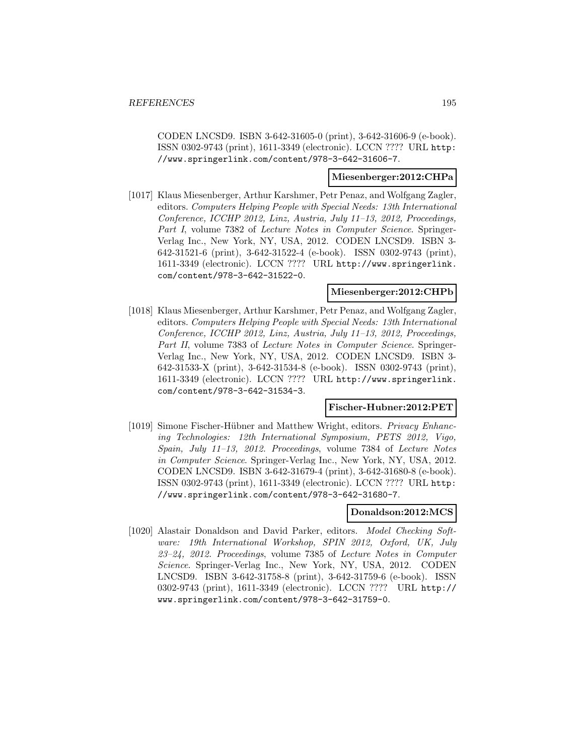CODEN LNCSD9. ISBN 3-642-31605-0 (print), 3-642-31606-9 (e-book). ISSN 0302-9743 (print), 1611-3349 (electronic). LCCN ???? URL http: //www.springerlink.com/content/978-3-642-31606-7.

# **Miesenberger:2012:CHPa**

[1017] Klaus Miesenberger, Arthur Karshmer, Petr Penaz, and Wolfgang Zagler, editors. Computers Helping People with Special Needs: 13th International Conference, ICCHP 2012, Linz, Austria, July 11–13, 2012, Proceedings, Part I, volume 7382 of Lecture Notes in Computer Science. Springer-Verlag Inc., New York, NY, USA, 2012. CODEN LNCSD9. ISBN 3- 642-31521-6 (print), 3-642-31522-4 (e-book). ISSN 0302-9743 (print), 1611-3349 (electronic). LCCN ???? URL http://www.springerlink. com/content/978-3-642-31522-0.

#### **Miesenberger:2012:CHPb**

[1018] Klaus Miesenberger, Arthur Karshmer, Petr Penaz, and Wolfgang Zagler, editors. Computers Helping People with Special Needs: 13th International Conference, ICCHP 2012, Linz, Austria, July 11–13, 2012, Proceedings, Part II, volume 7383 of *Lecture Notes in Computer Science*. Springer-Verlag Inc., New York, NY, USA, 2012. CODEN LNCSD9. ISBN 3- 642-31533-X (print), 3-642-31534-8 (e-book). ISSN 0302-9743 (print), 1611-3349 (electronic). LCCN ???? URL http://www.springerlink. com/content/978-3-642-31534-3.

#### **Fischer-Hubner:2012:PET**

[1019] Simone Fischer-Hübner and Matthew Wright, editors. Privacy Enhancing Technologies: 12th International Symposium, PETS 2012, Vigo, Spain, July 11–13, 2012. Proceedings, volume 7384 of Lecture Notes in Computer Science. Springer-Verlag Inc., New York, NY, USA, 2012. CODEN LNCSD9. ISBN 3-642-31679-4 (print), 3-642-31680-8 (e-book). ISSN 0302-9743 (print), 1611-3349 (electronic). LCCN ???? URL http: //www.springerlink.com/content/978-3-642-31680-7.

#### **Donaldson:2012:MCS**

[1020] Alastair Donaldson and David Parker, editors. Model Checking Software: 19th International Workshop, SPIN 2012, Oxford, UK, July 23–24, 2012. Proceedings, volume 7385 of Lecture Notes in Computer Science. Springer-Verlag Inc., New York, NY, USA, 2012. CODEN LNCSD9. ISBN 3-642-31758-8 (print), 3-642-31759-6 (e-book). ISSN 0302-9743 (print), 1611-3349 (electronic). LCCN ???? URL http:// www.springerlink.com/content/978-3-642-31759-0.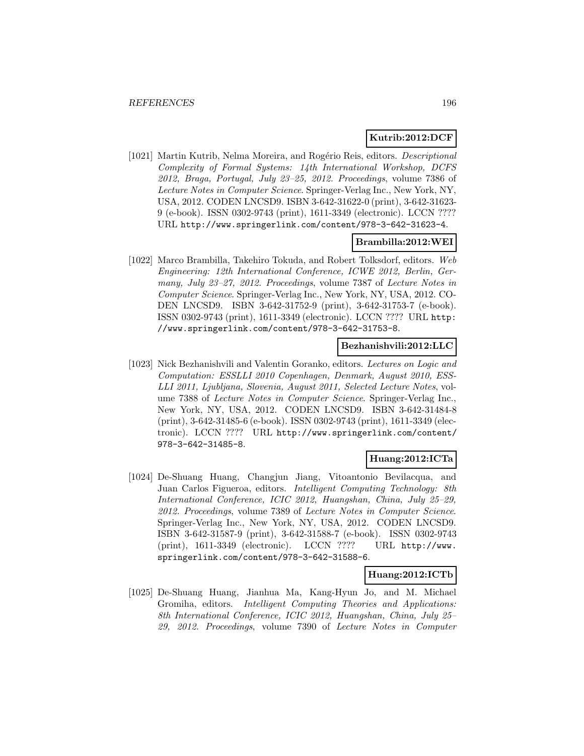## **Kutrib:2012:DCF**

[1021] Martin Kutrib, Nelma Moreira, and Rogério Reis, editors. *Descriptional* Complexity of Formal Systems: 14th International Workshop, DCFS 2012, Braga, Portugal, July 23–25, 2012. Proceedings, volume 7386 of Lecture Notes in Computer Science. Springer-Verlag Inc., New York, NY, USA, 2012. CODEN LNCSD9. ISBN 3-642-31622-0 (print), 3-642-31623- 9 (e-book). ISSN 0302-9743 (print), 1611-3349 (electronic). LCCN ???? URL http://www.springerlink.com/content/978-3-642-31623-4.

### **Brambilla:2012:WEI**

[1022] Marco Brambilla, Takehiro Tokuda, and Robert Tolksdorf, editors. Web Engineering: 12th International Conference, ICWE 2012, Berlin, Germany, July 23–27, 2012. Proceedings, volume 7387 of Lecture Notes in Computer Science. Springer-Verlag Inc., New York, NY, USA, 2012. CO-DEN LNCSD9. ISBN 3-642-31752-9 (print), 3-642-31753-7 (e-book). ISSN 0302-9743 (print), 1611-3349 (electronic). LCCN ???? URL http: //www.springerlink.com/content/978-3-642-31753-8.

## **Bezhanishvili:2012:LLC**

[1023] Nick Bezhanishvili and Valentin Goranko, editors. Lectures on Logic and Computation: ESSLLI 2010 Copenhagen, Denmark, August 2010, ESS-LLI 2011, Ljubljana, Slovenia, August 2011, Selected Lecture Notes, volume 7388 of Lecture Notes in Computer Science. Springer-Verlag Inc., New York, NY, USA, 2012. CODEN LNCSD9. ISBN 3-642-31484-8 (print), 3-642-31485-6 (e-book). ISSN 0302-9743 (print), 1611-3349 (electronic). LCCN ???? URL http://www.springerlink.com/content/ 978-3-642-31485-8.

#### **Huang:2012:ICTa**

[1024] De-Shuang Huang, Changjun Jiang, Vitoantonio Bevilacqua, and Juan Carlos Figueroa, editors. Intelligent Computing Technology: 8th International Conference, ICIC 2012, Huangshan, China, July 25–29, 2012. Proceedings, volume 7389 of Lecture Notes in Computer Science. Springer-Verlag Inc., New York, NY, USA, 2012. CODEN LNCSD9. ISBN 3-642-31587-9 (print), 3-642-31588-7 (e-book). ISSN 0302-9743 (print), 1611-3349 (electronic). LCCN ???? URL http://www. springerlink.com/content/978-3-642-31588-6.

#### **Huang:2012:ICTb**

[1025] De-Shuang Huang, Jianhua Ma, Kang-Hyun Jo, and M. Michael Gromiha, editors. Intelligent Computing Theories and Applications: 8th International Conference, ICIC 2012, Huangshan, China, July 25– 29, 2012. Proceedings, volume 7390 of Lecture Notes in Computer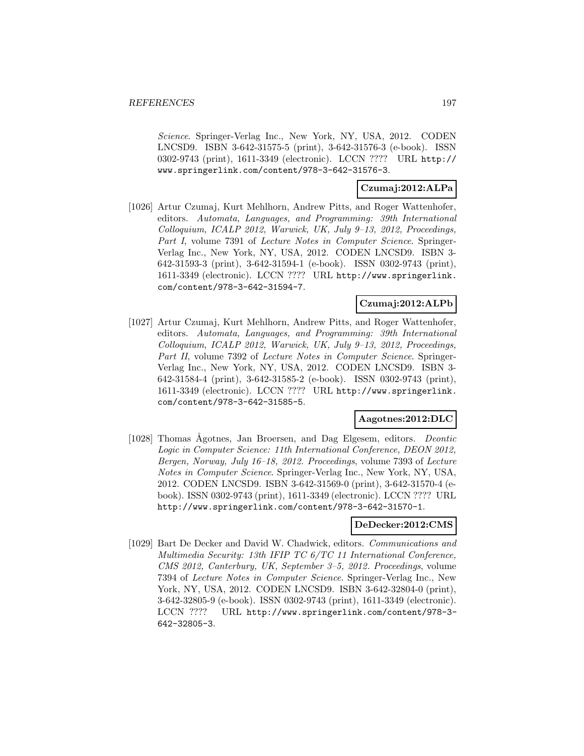Science. Springer-Verlag Inc., New York, NY, USA, 2012. CODEN LNCSD9. ISBN 3-642-31575-5 (print), 3-642-31576-3 (e-book). ISSN 0302-9743 (print), 1611-3349 (electronic). LCCN ???? URL http:// www.springerlink.com/content/978-3-642-31576-3.

## **Czumaj:2012:ALPa**

[1026] Artur Czumaj, Kurt Mehlhorn, Andrew Pitts, and Roger Wattenhofer, editors. Automata, Languages, and Programming: 39th International Colloquium, ICALP 2012, Warwick, UK, July 9–13, 2012, Proceedings, Part I, volume 7391 of Lecture Notes in Computer Science. Springer-Verlag Inc., New York, NY, USA, 2012. CODEN LNCSD9. ISBN 3- 642-31593-3 (print), 3-642-31594-1 (e-book). ISSN 0302-9743 (print), 1611-3349 (electronic). LCCN ???? URL http://www.springerlink. com/content/978-3-642-31594-7.

## **Czumaj:2012:ALPb**

[1027] Artur Czumaj, Kurt Mehlhorn, Andrew Pitts, and Roger Wattenhofer, editors. Automata, Languages, and Programming: 39th International Colloquium, ICALP 2012, Warwick, UK, July 9–13, 2012, Proceedings, Part II, volume 7392 of Lecture Notes in Computer Science. Springer-Verlag Inc., New York, NY, USA, 2012. CODEN LNCSD9. ISBN 3- 642-31584-4 (print), 3-642-31585-2 (e-book). ISSN 0302-9743 (print), 1611-3349 (electronic). LCCN ???? URL http://www.springerlink. com/content/978-3-642-31585-5.

### **Aagotnes:2012:DLC**

[1028] Thomas Ågotnes, Jan Broersen, and Dag Elgesem, editors. Deontic Logic in Computer Science: 11th International Conference, DEON 2012, Bergen, Norway, July 16–18, 2012. Proceedings, volume 7393 of Lecture Notes in Computer Science. Springer-Verlag Inc., New York, NY, USA, 2012. CODEN LNCSD9. ISBN 3-642-31569-0 (print), 3-642-31570-4 (ebook). ISSN 0302-9743 (print), 1611-3349 (electronic). LCCN ???? URL http://www.springerlink.com/content/978-3-642-31570-1.

#### **DeDecker:2012:CMS**

[1029] Bart De Decker and David W. Chadwick, editors. Communications and Multimedia Security: 13th IFIP TC 6/TC 11 International Conference, CMS 2012, Canterbury, UK, September 3–5, 2012. Proceedings, volume 7394 of Lecture Notes in Computer Science. Springer-Verlag Inc., New York, NY, USA, 2012. CODEN LNCSD9. ISBN 3-642-32804-0 (print), 3-642-32805-9 (e-book). ISSN 0302-9743 (print), 1611-3349 (electronic). LCCN ???? URL http://www.springerlink.com/content/978-3- 642-32805-3.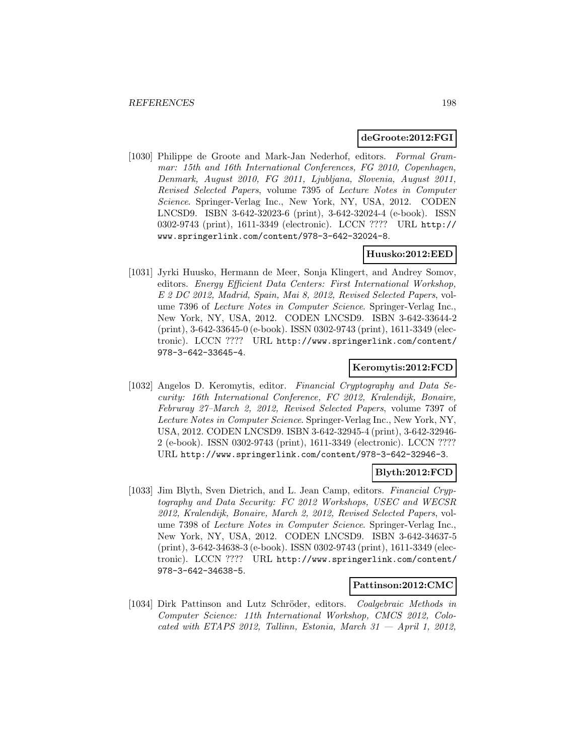### **deGroote:2012:FGI**

[1030] Philippe de Groote and Mark-Jan Nederhof, editors. Formal Grammar: 15th and 16th International Conferences, FG 2010, Copenhagen, Denmark, August 2010, FG 2011, Ljubljana, Slovenia, August 2011, Revised Selected Papers, volume 7395 of Lecture Notes in Computer Science. Springer-Verlag Inc., New York, NY, USA, 2012. CODEN LNCSD9. ISBN 3-642-32023-6 (print), 3-642-32024-4 (e-book). ISSN 0302-9743 (print), 1611-3349 (electronic). LCCN ???? URL http:// www.springerlink.com/content/978-3-642-32024-8.

### **Huusko:2012:EED**

[1031] Jyrki Huusko, Hermann de Meer, Sonja Klingert, and Andrey Somov, editors. Energy Efficient Data Centers: First International Workshop, E 2 DC 2012, Madrid, Spain, Mai 8, 2012, Revised Selected Papers, volume 7396 of Lecture Notes in Computer Science. Springer-Verlag Inc., New York, NY, USA, 2012. CODEN LNCSD9. ISBN 3-642-33644-2 (print), 3-642-33645-0 (e-book). ISSN 0302-9743 (print), 1611-3349 (electronic). LCCN ???? URL http://www.springerlink.com/content/ 978-3-642-33645-4.

## **Keromytis:2012:FCD**

[1032] Angelos D. Keromytis, editor. Financial Cryptography and Data Security: 16th International Conference, FC 2012, Kralendijk, Bonaire, Februray 27–March 2, 2012, Revised Selected Papers, volume 7397 of Lecture Notes in Computer Science. Springer-Verlag Inc., New York, NY, USA, 2012. CODEN LNCSD9. ISBN 3-642-32945-4 (print), 3-642-32946- 2 (e-book). ISSN 0302-9743 (print), 1611-3349 (electronic). LCCN ???? URL http://www.springerlink.com/content/978-3-642-32946-3.

# **Blyth:2012:FCD**

[1033] Jim Blyth, Sven Dietrich, and L. Jean Camp, editors. Financial Cryptography and Data Security: FC 2012 Workshops, USEC and WECSR 2012, Kralendijk, Bonaire, March 2, 2012, Revised Selected Papers, volume 7398 of Lecture Notes in Computer Science. Springer-Verlag Inc., New York, NY, USA, 2012. CODEN LNCSD9. ISBN 3-642-34637-5 (print), 3-642-34638-3 (e-book). ISSN 0302-9743 (print), 1611-3349 (electronic). LCCN ???? URL http://www.springerlink.com/content/ 978-3-642-34638-5.

### **Pattinson:2012:CMC**

[1034] Dirk Pattinson and Lutz Schröder, editors. *Coalgebraic Methods in* Computer Science: 11th International Workshop, CMCS 2012, Colocated with ETAPS 2012, Tallinn, Estonia, March  $31 -$ April 1, 2012,